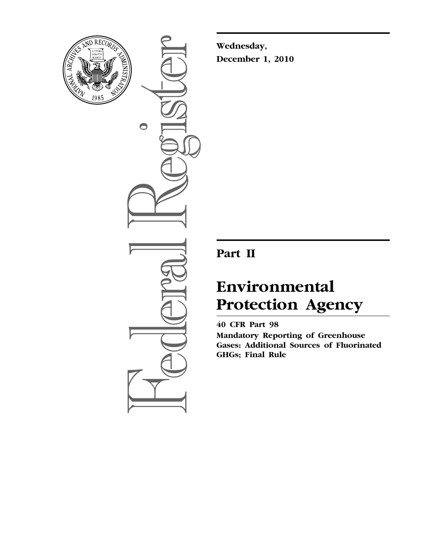

 $\bullet$ 

**Wednesday, December 1, 2010** 

# **Part II**

# **Environmental Protection Agency**

**40 CFR Part 98 Mandatory Reporting of Greenhouse Gases: Additional Sources of Fluorinated GHGs; Final Rule**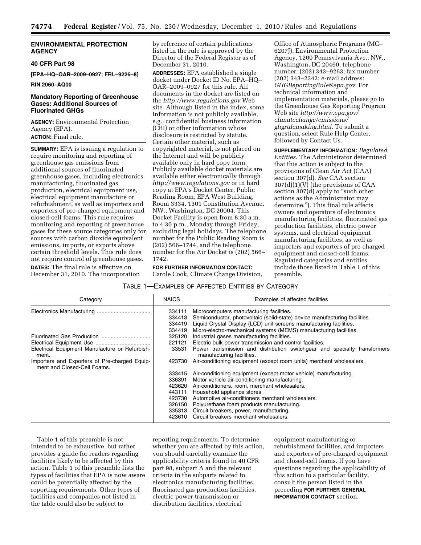# **ENVIRONMENTAL PROTECTION AGENCY**

# **40 CFR Part 98**

**[EPA–HQ–OAR–2009–0927; FRL–9226–8]** 

#### **RIN 2060–AQ00**

# **Mandatory Reporting of Greenhouse Gases: Additional Sources of Fluorinated GHGs**

**AGENCY:** Environmental Protection Agency (EPA). **ACTION:** Final rule.

**SUMMARY:** EPA is issuing a regulation to require monitoring and reporting of greenhouse gas emissions from additional sources of fluorinated greenhouse gases, including electronics manufacturing, fluorinated gas production, electrical equipment use, electrical equipment manufacture or refurbishment, as well as importers and exporters of pre-charged equipment and closed-cell foams. This rule requires monitoring and reporting of greenhouse gases for these source categories only for sources with carbon dioxide equivalent emissions, imports, or exports above certain threshold levels. This rule does not require control of greenhouse gases. **DATES:** The final rule is effective on December 31, 2010. The incorporation

by reference of certain publications listed in the rule is approved by the Director of the Federal Register as of December 31, 2010.

**ADDRESSES:** EPA established a single docket under Docket ID No. EPA–HQ– OAR–2009–0927 for this rule. All documents in the docket are listed on the *http://www.regulations.gov* Web site. Although listed in the index, some information is not publicly available, e.g., confidential business information (CBI) or other information whose disclosure is restricted by statute. Certain other material, such as copyrighted material, is not placed on the Internet and will be publicly available only in hard copy form. Publicly available docket materials are available either electronically through *http://www.regulations.gov* or in hard copy at EPA's Docket Center, Public Reading Room, EPA West Building, Room 3334, 1301 Constitution Avenue, NW., Washington, DC 20004. This Docket Facility is open from 8:30 a.m. to 4:30 p.m., Monday through Friday, excluding legal holidays. The telephone number for the Public Reading Room is (202) 566–1744, and the telephone number for the Air Docket is (202) 566– 1742.

**FOR FURTHER INFORMATION CONTACT:**  Carole Cook, Climate Change Division,

Office of Atmospheric Programs (MC– 6207J), Environmental Protection Agency, 1200 Pennsylvania Ave., NW., Washington, DC 20460; telephone number: (202) 343–9263; fax number: (202) 343–2342; e-mail address: *GHGReportingRule@epa.gov.* For technical information and implementation materials, please go to the Greenhouse Gas Reporting Program Web site *http://www.epa.gov/ climatechange/emissions/ ghgrulemaking.html.* To submit a question, select Rule Help Center, followed by Contact Us.

**SUPPLEMENTARY INFORMATION:** *Regulated Entities.* The Administrator determined that this action is subject to the provisions of Clean Air Act (CAA) section 307(d). *See* CAA section 307(d)(1)(V) (the provisions of CAA section 307(d) apply to "such other actions as the Administrator may determine.''). This final rule affects owners and operators of electronics manufacturing facilities, fluorinated gas production facilities, electric power systems, and electrical equipment manufacturing facilities, as well as importers and exporters of pre-charged equipment and closed-cell foams. Regulated categories and entities include those listed in Table 1 of this preamble.

# TABLE 1—EXAMPLES OF AFFECTED ENTITIES BY CATEGORY

| Category                                                                     | <b>NAICS</b>                                                                                                    | Examples of affected facilities                                            |  |  |  |
|------------------------------------------------------------------------------|-----------------------------------------------------------------------------------------------------------------|----------------------------------------------------------------------------|--|--|--|
|                                                                              | 334111                                                                                                          | Microcomputers manufacturing facilities.                                   |  |  |  |
|                                                                              | 334413                                                                                                          | Semiconductor, photovoltaic (solid-state) device manufacturing facilities. |  |  |  |
|                                                                              | 334419                                                                                                          | Liquid Crystal Display (LCD) unit screens manufacturing facilities.        |  |  |  |
|                                                                              | 334419                                                                                                          | Micro-electro-mechanical systems (MEMS) manufacturing facilities.          |  |  |  |
|                                                                              | 325120                                                                                                          | Industrial gases manufacturing facilities.                                 |  |  |  |
|                                                                              | Electric bulk power transmission and control facilities.<br>221121                                              |                                                                            |  |  |  |
| Electrical Equipment Manufacture or Refurbish-<br>ment.                      | Power transmission and distribution switchgear and specialty transformers<br>33531<br>manufacturing facilities. |                                                                            |  |  |  |
| Importers and Exporters of Pre-charged Equip-<br>ment and Closed-Cell Foams. | 423730                                                                                                          | Air-conditioning equipment (except room units) merchant wholesalers.       |  |  |  |
|                                                                              | 333415                                                                                                          | Air-conditioning equipment (except motor vehicle) manufacturing.           |  |  |  |
|                                                                              | 336391                                                                                                          | Motor vehicle air-conditioning manufacturing.                              |  |  |  |
|                                                                              | 423620                                                                                                          | Air-conditioners, room, merchant wholesalers.                              |  |  |  |
|                                                                              | 443111                                                                                                          | Household appliance stores.                                                |  |  |  |
|                                                                              | 423730                                                                                                          | Automotive air-conditioners merchant wholesalers.                          |  |  |  |
|                                                                              | 326150                                                                                                          | Polyurethane foam products manufacturing.                                  |  |  |  |
|                                                                              | 335313                                                                                                          | Circuit breakers, power, manufacturing.                                    |  |  |  |
|                                                                              | 423610                                                                                                          | Circuit breakers merchant wholesalers.                                     |  |  |  |

Table 1 of this preamble is not intended to be exhaustive, but rather provides a guide for readers regarding facilities likely to be affected by this action. Table 1 of this preamble lists the types of facilities that EPA is now aware could be potentially affected by the reporting requirements. Other types of facilities and companies not listed in the table could also be subject to

reporting requirements. To determine whether you are affected by this action, you should carefully examine the applicability criteria found in 40 CFR part 98, subpart A and the relevant criteria in the subparts related to electronics manufacturing facilities, fluorinated gas production facilities, electric power transmission or distribution facilities, electrical

equipment manufacturing or refurbishment facilities, and importers and exporters of pre-charged equipment and closed-cell foams. If you have questions regarding the applicability of this action to a particular facility, consult the person listed in the preceding **FOR FURTHER GENERAL INFORMATION CONTACT** section.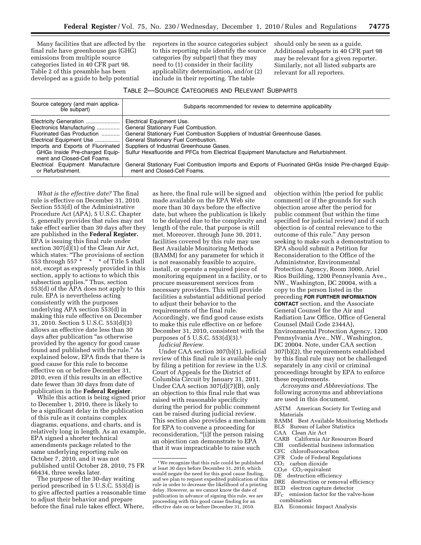Many facilities that are affected by the final rule have greenhouse gas (GHG) emissions from multiple source categories listed in 40 CFR part 98. Table 2 of this preamble has been developed as a guide to help potential

reporters in the source categories subject to this reporting rule identify the source categories (by subpart) that they may need to (1) consider in their facility applicability determination, and/or (2) include in their reporting. The table

should only be seen as a guide. Additional subparts in 40 CFR part 98 may be relevant for a given reporter. Similarly, not all listed subparts are relevant for all reporters.

# TABLE 2—SOURCE CATEGORIES AND RELEVANT SUBPARTS

| Source category (and main applica-<br>ble subpart)            | Subparts recommended for review to determine applicability                                                                          |  |  |
|---------------------------------------------------------------|-------------------------------------------------------------------------------------------------------------------------------------|--|--|
| Electricity Generation                                        | Electrical Equipment Use.                                                                                                           |  |  |
| Electronics Manufacturing                                     | General Stationary Fuel Combustion.                                                                                                 |  |  |
| Fluorinated Gas Production                                    | General Stationary Fuel Combustion Suppliers of Industrial Greenhouse Gases.                                                        |  |  |
| Electrical Equipment Use                                      | General Stationary Fuel Combustion.                                                                                                 |  |  |
| Imports and Exports of Fluorinated                            | Suppliers of Industrial Greenhouse Gases.                                                                                           |  |  |
| GHGs Inside Pre-charged Equip-<br>ment and Closed-Cell Foams. | Sulfur Hexafluoride and PFCs from Electrical Equipment Manufacture and Refurbishment.                                               |  |  |
| Electrical Equipment Manufacture<br>or Refurbishment.         | General Stationary Fuel Combustion Imports and Exports of Fluorinated GHGs Inside Pre-charged Equip-<br>ment and Closed-Cell Foams. |  |  |

*What is the effective date?* The final rule is effective on December 31, 2010. Section 553(d) of the Administrative Procedure Act (APA), 5 U.S.C. Chapter 5, generally provides that rules may not take effect earlier than 30 days after they are published in the **Federal Register.**  EPA is issuing this final rule under section 307(d)(1) of the Clean Air Act, which states: ''The provisions of section 553 through 557 \* \* \* of Title 5 shall not, except as expressly provided in this section, apply to actions to which this subsection applies.'' Thus, section 553(d) of the APA does not apply to this rule. EPA is nevertheless acting consistently with the purposes underlying APA section 553(d) in making this rule effective on December 31, 2010. Section 5 U.S.C. 553(d)(3) allows an effective date less than 30 days after publication "as otherwise provided by the agency for good cause found and published with the rule.'' As explained below, EPA finds that there is good cause for this rule to become effective on or before December 31, 2010, even if this results in an effective date fewer than 30 days from date of publication in the **Federal Register**.

While this action is being signed prior to December 1, 2010, there is likely to be a significant delay in the publication of this rule as it contains complex diagrams, equations, and charts, and is relatively long in length. As an example, EPA signed a shorter technical amendments package related to the same underlying reporting rule on October 7, 2010, and it was not published until October 28, 2010, 75 FR 66434, three weeks later.

The purpose of the 30-day waiting period prescribed in 5 U.S.C. 553(d) is to give affected parties a reasonable time to adjust their behavior and prepare before the final rule takes effect. Where,

as here, the final rule will be signed and made available on the EPA Web site more than 30 days before the effective date, but where the publication is likely to be delayed due to the complexity and length of the rule, that purpose is still met. Moreover, through June 30, 2011, facilities covered by this rule may use Best Available Monitoring Methods (BAMM) for any parameter for which it is not reasonably feasible to acquire, install, or operate a required piece of monitoring equipment in a facility, or to procure measurement services from necessary providers. This will provide facilities a substantial additional period to adjust their behavior to the requirements of the final rule. Accordingly, we find good cause exists to make this rule effective on or before December 31, 2010, consistent with the purposes of 5 U.S.C. 553(d)(3).1 *Judicial Review*.

Under CAA section 307(b)(1), judicial review of this final rule is available only by filing a petition for review in the U.S. Court of Appeals for the District of Columbia Circuit by January 31, 2011. Under CAA section 307(d)(7)(B), only an objection to this final rule that was raised with reasonable specificity during the period for public comment can be raised during judicial review. This section also provides a mechanism for EPA to convene a proceeding for reconsideration, "[i]f the person raising an objection can demonstrate to EPA that it was impracticable to raise such

objection within [the period for public comment] or if the grounds for such objection arose after the period for public comment (but within the time specified for judicial review) and if such objection is of central relevance to the outcome of this rule.'' Any person seeking to make such a demonstration to EPA should submit a Petition for Reconsideration to the Office of the Administrator, Environmental Protection Agency, Room 3000, Ariel Rios Building, 1200 Pennsylvania Ave., NW., Washington, DC 20004, with a copy to the person listed in the preceding **FOR FURTHER INFORMATION CONTACT** section, and the Associate General Counsel for the Air and Radiation Law Office, Office of General Counsel (Mail Code 2344A), Environmental Protection Agency, 1200 Pennsylvania Ave., NW., Washington, DC 20004. Note, under CAA section 307(b)(2), the requirements established by this final rule may not be challenged separately in any civil or criminal proceedings brought by EPA to enforce these requirements.

*Acronyms and Abbreviations.* The following acronyms and abbreviations are used in this document.

- ASTM American Society for Testing and Materials
- BAMM Best Available Monitoring Methods
- BLS Bureau of Labor Statistics
- CAA Clean Air Act
- CARB California Air Resources Board
- CBI confidential business information
- CFC chlorofluorocarbon
- CFR Code of Federal Regulations
- $CO<sub>2</sub>$  carbon dioxide
- $CO<sub>2</sub>$ equivalent
- DE destruction efficiency
- DRE destruction or removal efficiency
- ECD electron capture detector  $EF_C$  emission factor for the valve-hose
- combination
- EIA Economic Impact Analysis

<sup>&</sup>lt;sup>1</sup> We recognize that this rule could be published at least 30 days before December 31, 2010, which would negate the need for this good cause finding, and we plan to request expedited publication of this rule in order to decrease the likelihood of a printing delay. However, as we cannot know the date of publication in advance of signing this rule, we are proceeding with this good cause finding for an effective date on or before December 31, 2010.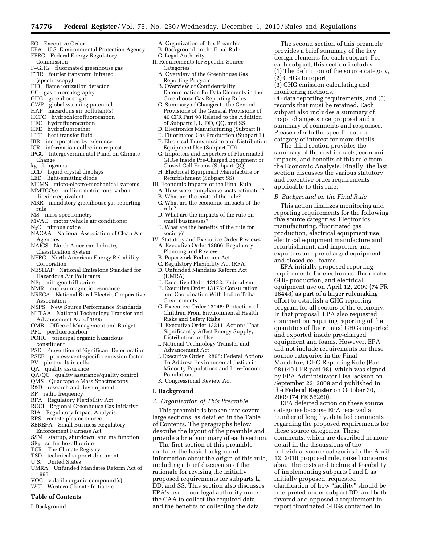- EO Executive Order
- EPA U.S. Environmental Protection Agency FERC Federal Energy Regulatory
- Commission F–GHG fluorinated greenhouse gas
- FTIR fourier transform infrared
- (spectroscopy)
- FID flame ionization detector
- GC gas chromatography
- GHG greenhouse gas<br>GWP global warming
- global warming potential
- HAP hazardous air pollutant(s)
- HCFC hydrochlorofluorocarbon
- HFC hydrofluorocarbon
- HFE hydrofluoroether
- HTF heat transfer fluid
- IBR incorporation by reference
- ICR information collection request
- IPCC Intergovernmental Panel on Climate Change
- kg kilograms
- LCD liquid crystal displays
- LED light-emitting diode
- MEMS micro-electro-mechanical systems
- MMTCO<sub>2</sub>e million metric tons carbon dioxide equivalent
- MRR mandatory greenhouse gas reporting rule
- MS mass spectrometry
- MVAC motor vehicle air conditioner
- N2O nitrous oxide
- NACAA National Association of Clean Air Agencies
- NAICS North American Industry Classification System
- NERC North American Energy Reliability **Corporation**
- NESHAP National Emissions Standard for Hazardous Air Pollutants
- NF3 nitrogen trifluoride
- NMR nuclear magnetic resonance
- NRECA National Rural Electric Cooperative Association
- NSPS New Source Performance Standards
- NTTAA National Technology Transfer and Advancement Act of 1995
- OMB Office of Management and Budget
- PFC perfluorocarbon
- POHC principal organic hazardous
- constituent
- PSD Prevention of Significant Deterioration
- PSEF process-vent-specific emission factor
- PV photovoltaic cells
- QA quality assurance
- QA/QC quality assurance/quality control
- QMS Quadrapole Mass Spectroscopy
- R&D research and development
- RF radio frequency
- RFA Regulatory Flexibility Act
- RGGI Regional Greenhouse Gas Initiative
- RIA Regulatory Impact Analysis
- RPS remote plasma source
- SBREFA Small Business Regulatory Enforcement Fairness Act
- SSM startup, shutdown, and malfunction
- SF6 sulfur hexafluoride
- TCR The Climate Registry
- TSD technical support document
- U.S. United States
- UMRA Unfunded Mandates Reform Act of 1995
- VOC volatile organic compound(s)
- WCI Western Climate Initiative

#### **Table of Contents**

I. Background

- A. Organization of this Preamble
- B. Background on the Final Rule C. Legal Authority
- II. Requirements for Specific Source Categories
- A. Overview of the Greenhouse Gas Reporting Program
- B. Overview of Confidentiality Determination for Data Elements in the Greenhouse Gas Reporting Rules
- C. Summary of Changes to the General Provisions of the General Provisions of 40 CFR Part 98 Related to the Addition of Subparts I, L, DD, QQ, and SS
- D. Electronics Manufacturing (Subpart I)
- E. Fluorinated Gas Production (Subpart L)
- F. Electrical Transmission and Distribution Equipment Use (Subpart DD)
- G. Importers and Exporters of Fluorinated GHGs Inside Pre-Charged Equipment or Closed-Cell Foams (Subpart QQ)
- H. Electrical Equipment Manufacture or Refurbishment (Subpart SS)
- III. Economic Impacts of the Final Rule
	- A. How were compliance costs estimated?
	- B. What are the costs of the rule?
	- C. What are the economic impacts of the rule?
	- D. What are the impacts of the rule on small businesses?
	- E. What are the benefits of the rule for society?
- IV. Statutory and Executive Order Reviews A. Executive Order 12866: Regulatory Planning and Review
	- B. Paperwork Reduction Act
	- C. Regulatory Flexibility Act (RFA)
- D. Unfunded Mandates Reform Act
- (UMRA)
- E. Executive Order 13132: Federalism
- F. Executive Order 13175: Consultation and Coordination With Indian Tribal Governments
- G. Executive Order 13045: Protection of Children From Environmental Health Risks and Safety Risks
- H. Executive Order 13211: Actions That Significantly Affect Energy Supply, Distribution, or Use
- I. National Technology Transfer and Advancement Act
- J. Executive Order 12898: Federal Actions To Address Environmental Justice in Minority Populations and Low-Income Populations
- K. Congressional Review Act

#### **I. Background**

# *A. Organization of This Preamble*

This preamble is broken into several large sections, as detailed in the Table of Contents. The paragraphs below describe the layout of the preamble and provide a brief summary of each section.

The first section of this preamble contains the basic background information about the origin of this rule, including a brief discussion of the rationale for revising the initially proposed requirements for subparts L, DD, and SS. This section also discusses EPA's use of our legal authority under the CAA to collect the required data, and the benefits of collecting the data.

The second section of this preamble provides a brief summary of the key design elements for each subpart. For each subpart, this section includes (1) The definition of the source category, (2) GHGs to report,

(3) GHG emission calculating and monitoring methods,

(4) data reporting requirements, and (5) records that must be retained. Each subpart also includes a summary of major changes since proposal and a summary of comments and responses. Please refer to the specific source category of interest for more details.

The third section provides the summary of the cost impacts, economic impacts, and benefits of this rule from the Economic Analysis. Finally, the last section discusses the various statutory and executive order requirements applicable to this rule.

This action finalizes monitoring and reporting requirements for the following five source categories: Electronics manufacturing, fluorinated gas production, electrical equipment use, electrical equipment manufacture and refurbishment, and importers and exporters and pre-charged equipment

EPA initially proposed reporting requirements for electronics, fluorinated

equipment use on April 12, 2009 (74 FR 16448) as part of a larger rulemaking effort to establish a GHG reporting program for all sectors of the economy. In that proposal, EPA also requested comment on requiring reporting of the quantities of fluorinated GHGs imported and exported inside pre-charged equipment and foams. However, EPA did not include requirements for these

EPA deferred action on these source categories because EPA received a number of lengthy, detailed comments regarding the proposed requirements for

comments, which are described in more

individual source categories in the April 12, 2010 proposed rule, raised concerns about the costs and technical feasibility of implementing subparts I and L as initially proposed, requested

clarification of how ''facility'' should be interpreted under subpart DD, and both favored and opposed a requirement to report fluorinated GHGs contained in

GHG production, and electrical

source categories in the Final Mandatory GHG Reporting Rule (Part 98) (40 CFR part 98), which was signed by EPA Administrator Lisa Jackson on September 22, 2009 and published in the **Federal Register** on October 30,

these source categories. These

detail in the discussions of the

2009 (74 FR 56260).

*B. Background on the Final Rule* 

and closed-cell foams.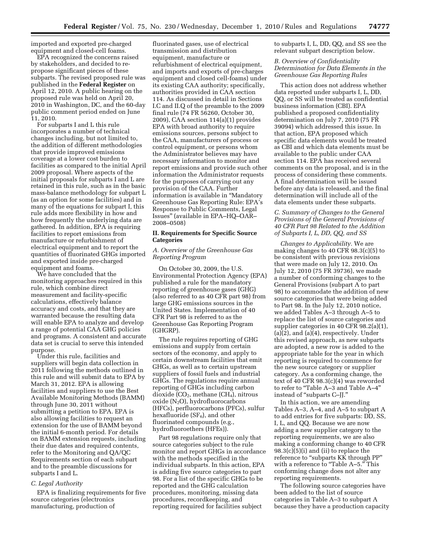imported and exported pre-charged equipment and closed-cell foams.

EPA recognized the concerns raised by stakeholders, and decided to repropose significant pieces of these subparts. The revised proposed rule was published in the **Federal Register** on April 12, 2010. A public hearing on the proposed rule was held on April 20, 2010 in Washington, DC, and the 60-day public comment period ended on June 11, 2010.

For subparts I and L this rule incorporates a number of technical changes including, but not limited to, the addition of different methodologies that provide improved emissions coverage at a lower cost burden to facilities as compared to the initial April 2009 proposal. Where aspects of the initial proposals for subparts I and L are retained in this rule, such as in the basic mass-balance methodology for subpart L (as an option for some facilities) and in many of the equations for subpart I, this rule adds more flexibility in how and how frequently the underlying data are gathered. In addition, EPA is requiring facilities to report emissions from manufacture or refurbishment of electrical equipment and to report the quantities of fluorinated GHGs imported and exported inside pre-charged equipment and foams.

We have concluded that the monitoring approaches required in this rule, which combine direct measurement and facility-specific calculations, effectively balance accuracy and costs, and that they are warranted because the resulting data will enable EPA to analyze and develop a range of potential CAA GHG policies and programs. A consistent and accurate data set is crucial to serve this intended purpose.

Under this rule, facilities and suppliers will begin data collection in 2011 following the methods outlined in this rule and will submit data to EPA by March 31, 2012. EPA is allowing facilities and suppliers to use the Best Available Monitoring Methods (BAMM) through June 30, 2011 without submitting a petition to EPA. EPA is also allowing facilities to request an extension for the use of BAMM beyond the initial 6-month period. For details on BAMM extension requests, including their due dates and required contents, refer to the Monitoring and QA/QC Requirements section of each subpart and to the preamble discussions for subparts I and L.

# *C. Legal Authority*

EPA is finalizing requirements for five source categories (electronics manufacturing, production of

fluorinated gases, use of electrical transmission and distribution equipment, manufacture or refurbishment of electrical equipment, and imports and exports of pre-charges equipment and closed cell-foams) under its existing CAA authority; specifically, authorities provided in CAA section 114. As discussed in detail in Sections I.C and II.Q of the preamble to the 2009 final rule (74 FR 56260, October 30, 2009), CAA section 114(a)(1) provides EPA with broad authority to require emissions sources, persons subject to the CAA, manufacturers of process or control equipment, or persons whom the Administrator believes may have necessary information to monitor and report emissions and provide such other information the Administrator requests for the purposes of carrying out any provision of the CAA. Further information is available in ''Mandatory Greenhouse Gas Reporting Rule: EPA's Response to Public Comments, Legal Issues'' (available in EPA–HQ–OAR– 2008–0508)

# **II. Requirements for Specific Source Categories**

# *A. Overview of the Greenhouse Gas Reporting Program*

On October 30, 2009, the U.S. Environmental Protection Agency (EPA) published a rule for the mandatory reporting of greenhouse gases (GHG) (also referred to as 40 CFR part 98) from large GHG emissions sources in the United States. Implementation of 40 CFR Part 98 is referred to as the Greenhouse Gas Reporting Program (GHGRP).

The rule requires reporting of GHG emissions and supply from certain sectors of the economy, and apply to certain downstream facilities that emit GHGs, as well as to certain upstream suppliers of fossil fuels and industrial GHGs. The regulations require annual reporting of GHGs including carbon dioxide  $(CO<sub>2</sub>,$  methane  $(CH<sub>4</sub>)$ , nitrous  $o$ xide  $(N_2O)$ , hydrofluorocarbons (HFCs), perfluorocarbons (PFCs), sulfur hexafluoride ( $SF<sub>6</sub>$ ), and other fluorinated compounds (e.g., hydrofluoroethers (HFEs)).

Part 98 regulations require only that source categories subject to the rule monitor and report GHGs in accordance with the methods specified in the individual subparts. In this action, EPA is adding five source categories to part 98. For a list of the specific GHGs to be reported and the GHG calculation procedures, monitoring, missing data procedures, recordkeeping, and reporting required for facilities subject

to subparts I, L, DD, QQ, and SS see the relevant subpart description below.

# *B. Overview of Confidentiality Determination for Data Elements in the Greenhouse Gas Reporting Rules*

This action does not address whether data reported under subparts I, L, DD, QQ, or SS will be treated as confidential business information (CBI). EPA published a proposed confidentiality determination on July 7, 2010 (75 FR 39094) which addressed this issue. In that action, EPA proposed which specific data elements would be treated as CBI and which data elements must be available to the public under CAA section 114. EPA has received several comments on the proposal, and is in the process of considering these comments. A final determination will be issued before any data is released, and the final determination will include all of the data elements under these subparts.

# *C. Summary of Changes to the General Provisions of the General Provisions of 40 CFR Part 98 Related to the Addition of Subparts I, L, DD, QQ, and SS*

*Changes to Applicability.* We are making changes to 40 CFR 98.3(c)(5) to be consistent with previous revisions that were made on July 12, 2010. On July 12, 2010 (75 FR 39736), we made a number of conforming changes to the General Provisions (subpart A to part 98) to accommodate the addition of new source categories that were being added to Part 98. In the July 12, 2010 notice, we added Tables A–3 through A–5 to replace the list of source categories and supplier categories in 40 CFR 98.2(a)(1), (a)(2), and (a)(4), respectively. Under this revised approach, as new subparts are adopted, a new row is added to the appropriate table for the year in which reporting is required to commence for the new source category or supplier category. As a conforming change, the text of 40 CFR 98.3(c)(4) was reworded to refer to "Table A–3 and Table A–4" instead of "subparts C-JJ."

In this action, we are amending Tables A–3, A–4, and A–5 to subpart A to add entries for five subparts: DD, SS, I, L, and QQ. Because we are now adding a new supplier category to the reporting requirements, we are also making a conforming change to 40 CFR 98.3(c)(5)(i) and (ii) to replace the reference to "subparts KK through PP" with a reference to "Table A-5." This conforming change does not alter any reporting requirements.

The following source categories have been added to the list of source categories in Table A–3 to subpart A because they have a production capacity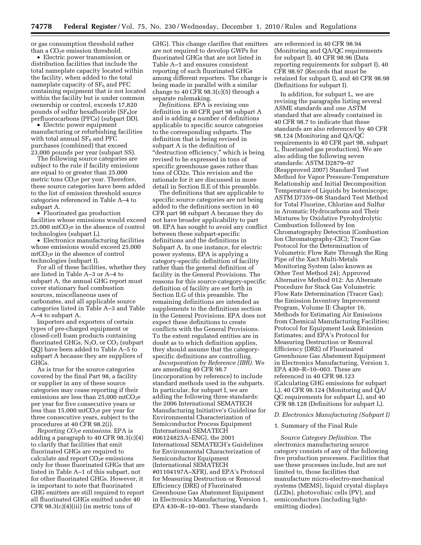or gas consumption threshold rather than a  $CO<sub>2</sub>e$  emission threshold.

• Electric power transmission or distribution facilities that include the total nameplate capacity located within the facility, when added to the total nameplate capacity of  $SF<sub>6</sub>$  and PFC containing equipment that is not located within the facility but is under common ownership or control, exceeds 17,820 pounds of sulfur hexafluoride  $(SF_6)$ or perfluorocarbons (PFCs) (subpart DD).

• Electric power equipment manufacturing or refurbishing facilities with total annual  $SF<sub>6</sub>$  and PFC purchases (combined) that exceed 23,000 pounds per year (subpart SS).

The following source categories are subject to the rule if facility emissions are equal to or greater than 25,000 metric tons  $CO<sub>2</sub>e$  per year. Therefore, these source categories have been added to the list of emission threshold source categories referenced in Table A–4 to subpart A.

• Fluorinated gas production facilities whose emissions would exceed  $25,000$  mtCO<sub>2</sub>e in the absence of control technologies (subpart L).

• Electronics manufacturing facilities whose emissions would exceed 25,000 mtCO2e in the absence of control technologies (subpart I).

For all of these facilities, whether they are listed in Table A–3 or A–4 to subpart A, the annual GHG report must cover stationary fuel combustion sources, miscellaneous uses of carbonates, and all applicable source categories listed in Table A–3 and Table A–4 to subpart A.

Importers and exporters of certain types of pre-charged equipment or closed-cell foam products containing fluorinated GHGs,  $N_2O$ , or  $CO_2$  (subpart QQ) have been added to Table A–5 to subpart A because they are suppliers of GHGs.

As is true for the source categories covered by the final Part 98, a facility or supplier in any of these source categories may cease reporting if their emissions are less than  $25,000$  mtCO<sub>2</sub>e per year for five consecutive years or less than  $15,000$  mtCO<sub>2</sub>e per year for three consecutive years, subject to the procedures at 40 CFR 98.2(i).

*Reporting CO2e emissions*. EPA is adding a paragraph to 40 CFR  $98.3(c)(4)$ to clarify that facilities that emit fluorinated GHGs are required to calculate and report  $CO<sub>2</sub>e$  emissions only for those fluorinated GHGs that are listed in Table A–1 of this subpart, not for other fluorinated GHGs. However, it is important to note that fluorinated GHG emitters are still required to report all fluorinated GHGs emitted under 40 CFR  $98.3(c)(4)(iii)$  (in metric tons of

GHG). This change clarifies that emitters are not required to develop GWPs for fluorinated GHGs that are not listed in Table A–1 and ensures consistent reporting of such fluorinated GHGs among different reporters. The change is being made in parallel with a similar change to 40 CFR 98.3(c)(5) through a separate rulemaking.

*Definitions.* EPA is revising one definition in 40 CFR part 98 subpart A and is adding a number of definitions applicable to specific source categories to the corresponding subparts. The definition that is being revised in subpart A is the definition of ''destruction efficiency,'' which is being revised to be expressed in tons of specific greenhouse gases rather than tons of CO2e. This revision and the rationale for it are discussed in more detail in Section II.E of this preamble.

The definitions that are applicable to specific source categories are not being added to the definitions section in 40 CFR part 98 subpart A because they do not have broader applicability to part 98. EPA has sought to avoid any conflict between these subpart-specific definitions and the definitions in Subpart A. In one instance, for electric power systems, EPA is applying a category-specific definition of facility rather than the general definition of facility in the General Provisions. The reasons for this source-category-specific definition of facility are set forth in Section II.G of this preamble. The remaining definitions are intended as supplements to the definitions section in the General Provisions. EPA does not expect these definitions to create conflicts with the General Provisions. To the extent regulated entities are in doubt as to which definition applies, they should assume that the categoryspecific definitions are controlling.

*Incorporation by Reference (IBR).* We are amending 40 CFR 98.7 (incorporation by reference) to include standard methods used in the subparts. In particular, for subpart I, we are adding the following three standards: the 2006 International SEMATECH Manufacturing Initiative's Guideline for Environmental Characterization of Semiconductor Process Equipment (International SEMATECH #06124825A–ENG), the 2001 International SEMATECH's Guidelines for Environmental Characterization of Semiconductor Equipment (International SEMATECH #01104197A–XFR), and EPA's Protocol for Measuring Destruction or Removal Efficiency (DRE) of Fluorinated Greenhouse Gas Abatement Equipment in Electronics Manufacturing, Version 1, EPA 430–R–10–003. These standards

are referenced in 40 CFR 98.94 (Monitoring and QA/QC requirements for subpart I), 40 CFR 98.96 (Data reporting requirements for subpart I), 40 CFR 98.97 (Records that must be retained for subpart I), and 40 CFR 98.98 (Definitions for subpart I).

In addition, for subpart L, we are revising the paragraphs listing several ASME standards and one ASTM standard that are already contained in 40 CFR 98.7 to indicate that these standards are also referenced by 40 CFR 98.124 (Monitoring and QA/QC requirements in 40 CFR part 98, subpart L, fluorinated gas production). We are also adding the following seven standards: ASTM D2879–97 (Reapproved 2007) Standard Test Method for Vapor Pressure-Temperature Relationship and Initial Decomposition Temperature of Liquids by Isoteniscope; ASTM D7359–08 Standard Test Method for Total Fluorine, Chlorine and Sulfur in Aromatic Hydrocarbons and Their Mixtures by Oxidative Pyrohydrolytic Combustion followed by Ion Chromatography Detection (Combustion Ion Chromatography-CIC); Tracer Gas Protocol for the Determination of Volumetric Flow Rate Through the Ring Pipe of the Xact Multi-Metals Monitoring System (also known as Other Test Method 24); Approved Alternative Method 012: An Alternate Procedure for Stack Gas Volumetric Flow Rate Determination (Tracer Gas); the Emission Inventory Improvement Program, Volume II: Chapter 16, Methods for Estimating Air Emissions from Chemical Manufacturing Facilities; Protocol for Equipment Leak Emission Estimates; and EPA's Protocol for Measuring Destruction or Removal Efficiency (DRE) of Fluorinated Greenhouse Gas Abatement Equipment in Electronics Manufacturing, Version 1, EPA 430–R–10–003. These are referenced in 40 CFR 98.123 (Calculating GHG emissions for subpart L), 40 CFR 98.124 (Monitoring and QA/ QC requirements for subpart L), and 40 CFR 98.128 (Definitions for subpart L).

# *D. Electronics Manufacturing (Subpart I)*

#### 1. Summary of the Final Rule

*Source Category Definition.* The electronics manufacturing source category consists of any of the following five production processes. Facilities that use these processes include, but are not limited to, those facilities that manufacture micro-electro-mechanical systems (MEMS), liquid crystal displays (LCDs), photovoltaic cells (PV), and semiconductors (including lightemitting diodes).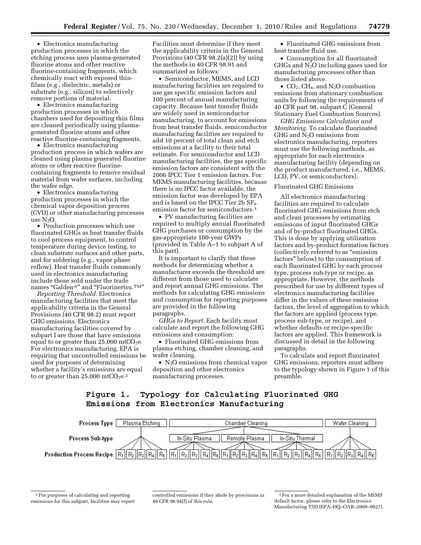• Electronics manufacturing production processes in which the etching process uses plasma-generated fluorine atoms and other reactive fluorine-containing fragments, which chemically react with exposed thinfilms (e.g., dielectric, metals) or substrate (e.g., silicon) to selectively remove portions of material.

• Electronics manufacturing production processes in which chambers used for depositing thin films are cleaned periodically using plasmagenerated fluorine atoms and other reactive fluorine-containing fragments.

• Electronics manufacturing production process in which wafers are cleaned using plasma generated fluorine atoms or other reactive fluorinecontaining fragments to remove residual material from wafer surfaces, including the wafer edge.

• Electronics manufacturing production processes in which the chemical vapor deposition process (CVD) or other manufacturing processes use  $N_2O$ .

• Production processes which use fluorinated GHGs as heat transfer fluids to cool process equipment, to control temperature during device testing, to clean substrate surfaces and other parts, and for soldering (e.g., vapor phase reflow). Heat transfer fluids commonly used in electronics manufacturing include those sold under the trade names ''Galden®'' and ''Fluorinertsu.TM''

*Reporting Threshold.* Electronics manufacturing facilities that meet the applicability criteria in the General Provisions (40 CFR 98.2) must report GHG emissions. Electronics manufacturing facilities covered by subpart I are those that have emissions equal to or greater than  $25,000$  mtCO<sub>2</sub>e. For electronics manufacturing, EPA is requiring that uncontrolled emissions be used for purposes of determining whether a facility's emissions are equal to or greater than  $25,000$  mtCO<sub>2</sub>e.<sup>2</sup>

Facilities must determine if they meet the applicability criteria in the General Provisions (40 CFR  $98.2(a)(2)$ ) by using the methods in 40 CFR 98.91 and summarized as follows:

• Semiconductor, MEMS, and LCD manufacturing facilities are required to use gas specific emission factors and 100 percent of annual manufacturing capacity. Because heat transfer fluids are widely used in semiconductor manufacturing, to account for emissions from heat transfer fluids, semiconductor manufacturing facilities are required to add 10 percent of total clean and etch emissions at a facility to their total estimate. For semiconductor and LCD manufacturing facilities, the gas specific emission factors are consistent with the 2006 IPCC Tier 1 emission factors. For MEMS manufacturing facilities, because there is no IPCC factor available, the emission factor was developed by EPA and is based on the IPCC Tier 2b  $SF_6$ emission factor for semiconductors.3

• PV manufacturing facilities are required to multiply annual fluorinated GHG purchases or consumption by the gas-appropriate 100-year GWPs (provided in Table A–1 to subpart A of this part).

It is important to clarify that these methods for determining whether a manufacturer exceeds the threshold are different from those used to calculate and report annual GHG emissions. The methods for calculating GHG emissions and consumption for reporting purposes are provided in the following paragraphs.

*GHGs to Report.* Each facility must calculate and report the following GHG emissions and consumption:

• Fluorinated GHG emissions from plasma etching, chamber cleaning, and wafer cleaning.

• N<sub>2</sub>O emissions from chemical vapor deposition and other electronics manufacturing processes.

• Fluorinated GHG emissions from heat transfer fluid use.

• Consumption for all fluorinated GHGs and  $N<sub>2</sub>O$  including gases used for manufacturing processes other than those listed above.

•  $CO<sub>2</sub>$ , CH<sub>4</sub>, and N<sub>2</sub>O combustion emissions from stationary combustion units by following the requirements of 40 CFR part 98, subpart C (General Stationary Fuel Combustion Sources).

*GHG Emissions Calculation and Monitoring.* To calculate fluorinated GHG and N2O emissions from electronics manufacturing, reporters must use the following methods, as appropriate for each electronics manufacturing facility (depending on the product manufactured, i.e., MEMS, LCD, PV, or semiconductors).

Fluorinated GHG Emissions

All electronics manufacturing facilities are required to calculate fluorinated GHG emissions from etch and clean processes by estimating emissions of input fluorinated GHGs and of by-product fluorinated GHGs. This is done by applying utilization factors and by-product formation factors (collectively referred to as ''emission factors'' below) to the consumption of each fluorinated GHG by each process type, process sub-type or recipe, as appropriate. However, the methods prescribed for use by different types of electronics manufacturing facilities differ in the values of these emission factors, the level of aggregation to which the factors are applied (process type, process sub-type, or recipe), and whether defaults or recipe-specific factors are applied. This framework is discussed in detail in the following paragraphs.

To calculate and report fluorinated GHG emissions, reporters must adhere to the typology shown in Figure 1 of this preamble.

#### Figure 1. Typology for Calculating Fluorinated GHG Emissions from Electronics Manufacturing



<sup>2</sup>For purposes of calculating and reporting emissions for this subpart, facilities may report

controlled emissions if they abide by provisions in 40 CFR 98.94(f) of this rule.

<sup>3</sup>For a more detailed explanation of the MEMS default factor, please refer to the Electronics Manufacturing TSD (EPA–HQ–OAR–2009–0927).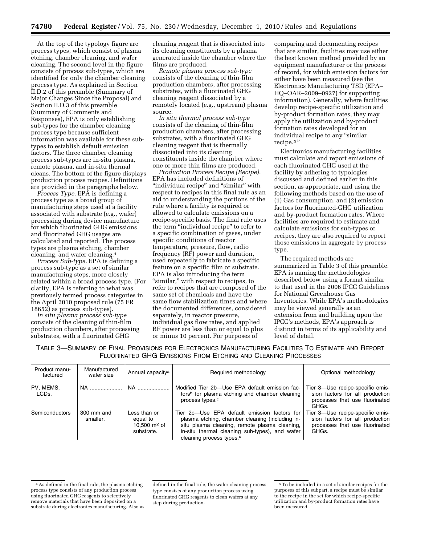At the top of the typology figure are process types, which consist of plasma etching, chamber cleaning, and wafer cleaning. The second level in the figure consists of process sub-types, which are identified for only the chamber cleaning process type. As explained in Section II.D.2 of this preamble (Summary of Major Changes Since the Proposal) and Section II.D.3 of this preamble (Summary of Comments and Responses), EPA is only establishing sub-types for the chamber cleaning process type because sufficient information was available for these subtypes to establish default emission factors. The three chamber cleaning process sub-types are in-situ plasma, remote plasma, and in-situ thermal cleans. The bottom of the figure displays production process recipes. Definitions are provided in the paragraphs below.

*Process Type.* EPA is defining a process type as a broad group of manufacturing steps used at a facility associated with substrate (e.g., wafer) processing during device manufacture for which fluorinated GHG emissions and fluorinated GHG usages are calculated and reported. The process types are plasma etching, chamber cleaning, and wafer cleaning.4

*Process Sub-type.* EPA is defining a process sub-type as a set of similar manufacturing steps, more closely related within a broad process type. (For clarity, EPA is referring to what was previously termed process categories in the April 2010 proposed rule (75 FR 18652) as process sub-types).

*In situ plasma process sub-type*  consists of the cleaning of thin-film production chambers, after processing substrates, with a fluorinated GHG

cleaning reagent that is dissociated into its cleaning constituents by a plasma generated inside the chamber where the films are produced.

*Remote plasma process sub-type*  consists of the cleaning of thin-film production chambers, after processing substrates, with a fluorinated GHG cleaning reagent dissociated by a remotely located (e.g., upstream) plasma source.

*In situ thermal process sub-type*  consists of the cleaning of thin-film production chambers, after processing substrates, with a fluorinated GHG cleaning reagent that is thermally dissociated into its cleaning constituents inside the chamber where one or more thin films are produced.

*Production Process Recipe (Recipe).*  EPA has included definitions of ''individual recipe'' and ''similar'' with respect to recipes in this final rule as an aid to understanding the portions of the rule where a facility is required or allowed to calculate emissions on a recipe-specific basis. The final rule uses the term ''individual recipe'' to refer to a specific combination of gases, under specific conditions of reactor temperature, pressure, flow, radio frequency (RF) power and duration, used repeatedly to fabricate a specific feature on a specific film or substrate. EPA is also introducing the term ''similar,'' with respect to recipes, to refer to recipes that are composed of the same set of chemicals and have the same flow stabilization times and where the documented differences, considered separately, in reactor pressure, individual gas flow rates, and applied RF power are less than or equal to plus or minus 10 percent. For purposes of

comparing and documenting recipes that are similar, facilities may use either the best known method provided by an equipment manufacturer or the process of record, for which emission factors for either have been measured (see the Electronics Manufacturing TSD (EPA– HQ–OAR–2009–0927) for supporting information). Generally, where facilities develop recipe-specific utilization and by-product formation rates, they may apply the utilization and by-product formation rates developed for an individual recipe to any "similar recipe.5 ''

Electronics manufacturing facilities must calculate and report emissions of each fluorinated GHG used at the facility by adhering to typologies discussed and defined earlier in this section, as appropriate, and using the following methods based on the use of (1) Gas consumption, and (2) emission factors for fluorinated-GHG utilization and by-product formation rates. Where facilities are required to estimate and calculate emissions for sub-types or recipes, they are also required to report those emissions in aggregate by process type.

The required methods are summarized in Table 3 of this preamble. EPA is naming the methodologies described below using a format similar to that used in the 2006 IPCC Guidelines for National Greenhouse Gas Inventories. While EPA's methodologies may be viewed generally as an extension from and building upon the IPCC's methods, EPA's approach is distinct in terms of its applicability and level of detail.

| Table 3—Summary of Final Provisions for Electronics Manufacturing Facilities To Estimate and Report |                                                               |  |  |  |  |
|-----------------------------------------------------------------------------------------------------|---------------------------------------------------------------|--|--|--|--|
|                                                                                                     | FLUORINATED GHG EMISSIONS FROM ETCHING AND CLEANING PROCESSES |  |  |  |  |

| Product manu-<br>factured | Manufactured<br>wafer size | Annual capacity <sup>a</sup>                                       | Required methodology                                                                                                                                                                                                                       | Optional methodology                                                                                           |
|---------------------------|----------------------------|--------------------------------------------------------------------|--------------------------------------------------------------------------------------------------------------------------------------------------------------------------------------------------------------------------------------------|----------------------------------------------------------------------------------------------------------------|
| PV, MEMS,<br>LCDs.        | NA                         | NA                                                                 | Modified Tier 2b-Use EPA default emission fac-<br>tors <sup>b</sup> for plasma etching and chamber cleaning<br>process types. <sup>c</sup>                                                                                                 | Tier 3-Use recipe-specific emis-<br>sion factors for all production<br>processes that use fluorinated<br>GHGs. |
| <b>Semiconductors</b>     | 300 mm and<br>smaller.     | Less than or<br>equal to<br>10.500 $\mathrm{m}^2$ of<br>substrate. | Tier 2c-Use EPA default emission factors for<br>plasma etching, chamber cleaning (including in-<br>situ plasma cleaning, remote plasma cleaning,<br>in-situ thermal cleaning sub-types), and wafer<br>cleaning process types. <sup>c</sup> | Tier 3-Use recipe-specific emis-<br>sion factors for all production<br>processes that use fluorinated<br>GHGs. |

<sup>4</sup>As defined in the final rule, the plasma etching process type consists of any production process using fluorinated GHG reagents to selectively remove materials that have been deposited on a substrate during electronics manufacturing. Also as

defined in the final rule, the wafer cleaning process type consists of any production process using fluorinated GHG reagents to clean wafers at any step during production.

<sup>5</sup>To be included in a set of similar recipes for the purposes of this subpart, a recipe must be similar to the recipe in the set for which recipe-specific utilization and by-product formation rates have been measured.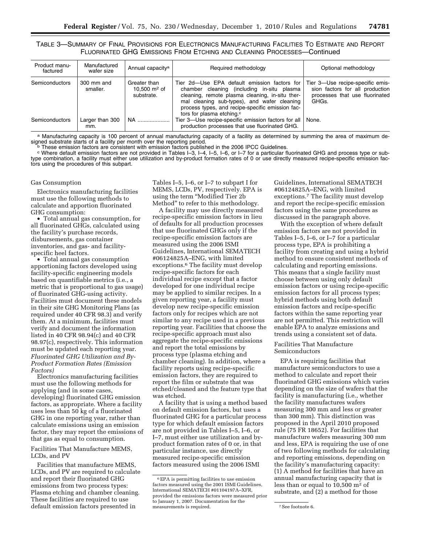TABLE 3—SUMMARY OF FINAL PROVISIONS FOR ELECTRONICS MANUFACTURING FACILITIES TO ESTIMATE AND REPORT FLUORINATED GHG EMISSIONS FROM ETCHING AND CLEANING PROCESSES—Continued

| Product manu-<br>factured | Manufactured<br>wafer size | Annual capacity <sup>a</sup>                 | Required methodology                                                                                                                                                                                                                                                                      | Optional methodology                                                                                           |  |  |
|---------------------------|----------------------------|----------------------------------------------|-------------------------------------------------------------------------------------------------------------------------------------------------------------------------------------------------------------------------------------------------------------------------------------------|----------------------------------------------------------------------------------------------------------------|--|--|
| <b>Semiconductors</b>     | 300 mm and<br>smaller.     | Greater than<br>10.500 $m2$ of<br>substrate. | Tier 2d–Use EPA default emission factors for<br>chamber cleaning (including in-situ plasma<br>cleaning, remote plasma cleaning, in-situ ther-<br>mal cleaning sub-types), and wafer cleaning<br>process types, and recipe-specific emission fac-<br>tors for plasma etching. <sup>c</sup> | Tier 3-Use recipe-specific emis-<br>sion factors for all production<br>processes that use fluorinated<br>GHGs. |  |  |
| <b>Semiconductors</b>     | Larger than 300<br>mm.     | NA                                           | Tier 3-Use recipe-specific emission factors for all<br>production processes that use fluorinated GHG.                                                                                                                                                                                     | None.                                                                                                          |  |  |

a Manufacturing capacity is 100 percent of annual manufacturing capacity of a facility as determined by summing the area of maximum deindicate starts of a facility per month over the reporting period.<br><sup>b</sup> These emission factors are consistent with emission factors published in the 2006 IPCC Guidelines.<br><sup>c</sup> Where default emission factors are not provided

type combination, a facility must either use utilization and by-product formation rates of 0 or use directly measured recipe-specific emission factors using the procedures of this subpart.

#### Gas Consumption

Electronics manufacturing facilities must use the following methods to calculate and apportion fluorinated GHG consumption:

• Total annual gas consumption, for all fluorinated GHGs, calculated using the facility's purchase records, disbursements, gas container inventories, and gas- and facilityspecific heel factors.

• Total annual gas consumption apportioning factors developed using facility-specific engineering models based on quantifiable metrics (i.e., a metric that is proportional to gas usage) of fluorinated GHG-using activity. Facilities must document these models in their site GHG Monitoring Plans (as required under 40 CFR 98.3) and verify them. At a minimum, facilities must verify and document the information listed in 40 CFR 98.94(c) and 40 CFR 98.97(c), respectively. This information must be updated each reporting year. *Fluorinated GHG Utilization and By-Product Formation Rates (Emission Factors)* 

Electronics manufacturing facilities must use the following methods for applying (and in some cases, developing) fluorinated GHG emission factors, as appropriate. Where a facility uses less than 50 kg of a fluorinated GHG in one reporting year, rather than calculate emissions using an emission factor, they may report the emissions of that gas as equal to consumption.

Facilities That Manufacture MEMS, LCDs, and PV

Facilities that manufacture MEMS, LCDs, and PV are required to calculate and report their fluorinated GHG emissions from two process types: Plasma etching and chamber cleaning. These facilities are required to use default emission factors presented in

Tables I–5, I–6, or I–7 to subpart I for MEMS, LCDs, PV, respectively. EPA is using the term ''Modified Tier 2b Method'' to refer to this methodology.

A facility may use directly measured recipe-specific emission factors in lieu of defaults for all production processes that use fluorinated GHGs only if the recipe-specific emission factors are measured using the 2006 ISMI Guidelines, International SEMATECH #06124825A–ENG, with limited exceptions.6 The facility must develop recipe-specific factors for each individual recipe except that a factor developed for one individual recipe may be applied to similar recipes. In a given reporting year, a facility must develop new recipe-specific emission factors only for recipes which are not similar to any recipe used in a previous reporting year. Facilities that choose the recipe-specific approach must also aggregate the recipe-specific emissions and report the total emissions by process type (plasma etching and chamber cleaning). In addition, where a facility reports using recipe-specific emission factors, they are required to report the film or substrate that was etched/cleaned and the feature type that was etched.

A facility that is using a method based on default emission factors, but uses a fluorinated GHG for a particular process type for which default emission factors are not provided in Tables I–5, I–6, or I–7, must either use utilization and byproduct formation rates of 0 or, in that particular instance, use directly measured recipe-specific emission factors measured using the 2006 ISMI

Guidelines, International SEMATECH #06124825A–ENG, with limited exceptions.7 The facility must develop and report the recipe-specific emission factors using the same procedures as discussed in the paragraph above.

With the exception of where default emission factors are not provided in Tables I–5, I–6, or I–7 for a particular process type, EPA is prohibiting a facility from creating and using a hybrid method to ensure consistent methods of calculating and reporting emissions. This means that a single facility must choose between using only default emission factors or using recipe-specific emission factors for all process types; hybrid methods using both default emission factors and recipe-specific factors within the same reporting year are not permitted. This restriction will enable EPA to analyze emissions and trends using a consistent set of data.

Facilities That Manufacture Semiconductors

EPA is requiring facilities that manufacture semiconductors to use a method to calculate and report their fluorinated GHG emissions which varies depending on the size of wafers that the facility is manufacturing (i.e., whether the facility manufactures wafers measuring 300 mm and less or greater than 300 mm). This distinction was proposed in the April 2010 proposed rule (75 FR 18652). For facilities that manufacture wafers measuring 300 mm and less, EPA is requiring the use of one of two following methods for calculating and reporting emissions, depending on the facility's manufacturing capacity: (1) A method for facilities that have an annual manufacturing capacity that is less than or equal to 10,500 m2 of substrate, and (2) a method for those

<sup>6</sup>EPA is permitting facilities to use emission factors measured using the 2001 ISMI Guidelines, International SEMATECH #01104197A–XFR, provided the emissions factors were measured prior to January 1, 2007. Documentation for the measurements is required. The measurements is required.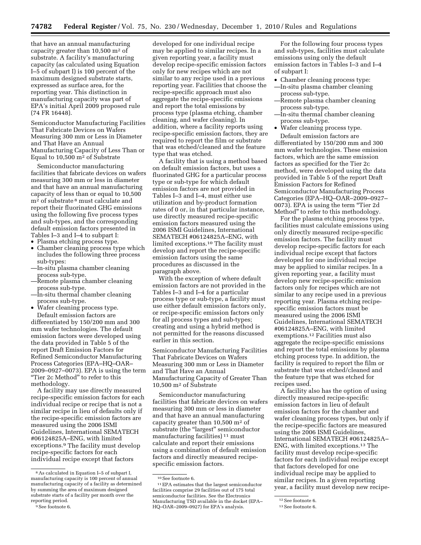that have an annual manufacturing capacity greater than 10,500 m2 of substrate. A facility's manufacturing capacity (as calculated using Equation I–5 of subpart I) is 100 percent of the maximum designed substrate starts, expressed as surface area, for the reporting year. This distinction in manufacturing capacity was part of EPA's initial April 2009 proposed rule (74 FR 16448).

Semiconductor Manufacturing Facilities That Fabricate Devices on Wafers Measuring 300 mm or Less in Diameter and That Have an Annual Manufacturing Capacity of Less Than or Equal to 10,500 m2 of Substrate

Semiconductor manufacturing facilities that fabricate devices on wafers measuring 300 mm or less in diameter and that have an annual manufacturing capacity of less than or equal to 10,500 m2 of substrate 8 must calculate and report their fluorinated GHG emissions using the following five process types and sub-types, and the corresponding default emission factors presented in Tables I–3 and I–4 to subpart I:

- Plasma etching process type.
- Chamber cleaning process type which includes the following three process sub-types:
- —In-situ plasma chamber cleaning process sub-type.
- —Remote plasma chamber cleaning process sub-type.
- —In-situ thermal chamber cleaning process sub-type.
- Wafer cleaning process type. Default emission factors are differentiated by 150/200 mm and 300 mm wafer technologies. The default emission factors were developed using the data provided in Table 5 of the report Draft Emission Factors for Refined Semiconductor Manufacturing Process Categories (EPA–HQ–OAR– 2009–0927–0073). EPA is using the term ''Tier 2c Method'' to refer to this methodology.

A facility may use directly measured recipe-specific emission factors for each individual recipe or recipe that is not a similar recipe in lieu of defaults only if the recipe-specific emission factors are measured using the 2006 ISMI Guidelines, International SEMATECH #06124825A–ENG, with limited exceptions.9 The facility must develop recipe-specific factors for each individual recipe except that factors

developed for one individual recipe may be applied to similar recipes. In a given reporting year, a facility must develop recipe-specific emission factors only for new recipes which are not similar to any recipe used in a previous reporting year. Facilities that choose the recipe-specific approach must also aggregate the recipe-specific emissions and report the total emissions by process type (plasma etching, chamber cleaning, and wafer cleaning). In addition, where a facility reports using recipe-specific emission factors, they are required to report the film or substrate that was etched/cleaned and the feature type that was etched.

A facility that is using a method based on default emission factors, but uses a fluorinated GHG for a particular process type or sub-type for which default emission factors are not provided in Tables I–3 and I–4, must either use utilization and by-product formation rates of 0 or, in that particular instance, use directly measured recipe-specific emission factors measured using the 2006 ISMI Guidelines, International SEMATECH #06124825A–ENG, with limited exceptions.10 The facility must develop and report the recipe-specific emission factors using the same procedures as discussed in the paragraph above.

With the exception of where default emission factors are not provided in the Tables I–3 and I–4 for a particular process type or sub-type, a facility must use either default emission factors only, or recipe-specific emission factors only for all process types and sub-types; creating and using a hybrid method is not permitted for the reasons discussed earlier in this section.

Semiconductor Manufacturing Facilities That Fabricate Devices on Wafers Measuring 300 mm or Less in Diameter and That Have an Annual Manufacturing Capacity of Greater Than 10,500 m2 of Substrate

Semiconductor manufacturing facilities that fabricate devices on wafers measuring 300 mm or less in diameter and that have an annual manufacturing capacity greater than 10,500 m2 of substrate (the "largest" semiconductor manufacturing facilities) 11 must calculate and report their emissions using a combination of default emission factors and directly measured recipespecific emission factors.

For the following four process types and sub-types, facilities must calculate emissions using only the default emission factors in Tables I–3 and I–4 of subpart I:

- Chamber cleaning process type: —In-situ plasma chamber cleaning process sub-type.
- —Remote plasma chamber cleaning process sub-type.
- —In-situ thermal chamber cleaning process sub-type.
- Wafer cleaning process type. Default emission factors are

differentiated by 150/200 mm and 300 mm wafer technologies. These emission factors, which are the same emission factors as specified for the Tier 2c method, were developed using the data provided in Table 5 of the report Draft Emission Factors for Refined Semiconductor Manufacturing Process Categories (EPA–HQ–OAR–2009–0927– 0073). EPA is using the term ''Tier 2d Method'' to refer to this methodology.

For the plasma etching process type, facilities must calculate emissions using only directly measured recipe-specific emission factors. The facility must develop recipe-specific factors for each individual recipe except that factors developed for one individual recipe may be applied to similar recipes. In a given reporting year, a facility must develop new recipe-specific emission factors only for recipes which are not similar to any recipe used in a previous reporting year. Plasma etching recipespecific emission factors must be measured using the 2006 ISMI Guidelines, International SEMATECH #06124825A–ENG, with limited exemptions.12 Facilities must also aggregate the recipe-specific emissions and report the total emissions by plasma etching process type. In addition, the facility is required to report the film or substrate that was etched/cleaned and the feature type that was etched for recipes used.

A facility also has the option of using directly measured recipe-specific emission factors in lieu of default emission factors for the chamber and wafer cleaning process types, but only if the recipe-specific factors are measured using the 2006 ISMI Guidelines, International SEMATECH #06124825A– ENG, with limited exceptions.13 The facility must develop recipe-specific factors for each individual recipe except that factors developed for one individual recipe may be applied to similar recipes. In a given reporting year, a facility must develop new recipe-

<sup>8</sup>As calculated in Equation I–5 of subpart I, manufacturing capacity is 100 percent of annual manufacturing capacity of a facility as determined by summing the area of maximum designed substrate starts of a facility per month over the reporting period.

<sup>9</sup>See footnote 6.

<sup>10</sup>See footnote 6.

<sup>11</sup>EPA estimates that the largest semiconductor facilities comprise 29 facilities out of 175 total semiconductor facilities. See the Electronics Manufacturing TSD available in the docket (EPA– HQ–OAR–2009–0927) for EPA's analysis.

<sup>12</sup>See footnote 6.

<sup>13</sup>See footnote 6.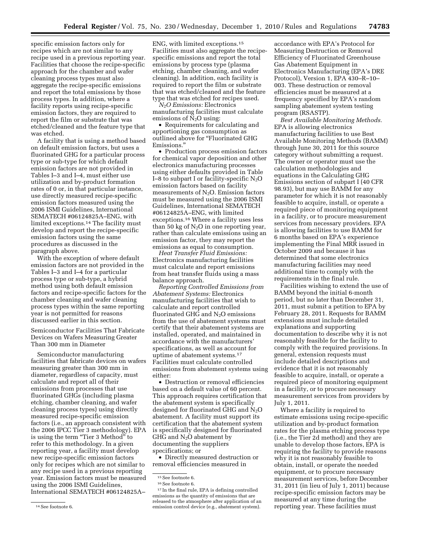specific emission factors only for recipes which are not similar to any recipe used in a previous reporting year. Facilities that choose the recipe-specific approach for the chamber and wafer cleaning process types must also aggregate the recipe-specific emissions and report the total emissions by those process types. In addition, where a facility reports using recipe-specific emission factors, they are required to report the film or substrate that was etched/cleaned and the feature type that was etched.

A facility that is using a method based on default emission factors, but uses a fluorinated GHG for a particular process type or sub-type for which default emission factors are not provided in Tables I–3 and I–4, must either use utilization and by-product formation rates of 0 or, in that particular instance, use directly measured recipe-specific emission factors measured using the 2006 ISMI Guidelines, International SEMATECH #06124825A–ENG, with limited exceptions.14 The facility must develop and report the recipe-specific emission factors using the same procedures as discussed in the paragraph above.

With the exception of where default emission factors are not provided in the Tables I–3 and I–4 for a particular process type or sub-type, a hybrid method using both default emission factors and recipe-specific factors for the chamber cleaning and wafer cleaning process types within the same reporting year is not permitted for reasons discussed earlier in this section.

Semiconductor Facilities That Fabricate Devices on Wafers Measuring Greater Than 300 mm in Diameter

Semiconductor manufacturing facilities that fabricate devices on wafers measuring greater than 300 mm in diameter, regardless of capacity, must calculate and report all of their emissions from processes that use fluorinated GHGs (including plasma etching, chamber cleaning, and wafer cleaning process types) using directly measured recipe-specific emission factors (i.e., an approach consistent with the 2006 IPCC Tier 3 methodology). EPA is using the term ''Tier 3 Method'' to refer to this methodology. In a given reporting year, a facility must develop new recipe-specific emission factors only for recipes which are not similar to any recipe used in a previous reporting year. Emission factors must be measured using the 2006 ISMI Guidelines, International SEMATECH #06124825A–

ENG, with limited exceptions.15 Facilities must also aggregate the recipespecific emissions and report the total emissions by process type (plasma etching, chamber cleaning, and wafer cleaning). In addition, each facility is required to report the film or substrate that was etched/cleaned and the feature type that was etched for recipes used.

*N*2*O Emissions:* Electronics manufacturing facilities must calculate emissions of  $N_2O$  using:

• Requirements for calculating and apportioning gas consumption as outlined above for "Fluorinated GHG Emissions.''

• Production process emission factors for chemical vapor deposition and other electronics manufacturing processes using either defaults provided in Table I–8 to subpart I or facility-specific  $N_2O$ emission factors based on facility measurements of  $N_2O$ . Emission factors must be measured using the 2006 ISMI Guidelines, International SEMATECH #06124825A–ENG, with limited exceptions.16 Where a facility uses less than 50 kg of  $N_2O$  in one reporting year, rather than calculate emissions using an emission factor, they may report the emissions as equal to consumption.

*Heat Transfer Fluid Emissions:*  Electronics manufacturing facilities must calculate and report emissions from heat transfer fluids using a mass balance approach.

*Reporting Controlled Emissions from Abatement Systems:* Electronics manufacturing facilities that wish to calculate and report controlled fluorinated GH $\overline{G}$  and N<sub>2</sub>O emissions from the use of abatement systems must certify that their abatement systems are installed, operated, and maintained in accordance with the manufacturers' specifications, as well as account for uptime of abatement systems.17 Facilities must calculate controlled emissions from abatement systems using either:

• Destruction or removal efficiencies based on a default value of 60 percent. This approach requires certification that the abatement system is specifically designed for fluorinated GHG and  $N_2O$ abatement. A facility must support its certification that the abatement system is specifically designed for fluorinated GHG and  $N_2O$  abatement by documenting the suppliers specifications; or

• Directly measured destruction or removal efficiencies measured in

accordance with EPA's Protocol for Measuring Destruction or Removal Efficiency of Fluorinated Greenhouse Gas Abatement Equipment in Electronics Manufacturing (EPA's DRE Protocol), Version 1, EPA 430–R–10– 003. These destruction or removal efficiencies must be measured at a frequency specified by EPA's random sampling abatement system testing program (RSASTP).

*Best Available Monitoring Methods.*  EPA is allowing electronics manufacturing facilities to use Best Available Monitoring Methods (BAMM) through June 30, 2011 for this source category without submitting a request. The owner or operator must use the calculation methodologies and equations in the Calculating GHG Emissions section of subpart I (40 CFR 98.93), but may use BAMM for any parameter for which it is not reasonably feasible to acquire, install, or operate a required piece of monitoring equipment in a facility, or to procure measurement services from necessary providers. EPA is allowing facilities to use BAMM for 6 months based on EPA's experience implementing the Final MRR issued in October 2009 and because it has determined that some electronics manufacturing facilities may need additional time to comply with the requirements in the final rule.

Facilities wishing to extend the use of BAMM beyond the initial 6-month period, but no later than December 31, 2011, must submit a petition to EPA by February 28, 2011. Requests for BAMM extensions must include detailed explanations and supporting documentation to describe why it is not reasonably feasible for the facility to comply with the required provisions. In general, extension requests must include detailed descriptions and evidence that it is not reasonably feasible to acquire, install, or operate a required piece of monitoring equipment in a facility, or to procure necessary measurement services from providers by July 1, 2011.

Where a facility is required to estimate emissions using recipe-specific utilization and by-product formation rates for the plasma etching process type (i.e., the Tier 2d method) and they are unable to develop those factors, EPA is requiring the facility to provide reasons why it is not reasonably feasible to obtain, install, or operate the needed equipment, or to procure necessary measurement services, before December 31, 2011 (in lieu of July 1, 2011) because recipe-specific emission factors may be measured at any time during the reporting year. These facilities must

<sup>14</sup>See footnote 6.

<sup>15</sup>See footnote 6.

<sup>16</sup>See footnote 6.

<sup>17</sup> In the final rule, EPA is defining controlled emissions as the quantity of emissions that are released to the atmosphere after application of an emission control device (e.g., abatement system).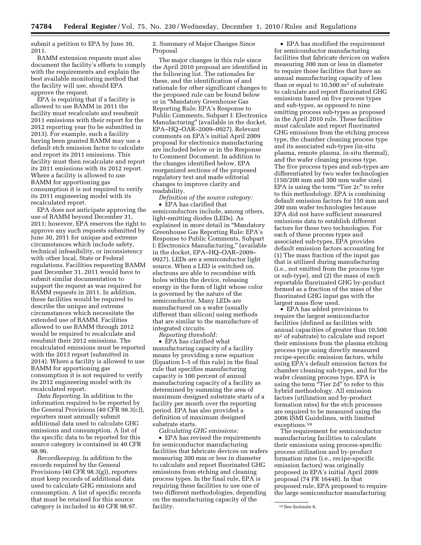submit a petition to EPA by June 30, 2011.

BAMM extension requests must also document the facility's efforts to comply with the requirements and explain the best available monitoring method that the facility will use, should EPA approve the request.

EPA is requiring that if a facility is allowed to use BAMM in 2011 the facility must recalculate and resubmit 2011 emissions with their report for the 2012 reporting year (to be submitted in 2013). For example, such a facility having been granted BAMM may use a default etch emission factor to calculate and report its 2011 emissions. This facility must then recalculate and report its 2011 emissions with its 2012 report. Where a facility is allowed to use BAMM for apportioning gas consumption it is not required to verify its 2011 engineering model with its recalculated report.

EPA does not anticipate approving the use of BAMM beyond December 31, 2011; however, EPA reserves the right to approve any such requests submitted by June 30, 2011 for unique and extreme circumstances which include safety, technical infeasibility, or inconsistency with other local, State or Federal regulations. Facilities requesting BAMM past December 31, 2011 would have to submit similar documentation to support the request as was required for BAMM requests in 2011. In addition, these facilities would be required to describe the unique and extreme circumstances which necessitate the extended use of BAMM. Facilities allowed to use BAMM through 2012 would be required to recalculate and resubmit their 2012 emissions. The recalculated emissions must be reported with the 2013 report (submitted in 2014). Where a facility is allowed to use BAMM for apportioning gas consumption it is not required to verify its 2012 engineering model with its recalculated report.

*Data Reporting.* In addition to the information required to be reported by the General Provisions (40 CFR 98.3(c)), reporters must annually submit additional data used to calculate GHG emissions and consumption. A list of the specific data to be reported for this source category is contained in 40 CFR 98.96.

*Recordkeeping.* In addition to the records required by the General Provisions (40 CFR 98.3(g)), reporters must keep records of additional data used to calculate GHG emissions and consumption. A list of specific records that must be retained for this source category is included in 40 CFR 98.97.

# 2. Summary of Major Changes Since Proposal

The major changes in this rule since the April 2010 proposal are identified in the following list. The rationales for these, and the identification of and rationale for other significant changes to the proposed rule can be found below or in ''Mandatory Greenhouse Gas Reporting Rule: EPA's Response to Public Comments, Subpart I: Electronics Manufacturing'' (available in the docket, EPA–HQ–OAR–2009–0927). Relevant comments on EPA's initial April 2009 proposal for electronics manufacturing are included below or in the Response to Comment Document. In addition to the changes identified below, EPA reorganized sections of the proposed regulatory text and made editorial changes to improve clarity and readability.

*Definition of the source category:*  • EPA has clarified that semiconductors include, among others, light-emitting diodes (LEDs). As explained in more detail in ''Mandatory Greenhouse Gas Reporting Rule: EPA's Response to Public Comments, Subpart I: Electronics Manufacturing,'' (available in the docket, EPA–HQ–OAR–2009– 0927), LEDs are a semiconductor light source. When a LED is switched on, electrons are able to recombine with holes within the device, releasing energy in the form of light whose color is governed by the nature of the semiconductor. Many LEDs are manufactured on a wafer (usually different than silicon) using methods that are similar to the manufacture of integrated circuits.

*Reporting threshold:* 

• EPA has clarified what manufacturing capacity of a facility means by providing a new equation (Equation I–5 of this rule) in the final rule that specifies manufacturing capacity is 100 percent of annual manufacturing capacity of a facility as determined by summing the area of maximum designed substrate starts of a facility per month over the reporting period. EPA has also provided a definition of maximum designed substrate starts.

*Calculating GHG emissions:* 

• EPA has revised the requirements for semiconductor manufacturing facilities that fabricate devices on wafers measuring 300 mm or less in diameter to calculate and report fluorinated GHG emissions from etching and cleaning process types. In the final rule, EPA is requiring these facilities to use one of two different methodologies, depending on the manufacturing capacity of the facility.

• EPA has modified the requirement for semiconductor manufacturing facilities that fabricate devices on wafers measuring 300 mm or less in diameter to require those facilities that have an annual manufacturing capacity of less than or equal to  $10,500$  m<sup>2</sup> of substrate to calculate and report fluorinated GHG emissions based on five process types and sub-types, as opposed to nine emitting process sub-types as proposed in the April 2010 rule. These facilities must calculate and report fluorinated GHG emissions from the etching process type, the chamber cleaning process type and its associated sub-types (in-situ plasma, remote plasma, in-situ thermal), and the wafer cleaning process type. The five process types and sub-types are differentiated by two wafer technologies (150/200 mm and 300 mm wafer size). EPA is using the term "Tier 2c" to refer to this methodology. EPA is combining default emission factors for 150 mm and 200 mm wafer technologies because EPA did not have sufficient measured emissions data to establish different factors for these two technologies. For each of these process types and associated sub-types, EPA provides default emission factors accounting for (1) The mass fraction of the input gas that is utilized during manufacturing (i.e., not emitted from the process type or sub-type), and (2) the mass of each reportable fluorinated GHG by-product formed as a fraction of the mass of the fluorinated GHG input gas with the largest mass flow used.

• EPA has added provisions to require the largest semiconductor facilities (defined as facilities with annual capacities of greater than 10,500 m2 of substrate) to calculate and report their emissions from the plasma etching process type using directly measured recipe-specific emission factors, while using EPA's default emission factors for chamber cleaning sub-types, and for the wafer cleaning process type. EPA is using the term "Tier 2d" to refer to this hybrid methodology. All emission factors (utilization and by-product formation rates) for the etch processes are required to be measured using the 2006 ISMI Guidelines, with limited exceptions.18

The requirement for semiconductor manufacturing facilities to calculate their emissions using process-specific process utilization and by-product formation rates (i.e., recipe-specific emission factors) was originally proposed in EPA's initial April 2009 proposal (74 FR 16448). In that proposed rule, EPA proposed to require the large semiconductor manufacturing

<sup>&</sup>lt;sup>18</sup> See footnote 6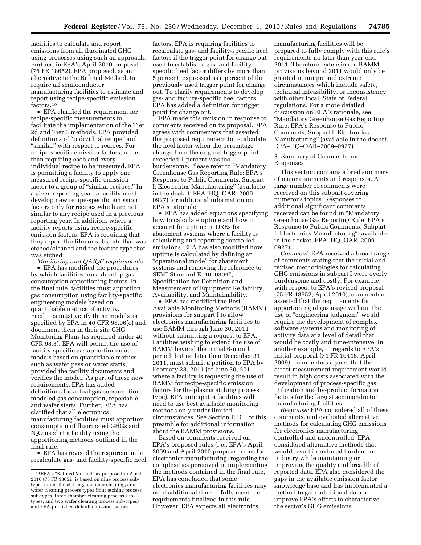facilities to calculate and report emissions from all fluorinated GHG using processes using such an approach. Further, in EPA's April 2010 proposal (75 FR 18652), EPA proposed, as an alternative to the Refined Method, to require all semiconductor manufacturing facilities to estimate and report using recipe-specific emission factors.19

• EPA clarified the requirement for recipe-specific measurements to facilitate the implementation of the Tier 2d and Tier 3 methods. EPA provided definitions of ''individual recipe'' and "similar" with respect to recipes. For recipe-specific emission factors, rather than requiring each and every individual recipe to be measured, EPA is permitting a facility to apply one measured recipe-specific emission factor to a group of ''similar recipes.'' In a given reporting year, a facility must develop new recipe-specific emission factors only for recipes which are not similar to any recipe used in a previous reporting year. In addition, where a facility reports using recipe-specific emission factors, EPA is requiring that they report the film or substrate that was etched/cleaned and the feature type that was etched.

*Monitoring and QA/QC requirements:*  • EPA has modified the procedures by which facilities must develop gas consumption apportioning factors. In the final rule, facilities must apportion gas consumption using facility-specific engineering models based on quantifiable metrics of activity. Facilities must verify these models as specified by EPA in 40 CFR 98.96(c) and document them in their site GHG Monitoring Plans (as required under 40 CFR 98.3). EPA will permit the use of facility-specific gas apportionment models based on quantifiable metrics, such as wafer pass or wafer starts, provided the facility documents and verifies the model. As part of these new requirements, EPA has added definitions for actual gas consumption, modeled gas consumption, repeatable, and wafer starts. Further, EPA has clarified that all electronics manufacturing facilities must apportion consumption of fluorinated GHGs and N2O used at a facility using the apportioning methods outlined in the final rule.

• EPA has revised the requirement to recalculate gas- and facility-specific heel factors. EPA is requiring facilities to recalculate gas- and facility-specific heel factors if the trigger point for change out used to establish a gas- and facilityspecific heel factor differs by more than 5 percent, expressed as a percent of the previously used trigger point for change out. To clarify requirements to develop gas- and facility-specific heel factors, EPA has added a definition for trigger point for change out.

EPA made this revision in response to comments received on its proposal. EPA agrees with commenters that asserted the proposed requirement to recalculate the heel factor when the percentage change from the original trigger point exceeded 1 percent was too burdensome. Please refer to ''Mandatory Greenhouse Gas Reporting Rule: EPA's Response to Public Comments, Subpart I: Electronics Manufacturing'' (available in the docket, EPA–HQ–OAR–2009– 0927) for additional information on EPA's rationale.

• EPA has added equations specifying how to calculate uptime and how to account for uptime in DREs for abatement systems where a facility is calculating and reporting controlled emissions. EPA has also modified how uptime is calculated by defining an ''operational mode'' for abatement systems and removing the reference to SEMI Standard E–10–0304E, Specification for Definition and Measurement of Equipment Reliability, Availability, and Maintainability.

• EPA has modified the Best Available Monitoring Methods (BAMM) provisions for subpart I to allow electronics manufacturing facilities to use BAMM through June 30, 2011 without submitting a request to EPA. Facilities wishing to extend the use of BAMM beyond the initial 6-month period, but no later than December 31, 2011, must submit a petition to EPA by February 28, 2011 (or June 30, 2011 where a facility is requesting the use of BAMM for recipe-specific emission factors for the plasma etching process type). EPA anticipates facilities will need to use best available monitoring methods only under limited circumstances. See Section II.D.1 of this preamble for additional information about the BAMM provisions.

Based on comments received on EPA's proposed rules (i.e., EPA's April 2009 and April 2010 proposed rules for electronics manufacturing) regarding the complexities perceived in implementing the methods contained in the final rule, EPA has concluded that some electronics manufacturing facilities may need additional time to fully meet the requirements finalized in this rule. However, EPA expects all electronics

manufacturing facilities will be prepared to fully comply with this rule's requirements no later than year-end 2011. Therefore, extension of BAMM provisions beyond 2011 would only be granted in unique and extreme circumstances which include safety, technical infeasibility, or inconsistency with other local, State or Federal regulations. For a more detailed discussion on EPA's rationale, see ''Mandatory Greenhouse Gas Reporting Rule: EPA's Response to Public Comments, Subpart I: Electronics Manufacturing'' (available in the docket, EPA–HQ–OAR–2009–0927).

3. Summary of Comments and Responses

This section contains a brief summary of major comments and responses. A large number of comments were received on this subpart covering numerous topics. Responses to additional significant comments received can be found in ''Mandatory Greenhouse Gas Reporting Rule: EPA's Response to Public Comments, Subpart I: Electronics Manufacturing'' (available in the docket, EPA–HQ–OAR–2009– 0927).

*Comment:* EPA received a broad range of comments stating that the initial and revised methodologies for calculating GHG emissions in subpart I were overly burdensome and costly. For example, with respect to EPA's revised proposal (75 FR 18652, April 2010), commenters asserted that the requirements for apportioning of gas usage without the use of ''engineering judgment'' would require the development of complex software systems and monitoring of activity data at a level of detail that would be costly and time-intensive. In another example, in regards to EPA's initial proposal (74 FR 16448, April 2009), commenters argued that the direct measurement requirement would result in high costs associated with the development of process-specific gas utilization and by-product formation factors for the largest semiconductor manufacturing facilities.

*Response:* EPA considered all of these comments, and evaluated alternative methods for calculating GHG emissions for electronics manufacturing, controlled and uncontrolled. EPA considered alternative methods that would result in reduced burden on industry while maintaining or improving the quality and breadth of reported data. EPA also considered the gaps in the available emission factor knowledge base and has implemented a method to gain additional data to improve EPA's efforts to characterize the sector's GHG emissions.

<sup>19</sup>EPA's ''Refined Method'' as proposed in April 2010 (75 FR 18652) is based on nine process subtypes under the etching, chamber cleaning, and wafer cleaning process types (four etching process sub-types, three chamber cleaning process subtypes, and two wafer cleaning process sub-types) and EPA-published default emission factors.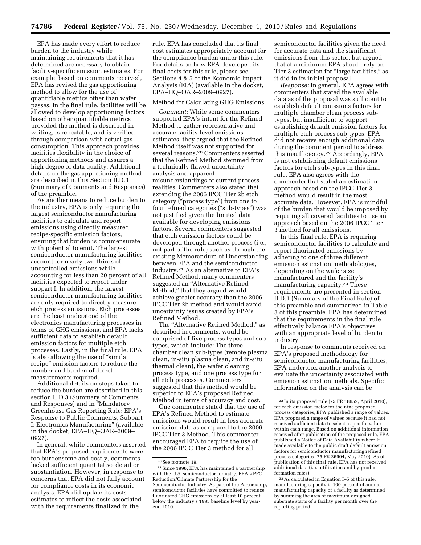EPA has made every effort to reduce burden to the industry while maintaining requirements that it has determined are necessary to obtain facility-specific emission estimates. For example, based on comments received, EPA has revised the gas apportioning method to allow for the use of quantifiable metrics other than wafer passes. In the final rule, facilities will be allowed to develop apportioning factors based on other quantifiable metrics provided the method is described in writing, is repeatable, and is verified through comparison with actual gas consumption. This approach provides facilities flexibility in the choice of apportioning methods and assures a high degree of data quality. Additional details on the gas apportioning method are described in this Section II.D.3 (Summary of Comments and Responses) of the preamble.

As another means to reduce burden to the industry, EPA is only requiring the largest semiconductor manufacturing facilities to calculate and report emissions using directly measured recipe-specific emission factors, ensuring that burden is commensurate with potential to emit. The largest semiconductor manufacturing facilities account for nearly two-thirds of uncontrolled emissions while accounting for less than 20 percent of all facilities expected to report under subpart I. In addition, the largest semiconductor manufacturing facilities are only required to directly measure etch process emissions. Etch processes are the least understood of the electronics manufacturing processes in terms of GHG emissions, and EPA lacks sufficient data to establish default emission factors for multiple etch processes. Lastly, in the final rule, EPA is also allowing the use of ''similar recipe'' emission factors to reduce the number and burden of direct measurements required.

Additional details on steps taken to reduce the burden are described in this section II.D.3 (Summary of Comments and Responses) and in ''Mandatory Greenhouse Gas Reporting Rule: EPA's Response to Public Comments, Subpart I: Electronics Manufacturing'' (available in the docket, EPA–HQ–OAR–2009– 0927).

In general, while commenters asserted that EPA's proposed requirements were too burdensome and costly, comments lacked sufficient quantitative detail or substantiation. However, in response to concerns that EPA did not fully account for compliance costs in its economic analysis, EPA did update its costs estimates to reflect the costs associated with the requirements finalized in the

rule. EPA has concluded that its final cost estimates appropriately account for the compliance burden under this rule. For details on how EPA developed its final costs for this rule, please see Sections 4 & 5 of the Economic Impact Analysis (EIA) (available in the docket, EPA–HQ–OAR–2009–0927).

# Method for Calculating GHG Emissions

*Comment:* While some commenters supported EPA's intent for the Refined Method to gather representative and accurate facility level emissions estimates, they argued that the Refined Method itself was not supported for several reasons.20 Commenters asserted that the Refined Method stemmed from a technically flawed uncertainty analysis and apparent misunderstandings of current process realities. Commenters also stated that extending the 2006 IPCC Tier 2b etch category (''process type'') from one to four refined categories (''sub-types'') was not justified given the limited data available for developing emissions factors. Several commenters suggested that etch emission factors could be developed through another process (i.e., not part of the rule) such as through the existing Memorandum of Understanding between EPA and the semiconductor industry.21 As an alternative to EPA's Refined Method, many commenters suggested an ''Alternative Refined Method,'' that they argued would achieve greater accuracy than the 2006 IPCC Tier 2b method and would avoid uncertainty issues created by EPA's Refined Method.

The ''Alternative Refined Method,'' as described in comments, would be comprised of five process types and subtypes, which include: The three chamber clean sub-types (remote plasma clean, in-situ plasma clean, and in-situ thermal clean), the wafer cleaning process type, and one process type for all etch processes. Commenters suggested that this method would be superior to EPA's proposed Refined Method in terms of accuracy and cost.

One commenter stated that the use of EPA's Refined Method to estimate emissions would result in less accurate emission data as compared to the 2006 IPCC Tier 3 Method. This commenter encouraged EPA to require the use of the 2006 IPCC Tier 3 method for all

semiconductor facilities given the need for accurate data and the significant emissions from this sector, but argued that at a minimum EPA should rely on Tier 3 estimation for "large facilities," as it did in its initial proposal.

*Response:* In general, EPA agrees with commenters that stated the available data as of the proposal was sufficient to establish default emissions factors for multiple chamber clean process subtypes, but insufficient to support establishing default emission factors for multiple etch process sub-types. EPA did not receive enough additional data during the comment period to address this insufficiency.22 Accordingly, EPA is not establishing default emissions factors for etch sub-types in this final rule. EPA also agrees with the commenter that stated an estimation approach based on the IPCC Tier 3 method would result in the most accurate data. However, EPA is mindful of the burden that would be imposed by requiring all covered facilities to use an approach based on the 2006 IPCC Tier 3 method for all emissions.

In this final rule, EPA is requiring semiconductor facilities to calculate and report fluorinated emissions by adhering to one of three different emission estimation methodologies, depending on the wafer size manufactured and the facility's manufacturing capacity.23 These requirements are presented in section II.D.1 (Summary of the Final Rule) of this preamble and summarized in Table 3 of this preamble. EPA has determined that the requirements in the final rule effectively balance EPA's objectives with an appropriate level of burden to industry.

In response to comments received on EPA's proposed methodology for semiconductor manufacturing facilities, EPA undertook another analysis to evaluate the uncertainty associated with emission estimation methods. Specific information on the analysis can be

23As calculated in Equation I–5 of this rule, manufacturing capacity is 100 percent of annual manufacturing capacity of a facility as determined by summing the area of maximum designed substrate starts of a facility per month over the reporting period.

 $^{\rm 20}$  See footnote 19.

<sup>21</sup>Since 1996, EPA has maintained a partnership with the U.S. semiconductor industry, EPA's PFC Reduction/Climate Partnership for the Semiconductor Industry. As part of the Partnership, semiconductor facilities have committed to reduce fluorinated GHG emissions by at least 10 percent below the industry's 1995 baseline level by yearend 2010.

<sup>22</sup> In its proposed rule (75 FR 18652, April 2010), for each emission factor for the nine proposed process categories, EPA published a range of values. EPA proposed a range of values because it had not received sufficient data to select a specific value within each range. Based on additional information received after publication of the proposed rule, EPA published a Notice of Data Availability where it made available to the public draft default emission factors for semiconductor manufacturing refined process categories (75 FR 26904, May 2010). As of publication of this final rule, EPA has not received additional data (i.e., utilization and by-product formation rates).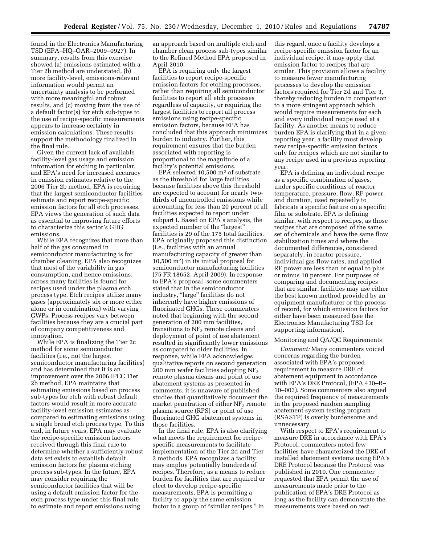found in the Electronics Manufacturing TSD (EPA–HQ–OAR–2009–0927). In summary, results from this exercise showed (a) emissions estimated with a Tier 2b method are understated, (b) more facility-level, emissions-relevant information would permit an uncertainty analysis to be performed with more meaningful and robust results, and (c) moving from the use of a default factor(s) for etch sub-types to the use of recipe-specific measurements appears to increase certainty in emission calculations. These results support the methodology finalized in the final rule.

Given the current lack of available facility-level gas usage and emission information for etching in particular, and EPA's need for increased accuracy in emission estimates relative to the 2006 Tier 2b method, EPA is requiring that the largest semiconductor facilities estimate and report recipe-specific emission factors for all etch processes. EPA views the generation of such data as essential to improving future efforts to characterize this sector's GHG emissions.

While EPA recognizes that more than half of the gas consumed in semiconductor manufacturing is for chamber cleaning, EPA also recognizes that most of the variability in gas consumption, and hence emissions, across many facilities is found for recipes used under the plasma etch process type. Etch recipes utilize many gases (approximately six or more either alone or in combination) with varying GWPs. Process recipes vary between facilities because they are a crucial part of company competitiveness and innovation.

While EPA is finalizing the Tier 2c method for some semiconductor facilities (i.e., not the largest semiconductor manufacturing facilities) and has determined that it is an improvement over the 2006 IPCC Tier 2b method, EPA maintains that estimating emissions based on process sub-types for etch with robust default factors would result in more accurate facility-level emission estimates as compared to estimating emissions using a single broad etch process type. To this end, in future years, EPA may evaluate the recipe-specific emission factors received through this final rule to determine whether a sufficiently robust data set exists to establish default emission factors for plasma etching process sub-types. In the future, EPA may consider requiring the semiconductor facilities that will be using a default emission factor for the etch process type under this final rule to estimate and report emissions using

an approach based on multiple etch and chamber clean process sub-types similar to the Refined Method EPA proposed in April 2010.

EPA is requiring only the largest facilities to report recipe-specific emission factors for etching processes, rather than requiring all semiconductor facilities to report all etch processes regardless of capacity, or requiring the largest facilities to report all process emissions using recipe-specific emission factors, because EPA has concluded that this approach minimizes burden to industry. Further, this requirement ensures that the burden associated with reporting is proportional to the magnitude of a facility's potential emissions.

EPA selected  $10,500$  m<sup>2</sup> of substrate as the threshold for large facilities because facilities above this threshold are expected to account for nearly twothirds of uncontrolled emissions while accounting for less than 20 percent of all facilities expected to report under subpart I. Based on EPA's analysis, the expected number of the "largest" facilities is 29 of the 175 total facilities. EPA originally proposed this distinction (i.e., facilities with an annual manufacturing capacity of greater than 10,500 m2) in its initial proposal for semiconductor manufacturing facilities (75 FR 18652, April 2009). In response to EPA's proposal, some commenters stated that in the semiconductor industry, "large" facilities do not inherently have higher emissions of fluorinated GHGs. These commenters noted that beginning with the second generation of 200 mm facilities, transitions to  $NF_3$  remote cleans and deployment of point of use abatement resulted in significantly lower emissions as compared to older facilities. In response, while EPA acknowledges qualitative reports on second generation 200 mm wafer facilities adopting  $NF<sub>3</sub>$ remote plasma cleans and point of use abatement systems as presented in comments, it is unaware of published studies that quantitatively document the market penetration of either  $NF_3$  remote plasma source (RPS) or point of use fluorinated GHG abatement systems in those facilities.

In the final rule, EPA is also clarifying what meets the requirement for recipespecific measurements to facilitate implementation of the Tier 2d and Tier 3 methods. EPA recognizes a facility may employ potentially hundreds of recipes. Therefore, as a means to reduce burden for facilities that are required or elect to develop recipe-specific measurements, EPA is permitting a facility to apply the same emission factor to a group of "similar recipes." In

this regard, once a facility develops a recipe-specific emission factor for an individual recipe, it may apply that emission factor to recipes that are similar. This provision allows a facility to measure fewer manufacturing processes to develop the emission factors required for Tier 2d and Tier 3, thereby reducing burden in comparison to a more stringent approach which would require measurements for each and every individual recipe used at a facility. As another means to reduce burden EPA is clarifying that in a given reporting year, a facility must develop new recipe-specific emission factors only for recipes which are not similar to any recipe used in a previous reporting year.

EPA is defining an individual recipe as a specific combination of gases, under specific conditions of reactor temperature, pressure, flow, RF power, and duration, used repeatedly to fabricate a specific feature on a specific film or substrate. EPA is defining similar, with respect to recipes, as those recipes that are composed of the same set of chemicals and have the same flow stabilization times and where the documented differences, considered separately, in reactor pressure, individual gas flow rates, and applied RF power are less than or equal to plus or minus 10 percent. For purposes of comparing and documenting recipes that are similar, facilities may use either the best known method provided by an equipment manufacturer or the process of record, for which emission factors for either have been measured (see the Electronics Manufacturing TSD for supporting information).

# Monitoring and QA/QC Requirements

*Comment:* Many commenters voiced concerns regarding the burden associated with EPA's proposed requirement to measure DRE of abatement equipment in accordance with EPA's DRE Protocol, (EPA 430–R– 10–003). Some commenters also argued the required frequency of measurements in the proposed random sampling abatement system testing program (RSASTP) is overly burdensome and unnecessary.

With respect to EPA's requirement to measure DRE in accordance with EPA's Protocol, commenters noted few facilities have characterized the DRE of installed abatement systems using EPA's DRE Protocol because the Protocol was published in 2010. One commenter requested that EPA permit the use of measurements made prior to the publication of EPA's DRE Protocol as long as the facility can demonstrate the measurements were based on test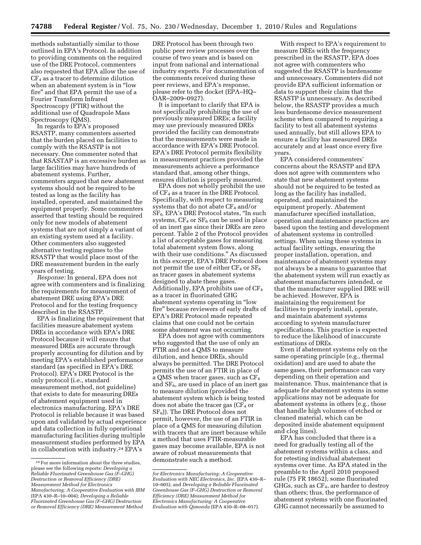methods substantially similar to those outlined in EPA's Protocol. In addition to providing comments on the required use of the DRE Protocol, commenters also requested that EPA allow the use of  $CF<sub>4</sub>$  as a tracer to determine dilution when an abatement system is in ''low fire'' and that EPA permit the use of a Fourier Transform Infrared Spectroscopy (FTIR) without the additional use of Quadrapole Mass Spectroscopy (QMS).

In regards to EPA's proposed RSASTP, many commenters asserted that the burden placed on facilities to comply with the RSASTP is not necessary. One commenter noted that that RSASTAP is an excessive burden as large facilities may have hundreds of abatement systems. Further, commenters argued that new abatement systems should not be required to be tested as long as the facility has installed, operated, and maintained the equipment properly. Some commenters asserted that testing should be required only for new models of abatement systems that are not simply a variant of an existing system used at a facility. Other commenters also suggested alternative testing regimes to the RSASTP that would place most of the DRE measurement burden in the early years of testing.

*Response:* In general, EPA does not agree with commenters and is finalizing the requirements for measurement of abatement DRE using EPA's DRE Protocol and for the testing frequency described in the RSASTP.

EPA is finalizing the requirement that facilities measure abatement system DREs in accordance with EPA's DRE Protocol because it will ensure that measured DREs are accurate through properly accounting for dilution and by meeting EPA's established performance standard (as specified in EPA's DRE Protocol). EPA's DRE Protocol is the only protocol (i.e., standard measurement method, not guideline) that exists to date for measuring DREs of abatement equipment used in electronics manufacturing. EPA's DRE Protocol is reliable because it was based upon and validated by actual experience and data collection in fully operational manufacturing facilities during multiple measurement studies performed by EPA in collaboration with industry.24 EPA's

DRE Protocol has been through two public peer review processes over the course of two years and is based on input from national and international industry experts. For documentation of the comments received during these peer reviews, and EPA's response, please refer to the docket (EPA–HQ– OAR–2009–0927).

It is important to clarify that EPA is not specifically prohibiting the use of previously measured DREs; a facility may use previously measured DREs provided the facility can demonstrate that the measurements were made in accordance with EPA's DRE Protocol. EPA's DRE Protocol permits flexibility in measurement practices provided the measurements achieve a performance standard that, among other things, ensures dilution is properly measured.

EPA does not wholly prohibit the use of  $CF_4$  as a tracer in the DRE Protocol. Specifically, with respect to measuring systems that do not abate  $CF_4$  and/or  $SF<sub>6</sub>$ , EPA's DRE Protocol states, "In such systems,  $CF_4$  or  $SF_6$  can be used in place of an inert gas since their DREs are zero percent. Table 2 of the Protocol provides a list of acceptable gases for measuring total abatement system flows, along with their use conditions.'' As discussed in this excerpt, EPA's DRE Protocol does not permit the use of either  $CF_4$  or  $SF_6$ as tracer gases in abatement systems designed to abate these gases. Additionally, EPA prohibits use of  $CF_4$ as a tracer in fluorinated GHG abatement systems operating in ''low fire'' because reviewers of early drafts of EPA's DRE Protocol made repeated claims that one could not be certain some abatement was not occurring.

EPA does not agree with commenters who suggested that the use of only an FTIR and not a QMS to measure dilution, and hence DREs, should always be permitted. The DRE Protocol permits the use of an FTIR in place of a QMS when tracer gases, such as CF4 and  $SF<sub>6</sub>$ , are used in place of an inert gas to measure dilution (provided the abatement system which is being tested does not abate the tracer gas  $(CF<sub>4</sub>$  or  $SF<sub>6</sub>$ ). The DRE Protocol does not permit, however, the use of an FTIR in place of a QMS for measuring dilution with tracers that are inert because while a method that uses FTIR-measurable gases may become available, EPA is not aware of robust measurements that demonstrate such a method.

With respect to EPA's requirement to measure DREs with the frequency prescribed in the RSASTP, EPA does not agree with commenters who suggested the RSASTP is burdensome and unnecessary. Commenters did not provide EPA sufficient information or data to support their claim that the RSASTP is unnecessary. As described below, the RSASTP provides a much less burdensome device measurement scheme when compared to requiring a facility to test all abatement systems used annually, but still allows EPA to ensure a facility has measured DREs accurately and at least once every five years.

EPA considered commenters' concerns about the RSASTP and EPA does not agree with commenters who state that new abatement systems should not be required to be tested as long as the facility has installed, operated, and maintained the equipment properly. Abatement manufacturer specified installation, operation and maintenance practices are based upon the testing and development of abatement systems in controlled settings. When using these systems in actual facility settings, ensuring the proper installation, operation, and maintenance of abatement systems may not always be a means to guarantee that the abatement system will run exactly as abatement manufacturers intended, or that the manufacturer supplied DRE will be achieved. However, EPA is maintaining the requirement for facilities to properly install, operate, and maintain abatement systems according to system manufacturer specifications. This practice is expected to reduce the likelihood of inaccurate estimations of DREs.

Even if abatement systems rely on the same operating principle (e.g., thermal oxidation) and are used to abate the same gases, their performance can vary depending on their operation and maintenance. Thus, maintenance that is adequate for abatement systems in some applications may not be adequate for abatement systems in others (e.g., those that handle high volumes of etched or cleaned material, which can be deposited inside abatement equipment and clog lines).

EPA has concluded that there is a need for gradually testing all of the abatement systems within a class, and for retesting individual abatement systems over time. As EPA stated in the preamble to the April 2010 proposed rule (75 FR 18652), some fluorinated GHGs, such as CF4, are harder to destroy than others; thus, the performance of abatement systems with one fluorinated GHG cannot necessarily be assumed to

<sup>24</sup>For more information about the three studies, please see the following reports: *Developing a Reliable Fluorinated Greenhouse Gas (F–GHG) Destruction or Removal Efficiency (DRE) Measurement Method for Electronics Manufacturing: A Cooperative Evaluation with IBM*  (EPA 430–R–10–004); *Developing a Reliable Fluorinated Greenhouse Gas (F–GHG) Destruction or Removal Efficiency (DRE) Measurement Method* 

*for Electronics Manufacturing: A Cooperative Evaluation with NEC Electronics, Inc.* (EPA 430–R– 10–005); and *Developing a Reliable Fluorinated Greenhouse Gas (F–GHG) Destruction or Removal Efficiency (DRE) Measurement Method for Electronics Manufacturing: A Cooperative Evaluation with Qimonda* (EPA 430–R–08–017).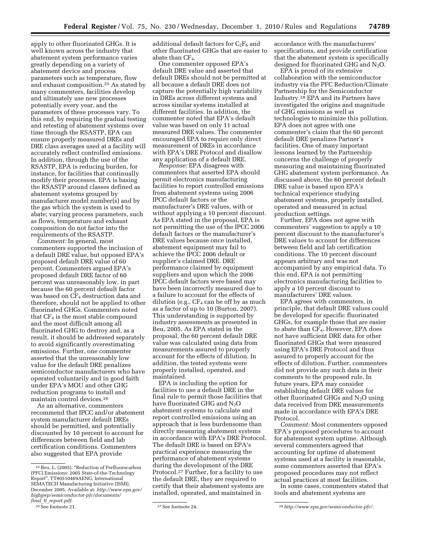apply to other fluorinated GHGs. It is well known across the industry that abatement system performance varies greatly depending on a variety of abatement device and process parameters such as temperature, flow and exhaust composition.25 As stated by many commenters, facilities develop and ultimately use new processes potentially every year, and the parameters of these processes vary. To this end, by requiring the gradual testing and retesting of abatement systems over time through the RSASTP, EPA can ensure properly measured DREs and DRE class averages used at a facility will accurately reflect controlled emissions. In addition, through the use of the RSASTP, EPA is reducing burden, for instance, for facilities that continually modify their processes. EPA is basing the RSASTP around classes defined as abatement systems grouped by manufacturer model number(s) and by the gas which the system is used to abate; varying process parameters, such as flows, temperature and exhaust composition do not factor into the requirements of the RSASTP.

*Comment:* In general, most commenters supported the inclusion of a default DRE value, but opposed EPA's proposed default DRE value of 60 percent. Commenters argued EPA's proposed default DRE factor of 60 percent was unreasonably low, in part because the 60 percent default factor was based on  $CF_4$  destruction data and therefore, should not be applied to other fluorinated GHGs. Commenters noted that  $CF_4$  is the most stable compound and the most difficult among all fluorinated GHG to destroy and, as a result, it should be addressed separately to avoid significantly overestimating emissions. Further, one commenter asserted that the unreasonably low value for the default DRE penalizes semiconductor manufacturers who have operated voluntarily and in good faith under EPA's MOU and other GHG reduction programs to install and maintain control devices.26

As an alternative, commenters recommend that IPCC and/or abatement system manufacturer default DREs should be permitted, and potentially discounted by 10 percent to account for differences between field and lab certification conditions. Commenters also suggested that EPA provide

additional default factors for  $C_2F_6$  and other fluorinated GHGs that are easier to abate than  $CF_4$ .

One commenter opposed EPA's default DRE value and asserted that default DREs should not be permitted at all because a default DRE does not capture the potentially high variability in DREs across different systems and across similar systems installed at different facilities. In addition, the commenter noted that EPA's default value was based on only 11 actual measured DRE values. The commenter encouraged EPA to require only direct measurement of DREs in accordance with EPA's DRE Protocol and disallow any application of a default DRE.

*Response:* EPA disagrees with commenters that asserted EPA should permit electronics manufacturing facilities to report controlled emissions from abatement systems using 2006 IPCC default factors or the manufacturer's DRE values, with or without applying a 10 percent discount. As EPA stated in the proposal, EPA is not permitting the use of the IPCC 2006 default factors or the manufacturer's DRE values because once installed, abatement equipment may fail to achieve the IPCC 2006 default or supplier's claimed DRE. DRE performance claimed by equipment suppliers and upon which the 2006 IPCC default factors were based may have been incorrectly measured due to a failure to account for the effects of dilution (e.g.,  $CF_4$  can be off by as much as a factor of up to 10 (Burton, 2007). This understanding is supported by industry assessments as presented in Beu, 2005. As EPA stated in the proposal, the 60 percent default DRE value was calculated using data from measurements assured to properly account for the effects of dilution. In addition, the tested systems were properly installed, operated, and maintained.

EPA is including the option for facilities to use a default DRE in the final rule to permit those facilities that have fluorinated GHG and  $N_2O$ abatement systems to calculate and report controlled emissions using an approach that is less burdensome than directly measuring abatement systems in accordance with EPA's DRE Protocol. The default DRE is based on EPA's practical experience measuring the performance of abatement systems during the development of the DRE Protocol.<sup>27</sup> Further, for a facility to use the default DRE, they are required to certify that their abatement systems are installed, operated, and maintained in

accordance with the manufacturers' specifications, and provide certification that the abatement system is specifically designed for fluorinated GHG and  $N_2O$ .

EPA is proud of its extensive collaboration with the semiconductor industry via the PFC Reduction/Climate Partnership for the Semiconductor Industry.28 EPA and its Partners have investigated the origins and magnitude of GHG emissions as well as technologies to minimize this pollution. EPA does not agree with one commenter's claim that the 60 percent default DRE penalizes Partner's facilities. One of many important lessons learned by the Partnership concerns the challenge of properly measuring and maintaining fluorinated GHG abatement system performance. As discussed above, the 60 percent default DRE value is based upon EPA's technical experience studying abatement systems, properly installed, operated and measured in actual production settings.

Further, EPA does not agree with commenters' suggestion to apply a 10 percent discount to the manufacturer's DRE values to account for differences between field and lab certification conditions. The 10 percent discount appears arbitrary and was not accompanied by any empirical data. To this end, EPA is not permitting electronics manufacturing facilities to apply a 10 percent discount to manufacturers' DRE values.

EPA agrees with commenters, in principle, that default DRE values could be developed for specific fluorinated GHGs, for example those that are easier to abate than CF<sub>4</sub>. However, EPA does not have sufficient DRE data for other fluorinated GHGs that were measured using EPA's DRE Protocol and thus assured to properly account for the effects of dilution. Further, commenters did not provide any such data in their comments to the proposed rule. In future years, EPA may consider establishing default DRE values for other fluorinated GHGs and  $N_2O$  using data received from DRE measurements made in accordance with EPA's DRE Protocol.

*Comment:* Most commenters opposed EPA's proposed procedures to account for abatement system uptime. Although several commenters agreed that accounting for uptime of abatement systems used at a facility is reasonable, some commenters asserted that EPA's proposed procedures may not reflect actual practices at most facilities.

In some cases, commenters stated that tools and abatement systems are

<sup>25</sup>Beu, L. (2005). ''Reduction of Perfluorocarbon (PFC) Emissions: 2005 State-of-the-Technology Report'', TT#0510469AENG, International SEMATECH Manufacturing Initiative (ISMI), December 2005. Available at: *http://www.epa.gov/ highgwp/semiconductor-pfc/documents/ final*\_*tt*\_*report.pdf.* 

<sup>26</sup>See footnote 21. 27See footnote 24. 28*http://www.epa.gov/semiconductor-pfc/.*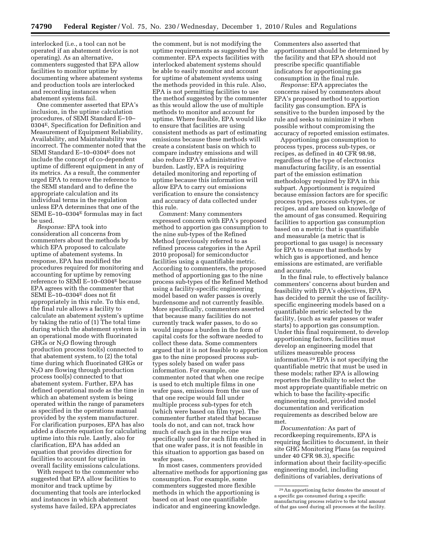interlocked (i.e., a tool can not be operated if an abatement device is not operating). As an alternative, commenters suggested that EPA allow facilities to monitor uptime by documenting where abatement systems and production tools are interlocked and recording instances when abatement systems fail.

One commenter asserted that EPA's inclusion, in the uptime calculation procedures, of SEMI Standard E–10– 0304E, Specification for Definition and Measurement of Equipment Reliability, Availability, and Maintainability was incorrect. The commenter noted that the SEMI Standard E–10–0304E does not include the concept of co-dependent uptime of different equipment in any of its metrics. As a result, the commenter urged EPA to remove the reference to the SEMI standard and to define the appropriate calculation and its individual terms in the regulation unless EPA determines that one of the SEMI E–10–0304 $E$  formulas may in fact be used.

*Response:* EPA took into consideration all concerns from commenters about the methods by which EPA proposed to calculate uptime of abatement systems. In response, EPA has modified the procedures required for monitoring and accounting for uptime by removing reference to SEMI E–10–0304E because EPA agrees with the commenter that SEMI E–10–0304E does not fit appropriately in this rule. To this end, the final rule allows a facility to calculate an abatement system's uptime by taking the ratio of (1) The total time during which the abatement system is in an operational mode with fluorinated GHGs or  $N_2O$  flowing through production process tool(s) connected to that abatement system, to (2) the total time during which fluorinated GHGs or N2O are flowing through production process tool(s) connected to that abatement system. Further, EPA has defined operational mode as the time in which an abatement system is being operated within the range of parameters as specified in the operations manual provided by the system manufacturer. For clarification purposes, EPA has also added a discrete equation for calculating uptime into this rule. Lastly, also for clarification, EPA has added an equation that provides direction for facilities to account for uptime in overall facility emissions calculations.

With respect to the commenter who suggested that EPA allow facilities to monitor and track uptime by documenting that tools are interlocked and instances in which abatement systems have failed, EPA appreciates

the comment, but is not modifying the uptime requirements as suggested by the commenter. EPA expects facilities with interlocked abatement systems should be able to easily monitor and account for uptime of abatement systems using the methods provided in this rule. Also, EPA is not permitting facilities to use the method suggested by the commenter as this would allow the use of multiple methods to monitor and account for uptime. Where feasible, EPA would like to ensure that facilities are using consistent methods as part of estimating emissions because these methods will create a consistent basis on which to compare industry emissions and will also reduce EPA's administrative burden. Lastly, EPA is requiring detailed monitoring and reporting of uptime because this information will allow EPA to carry out emissions verification to ensure the consistency and accuracy of data collected under this rule.

*Comment:* Many commenters expressed concern with EPA's proposed method to apportion gas consumption to the nine sub-types of the Refined Method (previously referred to as refined process categories in the April 2010 proposal) for semiconductor facilities using a quantifiable metric. According to commenters, the proposed method of apportioning gas to the nine process sub-types of the Refined Method using a facility-specific engineering model based on wafer passes is overly burdensome and not currently feasible. More specifically, commenters asserted that because many facilities do not currently track wafer passes, to do so would impose a burden in the form of capital costs for the software needed to collect these data. Some commenters argued that it is not feasible to apportion gas to the nine proposed process subtypes solely based on wafer pass information. For example, one commenter noted that when one recipe is used to etch multiple films in one wafer pass, emissions from the use of that one recipe would fall under multiple process sub-types for etch (which were based on film type). The commenter further stated that because tools do not, and can not, track how much of each gas in the recipe was specifically used for each film etched in that one wafer pass, it is not feasible in this situation to apportion gas based on wafer pass.

In most cases, commenters provided alternative methods for apportioning gas consumption. For example, some commenters suggested more flexible methods in which the apportioning is based on at least one quantifiable indicator and engineering knowledge.

Commenters also asserted that apportionment should be determined by the facility and that EPA should not prescribe specific quantifiable indicators for apportioning gas consumption in the final rule.

*Response:* EPA appreciates the concerns raised by commenters about EPA's proposed method to apportion facility gas consumption. EPA is sensitive to the burden imposed by the rule and seeks to minimize it when possible without compromising the accuracy of reported emission estimates.

Apportioning gas consumption to process types, process sub-types, or recipes, as defined in 40 CFR 98.98, regardless of the type of electronics manufacturing facility, is an essential part of the emission estimation methodology required by EPA in this subpart. Apportionment is required because emission factors are for specific process types, process sub-types, or recipes, and are based on knowledge of the amount of gas consumed. Requiring facilities to apportion gas consumption based on a metric that is quantifiable and measurable (a metric that is proportional to gas usage) is necessary for EPA to ensure that methods by which gas is apportioned, and hence emissions are estimated, are verifiable and accurate.

In the final rule, to effectively balance commenters' concerns about burden and feasibility with EPA's objectives, EPA has decided to permit the use of facilityspecific engineering models based on a quantifiable metric selected by the facility, (such as wafer passes or wafer starts) to apportion gas consumption. Under this final requirement, to develop apportioning factors, facilities must develop an engineering model that utilizes measureable process information.29 EPA is not specifying the quantifiable metric that must be used in these models; rather EPA is allowing reporters the flexibility to select the most appropriate quantifiable metric on which to base the facility-specific engineering model, provided model documentation and verification requirements as described below are met.

*Documentation:* As part of recordkeeping requirements, EPA is requiring facilities to document, in their site GHG Monitoring Plans (as required under 40 CFR 98.3), specific information about their facility-specific engineering model, including definitions of variables, derivations of

<sup>29</sup>An apportioning factor denotes the amount of a specific gas consumed during a specific manufacturing process relative to the total amount of that gas used during all processes at the facility.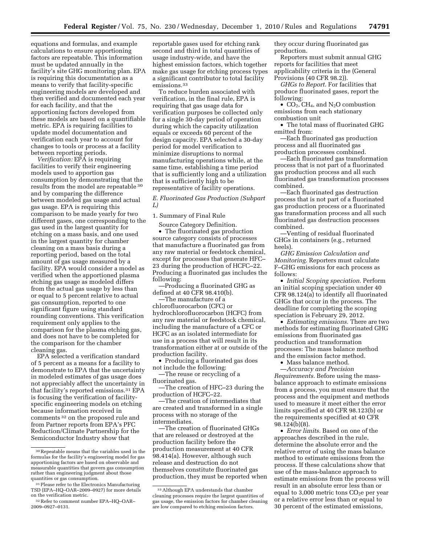equations and formulas, and example calculations to ensure apportioning factors are repeatable. This information must be updated annually in the facility's site GHG monitoring plan. EPA is requiring this documentation as a means to verify that facility-specific engineering models are developed and then verified and documented each year for each facility, and that the apportioning factors developed from these models are based on a quantifiable metric. EPA is requiring facilities to update model documentation and verification each year to account for changes to tools or process at a facility between reporting periods.

*Verification:* EPA is requiring facilities to verify their engineering models used to apportion gas consumption by demonstrating that the results from the model are repeatable 30 and by comparing the difference between modeled gas usage and actual gas usage. EPA is requiring this comparison to be made yearly for two different gases, one corresponding to the gas used in the largest quantity for etching on a mass basis, and one used in the largest quantity for chamber cleaning on a mass basis during a reporting period, based on the total amount of gas usage measured by a facility. EPA would consider a model as verified when the apportioned plasma etching gas usage as modeled differs from the actual gas usage by less than or equal to 5 percent relative to actual gas consumption, reported to one significant figure using standard rounding conventions. This verification requirement only applies to the comparison for the plasma etching gas, and does not have to be completed for the comparison for the chamber cleaning gas.

EPA selected a verification standard of 5 percent as a means for a facility to demonstrate to EPA that the uncertainty in modeled estimates of gas usage does not appreciably affect the uncertainty in that facility's reported emissions.31 EPA is focusing the verification of facilityspecific engineering models on etching because information received in comments 32 on the proposed rule and from Partner reports from EPA's PFC Reduction/Climate Partnership for the Semiconductor Industry show that

reportable gases used for etching rank second and third in total quantities of usage industry-wide, and have the highest emission factors, which together make gas usage for etching process types a significant contributor to total facility emissions<sup>33</sup>

To reduce burden associated with verification, in the final rule, EPA is requiring that gas usage data for verification purposes be collected only for a single 30-day period of operation during which the capacity utilization equals or exceeds 60 percent of the design capacity. EPA selected a 30-day period for model verification to minimize disruptions to normal manufacturing operations while, at the same time, establishing a time period that is sufficiently long and a utilization that is sufficiently high to be representative of facility operations.

*E. Fluorinated Gas Production (Subpart L)* 

1. Summary of Final Rule

Source Category Definition. • The fluorinated gas production source category consists of processes that manufacture a fluorinated gas from any raw material or feedstock chemical, except for processes that generate HFC– 23 during the production of HCFC–22. Producing a fluorinated gas includes the following:

—Producing a fluorinated GHG as defined at 40 CFR 98.410(b).

—The manufacture of a chlorofluorocarbon (CFC) or hydrochlorofluorocarbon (HCFC) from any raw material or feedstock chemical, including the manufacture of a CFC or HCFC as an isolated intermediate for use in a process that will result in its transformation either at or outside of the production facility.

• Producing a fluorinated gas does not include the following:

—The reuse or recycling of a fluorinated gas.

—The creation of HFC–23 during the production of HCFC–22.

—The creation of intermediates that are created and transformed in a single process with no storage of the intermediates.

—The creation of fluorinated GHGs that are released or destroyed at the production facility before the production measurement at 40 CFR 98.414(a). However, although such release and destruction do not themselves constitute fluorinated gas production, they must be reported when they occur during fluorinated gas production.

Reporters must submit annual GHG reports for facilities that meet applicability criteria in the (General Provisions (40 CFR 98.2)).

*GHGs to Report.* For facilities that produce fluorinated gases, report the following:

•  $CO<sub>2</sub>$ , CH<sub>4</sub>, and N<sub>2</sub>O combustion emissions from each stationary combustion unit

• The total mass of fluorinated GHG emitted from:

—Each fluorinated gas production process and all fluorinated gas production processes combined.

—Each fluorinated gas transformation process that is not part of a fluorinated gas production process and all such fluorinated gas transformation processes combined.

—Each fluorinated gas destruction process that is not part of a fluorinated gas production process or a fluorinated gas transformation process and all such fluorinated gas destruction processes combined.

—Venting of residual fluorinated GHGs in containers (e.g., returned heels)

*GHG Emission Calculation and Monitoring.* Reporters must calculate F–GHG emissions for each process as follows:

• *Initial Scoping speciation.* Perform an initial scoping speciation under 40 CFR 98.124(a) to identify all fluorinated GHGs that occur in the process. The deadline for completing the scoping speciation is February 29, 2012.

• *Estimating emissions.* There are two methods for estimating fluorinated GHG emissions from fluorinated gas production and transformation processes: The mass balance method and the emission factor method.

• Mass balance method.

—*Accuracy and Precision Requirements.* Before using the massbalance approach to estimate emissions from a process, you must ensure that the process and the equipment and methods used to measure it meet either the error limits specified at 40 CFR 98.123(b) or the requirements specified at 40 CFR 98.124(b)(8).

• *Error limits.* Based on one of the approaches described in the rule, determine the absolute error and the relative error of using the mass balance method to estimate emissions from the process. If these calculations show that use of the mass-balance approach to estimate emissions from the process will result in an absolute error less than or equal to 3,000 metric tons  $CO<sub>2</sub>e$  per year or a relative error less than or equal to 30 percent of the estimated emissions,

<sup>30</sup>Repeatable means that the variables used in the formulas for the facility's engineering model for gas apportioning factors are based on observable and measurable quantities that govern gas consumption rather than engineering judgment about those quantities or gas consumption.

<sup>31</sup>Please refer to the Electronics Manufacturing TSD (EPA–HQ–OAR–2009–0927) for more details<br>on the verification metric.

<sup>&</sup>lt;sup>32</sup> Refer to comment number EPA–HQ–OAR– 2009–0927–0131.

<sup>33</sup>Although EPA understands that chamber cleaning processes require the largest quantities of gas usage, the emission factors for chamber cleaning are low compared to etching emission factors.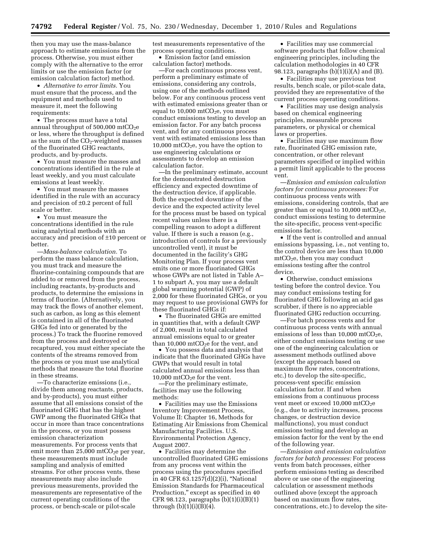then you may use the mass-balance approach to estimate emissions from the process. Otherwise, you must either comply with the alternative to the error limits or use the emission factor (or emission calculation factor) method.

• *Alternative to error limits.* You must ensure that the process, and the equipment and methods used to measure it, meet the following requirements:

• The process must have a total annual throughput of  $500,000$  mtCO<sub>2</sub>e or less, where the throughput is defined as the sum of the  $CO<sub>2</sub>$ -weighted masses of the fluorinated GHG reactants, products, and by-products.

• You must measure the masses and concentrations identified in the rule at least weekly, and you must calculate emissions at least weekly.

• You must measure the masses identified in the rule with an accuracy and precision of ±0.2 percent of full scale or better.

• You must measure the concentrations identified in the rule using analytical methods with an accuracy and precision of ±10 percent or better.

—*Mass-balance calculation.* To perform the mass balance calculation, you must track and measure the fluorine-containing compounds that are added to or removed from the process, including reactants, by-products and products, to determine the emissions in terms of fluorine. (Alternatively, you may track the flows of another element, such as carbon, as long as this element is contained in all of the fluorinated GHGs fed into or generated by the process.) To track the fluorine removed from the process and destroyed or recaptured, you must either speciate the contents of the streams removed from the process or you must use analytical methods that measure the total fluorine in these streams.

—To characterize emissions (i.e., divide them among reactants, products, and by-products), you must either assume that all emissions consist of the fluorinated GHG that has the highest GWP among the fluorinated GHGs that occur in more than trace concentrations in the process, or you must possess emission characterization measurements. For process vents that emit more than  $25,000$  mtCO<sub>2</sub>e per year, these measurements must include sampling and analysis of emitted streams. For other process vents, these measurements may also include previous measurements, provided the measurements are representative of the current operating conditions of the process, or bench-scale or pilot-scale

test measurements representative of the process operating conditions.

• Emission factor (and emission calculation factor) methods.

—For each continuous process vent, perform a preliminary estimate of emissions, considering any controls, using one of the methods outlined below. For any continuous process vent with estimated emissions greater than or equal to  $10,000$  mtCO<sub>2</sub>e, you must conduct emissions testing to develop an emission factor. For any batch process vent, and for any continuous process vent with estimated emissions less than 10,000 mtCO<sub>2</sub>e, you have the option to use engineering calculations or assessments to develop an emission calculation factor.

—In the preliminary estimate, account for the demonstrated destruction efficiency and expected downtime of the destruction device, if applicable. Both the expected downtime of the device and the expected activity level for the process must be based on typical recent values unless there is a compelling reason to adopt a different value. If there is such a reason (e.g., introduction of controls for a previously uncontrolled vent), it must be documented in the facility's GHG Monitoring Plan. If your process vent emits one or more fluorinated GHGs whose GWPs are not listed in Table A– 1 to subpart A, you may use a default global warming potential (GWP) of 2,000 for these fluorinated GHGs, or you may request to use provisional GWPs for these fluorinated GHGs if:

• The fluorinated GHGs are emitted in quantities that, with a default GWP of 2,000, result in total calculated annual emissions equal to or greater than 10,000 mtCO<sub>2</sub>e for the vent, and

• You possess data and analysis that indicate that the fluorinated GHGs have GWPs that would result in total calculated annual emissions less than 10,000 mtCO<sub>2</sub>e for the vent.

—For the preliminary estimate, facilities may use the following methods:

• Facilities may use the Emissions Inventory Improvement Process, Volume II: Chapter 16, Methods for Estimating Air Emissions from Chemical Manufacturing Facilities. U.S. Environmental Protection Agency, August 2007.

• Facilities may determine the uncontrolled fluorinated GHG emissions from any process vent within the process using the procedures specified in 40 CFR 63.1257(d)(2)(i), ''National Emission Standards for Pharmaceutical Production," except as specified in  $40\,$ CFR 98.123, paragraphs (b)(1)(i)(B)(1) through  $(b)(1)(i)(B)(4)$ .

• Facilities may use commercial software products that follow chemical engineering principles, including the calculation methodologies in 40 CFR 98.123, paragraphs  $(b)(1)(i)(A)$  and  $(B)$ .

• Facilities may use previous test results, bench scale, or pilot-scale data, provided they are representative of the current process operating conditions.

• Facilities may use design analysis based on chemical engineering principles, measurable process parameters, or physical or chemical laws or properties.

• Facilities may use maximum flow rate, fluorinated GHG emission rate, concentration, or other relevant parameters specified or implied within a permit limit applicable to the process vent.

—*Emission and emission calculation factors for continuous processes:* For continuous process vents with emissions, considering controls, that are greater than or equal to  $10,000$  mtCO<sub>2</sub>e, conduct emissions testing to determine the site-specific, process vent-specific emissions factor.

• If the vent is controlled and annual emissions bypassing, i.e., not venting to, the control device are less than 10,000  $mtCO<sub>2</sub>e$ , then you may conduct emissions testing after the control device.

• Otherwise, conduct emissions testing before the control device. You may conduct emissions testing for fluorinated GHG following an acid gas scrubber, if there is no appreciable fluorinated GHG reduction occurring.

—For batch process vents and for continuous process vents with annual emissions of less than  $10,000$  mtCO<sub>2</sub>e, either conduct emissions testing or use one of the engineering calculation or assessment methods outlined above (except the approach based on maximum flow rates, concentrations, etc.) to develop the site-specific, process-vent specific emission calculation factor. If and when emissions from a continuous process vent meet or exceed  $10,000$  mtCO<sub>2</sub>e (e.g., due to activity increases, process changes, or destruction device malfunctions), you must conduct emissions testing and develop an emission factor for the vent by the end of the following year.

—*Emission and emission calculation factors for batch processes:* For process vents from batch processes, either perform emissions testing as described above or use one of the engineering calculation or assessment methods outlined above (except the approach based on maximum flow rates, concentrations, etc.) to develop the site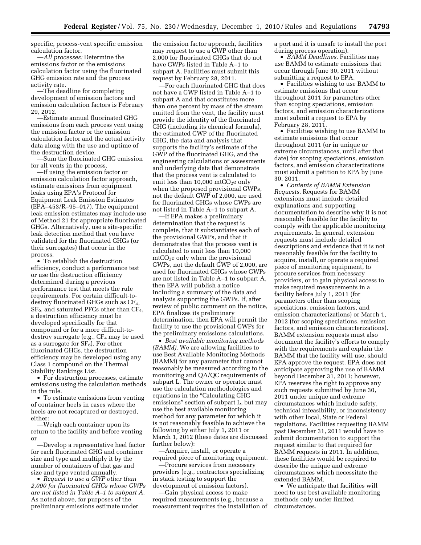specific, process-vent specific emission calculation factor.

—*All processes:* Determine the emissions factor or the emissions calculation factor using the fluorinated GHG emission rate and the process activity rate.

—The deadline for completing development of emission factors and emission calculation factors is February 29, 2012.

—Estimate annual fluorinated GHG emissions from each process vent using the emission factor or the emission calculation factor and the actual activity data along with the use and uptime of the destruction device.

—Sum the fluorinated GHG emission for all vents in the process.

—If using the emission factor or emission calculation factor approach, estimate emissions from equipment leaks using EPA's Protocol for Equipment Leak Emission Estimates (EPA–453/R–95–017). The equipment leak emission estimates may include use of Method 21 for appropriate fluorinated GHGs. Alternatively, use a site-specific leak detection method that you have validated for the fluorinated GHGs (or their surrogates) that occur in the process.

• To establish the destruction efficiency, conduct a performance test or use the destruction efficiency determined during a previous performance test that meets the rule requirements. For certain difficult-todestroy fluorinated GHGs such as  $CF_4$ , SF<sub>6</sub>, and saturated PFCs other than CF<sub>4</sub>, a destruction efficiency must be developed specifically for that compound or for a more difficult-todestroy surrogate (e.g.,  $CF_4$  may be used as a surrogate for  $SF_6$ ). For other fluorinated GHGs, the destruction efficiency may be developed using any Class 1 compound on the Thermal Stability Rankings List.

• For destruction processes, estimate emissions using the calculation methods in the rule.

• To estimate emissions from venting of container heels in cases where the heels are not recaptured or destroyed, either:

—Weigh each container upon its return to the facility and before venting or

—Develop a representative heel factor for each fluorinated GHG and container size and type and multiply it by the number of containers of that gas and size and type vented annually.

• *Request to use a GWP other than 2,000 for fluorinated GHGs whose GWPs are not listed in Table A–1 to subpart A.*  As noted above, for purposes of the preliminary emissions estimate under

the emission factor approach, facilities may request to use a GWP other than 2,000 for fluorinated GHGs that do not have GWPs listed in Table A–1 to subpart A. Facilities must submit this request by February 28, 2011.

—For each fluorinated GHG that does not have a GWP listed in Table A–1 to subpart A and that constitutes more than one percent by mass of the stream emitted from the vent, the facility must provide the identity of the fluorinated GHG (including its chemical formula), the estimated GWP of the fluorinated GHG, the data and analysis that supports the facility's estimate of the GWP of the fluorinated GHG, and the engineering calculations or assessments and underlying data that demonstrate that the process vent is calculated to emit less than  $10,000$  mtCO<sub>2</sub>e only when the proposed provisional GWPs, not the default GWP of 2,000, are used for fluorinated GHGs whose GWPs are not listed in Table A–1 to subpart A.

—If EPA makes a preliminary determination that the request is complete, that it substantiates each of the provisional GWPs, and that it demonstrates that the process vent is calculated to emit less than 10,000 mtCO<sub>2</sub>e only when the provisional GWPs, not the default GWP of 2,000, are used for fluorinated GHGs whose GWPs are not listed in Table A–1 to subpart A, then EPA will publish a notice including a summary of the data and analysis supporting the GWPs. If, after review of public comment on the notice, EPA finalizes its preliminary determination, then EPA will permit the facility to use the provisional GWPs for the preliminary emissions calculations.

• *Best available monitoring methods (BAMM).* We are allowing facilities to use Best Available Monitoring Methods (BAMM) for any parameter that cannot reasonably be measured according to the monitoring and QA/QC requirements of subpart L. The owner or operator must use the calculation methodologies and equations in the "Calculating GHG emissions'' section of subpart L, but may use the best available monitoring method for any parameter for which it is not reasonably feasible to achieve the following by either July 1, 2011 or March 1, 2012 (these dates are discussed further below):

—Acquire, install, or operate a required piece of monitoring equipment.

—Procure services from necessary providers (e.g., contractors specializing in stack testing to support the development of emission factors).

—Gain physical access to make required measurements (e.g., because a measurement requires the installation of a port and it is unsafe to install the port during process operation).

• *BAMM Deadlines.* Facilities may use BAMM to estimate emissions that occur through June 30, 2011 without submitting a request to EPA.

• Facilities wishing to use BAMM to estimate emissions that occur throughout 2011 for parameters other than scoping speciations, emission factors, and emission characterizations must submit a request to EPA by February 28, 2011.

• Facilities wishing to use BAMM to estimate emissions that occur throughout 2011 (or in unique or extreme circumstances, until after that date) for scoping speciations, emission factors, and emission characterizations must submit a petition to EPA by June 30, 2011.

• *Contents of BAMM Extension Requests.* Requests for BAMM extensions must include detailed explanations and supporting documentation to describe why it is not reasonably feasible for the facility to comply with the applicable monitoring requirements. In general, extension requests must include detailed descriptions and evidence that it is not reasonably feasible for the facility to acquire, install, or operate a required piece of monitoring equipment, to procure services from necessary providers, or to gain physical access to make required measurements in a facility before July 1, 2011 (for parameters other than scoping speciations, emission factors, and emission characterizations) or March 1, 2012 (for scoping speciations, emission factors, and emission characterizations). BAMM extension requests must also document the facility's efforts to comply with the requirements and explain the BAMM that the facility will use, should EPA approve the request. EPA does not anticipate approving the use of BAMM beyond December 31, 2011; however, EPA reserves the right to approve any such requests submitted by June 30, 2011 under unique and extreme circumstances which include safety, technical infeasibility, or inconsistency with other local, State or Federal regulations. Facilities requesting BAMM past December 31, 2011 would have to submit documentation to support the request similar to that required for BAMM requests in 2011. In addition, these facilities would be required to describe the unique and extreme circumstances which necessitate the extended BAMM.

• We anticipate that facilities will need to use best available monitoring methods only under limited circumstances.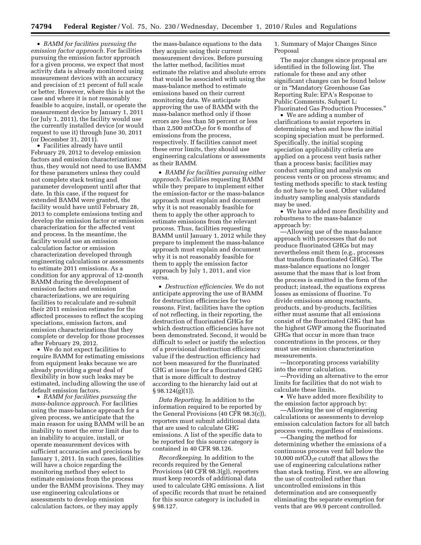• *BAMM for facilities pursuing the emission factor approach.* For facilities pursuing the emission factor approach for a given process, we expect that most activity data is already monitored using measurement devices with an accuracy and precision of ±1 percent of full scale or better. However, where this is not the case and where it is not reasonably feasible to acquire, install, or operate the measurement device by January 1, 2011 (or July 1, 2011), the facility would use the currently installed device (or would request to use it) through June 30, 2011 (or December 31, 2011).

• Facilities already have until February 29, 2012 to develop emission factors and emission characterizations; thus, they would not need to use BAMM for these parameters unless they could not complete stack testing and parameter development until after that date. In this case, if the request for extended BAMM were granted, the facility would have until February 28, 2013 to complete emissions testing and develop the emission factor or emission characterization for the affected vent and process. In the meantime, the facility would use an emission calculation factor or emission characterization developed through engineering calculations or assessments to estimate 2011 emissions. As a condition for any approval of 12-month BAMM during the development of emission factors and emission characterizations, we are requiring facilities to recalculate and re-submit their 2011 emission estimates for the affected processes to reflect the scoping speciations, emission factors, and emission characterizations that they complete or develop for those processes after February 29, 2012.

• We do not expect facilities to require BAMM for estimating emissions from equipment leaks because we are already providing a great deal of flexibility in how such leaks may be estimated, including allowing the use of default emission factors.

• *BAMM for facilities pursuing the mass-balance approach.* For facilities using the mass-balance approach for a given process, we anticipate that the main reason for using BAMM will be an inability to meet the error limit due to an inability to acquire, install, or operate measurement devices with sufficient accuracies and precisions by January 1, 2011. In such cases, facilities will have a choice regarding the monitoring method they select to estimate emissions from the process under the BAMM provisions. They may use engineering calculations or assessments to develop emission calculation factors, or they may apply

the mass-balance equations to the data they acquire using their current measurement devices. Before pursuing the latter method, facilities must estimate the relative and absolute errors that would be associated with using the mass-balance method to estimate emissions based on their current monitoring data. We anticipate approving the use of BAMM with the mass-balance method only if those errors are less than 50 percent or less than 2,500 mtCO<sub>2</sub>e for 6 months of emissions from the process, respectively. If facilities cannot meet these error limits, they should use engineering calculations or assessments as their BAMM.

• *BAMM for facilities pursuing either approach.* Facilities requesting BAMM while they prepare to implement either the emission-factor or the mass-balance approach must explain and document why it is not reasonably feasible for them to apply the other approach to estimate emissions from the relevant process. Thus, facilities requesting BAMM until January 1, 2012 while they prepare to implement the mass-balance approach must explain and document why it is not reasonably feasible for them to apply the emission factor approach by July 1, 2011, and vice versa.

• *Destruction efficiencies.* We do not anticipate approving the use of BAMM for destruction efficiencies for two reasons. First, facilities have the option of not reflecting, in their reporting, the destruction of fluorinated GHGs for which destruction efficiencies have not been demonstrated. Second, it would be difficult to select or justify the selection of a provisional destruction efficiency value if the destruction efficiency had not been measured for the fluorinated GHG at issue (or for a fluorinated GHG that is more difficult to destroy according to the hierarchy laid out at  $§ 98.124(g)(1)$ .

*Data Reporting.* In addition to the information required to be reported by the General Provisions (40 CFR 98.3(c)), reporters must submit additional data that are used to calculate GHG emissions. A list of the specific data to be reported for this source category is contained in 40 CFR 98.126.

*Recordkeeping.* In addition to the records required by the General Provisions (40 CFR 98.3(g)), reporters must keep records of additional data used to calculate GHG emissions. A list of specific records that must be retained for this source category is included in § 98.127.

1. Summary of Major Changes Since Proposal

The major changes since proposal are identified in the following list. The rationale for these and any other significant changes can be found below or in ''Mandatory Greenhouse Gas Reporting Rule: EPA's Response to Public Comments, Subpart L: Fluorinated Gas Production Processes.''

• We are adding a number of clarifications to assist reporters in determining when and how the initial scoping speciation must be performed. Specifically, the initial scoping speciation applicability criteria are applied on a process vent basis rather than a process basis; facilities may conduct sampling and analysis on process vents or on process streams; and testing methods specific to stack testing do not have to be used. Other validated industry sampling analysis standards may be used.

• We have added more flexibility and robustness to the mass-balance approach by:

—Allowing use of the mass-balance approach with processes that do not produce fluorinated GHGs but may nevertheless emit them (e.g., processes that transform fluorinated GHGs). The mass-balance equations no longer assume that the mass that is lost from the process is emitted in the form of the product; instead, the equations express losses as emissions of fluorine. To divide emissions among reactants, products, and by-products, facilities either must assume that all emissions consist of the fluorinated GHG that has the highest GWP among the fluorinated GHGs that occur in more than trace concentrations in the process, or they must use emission characterization measurements.

—Incorporating process variability into the error calculation.

—Providing an alternative to the error limits for facilities that do not wish to calculate these limits.

• We have added more flexibility to the emission factor approach by:

—Allowing the use of engineering calculations or assessments to develop emission calculation factors for all batch process vents, regardless of emissions.

—Changing the method for determining whether the emissions of a continuous process vent fall below the 10,000 mtCO<sub>2</sub>e cutoff that allows the use of engineering calculations rather than stack testing. First, we are allowing the use of controlled rather than uncontrolled emissions in this determination and are consequently eliminating the separate exemption for vents that are 99.9 percent controlled.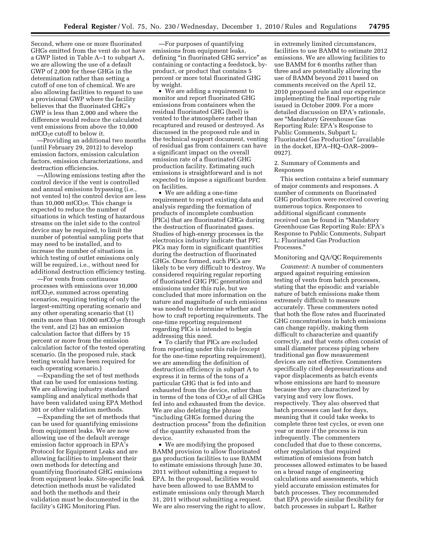Second, where one or more fluorinated GHGs emitted from the vent do not have a GWP listed in Table A–1 to subpart A, we are allowing the use of a default GWP of 2,000 for these GHGs in the determination rather than setting a cutoff of one ton of chemical. We are also allowing facilities to request to use a provisional GWP where the facility believes that the fluorinated GHG's GWP is less than 2,000 and where the difference would reduce the calculated vent emissions from above the 10,000  $mtCO<sub>2</sub>e cutoff to below it.$ 

—Providing an additional two months (until February 29, 2012) to develop emission factors, emission calculation factors, emission characterizations, and destruction efficiencies.

—Allowing emissions testing after the control device if the vent is controlled and annual emissions bypassing (i.e., not vented to) the control device are less than 10,000 mtCO<sub>2</sub>e. This change is expected to reduce the number of situations in which testing of hazardous streams on the inlet side to the control device may be required, to limit the number of potential sampling ports that may need to be installed, and to increase the number of situations in which testing of outlet emissions only will be required, i.e., without need for additional destruction efficiency testing.

—For vents from continuous processes with emissions over 10,000  $mtCO<sub>2</sub>e$ , summed across operating scenarios, requiring testing of only the largest-emitting operating scenario and any other operating scenario that (1) emits more than  $10,000$  mtCO<sub>2</sub>e through the vent, and (2) has an emission calculation factor that differs by 15 percent or more from the emission calculation factor of the tested operating scenario. (In the proposed rule, stack testing would have been required for each operating scenario.)

—Expanding the set of test methods that can be used for emissions testing. We are allowing industry standard sampling and analytical methods that have been validated using EPA Method 301 or other validation methods.

—Expanding the set of methods that can be used for quantifying emissions from equipment leaks. We are now allowing use of the default average emission factor approach in EPA's Protocol for Equipment Leaks and are allowing facilities to implement their own methods for detecting and quantifying fluorinated GHG emissions from equipment leaks. Site-specific leak detection methods must be validated and both the methods and their validation must be documented in the facility's GHG Monitoring Plan.

—For purposes of quantifying emissions from equipment leaks, defining ''in fluorinated GHG service'' as containing or contacting a feedstock, byproduct, or product that contains 5 percent or more total fluorinated GHG by weight.

• We are adding a requirement to monitor and report fluorinated GHG emissions from containers when the residual fluorinated GHG (heel) is vented to the atmosphere rather than recaptured and reused or destroyed. As discussed in the proposed rule and in the technical support document, venting of residual gas from containers can have a significant impact on the overall emission rate of a fluorinated GHG production facility. Estimating such emissions is straightforward and is not expected to impose a significant burden on facilities.

• We are adding a one-time requirement to report existing data and analysis regarding the formation of products of incomplete combustion (PICs) that are fluorinated GHGs during the destruction of fluorinated gases. Studies of high-energy processes in the electronics industry indicate that PFC PICs may form in significant quantities during the destruction of fluorinated GHGs. Once formed, such PICs are likely to be very difficult to destroy. We considered requiring regular reporting of fluorinated GHG PIC generation and emissions under this rule, but we concluded that more information on the nature and magnitude of such emissions was needed to determine whether and how to craft reporting requirements. The one-time reporting requirement regarding PICs is intended to begin addressing this need.

• To clarify that PICs are excluded from reporting under this rule (except for the one-time reporting requirement), we are amending the definition of destruction efficiency in subpart A to express it in terms of the tons of a particular GHG that is fed into and exhausted from the device, rather than in terms of the tons of  $CO<sub>2</sub>e$  of all GHGs fed into and exhausted from the device. We are also deleting the phrase ''including GHGs formed during the destruction process'' from the definition of the quantity exhausted from the device.

• We are modifying the proposed BAMM provision to allow fluorinated gas production facilities to use BAMM to estimate emissions through June 30, 2011 without submitting a request to EPA. In the proposal, facilities would have been allowed to use BAMM to estimate emissions only through March 31, 2011 without submitting a request. We are also reserving the right to allow,

in extremely limited circumstances, facilities to use BAMM to estimate 2012 emissions. We are allowing facilities to use BAMM for 6 months rather than three and are potentially allowing the use of BAMM beyond 2011 based on comments received on the April 12, 2010 proposed rule and our experience implementing the final reporting rule issued in October 2009. For a more detailed discussion on EPA's rationale, see ''Mandatory Greenhouse Gas Reporting Rule: EPA's Response to Public Comments, Subpart L: Fluorinated Gas Production'' (available in the docket, EPA–HQ–OAR–2009– 0927).

# 2. Summary of Comments and Responses

This section contains a brief summary of major comments and responses. A number of comments on fluorinated GHG production were received covering numerous topics. Responses to additional significant comments received can be found in ''Mandatory Greenhouse Gas Reporting Rule: EPA's Response to Public Comments, Subpart L: Fluorinated Gas Production Processes.''

# Monitoring and QA/QC Requirements

*Comment:* A number of commenters argued against requiring emission testing of vents from batch processes, stating that the episodic and variable nature of batch emissions make them extremely difficult to measure accurately. These commenters noted that both the flow rates and fluorinated GHG concentrations in batch emissions can change rapidly, making them difficult to characterize and quantify correctly, and that vents often consist of small diameter process piping where traditional gas flow measurement devices are not effective. Commenters specifically cited depressurizations and vapor displacements as batch events whose emissions are hard to measure because they are characterized by varying and very low flows, respectively. They also observed that batch processes can last for days, meaning that it could take weeks to complete three test cycles, or even one year or more if the process is run infrequently. The commenters concluded that due to these concerns, other regulations that required estimation of emissions from batch processes allowed estimates to be based on a broad range of engineering calculations and assessments, which yield accurate emission estimates for batch processes. They recommended that EPA provide similar flexibility for batch processes in subpart L. Rather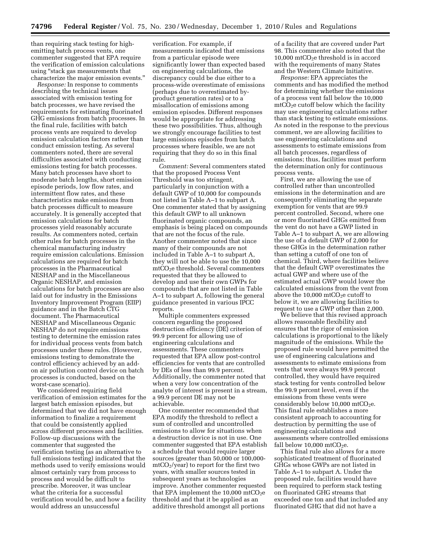than requiring stack testing for highemitting batch process vents, one commenter suggested that EPA require the verification of emission calculations using ''stack gas measurements that characterize the major emission events.''

*Response:* In response to comments describing the technical issues associated with emission testing for batch processes, we have revised the requirements for estimating fluorinated GHG emissions from batch processes. In the final rule, facilities with batch process vents are required to develop emission calculation factors rather than conduct emission testing. As several commenters noted, there are several difficulties associated with conducting emissions testing for batch processes. Many batch processes have short to moderate batch lengths, short emission episode periods, low flow rates, and intermittent flow rates, and these characteristics make emissions from batch processes difficult to measure accurately. It is generally accepted that emission calculations for batch processes yield reasonably accurate results. As commenters noted, certain other rules for batch processes in the chemical manufacturing industry require emission calculations. Emission calculations are required for batch processes in the Pharmaceutical NESHAP and in the Miscellaneous Organic NESHAP, and emission calculations for batch processes are also laid out for industry in the Emissions Inventory Improvement Program (EIIP) guidance and in the Batch CTG document. The Pharmaceutical NESHAP and Miscellaneous Organic NESHAP do not require emissions testing to determine the emission rates for individual process vents from batch processes under these rules. (However, emissions testing to demonstrate the control efficiency achieved by an addon air pollution control device on batch processes is conducted, based on the worst-case scenario).

We considered requiring field verification of emission estimates for the largest batch emission episodes, but determined that we did not have enough information to finalize a requirement that could be consistently applied across different processes and facilities. Follow-up discussions with the commenter that suggested the verification testing (as an alternative to full emissions testing) indicated that the methods used to verify emissions would almost certainly vary from process to process and would be difficult to prescribe. Moreover, it was unclear what the criteria for a successful verification would be, and how a facility would address an unsuccessful

verification. For example, if measurements indicated that emissions from a particular episode were significantly lower than expected based on engineering calculations, the discrepancy could be due either to a process-wide overestimate of emissions (perhaps due to overestimated byproduct generation rates) or to a misallocation of emissions among emission episodes. Different responses would be appropriate for addressing these two possibilities. Thus, although we strongly encourage facilities to test large emissions episodes from batch processes where feasible, we are not requiring that they do so in this final rule.

*Comment:* Several commenters stated that the proposed Process Vent Threshold was too stringent, particularly in conjunction with a default GWP of 10,000 for compounds not listed in Table A–1 to subpart A. One commenter stated that by assigning this default GWP to all unknown fluorinated organic compounds, an emphasis is being placed on compounds that are not the focus of the rule. Another commenter noted that since many of their compounds are not included in Table A–1 to subpart A, they will not be able to use the 10,000 mtCO2e threshold. Several commenters requested that they be allowed to develop and use their own GWPs for compounds that are not listed in Table A–1 to subpart A, following the general guidance presented in various IPCC reports.

Multiple commenters expressed concern regarding the proposed destruction efficiency (DE) criterion of 99.9 percent for allowing use of engineering calculations and assessments. These commenters requested that EPA allow post-control efficiencies for vents that are controlled by DEs of less than 99.9 percent. Additionally, the commenter noted that when a very low concentration of the analyte of interest is present in a stream, a 99.9 percent DE may not be achievable.

One commenter recommended that EPA modify the threshold to reflect a sum of controlled and uncontrolled emissions to allow for situations when a destruction device is not in use. One commenter suggested that EPA establish a schedule that would require larger sources (greater than 50,000 or 100,000  $mtCO<sub>2</sub>/year$ ) to report for the first two years, with smaller sources tested in subsequent years as technologies improve. Another commenter requested that EPA implement the  $10,000$  mtCO<sub>2</sub>e threshold and that it be applied as an additive threshold amongst all portions

of a facility that are covered under Part 98. This commenter also noted that the 10,000 mtCO<sub>2</sub>e threshold is in accord with the requirements of many States and the Western Climate Initiative.

*Response:* EPA appreciates the comments and has modified the method for determining whether the emissions of a process vent fall below the 10,000  $mtCO<sub>2</sub>e cutoff below which the facility$ may use engineering calculations rather than stack testing to estimate emissions. As noted in the response to the previous comment, we are allowing facilities to use engineering calculations and assessments to estimate emissions from all batch processes, regardless of emissions; thus, facilities must perform the determination only for continuous process vents.

First, we are allowing the use of controlled rather than uncontrolled emissions in the determination and are consequently eliminating the separate exemption for vents that are 99.9 percent controlled. Second, where one or more fluorinated GHGs emitted from the vent do not have a GWP listed in Table A–1 to subpart A, we are allowing the use of a default GWP of 2,000 for these GHGs in the determination rather than setting a cutoff of one ton of chemical. Third, where facilities believe that the default GWP overestimates the actual GWP and where use of the estimated actual GWP would lower the calculated emissions from the vent from above the 10,000 mtCO<sub>2</sub>e cutoff to below it, we are allowing facilities to request to use a GWP other than 2,000.

We believe that this revised approach allows reasonable flexibility and ensures that the rigor of emission calculations is proportional to the likely magnitude of the emissions. While the proposed rule would have permitted the use of engineering calculations and assessments to estimate emissions from vents that were always 99.9 percent controlled, they would have required stack testing for vents controlled below the 99.9 percent level, even if the emissions from these vents were considerably below  $10,000$  mtCO<sub>2</sub>e. This final rule establishes a more consistent approach to accounting for destruction by permitting the use of engineering calculations and assessments where controlled emissions fall below  $10,000$  mtCO<sub>2</sub>e.

This final rule also allows for a more sophisticated treatment of fluorinated GHGs whose GWPs are not listed in Table A–1 to subpart A. Under the proposed rule, facilities would have been required to perform stack testing on fluorinated GHG streams that exceeded one ton and that included any fluorinated GHG that did not have a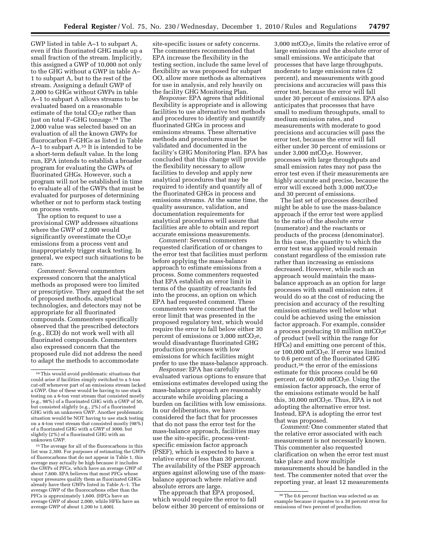GWP listed in table A–1 to subpart A, even if this fluorinated GHG made up a small fraction of the stream. Implicitly, this assigned a GWP of 10,000 not only to the GHG without a GWP in table A– 1 to subpart A, but to the rest of the stream. Assigning a default GWP of 2,000 to GHGs without GWPs in table A–1 to subpart A allows streams to be evaluated based on a reasonable estimate of the total  $CO<sub>2</sub>e$  rather than just on total F–GHG tonnage.34 The 2,000 value was selected based on an evaluation of all the known GWPs for fluorocarbon F–GHGs as listed in Table A–1 to subpart A.35 It is intended to be a short-term default value. In the long run, EPA intends to establish a broader program for evaluating the GWPs of fluorinated GHGs. However, such a program will not be established in time to evaluate all of the GWPs that must be evaluated for purposes of determining whether or not to perform stack testing on process vents.

The option to request to use a provisional GWP addresses situations where the GWP of 2,000 would significantly overestimate the  $CO<sub>2</sub>e$ emissions from a process vent and inappropriately trigger stack testing. In general, we expect such situations to be rare.

*Comment:* Several commenters expressed concern that the analytical methods as proposed were too limited or prescriptive. They argued that the set of proposed methods, analytical technologies, and detectors may not be appropriate for all fluorinated compounds. Commenters specifically observed that the prescribed detectors (e.g., ECD) do not work well with all fluorinated compounds. Commenters also expressed concern that the proposed rule did not address the need to adapt the methods to accommodate

<sup>35</sup> The average for all of the fluorocarbons in this list was 2,300. For purposes of estimating the GWPs of fluorocarbons that do not appear in Table 1, this average may actually be high because it includes the GWPs of PFCs, which have an average GWP of about 7,600. EPA believes that most PFCs whose vapor pressures qualify them as fluorinated GHGs already have their GWPs listed in Table A–1. The average GWP of the fluorocarbons other than the PFCs is approximately 1,600. (HFCs have an average GWP of about 2,000, while HFEs have an average GWP of about 1,200 to 1,400).

site-specific issues or safety concerns. The commenters recommended that EPA increase the flexibility in the testing section, include the same level of flexibility as was proposed for subpart OO, allow more methods as alternatives for use in analysis, and rely heavily on the facility GHG Monitoring Plan.

*Response:* EPA agrees that additional flexibility is appropriate and is allowing facilities to use alternative test methods and procedures to identify and quantify fluorinated GHGs in process and emissions streams. These alternative methods and procedures must be validated and documented in the facility's GHG Monitoring Plan. EPA has concluded that this change will provide the flexibility necessary to allow facilities to develop and apply new analytical procedures that may be required to identify and quantify all of the fluorinated GHGs in process and emissions streams. At the same time, the quality assurance, validation, and documentation requirements for analytical procedures will assure that facilities are able to obtain and report accurate emissions measurements.

*Comment:* Several commenters requested clarification of or changes to the error test that facilities must perform before applying the mass-balance approach to estimate emissions from a process. Some commenters requested that EPA establish an error limit in terms of the quantity of reactants fed into the process, an option on which EPA had requested comment. These commenters were concerned that the error limit that was presented in the proposed regulatory text, which would require the error to fall below either 30 percent of emissions or  $3,000$  mtCO<sub>2</sub>e, would disadvantage fluorinated GHG production processes with low emissions for which facilities might prefer to use the mass-balance approach.

*Response:* EPA has carefully evaluated various options to ensure that emissions estimates developed using the mass-balance approach are reasonably accurate while avoiding placing a burden on facilities with low emissions. In our deliberations, we have considered the fact that for processes that do not pass the error test for the mass-balance approach, facilities may use the site-specific, process-ventspecific emission factor approach (PSEF), which is expected to have a relative error of less than 30 percent. The availability of the PSEF approach argues against allowing use of the massbalance approach where relative and absolute errors are large.

The approach that EPA proposed, which would require the error to fall below either 30 percent of emissions or

 $3,000$  mtCO<sub>2</sub>e, limits the relative error of large emissions and the absolute error of small emissions. We anticipate that processes that have large throughputs, moderate to large emission rates (2 percent), and measurements with good precisions and accuracies will pass this error test, because the error will fall under 30 percent of emissions. EPA also anticipates that processes that have small to medium throughputs, small to medium emission rates, and measurements with moderate to good precisions and accuracies will pass the error test, because the error will fall either under 30 percent of emissions or under 3,000 mtCO<sub>2</sub>e. However, processes with large throughputs and small emission rates may not pass the error test even if their measurements are highly accurate and precise, because the error will exceed both  $3.000$  mtCO<sub>2</sub>e and 30 percent of emissions.

The last set of processes described might be able to use the mass-balance approach if the error test were applied to the ratio of the absolute error (numerator) and the reactants or products of the process (denominator). In this case, the quantity to which the error test was applied would remain constant regardless of the emission rate rather than increasing as emissions decreased. However, while such an approach would maintain the massbalance approach as an option for large processes with small emission rates, it would do so at the cost of reducing the precision and accuracy of the resulting emission estimates well below what could be achieved using the emission factor approach. For example, consider a process producing 10 million  $mtCO<sub>2</sub>e$ of product (well within the range for HFCs) and emitting one percent of this, or 100,000 mtCO<sub>2</sub>e. If error was limited to 0.6 percent of the fluorinated GHG product,36 the error of the emissions estimate for this process could be 60 percent, or  $60,000$  mtCO<sub>2</sub>e. Using the emission factor approach, the error of the emissions estimate would be half this, 30,000 mtCO<sub>2</sub>e. Thus, EPA is not adopting the alternative error test. Instead, EPA is adopting the error test that was proposed.

*Comment:* One commenter stated that the relative error associated with each measurement is not necessarily known. This commenter also requested clarification on when the error test must take place and how multiple measurements should be handled in the test. The commenter noted that over the reporting year, at least 12 measurements

<sup>34</sup>This would avoid problematic situations that could arise if facilities simply switched to a 5-ton cut-off whenever part of an emissions stream lacked a GWP. One of these would be having to use stack testing on a 6-ton vent stream that consisted mostly (e.g., 98%) of a fluorinated GHG with a GWP of 50, but consisted slightly (e.g., 2%) of a fluorinated GHG with an unknown GWP. Another problematic situation would be NOT having to use stack testing on a 4-ton vent stream that consisted mostly (98%) of a fluorinated GHG with a GWP of 3000, but slightly (2%) of a fluorinated GHG with an unknown GWP.

<sup>36</sup>The 0.6 percent fraction was selected as an example because it equates to a 30 percent error for emissions of two percent of production.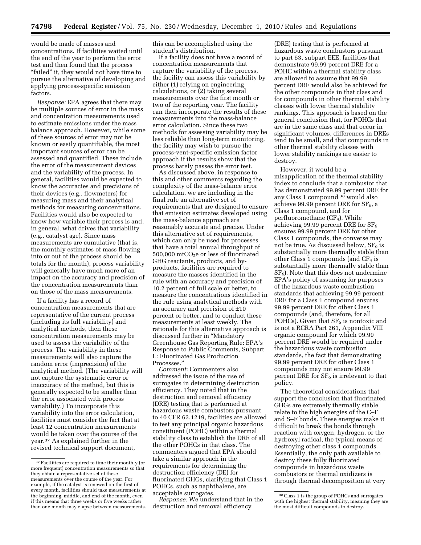would be made of masses and concentrations. If facilities waited until the end of the year to perform the error test and then found that the process ''failed'' it, they would not have time to pursue the alternative of developing and applying process-specific emission factors.

*Response:* EPA agrees that there may be multiple sources of error in the mass and concentration measurements used to estimate emissions under the mass balance approach. However, while some of these sources of error may not be known or easily quantifiable, the most important sources of error can be assessed and quantified. These include the error of the measurement devices and the variability of the process. In general, facilities would be expected to know the accuracies and precisions of their devices (e.g., flowmeters) for measuring mass and their analytical methods for measuring concentrations. Facilities would also be expected to know how variable their process is and, in general, what drives that variability (e.g., catalyst age). Since mass measurements are cumulative (that is, the monthly estimates of mass flowing into or out of the process should be totals for the month), process variability will generally have much more of an impact on the accuracy and precision of the concentration measurements than on those of the mass measurements.

If a facility has a record of concentration measurements that are representative of the current process (including its full variability) and analytical methods, then these concentration measurements may be used to assess the variability of the process. The variability in these measurements will also capture the random error (imprecision) of the analytical method. (The variability will not capture the systematic error or inaccuracy of the method, but this is generally expected to be smaller than the error associated with process variability.) To incorporate this variability into the error calculation, facilities must consider the fact that at least 12 concentration measurements would be taken over the course of the year.37 As explained further in the revised technical support document,

this can be accomplished using the student's distribution.

If a facility does not have a record of concentration measurements that capture the variability of the process, the facility can assess this variability by either (1) relying on engineering calculations, or (2) taking several measurements over the first month or two of the reporting year. The facility can then incorporate the results of these measurements into the mass-balance error calculation. Since these two methods for assessing variability may be less reliable than long-term monitoring, the facility may wish to pursue the process-vent-specific emission factor approach if the results show that the process barely passes the error test.

As discussed above, in response to this and other comments regarding the complexity of the mass-balance error calculation, we are including in the final rule an alternative set of requirements that are designed to ensure that emission estimates developed using the mass-balance approach are reasonably accurate and precise. Under this alternative set of requirements, which can only be used for processes that have a total annual throughput of  $500,000$  mtCO<sub>2</sub>e or less of fluorinated GHG reactants, products, and byproducts, facilities are required to measure the masses identified in the rule with an accuracy and precision of ±0.2 percent of full scale or better, to measure the concentrations identified in the rule using analytical methods with an accuracy and precision of ±10 percent or better, and to conduct these measurements at least weekly. The rationale for this alternative approach is discussed further in ''Mandatory Greenhouse Gas Reporting Rule: EPA's Response to Public Comments, Subpart L: Fluorinated Gas Production Processes.''

*Comment:* Commenters also addressed the issue of the use of surrogates in determining destruction efficiency. They noted that in the destruction and removal efficiency (DRE) testing that is performed at hazardous waste combustors pursuant to 40 CFR 63.1219, facilities are allowed to test any principal organic hazardous constituent (POHC) within a thermal stability class to establish the DRE of all the other POHCs in that class. The commenters argued that EPA should take a similar approach in the requirements for determining the destruction efficiency (DE) for fluorinated GHGs, clarifying that Class 1 POHCs, such as naphthalene, are acceptable surrogates.

*Response:* We understand that in the destruction and removal efficiency

(DRE) testing that is performed at hazardous waste combustors pursuant to part 63, subpart EEE, facilities that demonstrate 99.99 percent DRE for a POHC within a thermal stability class are allowed to assume that 99.99 percent DRE would also be achieved for the other compounds in that class and for compounds in other thermal stability classes with lower thermal stability rankings. This approach is based on the general conclusion that, for POHCs that are in the same class and that occur in significant volumes, differences in DREs tend to be small, and that compounds in other thermal stability classes with lower stability rankings are easier to destroy.

However, it would be a misapplication of the thermal stability index to conclude that a combustor that has demonstrated 99.99 percent DRE for any Class 1 compound 38 would also achieve 99.99 percent DRE for  $SF<sub>6</sub>$ , a Class 1 compound, and for perfluoromethane  $(CF_4)$ . While achieving 99.99 percent DRE for  $SF<sub>6</sub>$ ensures 99.99 percent DRE for other Class 1 compounds, the converse may not be true. As discussed below,  $SF<sub>6</sub>$  is substantially more thermally stable than other Class 1 compounds (and  $CF_4$  is substantially more thermally stable than  $SF<sub>6</sub>$ ). Note that this does not undermine EPA's policy of assuming for purposes of the hazardous waste combustion standards that achieving 99.99 percent DRE for a Class 1 compound ensures 99.99 percent DRE for other Class 1 compounds (and, therefore, for all POHCs). Given that  $SF<sub>6</sub>$  is nontoxic and is not a RCRA Part 261, Appendix VIII organic compound for which 99.99 percent DRE would be required under the hazardous waste combustion standards, the fact that demonstrating 99.99 percent DRE for other Class 1 compounds may not ensure 99.99 percent DRE for  $SF_6$  is irrelevant to that policy.

The theoretical considerations that support the conclusion that fluorinated GHGs are extremely thermally stable relate to the high energies of the C–F and S–F bonds. These energies make it difficult to break the bonds through reaction with oxygen, hydrogen, or the hydroxyl radical, the typical means of destroying other class 1 compounds. Essentially, the only path available to destroy these fully fluorinated compounds in hazardous waste combustors or thermal oxidizers is through thermal decomposition at very

<sup>37</sup>Facilities are required to time their monthly (or more frequent) concentration measurements so that they obtain a representative set of these measurements over the course of the year. For example, if the catalyst is renewed on the first of every month, facilities should take measurements at the beginning, middle, and end of the month, even if this means that three weeks or five weeks rather than one month may elapse between measurements.

<sup>38</sup>Class 1 is the group of POHCs and surrogates with the highest thermal stability, meaning they are the most difficult compounds to destroy.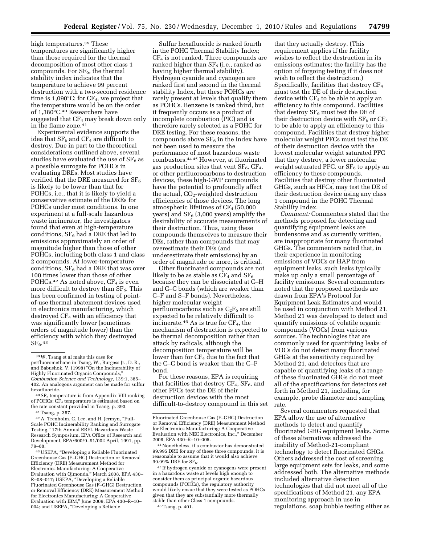high temperatures.<sup>39</sup> These temperatures are significantly higher than those required for the thermal decomposition of most other class 1 compounds. For  $SF<sub>6</sub>$ , the thermal stability index indicates that the temperature to achieve 99 percent destruction with a two-second residence time is  $1,090^{\circ}$ C; for CF<sub>4</sub>, we project that the temperature would be on the order of 1,380°C.40 Researchers have suggested that  $CF_4$  may break down only in the flame zone.41

Experimental evidence supports the idea that  $SF_6$  and  $CF_4$  are difficult to destroy. Due in part to the theoretical considerations outlined above, several studies have evaluated the use of  $SF<sub>6</sub>$  as a possible surrogate for POHCs in evaluating DREs. Most studies have verified that the DRE measured for  $SF<sub>6</sub>$ is likely to be lower than that for POHCs, i.e., that it is likely to yield a conservative estimate of the DREs for POHCs under most conditions. In one experiment at a full-scale hazardous waste incinerator, the investigators found that even at high-temperature conditions,  $SF<sub>6</sub>$  had a DRE that led to emissions approximately an order of magnitude higher than those of other POHCs, including both class 1 and class 2 compounds. At lower-temperature conditions,  $SF_6$  had a DRE that was over 100 times lower than those of other POHCs.<sup>42</sup> As noted above,  $CF_4$  is even more difficult to destroy than  $SF<sub>6</sub>$ . This has been confirmed in testing of pointof-use thermal abatement devices used in electronics manufacturing, which destroyed CF<sub>4</sub> with an efficiency that was significantly lower (sometimes orders of magnitude lower) than the efficiency with which they destroyed  $SF<sub>6</sub>$ .43

<sup>40</sup> SF<sub>6</sub> temperature is from Appendix VIII ranking of POHCs; CF4 temperature is estimated based on the rate constant provided in Tsang, p. 393.

41Tsang, p. 387.

42A. Trenholm, C. Lee, and H. Jermyn, ''Full-Scale POHC Incinerability Ranking and Surrogate Testing,'' 17th Annual RREL Hazardous Waste Research Symposium, EPA Office of Research and Development, EPA/600/9–91/002 April, 1991, pp. 79–88.

43USEPA, ''Developing a Reliable Fluorinated Greenhouse Gas (F–GHG) Destruction or Removal Efficiency (DRE) Measurement Method for Electronics Manufacturing: A Cooperative Evaluation with Qimonda,'' March 2008, EPA 430– R–08–017; USEPA, ''Developing a Reliable Fluorinated Greenhouse Gas (F–GHG) Destruction or Removal Efficiency (DRE) Measurement Method for Electronics Manufacturing: A Cooperative Evaluation with IBM,'' June 2009, EPA 430–R–10– 004; and USEPA, ''Developing a Reliable

Sulfur hexafluoride is ranked fourth in the POHC Thermal Stability Index;  $CF<sub>4</sub>$  is not ranked. Three compounds are ranked higher than  $SF_6$  (i.e., ranked as having higher thermal stability). Hydrogen cyanide and cyanogen are ranked first and second in the thermal stability Index, but these POHCs are rarely present at levels that qualify them as POHCs. Benzene is ranked third, but it frequently occurs as a product of incomplete combustion (PIC) and is therefore rarely selected as a POHC for DRE testing. For these reasons, the compounds above  $SF_6$  in the Index have not been used to measure the performance of most hazardous waste combustors.44 45 However, at fluorinated gas production sites that vent  $SF_6$ ,  $CF_4$ , or other perfluorocarbons to destruction devices, these high-GWP compounds have the potential to profoundly affect the actual,  $CO<sub>2</sub>$ -weighted destruction efficiencies of those devices. The long atmospheric lifetimes of  $CF_4$  (50,000 years) and  $SF<sub>6</sub>$  (3,000 years) amplify the desirability of accurate measurements of their destruction. Thus, using these compounds themselves to measure their DEs, rather than compounds that may overestimate their DEs (and underestimate their emissions) by an order of magnitude or more, is critical.

Other fluorinated compounds are not likely to be as stable as  $CF_4$  and  $SF_6$ because they can be dissociated at C–H and C–C bonds (which are weaker than C–F and S–F bonds). Nevertheless, higher molecular weight perfluorocarbons such as  $C_2F_6$  are still expected to be relatively difficult to incinerate.<sup>46</sup> As is true for  $CF<sub>4</sub>$ , the mechanism of destruction is expected to be thermal decomposition rather than attack by radicals, although the decomposition temperature will be lower than for  $CF_4$  due to the fact that the C–C bond is weaker than the C–F bond.

For these reasons, EPA is requiring that facilities that destroy  $CF_4$ ,  $SF_6$ , and other PFCs test the DE of their destruction devices with the most difficult-to-destroy compound in this set

45 If hydrogen cyanide or cyanogens were present in a hazardous waste at levels high enough to consider them as principal organic hazardous compounds (POHCs), the regulatory authority would likely ensue that they were tested as POHCs given that they are substantially more thermally stable than other Class 1 compounds.

46Tsang, p. 401.

that they actually destroy. (This requirement applies if the facility wishes to reflect the destruction in its emissions estimates; the facility has the option of forgoing testing if it does not wish to reflect the destruction.) Specifically, facilities that destroy  $CF_4$ must test the DE of their destruction device with  $CF_4$  to be able to apply an efficiency to this compound. Facilities that destroy  $SF_6$  must test the DE of their destruction device with  $SF_6$  or  $CF_4$ to be able to apply an efficiency to this compound. Facilities that destroy higher molecular weight PFCs must test the DE of their destruction device with the lowest molecular weight saturated PFC that they destroy, a lower molecular weight saturated PFC, or  $SF_6$  to apply an efficiency to these compounds. Facilities that destroy other fluorinated GHGs, such as HFCs, may test the DE of their destruction device using any class 1 compound in the POHC Thermal Stability Index.

*Comment:* Commenters stated that the methods proposed for detecting and quantifying equipment leaks are burdensome and as currently written, are inappropriate for many fluorinated GHGs. The commenters noted that, in their experience in monitoring emissions of VOCs or HAP from equipment leaks, such leaks typically make up only a small percentage of facility emissions. Several commenters noted that the proposed methods are drawn from EPA's Protocol for Equipment Leak Estimates and would be used in conjunction with Method 21. Method 21 was developed to detect and quantify emissions of volatile organic compounds (VOCs) from various sources. The technologies that are commonly used for quantifying leaks of VOCs do not detect many fluorinated GHGs at the sensitivity required by Method 21, and detectors that are capable of quantifying leaks of a range of these fluorinated GHGs do not meet all of the specifications for detectors set forth in Method 21, including, for example, probe diameter and sampling rate.

Several commenters requested that EPA allow the use of alternative methods to detect and quantify fluorinated GHG equipment leaks. Some of these alternatives addressed the inability of Method-21-compliant technology to detect fluorinated GHGs. Others addressed the cost of screening large equipment sets for leaks, and some addressed both. The alternative methods included alternative detection technologies that did not meet all of the specifications of Method 21, any EPA monitoring approach in use in regulations, soap bubble testing either as

<sup>39</sup>W. Tsang et al make this case for perfluoromethane in Tsang, W., Burgess Jr., D. R., and Babushok, V. (1998) ''On the Incinerability of Highly Fluorinated Organic Compounds,'' *Combustion Science and Technology,* 139:1, 385– 402. An analogous argument can be made for sulfur hexafluoride.

Fluorinated Greenhouse Gas (F–GHG) Destruction or Removal Efficiency (DRE) Measurement Method for Electronics Manufacturing: A Cooperative Evaluation with NEC Electronics, Inc.,'' December 2008, EPA 430–R–10–005.

<sup>44</sup>Nonetheless, if a combustor has demonstrated 99.995 DRE for any of these three compounds, it is reasonable to assume that it would also achieve 99.99% DRE for SF6.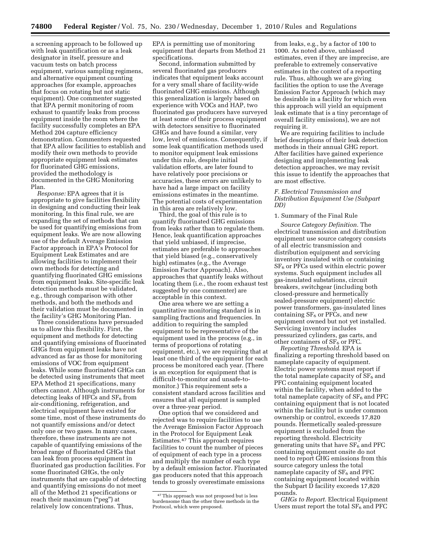a screening approach to be followed up with leak quantification or as a leak designator in itself, pressure and vacuum tests on batch process equipment, various sampling regimens, and alternative equipment counting approaches (for example, approaches that focus on rotating but not static equipment). One commenter suggested that EPA permit monitoring of room exhaust to quantify leaks from process equipment inside the room where the facility successfully completes an EPA Method 204 capture efficiency demonstration. Commenters requested that EPA allow facilities to establish and modify their own methods to provide appropriate equipment leak estimates for fluorinated GHG emissions, provided the methodology is documented in the GHG Monitoring Plan.

*Response:* EPA agrees that it is appropriate to give facilities flexibility in designing and conducting their leak monitoring. In this final rule, we are expanding the set of methods that can be used for quantifying emissions from equipment leaks. We are now allowing use of the default Average Emission Factor approach in EPA's Protocol for Equipment Leak Estimates and are allowing facilities to implement their own methods for detecting and quantifying fluorinated GHG emissions from equipment leaks. Site-specific leak detection methods must be validated, e.g., through comparison with other methods, and both the methods and their validation must be documented in the facility's GHG Monitoring Plan.

Three considerations have persuaded us to allow this flexibility. First, the equipment and methods for detecting and quantifying emissions of fluorinated GHGs from equipment leaks have not advanced as far as those for monitoring emissions of VOC from equipment leaks. While some fluorinated GHGs can be detected using instruments that meet EPA Method 21 specifications, many others cannot. Although instruments for detecting leaks of HFCs and  $SF<sub>6</sub>$  from air-conditioning, refrigeration, and electrical equipment have existed for some time, most of these instruments do not quantify emissions and/or detect only one or two gases. In many cases, therefore, these instruments are not capable of quantifying emissions of the broad range of fluorinated GHGs that can leak from process equipment in fluorinated gas production facilities. For some fluorinated GHGs, the only instruments that are capable of detecting and quantifying emissions do not meet all of the Method 21 specifications or reach their maximum ("peg") at relatively low concentrations. Thus,

EPA is permitting use of monitoring equipment that departs from Method 21 specifications.

Second, information submitted by several fluorinated gas producers indicates that equipment leaks account for a very small share of facility-wide fluorinated GHG emissions. Although this generalization is largely based on experience with VOCs and HAP, two fluorinated gas producers have surveyed at least some of their process equipment with detectors sensitive to fluorinated GHGs and have found a similar, very low, level of emissions. Consequently, if some leak quantification methods used to monitor equipment leak emissions under this rule, despite initial validation efforts, are later found to have relatively poor precisions or accuracies, these errors are unlikely to have had a large impact on facility emissions estimates in the meantime. The potential costs of experimentation in this area are relatively low.

Third, the goal of this rule is to quantify fluorinated GHG emissions from leaks rather than to regulate them. Hence, leak quantification approaches that yield unbiased, if imprecise, estimates are preferable to approaches that yield biased (e.g., conservatively high) estimates (e.g., the Average Emission Factor Approach). Also, approaches that quantify leaks without locating them (i.e., the room exhaust test suggested by one commenter) are acceptable in this context.

One area where we are setting a quantitative monitoring standard is in sampling fractions and frequencies. In addition to requiring the sampled equipment to be representative of the equipment used in the process (e.g., in terms of proportions of rotating equipment, etc.), we are requiring that at least one third of the equipment for each process be monitored each year. (There is an exception for equipment that is difficult-to-monitor and unsafe-tomonitor.) This requirement sets a consistent standard across facilities and ensures that all equipment is sampled over a three-year period.

One option that we considered and rejected was to require facilities to use the Average Emission Factor Approach in the Protocol for Equipment Leak Estimates.47 This approach requires facilities to count the number of pieces of equipment of each type in a process and multiply the number of each type by a default emission factor. Fluorinated gas producers noted that this approach tends to grossly overestimate emissions

from leaks, e.g., by a factor of 100 to 1000. As noted above, unbiased estimates, even if they are imprecise, are preferable to extremely conservative estimates in the context of a reporting rule. Thus, although we are giving facilities the option to use the Average Emission Factor Approach (which may be desirable in a facility for which even this approach will yield an equipment leak estimate that is a tiny percentage of overall facility emissions), we are not requiring it.

We are requiring facilities to include brief descriptions of their leak detection methods in their annual GHG report. After facilities have gained experience designing and implementing leak detection approaches, we may revisit this issue to identify the approaches that are most effective.

# *F. Electrical Transmission and Distribution Equipment Use (Subpart DD)*

# 1. Summary of the Final Rule

*Source Category Definition.* The electrical transmission and distribution equipment use source category consists of all electric transmission and distribution equipment and servicing inventory insulated with or containing  $SF<sub>6</sub>$  or PFCs used within electric power systems. Such equipment includes all gas-insulated substations, circuit breakers, switchgear (including both closed-pressure and hermetically sealed-pressure equipment) electric power transformers, gas-insulated lines containing  $SF<sub>6</sub>$  or PFCs, and new equipment owned but not yet installed. Servicing inventory includes pressurized cylinders, gas carts, and other containers of  $SF<sub>6</sub>$  or PFC.

*Reporting Threshold.* EPA is finalizing a reporting threshold based on nameplate capacity of equipment. Electric power systems must report if the total nameplate capacity of  $SF<sub>6</sub>$  and PFC containing equipment located within the facility, when added to the total nameplate capacity of  $SF<sub>6</sub>$  and PFC containing equipment that is not located within the facility but is under common ownership or control, exceeds 17,820 pounds. Hermetically sealed-pressure equipment is excluded from the reporting threshold. Electricity generating units that have  $SF<sub>6</sub>$  and PFC containing equipment onsite do not need to report GHG emissions from this source category unless the total nameplate capacity of  $SF<sub>6</sub>$  and PFC containing equipment located within the Subpart D facility exceeds 17,820 pounds.

*GHGs to Report.* Electrical Equipment Users must report the total  $SF<sub>6</sub>$  and PFC

<sup>47</sup>This approach was not proposed but is less burdensome than the other three methods in the Protocol, which were proposed.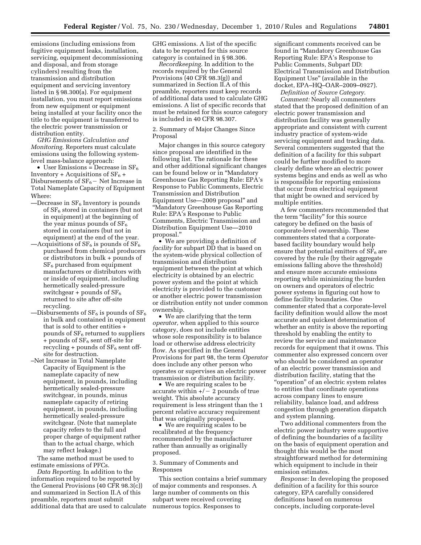emissions (including emissions from fugitive equipment leaks, installation, servicing, equipment decommissioning and disposal, and from storage cylinders) resulting from the transmission and distribution equipment and servicing inventory listed in § 98.300(a). For equipment installation, you must report emissions from new equipment or equipment being installed at your facility once the title to the equipment is transferred to the electric power transmission or distribution entity.

*GHG Emissions Calculation and Monitoring.* Reporters must calculate emissions using the following systemlevel mass-balance approach:

• User Emissions = Decrease in  $SF_6$ Inventory + Acquisitions of  $SF_6 +$ Disbursements of  $SF_6$  – Net Increase in Total Nameplate Capacity of Equipment Where:

- $-$ Decrease in  $SF<sub>6</sub>$  Inventory is pounds of  $SF<sub>6</sub>$  stored in containers (but not in equipment) at the beginning of the year minus pounds of  $SF<sub>6</sub>$ stored in containers (but not in equipment) at the end of the year.
- —Acquisitions of  $SF_6$  is pounds of  $SF_6$ purchased from chemical producers or distributors in bulk + pounds of  $SF<sub>6</sub>$  purchased from equipment manufacturers or distributors with or inside of equipment, including hermetically sealed-pressure switchgear + pounds of  $SF<sub>6</sub>$ returned to site after off-site recycling.
- —Disbursements of  $SF_6$  is pounds of  $SF_6$ in bulk and contained in equipment that is sold to other entities + pounds of  $SF<sub>6</sub>$  returned to suppliers  $+$  pounds of SF<sub>6</sub> sent off-site for recycling  $+$  pounds of  $SF<sub>6</sub>$  sent offsite for destruction.
- –Net Increase in Total Nameplate Capacity of Equipment is the nameplate capacity of new equipment, in pounds, including hermetically sealed-pressure switchgear, in pounds, minus nameplate capacity of retiring equipment, in pounds, including hermetically sealed-pressure switchgear. (Note that nameplate capacity refers to the full and proper charge of equipment rather than to the actual charge, which may reflect leakage.)

The same method must be used to estimate emissions of PFCs.

*Data Reporting.* In addition to the information required to be reported by the General Provisions (40 CFR 98.3(c)) and summarized in Section II.A of this preamble, reporters must submit additional data that are used to calculate GHG emissions. A list of the specific data to be reported for this source category is contained in § 98.306.

*Recordkeeping.* In addition to the records required by the General Provisions (40 CFR 98.3(g)) and summarized in Section II.A of this preamble, reporters must keep records of additional data used to calculate GHG emissions. A list of specific records that must be retained for this source category is included in 40 CFR 98.307.

2. Summary of Major Changes Since Proposal

Major changes in this source category since proposal are identified in the following list. The rationale for these and other additional significant changes can be found below or in ''Mandatory Greenhouse Gas Reporting Rule: EPA's Response to Public Comments, Electric Transmission and Distribution Equipment Use—2009 proposal'' and ''Mandatory Greenhouse Gas Reporting Rule: EPA's Response to Public Comments, Electric Transmission and Distribution Equipment Use—2010 proposal.''

• We are providing a definition of *facility* for subpart DD that is based on the system-wide physical collection of transmission and distribution equipment between the point at which electricity is obtained by an electric power system and the point at which electricity is provided to the customer or another electric power transmission or distribution entity not under common ownership.

• We are clarifying that the term *operator,* when applied to this source category, does not include entities whose sole responsibility is to balance load or otherwise address electricity flow. As specified in the General Provisions for part 98, the term *Operator*  does include any other person who operates or supervises an electric power transmission or distribution facility.

• We are requiring scales to be accurate within  $+/- 2$  pounds of true weight. This absolute accuracy requirement is less stringent than the 1 percent relative accuracy requirement that was originally proposed.

• We are requiring scales to be recalibrated at the frequency recommended by the manufacturer rather than annually as originally proposed.

3. Summary of Comments and Responses

This section contains a brief summary of major comments and responses. A large number of comments on this subpart were received covering numerous topics. Responses to

significant comments received can be found in ''Mandatory Greenhouse Gas Reporting Rule: EPA's Response to Public Comments, Subpart DD: Electrical Transmission and Distribution Equipment Use'' (available in the docket, EPA–HQ–OAR–2009–0927).

*Definition of Source Category.* 

*Comment:* Nearly all commenters stated that the proposed definition of an electric power transmission and distribution facility was generally appropriate and consistent with current industry practice of system-wide servicing equipment and tracking data. Several commenters suggested that the definition of a facility for this subpart could be further modified to more clearly define where an electric power systems begins and ends as well as who is responsible for reporting emissions that occur from electrical equipment that might be owned and serviced by multiple entities.

A few commenters recommended that the term "facility" for this source category be defined on the basis of corporate-level ownership. These commenters stated that a corporatebased facility boundary would help ensure that potential emitters of  $SF<sub>6</sub>$  are covered by the rule (by their aggregate emissions falling above the threshold) and ensure more accurate emissions reporting while minimizing the burden on owners and operators of electric power systems in figuring out how to define facility boundaries. One commenter stated that a corporate-level facility definition would allow the most accurate and quickest determination of whether an entity is above the reporting threshold by enabling the entity to review the service and maintenance records for equipment that it owns. This commenter also expressed concern over who should be considered an operator of an electric power transmission and distribution facility, stating that the "operation" of an electric system relates to entities that coordinate operations across company lines to ensure reliability, balance load, and address congestion through generation dispatch and system planning.

Two additional commenters from the electric power industry were supportive of defining the boundaries of a facility on the basis of equipment operation and thought this would be the most straightforward method for determining which equipment to include in their emission estimates.

*Response:* In developing the proposed definition of a facility for this source category, EPA carefully considered definitions based on numerous concepts, including corporate-level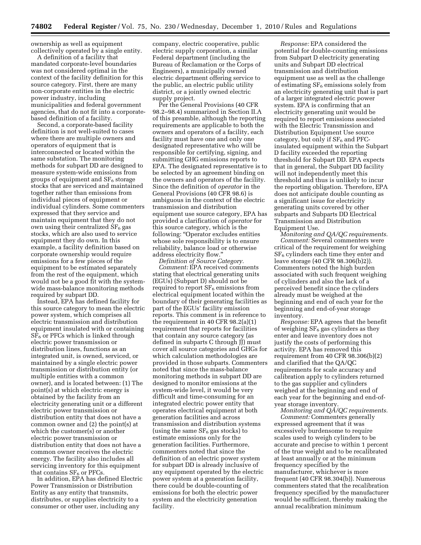ownership as well as equipment collectively operated by a single entity.

A definition of a facility that mandated corporate-level boundaries was not considered optimal in the context of the facility definition for this source category. First, there are many non-corporate entities in the electric power industry, including municipalities and federal government agencies, that do not fit into a corporatebased definition of a facility.

Second, a corporate-based facility definition is not well-suited to cases where there are multiple owners and operators of equipment that is interconnected or located within the same substation. The monitoring methods for subpart DD are designed to measure system-wide emissions from groups of equipment and  $SF<sub>6</sub>$  storage stocks that are serviced and maintained together rather than emissions from individual pieces of equipment or individual cylinders. Some commenters expressed that they service and maintain equipment that they do not own using their centralized  $SF<sub>6</sub>$  gas stocks, which are also used to service equipment they do own. In this example, a facility definition based on corporate ownership would require emissions for a few pieces of the equipment to be estimated separately from the rest of the equipment, which would not be a good fit with the systemwide mass-balance monitoring methods required by subpart DD.

Instead, EPA has defined facility for this source category to mean the electric power system, which comprises all electric transmission and distribution equipment insulated with or containing  $SF<sub>6</sub>$  or PFCs which is linked through electric power transmission or distribution lines, functions as an integrated unit, is owned, serviced, or maintained by a single electric power transmission or distribution entity (or multiple entities with a common owner), and is located between: (1) The point(s) at which electric energy is obtained by the facility from an electricity generating unit or a different electric power transmission or distribution entity that does not have a common owner and (2) the point(s) at which the customer(s) or another electric power transmission or distribution entity that does not have a common owner receives the electric energy. The facility also includes all servicing inventory for this equipment that contains  $SF<sub>6</sub>$  or PFCs.

In addition, EPA has defined Electric Power Transmission or Distribution Entity as any entity that transmits, distributes, or supplies electricity to a consumer or other user, including any

company, electric cooperative, public electric supply corporation, a similar Federal department (including the Bureau of Reclamation or the Corps of Engineers), a municipally owned electric department offering service to the public, an electric public utility district, or a jointly owned electric supply project.

Per the General Provisions (40 CFR 98.2–98.4) summarized in Section II.A of this preamble, although the reporting requirements are applicable to both the owners and operators of a facility, each facility must have one and only one designated representative who will be responsible for certifying, signing, and submitting GHG emissions reports to EPA. The designated representative is to be selected by an agreement binding on the owners and operators of the facility. Since the definition of *operator* in the General Provisions (40 CFR 98.6) is ambiguous in the context of the electric transmission and distribution equipment use source category, EPA has provided a clarification of *operator* for this source category, which is the following: ''Operator excludes entities whose sole responsibility is to ensure reliability, balance load or otherwise address electricity flow.''

*Definition of Source Category. Comment:* EPA received comments stating that electrical generating units (EGUs) (Subpart D) should not be required to report  $SF<sub>6</sub>$  emissions from electrical equipment located within the boundary of their generating facilities as part of the EGUs' facility emission reports. This comment is in reference to the requirement in 40 CFR 98.2(a)(1) requirement that reports for facilities that contain any source category (as defined in subparts C through JJ) must cover all source categories and GHGs for which calculation methodologies are provided in those subparts. Commenters noted that since the mass-balance monitoring methods in subpart DD are designed to monitor emissions at the system-wide level, it would be very difficult and time-consuming for an integrated electric power entity that operates electrical equipment at both generation facilities and across transmission and distribution systems (using the same  $SF_6$  gas stocks) to estimate emissions only for the generation facilities. Furthermore, commenters noted that since the definition of an electric power system for subpart DD is already inclusive of any equipment operated by the electric power system at a generation facility, there could be double-counting of emissions for both the electric power system and the electricity generation facility.

*Response:* EPA considered the potential for double-counting emissions from Subpart D electricity generating units and Subpart DD electrical transmission and distribution equipment use as well as the challenge of estimating  $SF_6$  emissions solely from an electricity generating unit that is part of a larger integrated electric power system. EPA is confirming that an electricity generating unit would be required to report emissions associated with the Electric Transmission and Distribution Equipment Use source category, but only if  $SF<sub>6</sub>$  and PFCinsulated equipment within the Subpart D facility exceeded the reporting threshold for Subpart DD. EPA expects that in general, the Subpart DD facility will not independently meet this threshold and thus is unlikely to incur the reporting obligation. Therefore, EPA does not anticipate double counting as a significant issue for electricity generating units covered by other subparts and Subparts DD Electrical Transmission and Distribution Equipment Use.

*Monitoring and QA/QC requirements. Comment:* Several commenters were critical of the requirement for weighing  $SF<sub>6</sub>$  cylinders each time they enter and leave storage (40 CFR 98.306(b)2)). Commenters noted the high burden associated with such frequent weighing of cylinders and also the lack of a perceived benefit since the cylinders already must be weighed at the beginning and end of each year for the beginning and end-of-year storage inventory.

*Response:* EPA agrees that the benefit of weighing  $SF<sub>6</sub>$  gas cylinders as they enter and leave inventory does not justify the costs of performing this activity. EPA has removed this requirement from 40 CFR 98.306(b)(2) and clarified that the QA/QC requirements for scale accuracy and calibration apply to cylinders returned to the gas supplier and cylinders weighed at the beginning and end of each year for the beginning and end-ofyear storage inventory.

*Monitoring and QA/QC requirements. Comment:* Commenters generally expressed agreement that it was excessively burdensome to require scales used to weigh cylinders to be accurate and precise to within 1 percent of the true weight and to be recalibrated at least annually or at the minimum frequency specified by the manufacturer, whichever is more frequent (40 CFR 98.304(b)). Numerous commenters stated that the recalibration frequency specified by the manufacturer would be sufficient, thereby making the annual recalibration minimum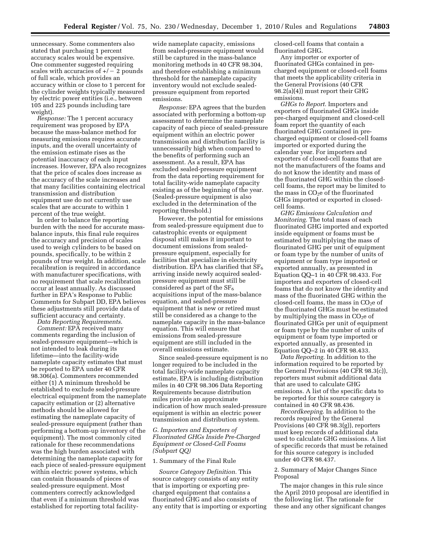unnecessary. Some commenters also stated that purchasing 1 percent accuracy scales would be expensive. One commenter suggested requiring scales with accuracies of  $+/-2$  pounds of full scale, which provides an accuracy within or close to 1 percent for the cylinder weights typically measured by electric power entities (i.e., between 105 and 225 pounds including tare weight).

*Response:* The 1 percent accuracy requirement was proposed by EPA because the mass-balance method for measuring emissions requires accurate inputs, and the overall uncertainty of the emission estimate rises as the potential inaccuracy of each input increases. However, EPA also recognizes that the price of scales does increase as the accuracy of the scale increases and that many facilities containing electrical transmission and distribution equipment use do not currently use scales that are accurate to within 1 percent of the true weight.

In order to balance the reporting burden with the need for accurate massbalance inputs, this final rule requires the accuracy and precision of scales used to weigh cylinders to be based on pounds, specifically, to be within 2 pounds of true weight. In addition, scale recalibration is required in accordance with manufacturer specifications, with no requirement that scale recalibration occur at least annually. As discussed further in EPA's Response to Public Comments for Subpart DD, EPA believes these adjustments still provide data of sufficient accuracy and certainty.

*Data Reporting Requirements*.

*Comment:* EPA received many comments regarding the inclusion of sealed-pressure equipment—which is not intended to leak during its lifetime—into the facility-wide nameplate capacity estimates that must be reported to EPA under 40 CFR 98.306(a). Commenters recommended either (1) A minimum threshold be established to exclude sealed-pressure electrical equipment from the nameplate capacity estimation or (2) alternative methods should be allowed for estimating the nameplate capacity of sealed-pressure equipment (rather than performing a bottom-up inventory of the equipment). The most commonly cited rationale for these recommendations was the high burden associated with determining the nameplate capacity for each piece of sealed-pressure equipment within electric power systems, which can contain thousands of pieces of sealed-pressure equipment. Most commenters correctly acknowledged that even if a minimum threshold was established for reporting total facility-

wide nameplate capacity, emissions from sealed-pressure equipment would still be captured in the mass-balance monitoring methods in 40 CFR 98.304, and therefore establishing a minimum threshold for the nameplate capacity inventory would not exclude sealedpressure equipment from reported emissions.

*Response:* EPA agrees that the burden associated with performing a bottom-up assessment to determine the nameplate capacity of each piece of sealed-pressure equipment within an electric power transmission and distribution facility is unnecessarily high when compared to the benefits of performing such an assessment. As a result, EPA has excluded sealed-pressure equipment from the data reporting requirement for total facility-wide nameplate capacity existing as of the beginning of the year. (Sealed-pressure equipment is also excluded in the determination of the reporting threshold.)

However, the potential for emissions from sealed-pressure equipment due to catastrophic events or equipment disposal still makes it important to document emissions from sealedpressure equipment, especially for facilities that specialize in electricity distribution. EPA has clarified that  $SF<sub>6</sub>$ arriving inside newly acquired sealedpressure equipment must still be considered as part of the  $SF<sub>6</sub>$ acquisitions input of the mass-balance equation, and sealed-pressure equipment that is new or retired must still be considered as a change to the nameplate capacity in the mass-balance equation. This will ensure that emissions from sealed-pressure equipment are still included in the overall emissions estimate.

Since sealed-pressure equipment is no longer required to be included in the total facility-wide nameplate capacity estimate, EPA is including distribution miles in 40 CFR 98.306 Data Reporting Requirements because distribution miles provide an approximate indication of how much sealed-pressure equipment is within an electric power transmission and distribution system.

# *G. Importers and Exporters of Fluorinated GHGs Inside Pre-Charged Equipment or Closed-Cell Foams (Subpart QQ)*

# 1. Summary of the Final Rule

*Source Category Definition.* This source category consists of any entity that is importing or exporting precharged equipment that contains a fluorinated GHG and also consists of any entity that is importing or exporting closed-cell foams that contain a fluorinated GHG.

Any importer or exporter of fluorinated GHGs contained in precharged equipment or closed-cell foams that meets the applicability criteria in the General Provisions (40 CFR 98.2(a)(4)) must report their GHG emissions.

*GHGs to Report.* Importers and exporters of fluorinated GHGs inside pre-charged equipment and closed-cell foam report the quantity of each fluorinated GHG contained in precharged equipment or closed-cell foams imported or exported during the calendar year. For importers and exporters of closed-cell foams that are not the manufacturers of the foams and do not know the identity and mass of the fluorinated GHG within the closedcell foams, the report may be limited to the mass in  $CO<sub>2</sub>e$  of the fluorinated GHGs imported or exported in closedcell foams.

*GHG Emissions Calculation and Monitoring.* The total mass of each fluorinated GHG imported and exported inside equipment or foams must be estimated by multiplying the mass of flourinated GHG per unit of equipment or foam type by the number of units of equipment or foam type imported or exported annually, as presented in Equation QQ–1 in 40 CFR 98.433. For importers and exporters of closed-cell foams that do not know the identity and mass of the fluorinated GHG within the closed-cell foams, the mass in  $CO<sub>2</sub>e$  of the fluorinated GHGs must be estimated by multiplying the mass in  $CO<sub>2</sub>e$  of flourinated GHGs per unit of equipment or foam type by the number of units of equipment or foam type imported or exported annually, as presented in Equation QQ–2 in 40 CFR 98.433.

*Data Reporting.* In addition to the information required to be reported by the General Provisions (40 CFR 98.3(c)), reporters must submit additional data that are used to calculate GHG emissions. A list of the specific data to be reported for this source category is contained in 40 CFR 98.436.

*Recordkeeping.* In addition to the records required by the General Provisions (40 CFR 98.3(g)), reporters must keep records of additional data used to calculate GHG emissions. A list of specific records that must be retained for this source category is included under 40 CFR 98.437.

# 2. Summary of Major Changes Since Proposal

The major changes in this rule since the April 2010 proposal are identified in the following list. The rationale for these and any other significant changes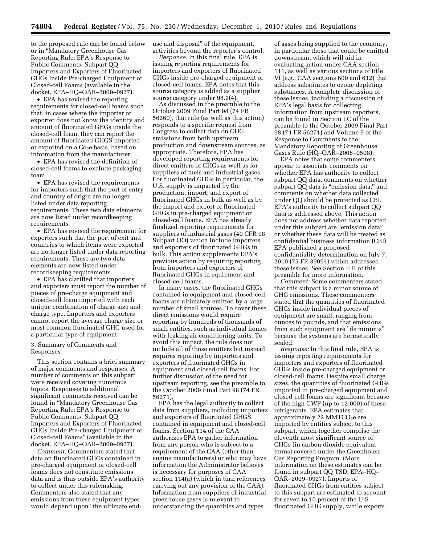to the proposed rule can be found below or in ''Mandatory Greenhouse Gas Reporting Rule: EPA's Response to Public Comments, Subpart QQ: Importers and Exporters of Fluorinated GHGs Inside Pre-charged Equipment or Closed-cell Foams (available in the docket, EPA–HQ–OAR–2009–0927).

• EPA has revised the reporting requirements for closed-cell foams such that, in cases where the importer or exporter does not know the identity and amount of fluorinated GHGs inside the closed-cell foam, they can report the amount of fluorinated GHGS imported or exported on a Co<sub>2</sub>e basis, based on information from the manufacturer.

• EPA has revised the definition of closed-cell foams to exclude packaging foam.

• EPA has revised the requirements for importers such that the port of entry and country of origin are no longer listed under data reporting requirements. These two data elements are now listed under recordkeeping requirements.

• EPA has revised the requirement for exporters such that the port of exit and countries to which items were exported are no longer listed under data reporting requirements. These are two data elements are now listed under recordkeeping requirements.

• EPA has clarified that importers and exporters must report the number of pieces of pre-charge equipment and closed-cell foam imported with each unique combination of charge size and charge type. Importers and exporters cannot report the average charge size or most common fluorinated GHG used for a particular type of equipment.

# 3. Summary of Comments and Responses

This section contains a brief summary of major comments and responses. A number of comments on this subpart were received covering numerous topics. Responses to additional significant comments received can be found in ''Mandatory Greenhouse Gas Reporting Rule: EPA's Response to Public Comments, Subpart QQ: Importers and Exporters of Fluorinated GHGs Inside Pre-charged Equipment or Closed-cell Foams'' (available in the docket, EPA–HQ–OAR–2009–0927).

*Comment:* Commenters stated that data on fluorinated GHGs contained in pre-charged equipment or closed-cell foams does not constitute emissions data and is thus outside EPA's authority to collect under this rulemaking. Commenters also stated that any emissions from these equipment types would depend upon ''the ultimate enduse and disposal'' of the equipment, activities beyond the reporter's control.

*Response:* In this final rule, EPA is issuing reporting requirements for importers and exporters of fluorinated GHGs inside pre-charged equipment or closed-cell foams. EPA notes that this source category is added as a supplier source category under 98.2(4).

As discussed in the preamble to the October 2009 Final Part 98 (74 FR 56260), that rule (as well as this action) responds to a specific request from Congress to collect data on GHG emissions from both upstream production and downstream sources, as appropriate. Therefore, EPA has developed reporting requirements for direct emitters of GHGs as well as for suppliers of fuels and industrial gases. For fluorinated GHGs in particular, the U.S. supply is impacted by the production, import, and export of fluorinated GHGs in bulk as well as by the import and export of fluorinated GHGs in pre-charged equipment or closed-cell foams. EPA has already finalized reporting requirements for suppliers of industrial gases (40 CFR 98 Subpart OO) which include importers and exporters of fluorinated GHGs in bulk. This action supplements EPA's previous action by requiring reporting from importers and exporters of fluorinated GHGs in equipment and closed-cell foams.

In many cases, the fluorinated GHGs contained in equipment and closed-cell foams are ultimately emitted by a large number of small sources. To cover these direct emissions would require reporting by hundreds of thousands of small entities, such as individual homes with leaking air conditioning units. To avoid this impact, the rule does not include all of those emitters but instead requires reporting by importers and exporters of fluorinated GHGs in equipment and closed-cell foams. For further discussion of the need for upstream reporting, see the preamble to the October 2009 Final Part 98 (74 FR 56271).

EPA has the legal authority to collect data from suppliers, including importers and exporters of fluorinated GHGS contained in equipment and closed-cell foams. Section 114 of the CAA authorizes EPA to gather information from any person who is subject to a requirement of the CAA (other than engine manufacturers) or who may have information the Administrator believes is necessary for purposes of CAA section 114(a) (which in turn references carrying out any provision of the CAA). Information from suppliers of industrial greenhouse gases is relevant to understanding the quantities and types

of gases being supplied to the economy, in particular those that could be emitted downstream, which will aid in evaluating action under CAA section 111, as well as various sections of title VI (e.g., CAA sections 609 and 612) that address substitutes to ozone depleting substances. A complete discussion of these issues, including a discussion of EPA's legal basis for collecting information from upstream reporters, can be found in Section I.C of the preamble to the October 2009 Final Part 98 (74 FR 56271) and Volume 9 of the Response to Comments to the Mandatory Reporting of Greenhouse Gases Rule (HQ–OAR–2008–0508).

EPA notes that some commenters appear to associate comments on whether EPA has authority to collect subpart QQ data, comments on whether subpart QQ data is "emission data," and comments on whether data collected under QQ should be protected as CBI. EPA's authority to collect subpart QQ data is addressed above. This action does not address whether data reported under this subpart are "emission data" or whether these data will be treated as confidential business information (CBI). EPA published a proposed confidentiality determination on July 7, 2010 (75 FR 39094) which addressed these issues. See Section II.B of this preamble for more information.

*Comment:* Some commenters stated that this subpart is a minor source of GHG emissions. These commenters stated that the quantities of fluorinated GHGs inside individual pieces of equipment are small, ranging from ounces to pounds, and that emissions from such equipment are ''de minimis'' because the systems are hermetically sealed.

*Response:* In this final rule, EPA is issuing reporting requirements for importers and exporters of fluorinated GHGs inside pre-charged equipment or closed-cell foams. Despite small charge sizes, the quantities of fluorinated GHGs imported in pre-charged equipment and closed-cell foams are significant because of the high GWP (up to 12,000) of these refrigerants. EPA estimates that approximately 22 MMTCO<sub>2</sub>e are imported by entities subject to this subpart, which together comprise the eleventh most significant source of GHGs (in carbon dioxide equivalent terms) covered under the Greenhouse Gas Reporting Program. (More information on these estimates can be found in subpart QQ TSD, EPA–HQ– OAR–2009–0927). Imports of fluorinated GHGs from entities subject to this subpart are estimated to account for seven to 10 percent of the U.S. fluorinated GHG supply, while exports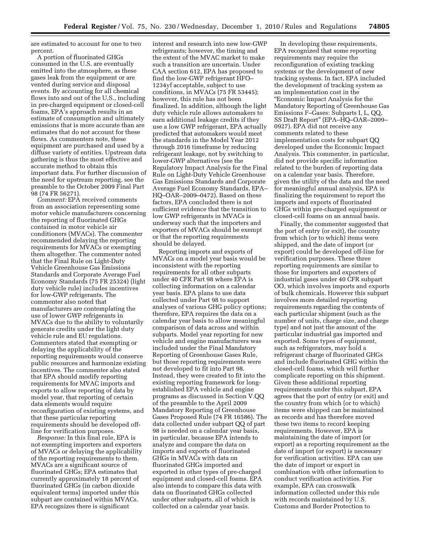are estimated to account for one to two percent.

A portion of fluorinated GHGs consumed in the U.S. are eventually emitted into the atmosphere, as these gases leak from the equipment or are vented during service and disposal events. By accounting for all chemical flows into and out of the U.S., including in pre-charged equipment or closed-cell foams, EPA's approach results in an estimate of consumption and ultimately emissions that is more accurate than are estimates that do not account for these flows. As commenters note, these equipment are purchased and used by a diffuse variety of entities. Upstream data gathering is thus the most effective and accurate method to obtain this important data. For further discussion of the need for upstream reporting, see the preamble to the October 2009 Final Part 98 (74 FR 56271).

*Comment:* EPA received comments from an association representing some motor vehicle manufacturers concerning the reporting of fluorinated GHGs contained in motor vehicle air conditioners (MVACs). The commenter recommended delaying the reporting requirements for MVACs or exempting them altogether. The commenter noted that the Final Rule on Light-Duty Vehicle Greenhouse Gas Emissions Standards and Corporate Average Fuel Economy Standards (75 FR 25324) (light duty vehicle rule) includes incentives for low-GWP refrigerants. The commenter also noted that manufacturers are contemplating the use of lower GWP refrigerants in MVACs due to the ability to voluntarily generate credits under the light duty vehicle rule and EU regulations. Commenters stated that exempting or delaying the applicability of the reporting requirements would conserve public resources and harmonize existing incentives. The commenter also stated that EPA should modify reporting requirements for MVAC imports and exports to allow reporting of data by model year, that reporting of certain data elements would require reconfiguration of existing systems, and that these particular reporting requirements should be developed offline for verification purposes.

*Response:* In this final rule, EPA is not exempting importers and exporters of MVACs or delaying the applicability of the reporting requirements to them. MVACs are a significant source of fluorinated GHGs; EPA estimates that currently approximately 18 percent of fluorinated GHGs (in carbon dioxide equivalent terms) imported under this subpart are contained within MVACs. EPA recognizes there is significant

interest and research into new low-GWP refrigerants; however, the timing and the extent of the MVAC market to make such a transition are uncertain. Under CAA section 612, EPA has proposed to find the low-GWP refrigerant HFO– 1234yf acceptable, subject to use conditions, in MVACs (75 FR 53445); however, this rule has not been finalized. In addition, although the light duty vehicle rule allows automakers to earn additional leakage credits if they use a low GWP refrigerant, EPA actually predicted that automakers would meet the standards in the Model Year 2012 through 2016 timeframe by reducing refrigerant leakage, not by switching to lower-GWP alternatives (see the Regulatory Impact Analysis for the Final Rule on Light-Duty Vehicle Greenhouse Gas Emissions Standards and Corporate Average Fuel Economy Standards, EPA– HQ–OAR–2009–0472). Based on these factors, EPA concluded there is not sufficient evidence that the transition to low GWP refrigerants in MVACs is underway such that the importers and exporters of MVACs should be exempt or that the reporting requirements should be delayed.

Reporting imports and exports of MVACs on a model year basis would be inconsistent with the reporting requirements for all other subparts under 40 CFR Part 98 where EPA is collecting information on a calendar year basis. EPA plans to use data collected under Part 98 to support analyses of various GHG policy options; therefore, EPA requires the data on a calendar year basis to allow meaningful comparison of data across and within subparts. Model year reporting for new vehicle and engine manufacturers was included under the Final Mandatory Reporting of Greenhouse Gases Rule, but those reporting requirements were not developed to fit into Part 98. Instead, they were created to fit into the existing reporting framework for longestablished EPA vehicle and engine programs as discussed in Section V.QQ of the preamble to the April 2009 Mandatory Reporting of Greenhouse Gases Proposed Rule (74 FR 16586). The data collected under subpart QQ of part 98 is needed on a calendar year basis, in particular, because EPA intends to analyze and compare the data on imports and exports of fluorinated GHGs in MVACs with data on fluorinated GHGs imported and exported in other types of pre-charged equipment and closed-cell foams. EPA also intends to compare this data with data on fluorinated GHGs collected under other subparts, all of which is collected on a calendar year basis.

In developing these requirements, EPA recognized that some reporting requirements may require the reconfiguration of existing tracking systems or the development of new tracking systems. In fact, EPA included the development of tracking system as an implementation cost in the ''Economic Impact Analysis for the Mandatory Reporting of Greenhouse Gas Emissions F–Gases: Subparts I, L, QQ, SS Draft Report'' (EPA–HQ–OAR–2009– 0927). EPA did not receive any comments related to these implementation costs for subpart QQ developed under the Economic Impact Analysis. This commenter, in particular, did not provide specific information related to the burden of reporting data on a calendar year basis. Therefore, given the utility of the data and the need for meaningful annual analysis, EPA is finalizing the requirement to report the imports and exports of fluorinated GHGs within pre-charged equipment or closed-cell foams on an annual basis.

Finally, the commenter suggested that the port of entry (or exit), the country from which (or to which) items were shipped, and the date of import (or export) could be developed off-line for verification purposes. These three reporting requirements are similar to those for importers and exporters of industrial gases under 40 CFR subpart OO, which involves imports and exports of bulk chemicals. However this subpart involves more detailed reporting requirements regarding the contents of each particular shipment (such as the number of units, charge size, and charge type) and not just the amount of the particular industrial gas imported and exported. Some types of equipment, such as refrigerators, may hold a refrigerant charge of fluorinated GHGs and include fluorinated GHG within the closed-cell foams, which will further complicate reporting on this shipment. Given these additional reporting requirements under this subpart, EPA agrees that the port of entry (or exit) and the country from which (or to which) items were shipped can be maintained as records and has therefore moved these two items to record keeping requirements. However, EPA is maintaining the date of import (or export) as a reporting requirement as the date of import (or export) is necessary for verification activities. EPA can use the date of import or export in combination with other information to conduct verification activities. For example, EPA can crosswalk information collected under this rule with records maintained by U.S. Customs and Border Protection to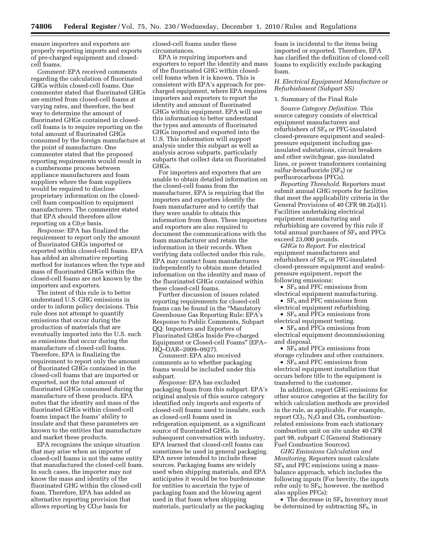ensure importers and exporters are properly reporting imports and exports of pre-charged equipment and closedcell foams.

*Comment:* EPA received comments regarding the calculation of fluorinated GHGs within closed-cell foams. One commenter stated that fluorinated GHGs are emitted from closed-cell foams at varying rates, and therefore, the best way to determine the amount of fluorinated GHGs contained in closedcell foams is to require reporting on the total amount of fluorinated GHGs consumed by the foreign manufacture at the point of manufacture. One commenter stated that the proposed reporting requirements would result in a cumbersome process between appliance manufacturers and foam suppliers where the foam suppliers would be required to disclose proprietary information on the closedcell foam composition to equipment manufacturers. The commenter stated that EPA should therefore allow reporting on a  $CO<sub>2</sub>e$  basis.

*Response:* EPA has finalized the requirement to report only the amount of fluorinated GHGs imported or exported within closed-cell foams. EPA has added an alternative reporting method for instances when the type and mass of fluorinated GHGs within the closed-cell foams are not known by the importers and exporters.

The intent of this rule is to better understand U.S. GHG emissions in order to inform policy decisions. This rule does not attempt to quantify emissions that occur during the production of materials that are eventually imported into the U.S. such as emissions that occur during the manufacture of closed-cell foams. Therefore, EPA is finalizing the requirement to report only the amount of fluorinated GHGs contained in the closed-cell foams that are imported or exported, not the total amount of fluorinated GHGs consumed during the manufacture of these products. EPA notes that the identity and mass of the fluorinated GHGs within closed-cell foams impact the foams' ability to insulate and that these parameters are known to the entities that manufacture and market these products.

EPA recognizes the unique situation that may arise when an importer of closed-cell foams is not the same entity that manufactured the closed-cell foam. In such cases, the importer may not know the mass and identity of the fluorinated GHG within the closed-cell foam. Therefore, EPA has added an alternative reporting provision that allows reporting by  $CO<sub>2</sub>e$  basis for

closed-cell foams under these circumstances.

EPA is requiring importers and exporters to report the identity and mass of the fluorinated GHG within closedcell foams when it is known. This is consistent with EPA's approach for precharged equipment, where EPA requires importers and exporters to report the identity and amount of fluorinated GHGs within equipment. EPA will use this information to better understand the types and amounts of fluorinated GHGs imported and exported into the U.S. This information will support analysis under this subpart as well as analysis across subparts, particularly subparts that collect data on fluorinated GHGs.

For importers and exporters that are unable to obtain detailed information on the closed-cell foams from the manufacturer, EPA is requiring that the importers and exporters identify the foam manufacturer and to certify that they were unable to obtain this information from them. These importers and exporters are also required to document the communications with the foam manufacturer and retain the information in their records. When verifying data collected under this rule, EPA may contact foam manufacturers independently to obtain more detailed information on the identity and mass of the fluorinated GHGs contained within these closed-cell foams.

Further discussion of issues related reporting requirements for closed-cell foams can be found in the ''Mandatory Greenhouse Gas Reporting Rule: EPA's Response to Public Comments, Subpart QQ: Importers and Exporters of Fluorinated GHGs Inside Pre-charged Equipment or Closed-cell Foams'' (EPA– HQ–OAR–2009–0927).

*Comment:* EPA also received comments as to whether packaging foams would be included under this subpart.

*Response:* EPA has excluded packaging foam from this subpart. EPA's original analysis of this source category identified only imports and exports of closed-cell foams used to insulate, such as closed-cell foams used in refrigeration equipment, as a significant source of fluorinated GHGs. In subsequent conversation with industry, EPA learned that closed-cell foams can sometimes be used in general packaging. EPA never intended to include these sources. Packaging foams are widely used when shipping materials, and EPA anticipates it would be too burdensome for entities to ascertain the type of packaging foam and the blowing agent used in that foam when shipping materials, particularly as the packaging

foam is incidental to the items being imported or exported. Therefore, EPA has clarified the definition of closed-cell foams to explicitly exclude packaging foam.

# *H. Electrical Equipment Manufacture or Refurbishment (Subpart SS)*

# 1. Summary of the Final Rule

*Source Category Definition.* This source category consists of electrical equipment manufacturers and refurbishers of  $SF<sub>6</sub>$  or PFC-insulated closed-pressure equipment and sealedpressure equipment including gasinsulated substations, circuit breakers and other switchgear, gas-insulated lines, or power transformers containing sulfur-hexafluoride  $(SF_6)$  or perfluorocarbons (PFCs).

*Reporting Threshold.* Reporters must submit annual GHG reports for facilities that meet the applicability criteria in the General Provisions of 40 CFR 98.2(a)(1). Facilities undertaking electrical equipment manufacturing and refurbishing are covered by this rule if total annual purchases of  $SF<sub>6</sub>$  and PFCs exceed 23,000 pounds.

*GHGs to Report.* For electrical equipment manufacturers and refurbishers of  $SF<sub>6</sub>$  or PFC-insulated closed-pressure equipment and sealedpressure equipment, report the following emissions:

•  $SF<sub>6</sub>$  and PFC emissions from electrical equipment manufacturing.

•  $SF<sub>6</sub>$  and PFC emissions from electrical equipment refurbishing.

•  $SF<sub>6</sub>$  and PFCs emissions from electrical equipment testing.

•  $SF<sub>6</sub>$  and PFCs emissions from electrical equipment decommissioning and disposal.

•  $SF<sub>6</sub>$  and PFCs emissions from storage cylinders and other containers.

•  $SF<sub>6</sub>$  and PFC emissions from electrical equipment installation that occurs before title to the equipment is transferred to the customer.

In addition, report GHG emissions for other source categories at the facility for which calculation methods are provided in the rule, as applicable. For example, report  $CO<sub>2</sub>$ , N<sub>2</sub>O and CH<sub>4</sub> combustionrelated emissions from each stationary combustion unit on site under 40 CFR part 98, subpart C (General Stationary Fuel Combustion Sources).

*GHG Emissions Calculation and Monitoring.* Reporters must calculate  $SF<sub>6</sub>$  and PFC emissions using a massbalance approach, which includes the following inputs (For brevity, the inputs refer only to  $SF_6$ ; however, the method also applies PFCs):

• The decrease in  $SF_6$  Inventory must be determined by subtracting  $SF<sub>6</sub>$ , in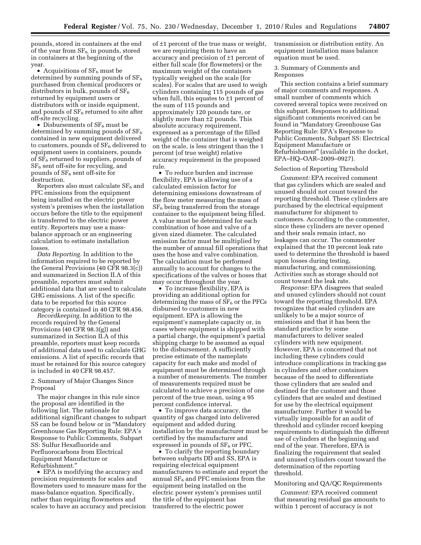pounds, stored in containers at the end of the year from  $SF_6$ , in pounds, stored in containers at the beginning of the year.

• Acquisitions of  $SF<sub>6</sub>$  must be determined by summing pounds of  $SF<sub>6</sub>$ purchased from chemical producers or distributors in bulk, pounds of  $SF_6$ returned by equipment users or distributors with or inside equipment, and pounds of  $SF<sub>6</sub>$  returned to site after off-site recycling.

• Disbursements of  $SF<sub>6</sub>$  must be determined by summing pounds of  $SF_6$ contained in new equipment delivered to customers, pounds of  $SF<sub>6</sub>$  delivered to equipment users in containers, pounds of  $SF<sub>6</sub>$  returned to suppliers, pounds of  $SF<sub>6</sub>$  sent off-site for recycling, and pounds of SF<sub>6</sub> sent off-site for destruction.

Reporters also must calculate  $SF<sub>6</sub>$  and PFC emissions from the equipment being installed on the electric power system's premises when the installation occurs before the title to the equipment is transferred to the electric power entity. Reporters may use a massbalance approach or an engineering calculation to estimate installation losses.

*Data Reporting.* In addition to the information required to be reported by the General Provisions (40 CFR 98.3(c)) and summarized in Section II.A of this preamble, reporters must submit additional data that are used to calculate GHG emissions. A list of the specific data to be reported for this source category is contained in 40 CFR 98.456.

*Recordkeeping.* In addition to the records required by the General Provisions (40 CFR 98.3(g)) and summarized in Section II.A of this preamble, reporters must keep records of additional data used to calculate GHG emissions. A list of specific records that must be retained for this source category is included in 40 CFR 98.457.

2. Summary of Major Changes Since Proposal

The major changes in this rule since the proposal are identified in the following list. The rationale for additional significant changes to subpart SS can be found below or in ''Mandatory Greenhouse Gas Reporting Rule: EPA's Response to Public Comments, Subpart SS: Sulfur Hexafluoride and Perfluorocarbons from Electrical Equipment Manufacture or Refurbishment.''

• EPA is modifying the accuracy and precision requirements for scales and flowmeters used to measure mass for the mass-balance equation. Specifically, rather than requiring flowmeters and scales to have an accuracy and precision

of ±1 percent of the true mass or weight, we are requiring them to have an accuracy and precision of ±1 percent of either full scale (for flowmeters) or the maximum weight of the containers typically weighed on the scale (for scales). For scales that are used to weigh cylinders containing 115 pounds of gas when full, this equates to  $\pm 1$  percent of the sum of 115 pounds and approximately 120 pounds tare, or slightly more than ±2 pounds. This absolute accuracy requirement, expressed as a percentage of the filled weight of the container that is weighed on the scale, is less stringent than the 1 percent (of true weight) relative accuracy requirement in the proposed rule.

• To reduce burden and increase flexibility, EPA is allowing use of a calculated emission factor for determining emissions downstream of the flow meter measuring the mass of  $SF<sub>6</sub>$  being transferred from the storage container to the equipment being filled. A value must be determined for each combination of hose and valve of a given sized diameter. The calculated emission factor must be multiplied by the number of annual fill operations that uses the hose and valve combination. The calculation must be performed annually to account for changes to the specifications of the valves or hoses that may occur throughout the year.

• To increase flexibility, EPA is providing an additional option for determining the mass of  $SF<sub>6</sub>$  or the PFCs disbursed to customers in new equipment. EPA is allowing the equipment's nameplate capacity or, in cases where equipment is shipped with a partial charge, the equipment's partial shipping charge to be assumed as equal to the disbursement. A sufficiently precise estimate of the nameplate capacity for each make and model of equipment must be determined through a number of measurements. The number of measurements required must be calculated to achieve a precision of one percent of the true mean, using a 95 percent confidence interval.

• To improve data accuracy, the quantity of gas charged into delivered equipment and added during installation by the manufacturer must be certified by the manufacturer and expressed in pounds of  $SF<sub>6</sub>$  or PFC.

• To clarify the reporting boundary between subparts DD and SS, EPA is requiring electrical equipment manufacturers to estimate and report the annual  $SF<sub>6</sub>$  and PFC emissions from the equipment being installed on the electric power system's premises until the title of the equipment has transferred to the electric power

transmission or distribution entity. An equipment installation mass balance equation must be used.

# 3. Summary of Comments and Responses

This section contains a brief summary of major comments and responses. A small number of comments which covered several topics were received on this subpart. Responses to additional significant comments received can be found in ''Mandatory Greenhouse Gas Reporting Rule: EPA's Response to Public Comments, Subpart SS: Electrical Equipment Manufacture or Refurbishment'' (available in the docket, EPA–HQ–OAR–2009–0927).

# Selection of Reporting Threshold

*Comment:* EPA received comment that gas cylinders which are sealed and unused should not count toward the reporting threshold. These cylinders are purchased by the electrical equipment manufacturer for shipment to customers. According to the commenter, since these cylinders are never opened and their seals remain intact, no leakages can occur. The commenter explained that the 10 percent leak rate used to determine the threshold is based upon losses during testing, manufacturing, and commissioning. Activities such as storage should not count toward the leak rate.

*Response:* EPA disagrees that sealed and unused cylinders should not count toward the reporting threshold. EPA recognizes that sealed cylinders are unlikely to be a major source of emissions and that it has been the standard practice by some manufacturers to deliver sealed cylinders with new equipment. However, EPA is concerned that not including these cylinders could introduce complications in tracking gas in cylinders and other containers because of the need to differentiate those cylinders that are sealed and destined for the customer and those cylinders that are sealed and destined for use by the electrical equipment manufacturer. Further it would be virtually impossible for an audit of threshold and cylinder record keeping requirements to distinguish the different use of cylinders at the beginning and end of the year. Therefore, EPA is finalizing the requirement that sealed and unused cylinders count toward the determination of the reporting threshold.

# Monitoring and QA/QC Requirements

*Comment:* EPA received comment that measuring residual gas amounts to within 1 percent of accuracy is not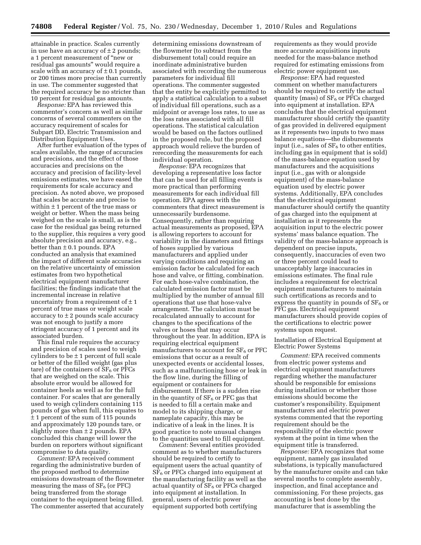attainable in practice. Scales currently in use have an accuracy of  $\pm$  2 pounds; a 1 percent measurement of ''new or residual gas amounts'' would require a scale with an accuracy of  $\pm$  0.1 pounds, or 200 times more precise than currently in use. The commenter suggested that the required accuracy be no stricter than 10 percent for residual gas amounts.

*Response:* EPA has reviewed this commenter's concern as well as similar concerns of several commenters on the accuracy requirement of scales for Subpart DD, Electric Transmission and Distribution Equipment Uses.

After further evaluation of the types of scales available, the range of accuracies and precisions, and the effect of those accuracies and precisions on the accuracy and precision of facility-level emissions estimates, we have eased the requirements for scale accuracy and precision. As noted above, we proposed that scales be accurate and precise to within  $\pm$  1 percent of the true mass or weight or better. When the mass being weighed on the scale is small, as is the case for the residual gas being returned to the supplier, this requires a very good absolute precision and accuracy, e.g., better than  $\pm$  0.1 pounds. EPA conducted an analysis that examined the impact of different scale accuracies on the relative uncertainty of emission estimates from two hypothetical electrical equipment manufacturer facilities; the findings indicate that the incremental increase in relative uncertainty from a requirement of  $\pm 1$ percent of true mass or weight scale accuracy to  $\pm$  2 pounds scale accuracy was not enough to justify a more stringent accuracy of 1 percent and its associated burden.

This final rule requires the accuracy and precision of scales used to weigh cylinders to be  $\pm$  1 percent of full scale or better of the filled weight (gas plus tare) of the containers of  $SF<sub>6</sub>$  or PFCs that are weighed on the scale. This absolute error would be allowed for container heels as well as for the full container. For scales that are generally used to weigh cylinders containing 115 pounds of gas when full, this equates to ± 1 percent of the sum of 115 pounds and approximately 120 pounds tare, or slightly more than  $\pm$  2 pounds. EPA concluded this change will lower the burden on reporters without significant compromise to data quality.

*Comment:* EPA received comment regarding the administrative burden of the proposed method to determine emissions downstream of the flowmeter measuring the mass of  $SF<sub>6</sub>$  (or PFC) being transferred from the storage container to the equipment being filled. The commenter asserted that accurately

determining emissions downstream of the flowmeter (to subtract from the disbursement total) could require an inordinate administrative burden associated with recording the numerous parameters for individual fill operations. The commenter suggested that the entity be explicitly permitted to apply a statistical calculation to a subset of individual fill operations, such as a midpoint or average loss rates, to use as the loss rates associated with all fill operations. The statistical calculation would be based on the factors outlined in the proposed rule, but the proposed approach would relieve the burden of rerecording the measurements for each individual operation.

*Response:* EPA recognizes that developing a representative loss factor that can be used for all filling events is more practical than performing measurements for each individual fill operation. EPA agrees with the commenters that direct measurement is unnecessarily burdensome. Consequently, rather than requiring actual measurements as proposed, EPA is allowing reporters to account for variability in the diameters and fittings of hoses supplied by various manufacturers and applied under varying conditions and requiring an emission factor be calculated for each hose and valve, or fitting, combination. For each hose-valve combination, the calculated emission factor must be multiplied by the number of annual fill operations that use that hose-valve arrangement. The calculation must be recalculated annually to account for changes to the specifications of the valves or hoses that may occur throughout the year. In addition, EPA is requiring electrical equipment manufacturers to account for  $SF<sub>6</sub>$  or PFC emissions that occur as a result of unexpected events or accidental losses, such as a malfunctioning hose or leak in the flow line, during the filling of equipment or containers for disbursement. If there is a sudden rise in the quantity of  $SF<sub>6</sub>$  or PFC gas that is needed to fill a certain make and model to its shipping charge, or nameplate capacity, this may be indicative of a leak in the lines. It is good practice to note unusual changes to the quantities used to fill equipment.

*Comment:* Several entities provided comment as to whether manufacturers should be required to certify to equipment users the actual quantity of  $SF<sub>6</sub>$  or PFCs charged into equipment at the manufacturing facility as well as the actual quantity of  $SF<sub>6</sub>$  or PFCs charged into equipment at installation. In general, users of electric power equipment supported both certifying

requirements as they would provide more accurate acquisitions inputs needed for the mass-balance method required for estimating emissions from electric power equipment use.

*Response:* EPA had requested comment on whether manufacturers should be required to certify the actual quantity (mass) of  $SF<sub>6</sub>$  or PFCs charged into equipment at installation. EPA concludes that the electrical equipment manufacturer should certify the quantity of gas provided in delivered equipment as it represents two inputs to two mass balance equations—the disbursements input (i.e., sales of  $SF<sub>6</sub>$  to other entities, including gas in equipment that is sold) of the mass-balance equation used by manufacturers and the acquisitions input (i.e., gas with or alongside equipment) of the mass-balance equation used by electric power systems. Additionally, EPA concludes that the electrical equipment manufacturer should certify the quantity of gas charged into the equipment at installation as it represents the acquisition input to the electric power systems' mass balance equation. The validity of the mass-balance approach is dependent on precise inputs, consequently, inaccuracies of even two or three percent could lead to unacceptably large inaccuracies in emissions estimates. The final rule includes a requirement for electrical equipment manufacturers to maintain such certifications as records and to express the quantity in pounds of  $SF<sub>6</sub>$  or PFC gas. Electrical equipment manufacturers should provide copies of the certifications to electric power systems upon request.

Installation of Electrical Equipment at Electric Power Systems

*Comment:* EPA received comments from electric power systems and electrical equipment manufacturers regarding whether the manufacturer should be responsible for emissions during installation or whether those emissions should become the customer's responsibility. Equipment manufacturers and electric power systems commented that the reporting requirement should be the responsibility of the electric power system at the point in time when the equipment title is transferred.

*Response:* EPA recognizes that some equipment, namely gas insulated substations, is typically manufactured by the manufacturer onsite and can take several months to complete assembly, inspection, and final acceptance and commissioning. For these projects, gas accounting is best done by the manufacturer that is assembling the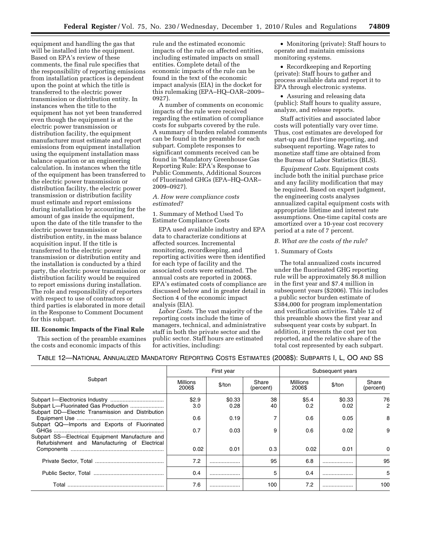equipment and handling the gas that will be installed into the equipment. Based on EPA's review of these comments, the final rule specifies that the responsibility of reporting emissions from installation practices is dependent upon the point at which the title is transferred to the electric power transmission or distribution entity. In instances when the title to the equipment has not yet been transferred even though the equipment is at the electric power transmission or distribution facility, the equipment manufacturer must estimate and report emissions from equipment installation using the equipment installation mass balance equation or an engineering calculation. In instances when the title of the equipment has been transferred to the electric power transmission or distribution facility, the electric power transmission or distribution facility must estimate and report emissions during installation by accounting for the amount of gas inside the equipment, upon the date of the title transfer to the electric power transmission or distribution entity, in the mass balance acquisition input. If the title is transferred to the electric power transmission or distribution entity and the installation is conducted by a third party, the electric power transmission or distribution facility would be required to report emissions during installation. The role and responsibility of reporters with respect to use of contractors or third parties is elaborated in more detail in the Response to Comment Document for this subpart.

## **III. Economic Impacts of the Final Rule**

This section of the preamble examines the costs and economic impacts of this

rule and the estimated economic impacts of the rule on affected entities, including estimated impacts on small entities. Complete detail of the economic impacts of the rule can be found in the text of the economic impact analysis (EIA) in the docket for this rulemaking (EPA–HQ–OAR–2009– 0927).

A number of comments on economic impacts of the rule were received regarding the estimation of compliance costs for subparts covered by the rule. A summary of burden related comments can be found in the preamble for each subpart. Complete responses to significant comments received can be found in ''Mandatory Greenhouse Gas Reporting Rule: EPA's Response to Public Comments, Additional Sources of Fluorinated GHGs (EPA–HQ–OAR– 2009–0927).

# *A. How were compliance costs estimated?*

1. Summary of Method Used To Estimate Compliance Costs

EPA used available industry and EPA data to characterize conditions at affected sources. Incremental monitoring, recordkeeping, and reporting activities were then identified for each type of facility and the associated costs were estimated. The annual costs are reported in 2006\$. EPA's estimated costs of compliance are discussed below and in greater detail in Section 4 of the economic impact analysis (EIA).

*Labor Costs.* The vast majority of the reporting costs include the time of managers, technical, and administrative staff in both the private sector and the public sector. Staff hours are estimated for activities, including:

• Monitoring (private): Staff hours to operate and maintain emissions monitoring systems.

• Recordkeeping and Reporting (private): Staff hours to gather and process available data and report it to EPA through electronic systems.

• Assuring and releasing data (public): Staff hours to quality assure, analyze, and release reports.

Staff activities and associated labor costs will potentially vary over time. Thus, cost estimates are developed for start-up and first-time reporting, and subsequent reporting. Wage rates to monetize staff time are obtained from the Bureau of Labor Statistics (BLS).

*Equipment Costs.* Equipment costs include both the initial purchase price and any facility modification that may be required. Based on expert judgment, the engineering costs analyses annualized capital equipment costs with appropriate lifetime and interest rate assumptions. One-time capital costs are amortized over a 10-year cost recovery period at a rate of 7 percent.

## *B. What are the costs of the rule?*

#### 1. Summary of Costs

The total annualized costs incurred under the fluorinated GHG reporting rule will be approximately \$6.8 million in the first year and \$7.4 million in subsequent years (\$2006). This includes a public sector burden estimate of \$384,000 for program implementation and verification activities. Table 12 of this preamble shows the first year and subsequent year costs by subpart. In addition, it presents the cost per ton reported, and the relative share of the total cost represented by each subpart.

| TABLE 12-NATIONAL ANNUALIZED MANDATORY REPORTING COSTS ESTIMATES (2008\$): SUBPARTS I, L, OO AND SS |  |  |  |  |  |  |  |
|-----------------------------------------------------------------------------------------------------|--|--|--|--|--|--|--|
|-----------------------------------------------------------------------------------------------------|--|--|--|--|--|--|--|

|                                                                                                  |                    | First year     |                    | Subsequent years   |                |                    |  |  |
|--------------------------------------------------------------------------------------------------|--------------------|----------------|--------------------|--------------------|----------------|--------------------|--|--|
| Subpart                                                                                          | Millions<br>2006\$ | \$/ton         | Share<br>(percent) | Millions<br>2006\$ | $$$ /ton       | Share<br>(percent) |  |  |
| Subpart DD-Electric Transmission and Distribution                                                | \$2.9<br>3.0       | \$0.33<br>0.28 | 38<br>40           | \$5.4<br>0.2       | \$0.33<br>0.02 | 76<br>2            |  |  |
| Subpart QQ-Imports and Exports of Fluorinated                                                    | 0.6<br>0.7         | 0.19<br>0.03   | 9                  | 0.6<br>0.6         | 0.05<br>0.02   | 8<br>9             |  |  |
| Subpart SS-Electrical Equipment Manufacture and<br>Refurbishment and Manufacturing of Electrical |                    |                |                    |                    |                |                    |  |  |
|                                                                                                  | 0.02               | 0.01           | 0.3                | 0.02               | 0.01           | <sup>o</sup>       |  |  |
|                                                                                                  | 7.2                |                | 95                 | 6.8                |                | 95                 |  |  |
|                                                                                                  | 0.4                |                | 5                  | 0.4                |                | 5                  |  |  |
| Total                                                                                            | 7.6                | .              | 100                | 7.2                | .              | 100                |  |  |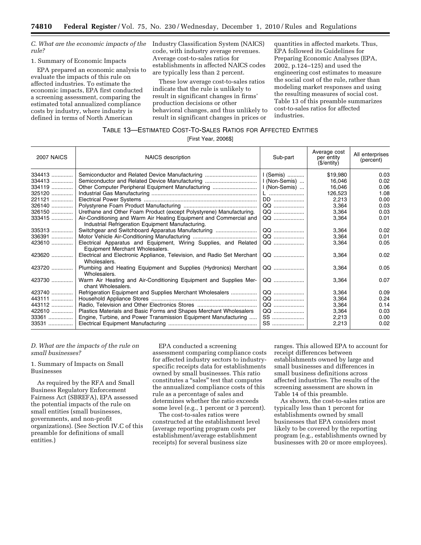*C. What are the economic impacts of the rule?* 

### 1. Summary of Economic Impacts

EPA prepared an economic analysis to evaluate the impacts of this rule on affected industries. To estimate the economic impacts, EPA first conducted a screening assessment, comparing the estimated total annualized compliance costs by industry, where industry is defined in terms of North American

Industry Classification System (NAICS) code, with industry average revenues. Average cost-to-sales ratios for establishments in affected NAICS codes are typically less than 2 percent.

These low average cost-to-sales ratios indicate that the rule is unlikely to result in significant changes in firms' production decisions or other behavioral changes, and thus unlikely to result in significant changes in prices or

quantities in affected markets. Thus, EPA followed its Guidelines for Preparing Economic Analyses (EPA, 2002, p.124–125) and used the engineering cost estimates to measure the social cost of the rule, rather than modeling market responses and using the resulting measures of social cost. Table 13 of this preamble summarizes cost-to-sales ratios for affected industries.

# TABLE 13—ESTIMATED COST-TO-SALES RATIOS FOR AFFECTED ENTITIES

[First Year, 2006\$]

| <b>2007 NAICS</b> | <b>NAICS</b> description                                                                            | Sub-part      | Average cost<br>per entity<br>(S/entity) | All enterprises<br>(percent) |
|-------------------|-----------------------------------------------------------------------------------------------------|---------------|------------------------------------------|------------------------------|
| $334413$          | Semiconductor and Related Device Manufacturing                                                      | I (Semis)     | \$19,980                                 | 0.03                         |
| $334413$          | Semiconductor and Related Device Manufacturing                                                      | I (Non-Semis) | 16,046                                   | 0.02                         |
| 334119            | Other Computer Peripheral Equipment Manufacturing                                                   | I (Non-Semis) | 16.046                                   | 0.06                         |
| 325120            |                                                                                                     | $\mathsf{L}$  | 126,523                                  | 1.08                         |
| 221121            |                                                                                                     | DD            | 2,213                                    | 0.00                         |
| 326140            |                                                                                                     |               | 3.364                                    | 0.03                         |
| $326150$          | Urethane and Other Foam Product (except Polystyrene) Manufacturing.                                 |               | 3,364                                    | 0.03                         |
| $333415$          | Air-Conditioning and Warm Air Heating Equipment and Commercial and                                  | 00            | 3,364                                    | 0.01                         |
|                   | Industrial Refrigeration Equipment Manufacturing.                                                   |               |                                          |                              |
| 335313            |                                                                                                     |               | 3,364                                    | 0.02                         |
| 336391            |                                                                                                     | QQ            | 3.364                                    | 0.01                         |
| 423610            | Electrical Apparatus and Equipment, Wiring Supplies, and Related<br>Equipment Merchant Wholesalers. | QQ            | 3,364                                    | 0.05                         |
| 423620            | Electrical and Electronic Appliance, Television, and Radio Set Merchant<br>Wholesalers.             | QQ            | 3,364                                    | 0.02                         |
|                   | Plumbing and Heating Equipment and Supplies (Hydronics) Merchant<br>Wholesalers.                    | QQ            | 3,364                                    | 0.05                         |
| 423730            | Warm Air Heating and Air-Conditioning Equipment and Supplies Mer-<br>chant Wholesalers.             | QQ            | 3,364                                    | 0.07                         |
| 423740            | Refrigeration Equipment and Supplies Merchant Wholesalers                                           |               | 3,364                                    | 0.09                         |
| 443111            |                                                                                                     |               | 3,364                                    | 0.24                         |
| 443112            |                                                                                                     |               | 3.364                                    | 0.14                         |
| 422610            | Plastics Materials and Basic Forms and Shapes Merchant Wholesalers                                  | 00            | 3.364                                    | 0.03                         |
| $33361$           | Engine, Turbine, and Power Transmission Equipment Manufacturing                                     |               | 2,213                                    | 0.00                         |
| 33531             |                                                                                                     | <b>SS</b>     | 2,213                                    | 0.02                         |

# *D. What are the impacts of the rule on small businesses?*

1. Summary of Impacts on Small **Businesses** 

As required by the RFA and Small Business Regulatory Enforcement Fairness Act (SBREFA), EPA assessed the potential impacts of the rule on small entities (small businesses, governments, and non-profit organizations). (See Section IV.C of this preamble for definitions of small entities.)

EPA conducted a screening assessment comparing compliance costs for affected industry sectors to industryspecific receipts data for establishments owned by small businesses. This ratio constitutes a "sales" test that computes the annualized compliance costs of this rule as a percentage of sales and determines whether the ratio exceeds some level (e.g., 1 percent or 3 percent).

The cost-to-sales ratios were constructed at the establishment level (average reporting program costs per establishment/average establishment receipts) for several business size

ranges. This allowed EPA to account for receipt differences between establishments owned by large and small businesses and differences in small business definitions across affected industries. The results of the screening assessment are shown in Table 14 of this preamble.

As shown, the cost-to-sales ratios are typically less than 1 percent for establishments owned by small businesses that EPA considers most likely to be covered by the reporting program (e.g., establishments owned by businesses with 20 or more employees).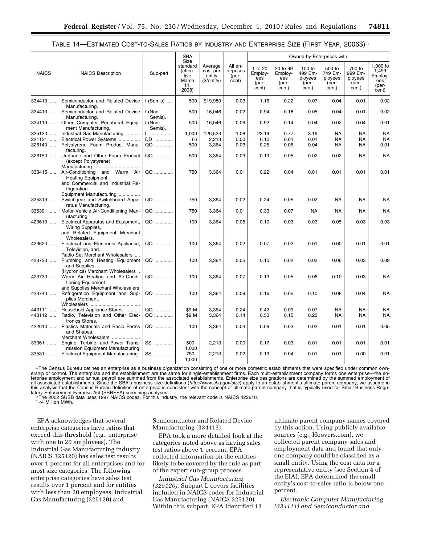|                  |                                                                                                                       |                    | SBA                                                          |                                              |                                        |                                             |                                              | Owned by Enterprises with:                     |                                                |                                                |                                                       |
|------------------|-----------------------------------------------------------------------------------------------------------------------|--------------------|--------------------------------------------------------------|----------------------------------------------|----------------------------------------|---------------------------------------------|----------------------------------------------|------------------------------------------------|------------------------------------------------|------------------------------------------------|-------------------------------------------------------|
| <b>NAICS</b>     | <b>NAICS Description</b>                                                                                              | Sub-part           | Size<br>standard<br>(effec-<br>tive<br>March<br>11,<br>2008) | Average<br>cost per<br>entity<br>(\$/entity) | All en-<br>terprises<br>(per-<br>cent) | 1 to 20<br>Employ-<br>ees<br>(per-<br>cent) | 20 to 99<br>Employ-<br>ees<br>(per-<br>cent) | 100 to<br>499 Em-<br>ployees<br>(per-<br>cent) | 500 to<br>749 Em-<br>ployees<br>(per-<br>cent) | 750 to<br>999 Em-<br>ployees<br>(per-<br>cent) | 1.000 to<br>1,499<br>Employ-<br>ees<br>(per-<br>cent) |
| 334413           | Semiconductor and Related Device<br>Manufacturing.                                                                    | $I$ (Semis)        | 500                                                          | \$19,980                                     | 0.03                                   | 1.16                                        | 0.22                                         | 0.07                                           | 0.04                                           | 0.01                                           | 0.02                                                  |
| 334413           | Semiconductor and Related Device<br>Manufacturing.                                                                    | I (Non-<br>Semis). | 500                                                          | 16,046                                       | 0.02                                   | 0.94                                        | 0.18                                         | 0.05                                           | 0.04                                           | 0.01                                           | 0.02                                                  |
| 334119           | Other Computer Peripheral Equip-<br>ment Manufacturing.                                                               | I (Non-<br>Semis). | 500                                                          | 16,046                                       | 0.06                                   | 0.92                                        | 0.14                                         | 0.04                                           | 0.02                                           | 0.04                                           | 0.01                                                  |
| 325120<br>221121 | Industrial Gas Manufacturing<br>Electrical Power Systems                                                              | L<br>DD            | 1,000<br>$\left( \circ \right)$                              | 126,523<br>2,213                             | 1.08<br>0.00                           | 23.19<br>0.10                               | 0.77<br>0.01                                 | 3.19<br>0.01                                   | <b>NA</b><br>NA                                | <b>NA</b><br>NA                                | <b>NA</b><br><b>NA</b>                                |
| 326140           | Polystyrene Foam Product Manu-<br>facturing.                                                                          | QQ                 | 500                                                          | 3,364                                        | 0.03                                   | 0.25                                        | 0.06                                         | 0.04                                           | NA                                             | <b>NA</b>                                      | 0.01                                                  |
| 326150           | Urethane and Other Foam Product<br>(except Polystyrene).                                                              | QQ                 | 500                                                          | 3,364                                        | 0.03                                   | 0.19                                        | 0.05                                         | 0.02                                           | 0.02                                           | <b>NA</b>                                      | <b>NA</b>                                             |
| 333415           | Air-Conditioning and Warm Air<br>Heating Equipment.<br>and Commercial and Industrial Re-<br>frigeration.              | QQ                 | 750                                                          | 3,364                                        | 0.01                                   | 0.22                                        | 0.04                                         | 0.01                                           | 0.01                                           | 0.01                                           | 0.01                                                  |
| 335313           | Equipment Manufacturing<br>Switchgear and Switchboard Appa-<br>ratus Manufacturing.                                   | QQ                 | 750                                                          | 3,364                                        | 0.02                                   | 0.24                                        | 0.05                                         | 0.02                                           | NA                                             | <b>NA</b>                                      | <b>NA</b>                                             |
| 336391           | Motor Vehicle Air-Conditioning Man-<br>ufacturing.                                                                    | QQ                 | 750                                                          | 3,364                                        | 0.01                                   | 0.33                                        | 0.07                                         | <b>NA</b>                                      | <b>NA</b>                                      | <b>NA</b>                                      | <b>NA</b>                                             |
| 423610           | Electrical Apparatus and Equipment,<br>Wiring Supplies,.<br>and Related Equipment Merchant<br>Wholesalers.            | QQ                 | 100                                                          | 3,364                                        | 0.05                                   | 0.10                                        | 0.03                                         | 0.03                                           | 0.05                                           | 0.03                                           | 0.03                                                  |
| 423620           | Electrical and Electronic Appliance,<br>Television, and.                                                              | QQ                 | 100                                                          | 3,364                                        | 0.02                                   | 0.07                                        | 0.02                                         | 0.01                                           | 0.00                                           | 0.01                                           | 0.01                                                  |
| 423720           | Radio Set Merchant Wholesalers<br>Plumbing and Heating Equipment<br>and Supplies.<br>(Hydronics) Merchant Wholesalers | QQ                 | 100                                                          | 3,364                                        | 0.05                                   | 0.10                                        | 0.02                                         | 0.03                                           | 0.06                                           | 0.03                                           | 0.09                                                  |
| 423730           | Warm Air Heating and Air-Condi-<br>tioning Equipment.<br>and Supplies Merchant Wholesalers                            | QQ                 | 100                                                          | 3,364                                        | 0.07                                   | 0.13                                        | 0.05                                         | 0.06                                           | 0.10                                           | 0.03                                           | <b>NA</b>                                             |
| 423740           | Refrigeration Equipment and Sup-<br>plies Merchant.                                                                   | QQ                 | 100                                                          | 3,364                                        | 0.09                                   | 0.16                                        | 0.05                                         | 0.10                                           | 0.08                                           | 0.04                                           | <b>NA</b>                                             |
| 443111           | Household Appliance Stores                                                                                            | QQ                 | \$9 M                                                        | 3,364                                        | 0.24                                   | 0.42                                        | 0.09                                         | 0.07                                           | <b>NA</b>                                      | <b>NA</b>                                      | <b>NA</b>                                             |
| 443112           | Radio, Television and Other Elec-<br>tronics Stores.                                                                  | QQ                 | \$9 M                                                        | 3,364                                        | 0.14                                   | 0.53                                        | 0.15                                         | 0.23                                           | <b>NA</b>                                      | <b>NA</b>                                      | NA                                                    |
| 422610           | Plastics Materials and Basic Forms<br>and Shapes.<br>Merchant Wholesalers                                             | QQ                 | 100                                                          | 3,364                                        | 0.03                                   | 0.09                                        | 0.03                                         | 0.02                                           | 0.01                                           | 0.01                                           | 0.05                                                  |
| 33361            | Engine, Turbine, and Power Trans-<br>mission Equipment Manufacturing.                                                 | SS                 | $500 -$<br>1,000                                             | 2,213                                        | 0.00                                   | 0.17                                        | 0.03                                         | 0.01                                           | 0.01                                           | 0.01                                           | 0.01                                                  |
| 33531            | <b>Electrical Equipment Manufacturing</b>                                                                             | $SS$               | $750 -$<br>1.000                                             | 2,213                                        | 0.02                                   | 0.19                                        | 0.04                                         | 0.01                                           | 0.01                                           | 0.00                                           | 0.01                                                  |

|  |  |  | "TABLE 14—ESTIMATED COST-TO-SALES RATIOS BY INDUSTRY AND ENTERPRISE SIZE (FIRST YEAR, 2006\$) |  |  |
|--|--|--|-----------------------------------------------------------------------------------------------|--|--|
|--|--|--|-----------------------------------------------------------------------------------------------|--|--|

aThe Census Bureau defines an enterprise as a business organization consisting of one or more domestic establishments that were specified under common ownership or control. The enterprise and the establishment are the same for single-establishment firms. Each multi-establishment company forms one enterprise—the en-<br>terprise employment and annual payroll are summed from the this analysis that the Census Bureau definition of enterprise is consistent with the concept of ultimate parent company that is typically used for Small Business Regu-In a mary as that the census Durant General General Screening analyses.<br>Buthy Enforcement Fairness Act (SBREFA) screening analyses.<br>The 2002 SUSB data uses 1997 NAICS codes. For this industry, the relevant code is NAICS 42

c <4 Million MWh.

EPA acknowledges that several enterprise categories have ratios that exceed this threshold (e.g., enterprise with one to 20 employees). The Industrial Gas Manufacturing industry (NAICS 325120) has sales test results over 1 percent for all enterprises and for most size categories. The following enterprise categories have sales test results over 1 percent and for entities with less than 20 employees: Industrial Gas Manufacturing (325120) and

Semiconductor and Related Device Manufacturing (334413).

EPA took a more detailed look at the categories noted above as having sales test ratios above 1 percent. EPA collected information on the entities likely to be covered by the rule as part of the expert sub-group process.

*Industrial Gas Manufacturing (325120).* Subpart L covers facilities included in NAICS codes for Industrial Gas Manufacturing (NAICS 325120). Within this subpart, EPA identified 13

ultimate parent company names covered by this action. Using publicly available sources (e.g., Hoovers.com), we collected parent company sales and employment data and found that only one company could be classified as a small entity. Using the cost data for a representative entity (see Section 4 of the EIA), EPA determined the small entity's cost-to-sales ratio is below one percent.

*Electronic Computer Manufacturing (334111) and Semiconductor and*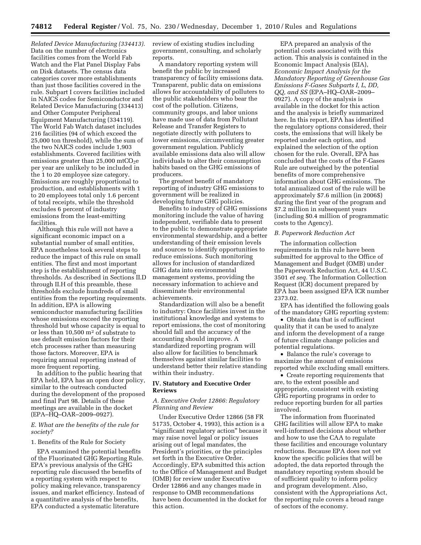*Related Device Manufacturing (334413).*  Data on the number of electronics facilities comes from the World Fab Watch and the Flat Panel Display Fabs on Disk datasets. The census data categories cover more establishments than just those facilities covered in the rule. Subpart I covers facilities included in NAICS codes for Semiconductor and Related Device Manufacturing (334413) and Other Computer Peripheral Equipment Manufacturing (334119). The World Fab Watch dataset includes 216 facilities (94 of which exceed the 25,000 ton threshold), while the sum of the two NAICS codes include 1,903 establishments. Covered facilities with emissions greater than  $25,000$  mtCO<sub>2</sub>e per year are unlikely to be included in the 1 to 20 employee size category. Emissions are roughly proportional to production, and establishments with 1 to 20 employees total only 1.6 percent of total receipts, while the threshold excludes 6 percent of industry emissions from the least-emitting facilities.

Although this rule will not have a significant economic impact on a substantial number of small entities, EPA nonetheless took several steps to reduce the impact of this rule on small entities. The first and most important step is the establishment of reporting thresholds. As described in Sections II.D through II.H of this preamble, these thresholds exclude hundreds of small entities from the reporting requirements. In addition, EPA is allowing semiconductor manufacturing facilities whose emissions exceed the reporting threshold but whose capacity is equal to or less than 10,500 m2 of substrate to use default emission factors for their etch processes rather than measuring those factors. Moreover, EPA is requiring annual reporting instead of more frequent reporting.

In addition to the public hearing that EPA held, EPA has an open door policy, similar to the outreach conducted during the development of the proposed and final Part 98. Details of these meetings are available in the docket (EPA–HQ–OAR–2009–0927).

# *E. What are the benefits of the rule for society?*

### 1. Benefits of the Rule for Society

EPA examined the potential benefits of the Fluorinated GHG Reporting Rule. EPA's previous analysis of the GHG reporting rule discussed the benefits of a reporting system with respect to policy making relevance, transparency issues, and market efficiency. Instead of a quantitative analysis of the benefits, EPA conducted a systematic literature

review of existing studies including government, consulting, and scholarly reports.

A mandatory reporting system will benefit the public by increased transparency of facility emissions data. Transparent, public data on emissions allows for accountability of polluters to the public stakeholders who bear the cost of the pollution. Citizens, community groups, and labor unions have made use of data from Pollutant Release and Transfer Registers to negotiate directly with polluters to lower emissions, circumventing greater government regulation. Publicly available emissions data also will allow individuals to alter their consumption habits based on the GHG emissions of producers.

The greatest benefit of mandatory reporting of industry GHG emissions to government will be realized in developing future GHG policies.

Benefits to industry of GHG emissions monitoring include the value of having independent, verifiable data to present to the public to demonstrate appropriate environmental stewardship, and a better understanding of their emission levels and sources to identify opportunities to reduce emissions. Such monitoring allows for inclusion of standardized GHG data into environmental management systems, providing the necessary information to achieve and disseminate their environmental achievements.

Standardization will also be a benefit to industry: Once facilities invest in the institutional knowledge and systems to report emissions, the cost of monitoring should fall and the accuracy of the accounting should improve. A standardized reporting program will also allow for facilities to benchmark themselves against similar facilities to understand better their relative standing within their industry.

# **IV. Statutory and Executive Order Reviews**

# *A. Executive Order 12866: Regulatory Planning and Review*

Under Executive Order 12866 (58 FR 51735, October 4, 1993), this action is a ''significant regulatory action'' because it may raise novel legal or policy issues arising out of legal mandates, the President's priorities, or the principles set forth in the Executive Order. Accordingly, EPA submitted this action to the Office of Management and Budget (OMB) for review under Executive Order 12866 and any changes made in response to OMB recommendations have been documented in the docket for this action.

EPA prepared an analysis of the potential costs associated with this action. This analysis is contained in the Economic Impact Analysis (EIA), *Economic Impact Analysis for the Mandatory Reporting of Greenhouse Gas Emissions F-Gases Subparts I, L, DD, QQ, and SS* (EPA–HQ–OAR–2009– 0927). A copy of the analysis is available in the docket for this action and the analysis is briefly summarized here. In this report, EPA has identified the regulatory options considered, their costs, the emissions that will likely be reported under each option, and explained the selection of the option chosen for the rule. Overall, EPA has concluded that the costs of the F-Gases Rule are outweighed by the potential benefits of more comprehensive information about GHG emissions. The total annualized cost of the rule will be approximately \$7.6 million (in 2006\$) during the first year of the program and \$7.2 million in subsequent years (including \$0.4 million of programmatic costs to the Agency).

# *B. Paperwork Reduction Act*

The information collection requirements in this rule have been submitted for approval to the Office of Management and Budget (OMB) under the Paperwork Reduction Act, 44 U.S.C. 3501 *et seq.* The Information Collection Request (ICR) document prepared by EPA has been assigned EPA ICR number 2373.02.

EPA has identified the following goals of the mandatory GHG reporting system:

• Obtain data that is of sufficient quality that it can be used to analyze and inform the development of a range of future climate change policies and potential regulations.

• Balance the rule's coverage to maximize the amount of emissions reported while excluding small emitters.

• Create reporting requirements that are, to the extent possible and appropriate, consistent with existing GHG reporting programs in order to reduce reporting burden for all parties involved.

The information from fluorinated GHG facilities will allow EPA to make well-informed decisions about whether and how to use the CAA to regulate these facilities and encourage voluntary reductions. Because EPA does not yet know the specific policies that will be adopted, the data reported through the mandatory reporting system should be of sufficient quality to inform policy and program development. Also, consistent with the Appropriations Act, the reporting rule covers a broad range of sectors of the economy.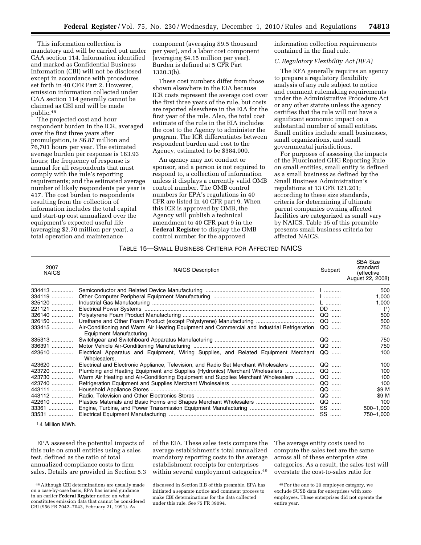This information collection is mandatory and will be carried out under CAA section 114. Information identified and marked as Confidential Business Information (CBI) will not be disclosed except in accordance with procedures set forth in 40 CFR Part 2. However, emission information collected under CAA section 114 generally cannot be claimed as CBI and will be made public.48

The projected cost and hour respondent burden in the ICR, averaged over the first three years after promulgation, is \$6.87 million and 76,701 hours per year. The estimated average burden per response is 183.93 hours; the frequency of response is annual for all respondents that must comply with the rule's reporting requirements; and the estimated average number of likely respondents per year is 417. The cost burden to respondents resulting from the collection of information includes the total capital and start-up cost annualized over the equipment's expected useful life (averaging \$2.70 million per year), a total operation and maintenance

component (averaging \$9.5 thousand per year), and a labor cost component (averaging \$4.15 million per year). Burden is defined at 5 CFR Part 1320.3(b).

These cost numbers differ from those shown elsewhere in the EIA because ICR costs represent the average cost over the first three years of the rule, but costs are reported elsewhere in the EIA for the first year of the rule. Also, the total cost estimate of the rule in the EIA includes the cost to the Agency to administer the program. The ICR differentiates between respondent burden and cost to the Agency, estimated to be \$384,000.

An agency may not conduct or sponsor, and a person is not required to respond to, a collection of information unless it displays a currently valid OMB control number. The OMB control numbers for EPA's regulations in 40 CFR are listed in 40 CFR part 9. When this ICR is approved by OMB, the Agency will publish a technical amendment to 40 CFR part 9 in the **Federal Register** to display the OMB control number for the approved

information collection requirements contained in the final rule.

## *C. Regulatory Flexibility Act (RFA)*

The RFA generally requires an agency to prepare a regulatory flexibility analysis of any rule subject to notice and comment rulemaking requirements under the Administrative Procedure Act or any other statute unless the agency certifies that the rule will not have a significant economic impact on a substantial number of small entities. Small entities include small businesses, small organizations, and small governmental jurisdictions.

For purposes of assessing the impacts of the Fluorinated GHG Reporting Rule on small entities, small entity is defined as a small business as defined by the Small Business Administration's regulations at 13 CFR 121.201; according to these size standards, criteria for determining if ultimate parent companies owning affected facilities are categorized as small vary by NAICS. Table 15 of this preamble presents small business criteria for affected NAICS.

## TABLE 15—SMALL BUSINESS CRITERIA FOR AFFECTED NAICS

| 2007<br><b>NAICS</b> | <b>NAICS Description</b>                                                                            | Subpart | <b>SBA Size</b><br>standard<br>(effective<br>August 22, 2008) |
|----------------------|-----------------------------------------------------------------------------------------------------|---------|---------------------------------------------------------------|
| 334413               |                                                                                                     |         | 500                                                           |
| 334119               |                                                                                                     |         | 1,000                                                         |
| 325120               |                                                                                                     |         | 1,000                                                         |
| 221121               |                                                                                                     | DD      | (1)                                                           |
| 326140               |                                                                                                     | QQ      | 500                                                           |
|                      |                                                                                                     | QQ      | 500                                                           |
| $333415$             | Air-Conditioning and Warm Air Heating Equipment and Commercial and Industrial Refrigeration         | $QQ$    | 750                                                           |
|                      | Equipment Manufacturing.                                                                            |         |                                                               |
| $335313$             |                                                                                                     | QQ      | 750                                                           |
| 336391               |                                                                                                     | QQ      | 750                                                           |
| 423610               | Electrical Apparatus and Equipment, Wiring Supplies, and Related Equipment Merchant<br>Wholesalers. | QQ      | 100                                                           |
|                      | Electrical and Electronic Appliance, Television, and Radio Set Merchant Wholesalers                 | QQ      | 100                                                           |
| 423720               | Plumbing and Heating Equipment and Supplies (Hydronics) Merchant Wholesalers                        | QQ      | 100                                                           |
| 423730               | Warm Air Heating and Air-Conditioning Equipment and Supplies Merchant Wholesalers                   | $QQ$    | 100                                                           |
| 423740               |                                                                                                     | QQ      | 100                                                           |
| 443111               |                                                                                                     | QQ      | \$9 M                                                         |
| 443112               |                                                                                                     | QQ      | \$9 M                                                         |
| 422610               |                                                                                                     | QQ      | 100                                                           |
| $33361$              |                                                                                                     | SS      | 500-1,000                                                     |
| $33531$              |                                                                                                     |         | 750-1,000                                                     |

1 4 Million MWh.

EPA assessed the potential impacts of this rule on small entities using a sales test, defined as the ratio of total annualized compliance costs to firm sales. Details are provided in Section 5.3

of the EIA. These sales tests compare the average establishment's total annualized mandatory reporting costs to the average establishment receipts for enterprises within several employment categories.<sup>49</sup> The average entity costs used to compute the sales test are the same across all of these enterprise size categories. As a result, the sales test will overstate the cost-to-sales ratio for

<sup>48</sup>Although CBI determinations are usually made on a case-by-case basis, EPA has issued guidance in an earlier **Federal Register** notice on what constitutes emission data that cannot be considered CBI (956 FR 7042–7043, February 21, 1991). As

discussed in Section II.B of this preamble, EPA has initiated a separate notice and comment process to make CBI determinations for the data collected under this rule. See 75 FR 39094.

<sup>49</sup>For the one to 20 employee category, we exclude SUSB data for enterprises with zero employees. These enterprises did not operate the entire year.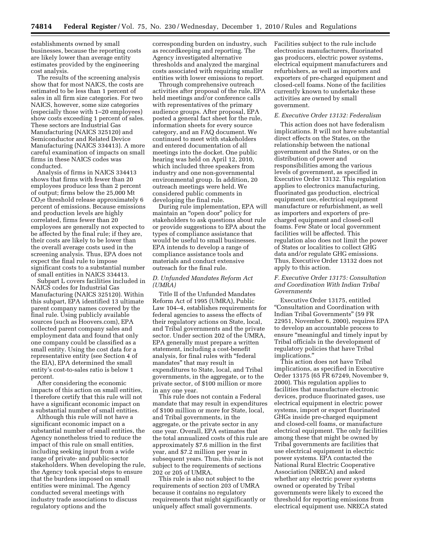establishments owned by small businesses, because the reporting costs are likely lower than average entity estimates provided by the engineering cost analysis.

The results of the screening analysis show that for most NAICS, the costs are estimated to be less than 1 percent of sales in all firm size categories. For two NAICS, however, some size categories (especially those with 1–20 employees) show costs exceeding 1 percent of sales. These sectors are Industrial Gas Manufacturing (NAICS 325120) and Semiconductor and Related Device Manufacturing (NAICS 334413). A more careful examination of impacts on small firms in these NAICS codes was conducted.

Analysis of firms in NAICS 334413 shows that firms with fewer than 20 employees produce less than 2 percent of output; firms below the 25,000 Mt  $CO<sub>2</sub>e$  threshold release approximately 6 percent of emissions. Because emissions and production levels are highly correlated, firms fewer than 20 employees are generally not expected to be affected by the final rule; if they are, their costs are likely to be lower than the overall average costs used in the screening analysis. Thus, EPA does not expect the final rule to impose significant costs to a substantial number of small entities in NAICS 334413.

Subpart L covers facilities included in NAICS codes for Industrial Gas Manufacturing (NAICS 325120). Within this subpart, EPA identified 13 ultimate parent company names covered by the final rule. Using publicly available sources (such as Hoovers.com), EPA collected parent company sales and employment data and found that only one company could be classified as a small entity. Using the cost data for a representative entity (see Section 4 of the EIA), EPA determined the small entity's cost-to-sales ratio is below 1 percent.

After considering the economic impacts of this action on small entities, I therefore certify that this rule will not have a significant economic impact on a substantial number of small entities.

Although this rule will not have a significant economic impact on a substantial number of small entities, the Agency nonetheless tried to reduce the impact of this rule on small entities, including seeking input from a wide range of private- and public-sector stakeholders. When developing the rule, the Agency took special steps to ensure that the burdens imposed on small entities were minimal. The Agency conducted several meetings with industry trade associations to discuss regulatory options and the

corresponding burden on industry, such as recordkeeping and reporting. The Agency investigated alternative thresholds and analyzed the marginal costs associated with requiring smaller entities with lower emissions to report.

Through comprehensive outreach activities after proposal of the rule, EPA held meetings and/or conference calls with representatives of the primary audience groups. After proposal, EPA posted a general fact sheet for the rule, information sheets for every source category, and an FAQ document. We continued to meet with stakeholders and entered documentation of all meetings into the docket. One public hearing was held on April 12, 2010, which included three speakers from industry and one non-governmental environmental group. In addition, 20 outreach meetings were held. We considered public comments in developing the final rule.

During rule implementation, EPA will maintain an "open door" policy for stakeholders to ask questions about rule or provide suggestions to EPA about the types of compliance assistance that would be useful to small businesses. EPA intends to develop a range of compliance assistance tools and materials and conduct extensive outreach for the final rule.

# *D. Unfunded Mandates Reform Act (UMRA)*

Title II of the Unfunded Mandates Reform Act of 1995 (UMRA), Public Law 104–4, establishes requirements for federal agencies to assess the effects of their regulatory actions on State, local, and Tribal governments and the private sector. Under section 202 of the UMRA, EPA generally must prepare a written statement, including a cost-benefit analysis, for final rules with ''federal mandates'' that may result in expenditures to State, local, and Tribal governments, in the aggregate, or to the private sector, of \$100 million or more in any one year.

This rule does not contain a Federal mandate that may result in expenditures of \$100 million or more for State, local, and Tribal governments, in the aggregate, or the private sector in any one year. Overall, EPA estimates that the total annualized costs of this rule are approximately \$7.6 million in the first year, and \$7.2 million per year in subsequent years. Thus, this rule is not subject to the requirements of sections 202 or 205 of UMRA.

This rule is also not subject to the requirements of section 203 of UMRA because it contains no regulatory requirements that might significantly or uniquely affect small governments.

Facilities subject to the rule include electronics manufacturers, fluorinated gas producers, electric power systems, electrical equipment manufacturers and refurbishers, as well as importers and exporters of pre-charged equipment and closed-cell foams. None of the facilities currently known to undertake these activities are owned by small government.

#### *E. Executive Order 13132: Federalism*

This action does not have federalism implications. It will not have substantial direct effects on the States, on the relationship between the national government and the States, or on the distribution of power and responsibilities among the various levels of government, as specified in Executive Order 13132. This regulation applies to electronics manufacturing, fluorinated gas production, electrical equipment use, electrical equipment manufacture or refurbishment, as well as importers and exporters of precharged equipment and closed-cell foams. Few State or local government facilities will be affected. This regulation also does not limit the power of States or localities to collect GHG data and/or regulate GHG emissions. Thus, Executive Order 13132 does not apply to this action.

# *F. Executive Order 13175: Consultation and Coordination With Indian Tribal Governments*

Executive Order 13175, entitled ''Consultation and Coordination with Indian Tribal Governments'' (59 FR 22951, November 6, 2000), requires EPA to develop an accountable process to ensure "meaningful and timely input by Tribal officials in the development of regulatory policies that have Tribal implications.''

This action does not have Tribal implications, as specified in Executive Order 13175 (65 FR 67249, November 9, 2000). This regulation applies to facilities that manufacture electronic devices, produce fluorinated gases, use electrical equipment in electric power systems, import or export fluorinated GHGs inside pre-charged equipment and closed-cell foams, or manufacture electrical equipment. The only facilities among these that might be owned by Tribal governments are facilities that use electrical equipment in electric power systems. EPA contacted the National Rural Electric Cooperative Association (NRECA) and asked whether any electric power systems owned or operated by Tribal governments were likely to exceed the threshold for reporting emissions from electrical equipment use. NRECA stated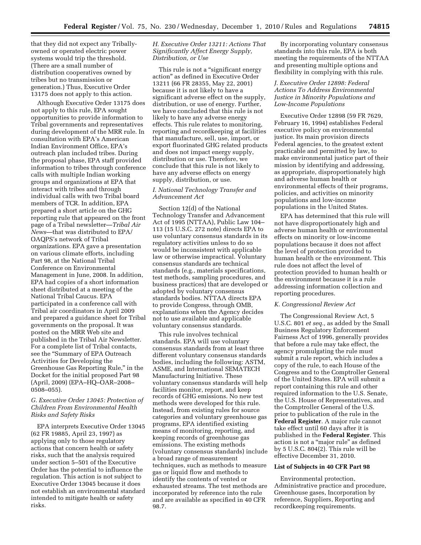that they did not expect any Triballyowned or operated electric power systems would trip the threshold. (There are a small number of distribution cooperatives owned by tribes but no transmission or generation.) Thus, Executive Order 13175 does not apply to this action.

Although Executive Order 13175 does not apply to this rule, EPA sought opportunities to provide information to Tribal governments and representatives during development of the MRR rule. In consultation with EPA's American Indian Environment Office, EPA's outreach plan included tribes. During the proposal phase, EPA staff provided information to tribes through conference calls with multiple Indian working groups and organizations at EPA that interact with tribes and through individual calls with two Tribal board members of TCR. In addition, EPA prepared a short article on the GHG reporting rule that appeared on the front page of a Tribal newsletter—*Tribal Air News*—that was distributed to EPA/ OAQPS's network of Tribal organizations. EPA gave a presentation on various climate efforts, including Part 98, at the National Tribal Conference on Environmental Management in June, 2008. In addition, EPA had copies of a short information sheet distributed at a meeting of the National Tribal Caucus. EPA participated in a conference call with Tribal air coordinators in April 2009 and prepared a guidance sheet for Tribal governments on the proposal. It was posted on the MRR Web site and published in the Tribal Air Newsletter. For a complete list of Tribal contacts, see the "Summary of EPA Outreach Activities for Developing the Greenhouse Gas Reporting Rule,'' in the Docket for the initial proposed Part 98 (April, 2009) (EPA–HQ–OAR–2008– 0508–055).

# *G. Executive Order 13045: Protection of Children From Environmental Health Risks and Safety Risks*

EPA interprets Executive Order 13045 (62 FR 19885, April 23, 1997) as applying only to those regulatory actions that concern health or safety risks, such that the analysis required under section 5–501 of the Executive Order has the potential to influence the regulation. This action is not subject to Executive Order 13045 because it does not establish an environmental standard intended to mitigate health or safety risks.

*H. Executive Order 13211: Actions That Significantly Affect Energy Supply, Distribution, or Use* 

This rule is not a "significant energy action'' as defined in Executive Order 13211 (66 FR 28355, May 22, 2001) because it is not likely to have a significant adverse effect on the supply, distribution, or use of energy. Further, we have concluded that this rule is not likely to have any adverse energy effects. This rule relates to monitoring, reporting and recordkeeping at facilities that manufacture, sell, use, import, or export fluorinated GHG related products and does not impact energy supply, distribution or use. Therefore, we conclude that this rule is not likely to have any adverse effects on energy supply, distribution, or use.

# *I. National Technology Transfer and Advancement Act*

Section 12(d) of the National Technology Transfer and Advancement Act of 1995 (NTTAA), Public Law 104– 113 (15 U.S.C. 272 note) directs EPA to use voluntary consensus standards in its regulatory activities unless to do so would be inconsistent with applicable law or otherwise impractical. Voluntary consensus standards are technical standards (e.g., materials specifications, test methods, sampling procedures, and business practices) that are developed or adopted by voluntary consensus standards bodies. NTTAA directs EPA to provide Congress, through OMB, explanations when the Agency decides not to use available and applicable voluntary consensus standards.

This rule involves technical standards. EPA will use voluntary consensus standards from at least three different voluntary consensus standards bodies, including the following: ASTM, ASME, and International SEMATECH Manufacturing Initiative. These voluntary consensus standards will help facilities monitor, report, and keep records of GHG emissions. No new test methods were developed for this rule. Instead, from existing rules for source categories and voluntary greenhouse gas programs, EPA identified existing means of monitoring, reporting, and keeping records of greenhouse gas emissions. The existing methods (voluntary consensus standards) include a broad range of measurement techniques, such as methods to measure gas or liquid flow and methods to identify the contents of vented or exhausted streams. The test methods are incorporated by reference into the rule and are available as specified in 40 CFR 98.7.

By incorporating voluntary consensus standards into this rule, EPA is both meeting the requirements of the NTTAA and presenting multiple options and flexibility in complying with this rule.

# *J. Executive Order 12898: Federal Actions To Address Environmental Justice in Minority Populations and Low-Income Populations*

Executive Order 12898 (59 FR 7629, February 16, 1994) establishes Federal executive policy on environmental justice. Its main provision directs Federal agencies, to the greatest extent practicable and permitted by law, to make environmental justice part of their mission by identifying and addressing, as appropriate, disproportionately high and adverse human health or environmental effects of their programs, policies, and activities on minority populations and low-income populations in the United States.

EPA has determined that this rule will not have disproportionately high and adverse human health or environmental effects on minority or low-income populations because it does not affect the level of protection provided to human health or the environment. This rule does not affect the level of protection provided to human health or the environment because it is a rule addressing information collection and reporting procedures.

#### *K. Congressional Review Act*

The Congressional Review Act, 5 U.S.C. 801 *et seq.,* as added by the Small Business Regulatory Enforcement Fairness Act of 1996, generally provides that before a rule may take effect, the agency promulgating the rule must submit a rule report, which includes a copy of the rule, to each House of the Congress and to the Comptroller General of the United States. EPA will submit a report containing this rule and other required information to the U.S. Senate, the U.S. House of Representatives, and the Comptroller General of the U.S. prior to publication of the rule in the **Federal Register**. A major rule cannot take effect until 60 days after it is published in the **Federal Register**. This action is not a ''major rule'' as defined by 5 U.S.C. 804(2). This rule will be effective December 31, 2010.

# **List of Subjects in 40 CFR Part 98**

Environmental protection, Administrative practice and procedure, Greenhouse gases, Incorporation by reference, Suppliers, Reporting and recordkeeping requirements.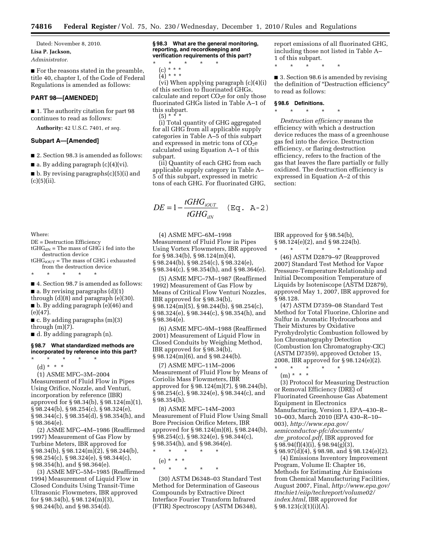Dated: November 8, 2010. **Lisa P. Jackson,**  *Administrator.* 

■ For the reasons stated in the preamble, title 40, chapter I, of the Code of Federal Regulations is amended as follows:

# **PART 98—[AMENDED]**

■ 1. The authority citation for part 98 continues to read as follows:

**Authority:** 42 U.S.C. 7401, *et seq.* 

#### **Subpart A—[Amended]**

■ 2. Section 98.3 is amended as follows:

■ a. By adding paragraph (c)(4)(vi).

 $\blacksquare$  b. By revising paragraphs(c)(5)(i) and (c)(5)(ii).

Where:

- DE = Destruction Efficiency
- $tGHG_{iIN}$  = The mass of GHG i fed into the destruction device

 $tGHG_{iOUT}$  = The mass of GHG i exhausted from the destruction device

\* \* \* \* \*

■ 4. Section 98.7 is amended as follows:

 $\blacksquare$  a. By revising paragraphs (d)(1) through (d)(8) and paragraph (e)(30). ■ b. By adding paragraph (e)(46) and

(e)(47). ■ c. By adding paragraphs (m)(3)

through (m)(7).

■ d. By adding paragraph (n).

## **§ 98.7 What standardized methods are incorporated by reference into this part?**

\* \* \* \* \*

(d) \* \* \*

(1) ASME MFC–3M–2004 Measurement of Fluid Flow in Pipes Using Orifice, Nozzle, and Venturi, incorporation by reference (IBR) approved for § 98.34(b), § 98.124(m)(1), § 98.244(b), § 98.254(c), § 98.324(e), § 98.344(c), § 98.354(d), § 98.354(h), and § 98.364(e).

(2) ASME MFC–4M–1986 (Reaffirmed 1997) Measurement of Gas Flow by Turbine Meters, IBR approved for  $\S 98.34(b)$ ,  $\S 98.124(m)(2)$ ,  $\S 98.244(b)$ , § 98.254(c), § 98.324(e), § 98.344(c), § 98.354(h), and § 98.364(e).

(3) ASME MFC–5M–1985 (Reaffirmed 1994) Measurement of Liquid Flow in Closed Conduits Using Transit-Time Ultrasonic Flowmeters, IBR approved for § 98.34(b), § 98.124(m)(3), § 98.244(b), and § 98.354(d).

**§ 98.3 What are the general monitoring, reporting, and recordkeeping and verification requirements of this part?** 

\* \* \* \* \* (c) \* \* \*

 $(4) * * * *$ 

(vi) When applying paragraph (c)(4)(i) of this section to fluorinated GHGs, calculate and report  $CO<sub>2</sub>e$  for only those fluorinated GHGs listed in Table A–1 of this subpart.  $(5) *$ 

(i) Total quantity of GHG aggregated for all GHG from all applicable supply categories in Table A–5 of this subpart and expressed in metric tons of  $CO<sub>2</sub>e$ calculated using Equation A–1 of this subpart.

(ii) Quantity of each GHG from each applicable supply category in Table A– 5 of this subpart, expressed in metric tons of each GHG. For fluorinated GHG,

$$
DE = 1 - \frac{tGHG_{iOUT}}{tGHG_{iIN}} \quad (\text{Eq. A-2})
$$

(4) ASME MFC–6M–1998 Measurement of Fluid Flow in Pipes Using Vortex Flowmeters, IBR approved for § 98.34(b), § 98.124(m)(4), § 98.244(b), § 98.254(c), § 98.324(e), § 98.344(c), § 98.354(h), and § 98.364(e).

(5) ASME MFC–7M–1987 (Reaffirmed 1992) Measurement of Gas Flow by Means of Critical Flow Venturi Nozzles, IBR approved for § 98.34(b), § 98.124(m)(5), § 98.244(b), § 98.254(c), § 98.324(e), § 98.344(c), § 98.354(h), and § 98.364(e).

(6) ASME MFC–9M–1988 (Reaffirmed 2001) Measurement of Liquid Flow in Closed Conduits by Weighing Method, IBR approved for § 98.34(b), § 98.124(m)(6), and § 98.244(b).

(7) ASME MFC–11M–2006 Measurement of Fluid Flow by Means of Coriolis Mass Flowmeters, IBR approved for § 98.124(m)(7), § 98.244(b), § 98.254(c), § 98.324(e), § 98.344(c), and § 98.354(h).

(8) ASME MFC–14M–2003 Measurement of Fluid Flow Using Small Bore Precision Orifice Meters, IBR approved for § 98.124(m)(8), § 98.244(b), § 98.254(c), § 98.324(e), § 98.344(c), § 98.354(h), and § 98.364(e).

\* \* \* \* \* (e) \* \* \*

\* \* \* \* \*

(30) ASTM D6348–03 Standard Test Method for Determination of Gaseous Compounds by Extractive Direct Interface Fourier Transform Infrared (FTIR) Spectroscopy (ASTM D6348),

report emissions of all fluorinated GHG, including those not listed in Table A– 1 of this subpart.

\* \* \* \* \*

■ 3. Section 98.6 is amended by revising the definition of ''Destruction efficiency'' to read as follows:

### **§ 98.6 Definitions.**

section:

\* \* \* \* \* *Destruction efficiency* means the efficiency with which a destruction device reduces the mass of a greenhouse gas fed into the device. Destruction efficiency, or flaring destruction efficiency, refers to the fraction of the gas that leaves the flare partially or fully oxidized. The destruction efficiency is expressed in Equation A–2 of this

IBR approved for § 98.54(b), § 98.124(e)(2), and § 98.224(b). \* \* \* \* \*

(46) ASTM D2879–97 (Reapproved 2007) Standard Test Method for Vapor Pressure-Temperature Relationship and Initial Decomposition Temperature of Liquids by Isoteniscope (ASTM D2879), approved May 1, 2007, IBR approved for § 98.128.

(47) ASTM D7359–08 Standard Test Method for Total Fluorine, Chlorine and Sulfur in Aromatic Hydrocarbons and Their Mixtures by Oxidative Pyrohydrolytic Combustion followed by Ion Chromatography Detection (Combustion Ion Chromatography-CIC) (ASTM D7359), approved October 15, 2008, IBR approved for § 98.124(e)(2).

\* \* \* \* \* (m) \* \* \*

(3) Protocol for Measuring Destruction or Removal Efficiency (DRE) of Fluorinated Greenhouse Gas Abatement Equipment in Electronics Manufacturing, Version 1, EPA–430–R– 10–003, March 2010 (EPA 430–R–10– 003), *http://www.epa.gov/ semiconductor-pfc/documents/ dre*\_*protocol.pdf*, IBR approved for § 98.94(f)(4)(i), § 98.94(g)(3), § 98.97(d)(4), § 98.98, and § 98.124(e)(2).

(4) Emissions Inventory Improvement Program, Volume II: Chapter 16, Methods for Estimating Air Emissions from Chemical Manufacturing Facilities, August 2007, Final, *http://www.epa.gov/ ttnchie1/eiip/techreport/volume02/ index.html*, IBR approved for  $§ 98.123(c)(1)(i)(A).$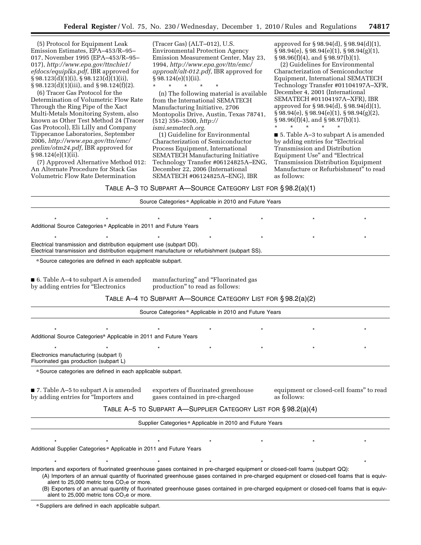(5) Protocol for Equipment Leak Emission Estimates, EPA–453/R–95– 017, November 1995 (EPA–453/R–95– 017), *http://www.epa.gov/ttnchie1/ efdocs/equiplks.pdf*, IBR approved for  $\S 98.123\text{d})(1)(i)$ ,  $\S 98.123\text{d})(1)(ii)$ , § 98.123(d)(1)(iii), and § 98.124(f)(2).

(6) Tracer Gas Protocol for the Determination of Volumetric Flow Rate Through the Ring Pipe of the Xact Multi-Metals Monitoring System, also known as Other Test Method 24 (Tracer Gas Protocol), Eli Lilly and Company Tippecanoe Laboratories, September 2006, *http://www.epa.gov/ttn/emc/ prelim/otm24.pdf*, IBR approved for  $§ 98.124(e)(1)(ii).$ 

(7) Approved Alternative Method 012: An Alternate Procedure for Stack Gas Volumetric Flow Rate Determination

(Tracer Gas) (ALT–012), U.S. Environmental Protection Agency Emission Measurement Center, May 23, 1994, *http://www.epa.gov/ttn/emc/ approalt/alt-012.pdf*, IBR approved for  $§ 98.124(e)(1)(ii).$ 

\* \* \* \* \* (n) The following material is available from the International SEMATECH Manufacturing Initiative, 2706 Montopolis Drive, Austin, Texas 78741, (512) 356–3500, *http:// ismi.sematech.org*.

(1) Guideline for Environmental Characterization of Semiconductor Process Equipment, International SEMATECH Manufacturing Initiative Technology Transfer #06124825A–ENG, December 22, 2006 (International SEMATECH #06124825A–ENG), IBR

approved for § 98.94(d), § 98.94(d)(1),  $\S$ 98.94(e),  $\S$ 98.94(e)(1),  $\S$ 98.94(g)(1), § 98.96(f)(4), and § 98.97(b)(1).

(2) Guidelines for Environmental Characterization of Semiconductor Equipment, International SEMATECH Technology Transfer #01104197A–XFR, December 4, 2001 (International SEMATECH #01104197A–XFR), IBR approved for § 98.94(d), § 98.94(d)(1), § 98.94(e), § 98.94(e)(1), § 98.94(g)(2), § 98.96(f)(4), and § 98.97(b)(1).

\* \* \* \* \*

■ 5. Table A–3 to subpart A is amended by adding entries for ''Electrical Transmission and Distribution Equipment Use'' and ''Electrical Transmission Distribution Equipment Manufacture or Refurbishment'' to read as follows:

TABLE A–3 TO SUBPART A—SOURCE CATEGORY LIST FOR § 98.2(a)(1)

|                                                                                                                                                                       |  |                                                                        | Source Categories <sup>a</sup> Applicable in 2010 and Future Years   |                                                        |  |
|-----------------------------------------------------------------------------------------------------------------------------------------------------------------------|--|------------------------------------------------------------------------|----------------------------------------------------------------------|--------------------------------------------------------|--|
|                                                                                                                                                                       |  |                                                                        |                                                                      |                                                        |  |
| Additional Source Categories <sup>a</sup> Applicable in 2011 and Future Years                                                                                         |  |                                                                        |                                                                      |                                                        |  |
|                                                                                                                                                                       |  |                                                                        |                                                                      |                                                        |  |
| Electrical transmission and distribution equipment use (subpart DD).<br>Electrical transmission and distribution equipment manufacture or refurbishment (subpart SS). |  |                                                                        |                                                                      |                                                        |  |
| a Source categories are defined in each applicable subpart.                                                                                                           |  |                                                                        |                                                                      |                                                        |  |
| 6. Table A-4 to subpart A is amended<br>by adding entries for "Electronics                                                                                            |  | manufacturing" and "Fluorinated gas<br>production" to read as follows: |                                                                      |                                                        |  |
|                                                                                                                                                                       |  |                                                                        | TABLE A-4 TO SUBPART A-SOURCE CATEGORY LIST FOR § 98.2(a)(2)         |                                                        |  |
|                                                                                                                                                                       |  |                                                                        | Source Categories <sup>a</sup> Applicable in 2010 and Future Years   |                                                        |  |
| Additional Source Categories <sup>a</sup> Applicable in 2011 and Future Years                                                                                         |  |                                                                        |                                                                      |                                                        |  |
|                                                                                                                                                                       |  |                                                                        |                                                                      |                                                        |  |
| Electronics manufacturing (subpart I)<br>Fluorinated gas production (subpart L)                                                                                       |  |                                                                        |                                                                      |                                                        |  |
| a Source categories are defined in each applicable subpart.                                                                                                           |  |                                                                        |                                                                      |                                                        |  |
| 7. Table A-5 to subpart A is amended<br>by adding entries for "Importers and                                                                                          |  | exporters of fluorinated greenhouse<br>gases contained in pre-charged  |                                                                      | equipment or closed-cell foams" to read<br>as follows: |  |
|                                                                                                                                                                       |  |                                                                        | TABLE A-5 TO SUBPART A-SUPPLIER CATEGORY LIST FOR § 98.2(a)(4)       |                                                        |  |
|                                                                                                                                                                       |  |                                                                        | Supplier Categories <sup>a</sup> Applicable in 2010 and Future Years |                                                        |  |
|                                                                                                                                                                       |  |                                                                        |                                                                      |                                                        |  |
| Additional Supplier Categories <sup>a</sup> Applicable in 2011 and Future Years                                                                                       |  |                                                                        |                                                                      |                                                        |  |
|                                                                                                                                                                       |  |                                                                        |                                                                      |                                                        |  |
| Importers and exporters of fluorinated greenhouse gases contained in pre-charged equipment or closed-cell foams (subpart QQ):                                         |  |                                                                        |                                                                      |                                                        |  |

(A) Importers of an annual quantity of fluorinated greenhouse gases contained in pre-charged equipment or closed-cell foams that is equivalent to  $25,000$  metric tons  $CO<sub>2</sub>e$  or more.

(B) Exporters of an annual quantity of fluorinated greenhouse gases contained in pre-charged equipment or closed-cell foams that is equivalent to 25,000 metric tons  $CO<sub>2</sub>e$  or more.

a Suppliers are defined in each applicable subpart.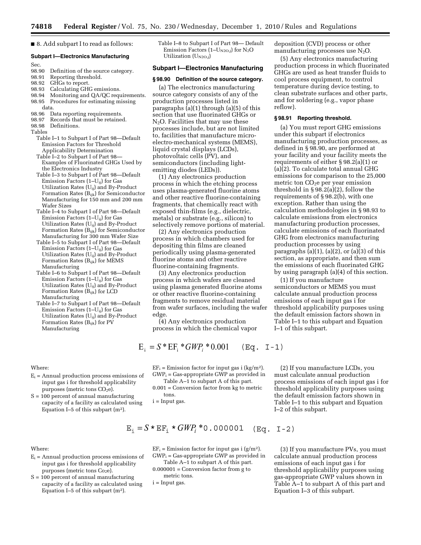■ 8. Add subpart I to read as follows:

## **Subpart I—Electronics Manufacturing**

Sec.<br>98.90

- 98.90 Definition of the source category.<br>98.91 Reporting threshold.
- Reporting threshold.
- 98.92 GHGs to report.<br>98.93 Calculating GH
- Calculating GHG emissions.
- 98.94 Monitoring and QA/QC requirements.<br>98.95 Procedures for estimating missing Procedures for estimating missing
- data.
- 98.96 Data reporting requirements.<br>98.97 Records that must be retained
- Records that must be retained.
- 98.98 Definitions.

Tables

Table I–1 to Subpart I of Part 98—Default Emission Factors for Threshold Applicability Determination

- Table I–2 to Subpart I of Part 98— Examples of Fluorinated GHGs Used by the Electronics Industry
- Table I–3 to Subpart I of Part 98—Default Emission Factors  $(1-U_{ij})$  for Gas Utilization Rates (Uij) and By-Product Formation Rates (Bijk) for Semiconductor Manufacturing for 150 mm and 200 mm Wafer Sizes
- Table I–4 to Subpart I of Part 98—Default Emission Factors  $(1-U_{ii})$  for Gas Utilization Rates  $(U_{ij})$  and By-Product Formation Rates (Bijk) for Semiconductor Manufacturing for 300 mm Wafer Size
- Table I–5 to Subpart I of Part 98—Default Emission Factors  $(1-U_{ii})$  for Gas Utilization Rates (Uij) and By-Product Formation Rates (Bijk) for MEMS Manufacturing
- Table I–6 to Subpart I of Part 98—Default Emission Factors (1–Uij) for Gas Utilization Rates (Uij) and By-Product Formation Rates  $(B_{ijk})$  for LCD Manufacturing
- Table I–7 to Subpart I of Part 98—Default Emission Factors (1–Uij) for Gas Utilization Rates (U<sub>ii</sub>) and By-Product Formation Rates  $(B_{ijk})$  for PV Manufacturing

Where:

 $E_i$  = Annual production process emissions of input gas i for threshold applicability purposes (metric tons CO<sub>2</sub>e).

 $S = 100$  percent of annual manufacturing capacity of a facility as calculated using Equation I–5 of this subpart  $(m<sup>2</sup>)$ .

## Where:

- $E<sub>i</sub>$  = Annual production process emissions of input gas i for threshold applicability purposes (metric tons  $Co<sub>2</sub>e$ ).
- $S = 100$  percent of annual manufacturing capacity of a facility as calculated using Equation I–5 of this subpart  $(m<sup>2</sup>)$ .

Table I–8 to Subpart I of Part 98— Default Emission Factors (1– $U_{N2O,j}$ ) for N<sub>2</sub>O Utilization  $(U_{N2O,j})$ 

### **Subpart I—Electronics Manufacturing**

#### **§ 98.90 Definition of the source category.**

(a) The electronics manufacturing source category consists of any of the production processes listed in paragraphs (a)(1) through (a)(5) of this section that use fluorinated GHGs or  $N<sub>2</sub>O$ . Facilities that may use these processes include, but are not limited to, facilities that manufacture microelectro-mechanical systems (MEMS), liquid crystal displays (LCDs), photovoltaic cells (PV), and semiconductors (including lightemitting diodes (LEDs)).

(1) Any electronics production process in which the etching process uses plasma-generated fluorine atoms and other reactive fluorine-containing fragments, that chemically react with exposed thin-films (e.g., dielectric, metals) or substrate (e.g., silicon) to selectively remove portions of material.

(2) Any electronics production process in which chambers used for depositing thin films are cleaned periodically using plasma-generated fluorine atoms and other reactive fluorine-containing fragments.

(3) Any electronics production process in which wafers are cleaned using plasma generated fluorine atoms or other reactive fluorine-containing fragments to remove residual material from wafer surfaces, including the wafer edge.

(4) Any electronics production process in which the chemical vapor

$$
E_i = S * EF_i * GWP_i * 0.001 \quad (Eq. I-1)
$$

 $EF_i =$  Emission factor for input gas i (kg/m<sup>2</sup>).  $GWP_i = Gas-appropriate GWP$  as provided in

Table A–1 to subpart A of this part.

0.001 = Conversion factor from kg to metric tons.

$$
E_i = S \times EF_i \times GWP_i \times 0.000001
$$
 (Eq. I-2)

 $EF_i$  = Emission factor for input gas i (g/m<sup>2</sup>).  $GWP_i = Gas-appropriate GWP$  as provided in

- Table A–1 to subpart A of this part.
- $0.000001$  = Conversion factor from g to metric tons.
- $i = Input$  gas.

deposition (CVD) process or other manufacturing processes use  $N_2O$ .

(5) Any electronics manufacturing production process in which fluorinated GHGs are used as heat transfer fluids to cool process equipment, to control temperature during device testing, to clean substrate surfaces and other parts, and for soldering (e.g., vapor phase reflow).

# **§ 98.91 Reporting threshold.**

(a) You must report GHG emissions under this subpart if electronics manufacturing production processes, as defined in § 98.90, are performed at your facility and your facility meets the requirements of either § 98.2(a)(1) or (a)(2). To calculate total annual GHG emissions for comparison to the 25,000 metric ton  $CO<sub>2</sub>e$  per year emission threshold in  $\S 98.2(a)(2)$ , follow the requirements of § 98.2(b), with one exception. Rather than using the calculation methodologies in § 98.93 to calculate emissions from electronics manufacturing production processes, calculate emissions of each fluorinated GHG from electronics manufacturing production processes by using paragraphs  $(a)(1)$ ,  $(a)(2)$ , or  $(a)(3)$  of this section, as appropriate, and then sum the emissions of each fluorinated GHG by using paragraph (a)(4) of this section.

(1) If you manufacture semiconductors or MEMS you must calculate annual production process emissions of each input gas i for threshold applicability purposes using the default emission factors shown in Table I–1 to this subpart and Equation I–1 of this subpart.

(2) If you manufacture LCDs, you must calculate annual production process emissions of each input gas i for threshold applicability purposes using the default emission factors shown in Table I–1 to this subpart and Equation I–2 of this subpart.

(3) If you manufacture PVs, you must calculate annual production process emissions of each input gas i for threshold applicability purposes using gas-appropriate GWP values shown in Table A–1 to subpart A of this part and Equation I–3 of this subpart.

i = Input gas.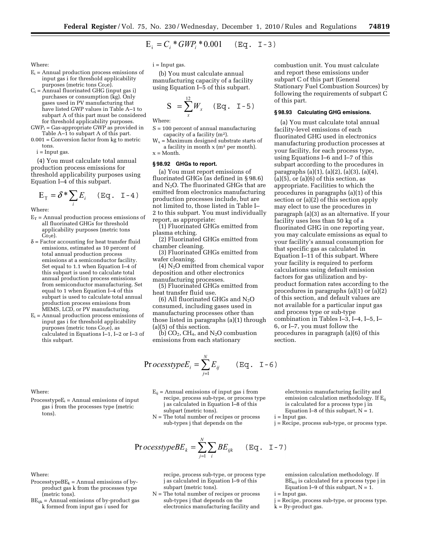$$
E_i = C_i * GWP_i * 0.001 \quad (Eq. I-3)
$$

Where:

- $E_i$  = Annual production process emissions of input gas i for threshold applicability purposes (metric tons Co<sub>2</sub>e).
- $C_i$  = Annual fluorinated GHG (input gas i) purchases or consumption (kg). Only gases used in PV manufacturing that have listed GWP values in Table A–1 to subpart A of this part must be considered for threshold applicability purposes.
- GWPi = Gas-appropriate GWP as provided in Table A–1 to subpart A of this part.
- $0.001$  = Conversion factor from kg to metric tons.

i = Input gas.

(4) You must calculate total annual production process emissions for threshold applicability purposes using Equation I–4 of this subpart.

$$
E_{\mathrm{T}} = \delta^* \sum_i E_i \quad (\text{Eq. I-4})
$$

Where:

- $E_T$  = Annual production process emissions of all fluorinated GHGs for threshold applicability purposes (metric tons  $Co<sub>2</sub>e$ ).
- $\delta$  = Factor accounting for heat transfer fluid emissions, estimated as 10 percent of total annual production process emissions at a semiconductor facility. Set equal to 1.1 when Equation I–4 of this subpart is used to calculate total annual production process emissions from semiconductor manufacturing. Set equal to 1 when Equation I–4 of this subpart is used to calculate total annual production process emissions from MEMS, LCD, or PV manufacturing.
- $E_i$  = Annual production process emissions of input gas i for threshold applicability purposes (metric tons  $Co<sub>2</sub>e$ ), as calculated in Equations I–1, I–2 or I–3 of this subpart.

 $i =$  Input gas.

(b) You must calculate annual manufacturing capacity of a facility using Equation I–5 of this subpart.

$$
S = \sum_{x}^{12} W_x \quad (Eq. I-5)
$$

Where:

- S = 100 percent of annual manufacturing capacity of a facility (m2).
- $W_x$  = Maximum designed substrate starts of a facility in month x (m2 per month).  $x = \text{Month}$ .

#### **§ 98.92 GHGs to report.**

(a) You must report emissions of fluorinated GHGs (as defined in § 98.6) and  $N_2O$ . The fluorinated GHGs that are emitted from electronics manufacturing production processes include, but are not limited to, those listed in Table I– 2 to this subpart. You must individually report, as appropriate:

(1) Fluorinated GHGs emitted from plasma etching.

(2) Fluorinated GHGs emitted from chamber cleaning.

(3) Fluorinated GHGs emitted from wafer cleaning.

 $(4)$  N<sub>2</sub>O emitted from chemical vapor deposition and other electronics manufacturing processes.

(5) Fluorinated GHGs emitted from heat transfer fluid use.

(6) All fluorinated GHGs and  $N_2O$ consumed, including gases used in manufacturing processes other than those listed in paragraphs (a)(1) through (a)(5) of this section.

(b)  $CO<sub>2</sub>$ ,  $CH<sub>4</sub>$ , and N<sub>2</sub>O combustion emissions from each stationary

Processtype $E_i = \sum_{i=1}^{N} E_{ij}$ 

combustion unit. You must calculate and report these emissions under subpart C of this part (General Stationary Fuel Combustion Sources) by following the requirements of subpart C of this part.

### **§ 98.93 Calculating GHG emissions.**

(a) You must calculate total annual facility-level emissions of each fluorinated GHG used in electronics manufacturing production processes at your facility, for each process type, using Equations I–6 and I–7 of this subpart according to the procedures in paragraphs (a)(1), (a)(2), (a)(3), (a)(4),  $(a)(5)$ , or  $(a)(6)$  of this section, as appropriate. Facilities to which the procedures in paragraphs (a)(1) of this section or (a)(2) of this section apply may elect to use the procedures in paragraph (a)(3) as an alternative. If your facility uses less than 50 kg of a fluorinated GHG in one reporting year, you may calculate emissions as equal to your facility's annual consumption for that specific gas as calculated in Equation I–11 of this subpart. Where your facility is required to perform calculations using default emission factors for gas utilization and byproduct formation rates according to the procedures in paragraphs (a)(1) or (a)(2) of this section, and default values are not available for a particular input gas and process type or sub-type combination in Tables I–3, I–4, I–5, I– 6, or I–7, you must follow the procedures in paragraph (a)(6) of this section.

#### Where:

- $ProcesstypeE_i = Annual emissions of input$ gas i from the processes type (metric tons).
- $E_{ij}$  = Annual emissions of input gas i from recipe, process sub-type, or process type j as calculated in Equation I–8 of this subpart (metric tons).
- N = The total number of recipes or process sub-types j that depends on the

$$
\text{ProcesstypeBE}_k = \sum_{j=1}^N \sum_i BE_{ijk} \qquad (\text{Eq. I-7})
$$

recipe, process sub-type, or process type j as calculated in Equation I–9 of this subpart (metric tons).

N = The total number of recipes or process sub-types j that depends on the electronics manufacturing facility and

electronics manufacturing facility and emission calculation methodology. If  $E_{ii}$ is calculated for a process type j in Equation I–8 of this subpart,  $N = 1$ .

j = Recipe, process sub-type, or process type.

Where:

Processtype $BE_k =$  Annual emissions of byproduct gas k from the processes type (metric tons).

 $BE_{ijk}$  = Annual emissions of by-product gas k formed from input gas i used for

emission calculation methodology. If  $BE_{kij}$  is calculated for a process type j in Equation I–9 of this subpart,  $N = 1$ .

 $i = Input$  gas.

 $i =$ Input gas.

 $(Eq. I-6)$ 

- j = Recipe, process sub-type, or process type.
- $k = By-product$  gas.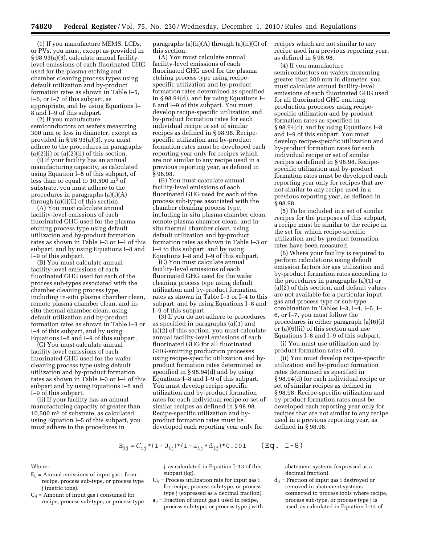(1) If you manufacture MEMS, LCDs, or PVs, you must, except as provided in § 98.93(a)(3), calculate annual facilitylevel emissions of each fluorinated GHG used for the plasma etching and chamber cleaning process types using default utilization and by-product formation rates as shown in Table I–5, I–6, or I–7 of this subpart, as appropriate, and by using Equations I– 8 and I–9 of this subpart.

(2) If you manufacture semiconductors on wafers measuring 300 mm or less in diameter, except as provided in § 98.93(a)(3), you must adhere to the procedures in paragraphs  $(a)(2)(i)$  or  $(a)(2)(ii)$  of this section.

(i) If your facility has an annual manufacturing capacity, as calculated using Equation I–5 of this subpart, of less than or equal to 10,500 m2 of substrate, you must adhere to the procedures in paragraphs (a)(i)(A) through  $(a)(i)(C)$  of this section.

(A) You must calculate annual facility-level emissions of each fluorinated GHG used for the plasma etching process type using default utilization and by-product formation rates as shown in Table I–3 or I–4 of this subpart, and by using Equations I–8 and I–9 of this subpart.

(B) You must calculate annual facility-level emissions of each fluorinated GHG used for each of the process sub-types associated with the chamber cleaning process type, including in-situ plasma chamber clean, remote plasma chamber clean, and insitu thermal chamber clean, using default utilization and by-product formation rates as shown in Table I–3 or I–4 of this subpart, and by using Equations I–8 and I–9 of this subpart.

(C) You must calculate annual facility-level emissions of each fluorinated GHG used for the wafer cleaning process type using default utilization and by-product formation rates as shown in Table I–3 or I–4 of this subpart and by using Equations I–8 and I–9 of this subpart.

(ii) If your facility has an annual manufacturing capacity of greater than 10,500 m2 of substrate, as calculated using Equation I–5 of this subpart, you must adhere to the procedures in

paragraphs (a)(ii)(A) through (a)(ii)(C) of recipes which are not similar to any this section.

(A) You must calculate annual facility-level emissions of each fluorinated GHG used for the plasma etching process type using recipespecific utilization and by-product formation rates determined as specified in § 98.94(d), and by using Equations I– 8 and I–9 of this subpart. You must develop recipe-specific utilization and by-product formation rates for each individual recipe or set of similar recipes as defined in § 98.98. Recipespecific utilization and by-product formation rates must be developed each reporting year only for recipes which are not similar to any recipe used in a previous reporting year, as defined in § 98.98.

(B) You must calculate annual facility-level emissions of each fluorinated GHG used for each of the process sub-types associated with the chamber cleaning process type, including in-situ plasma chamber clean, remote plasma chamber clean, and insitu thermal chamber clean, using default utilization and by-product formation rates as shown in Table I–3 or I–4 to this subpart, and by using Equations I–8 and I–9 of this subpart.

(C) You must calculate annual facility-level emissions of each fluorinated GHG used for the wafer cleaning process type using default utilization and by-product formation rates as shown in Table I–3 or I–4 to this subpart, and by using Equations I–8 and I–9 of this subpart.

(3) If you do not adhere to procedures as specified in paragraphs (a)(1) and (a)(2) of this section, you must calculate annual facility-level emissions of each fluorinated GHG for all fluorinated GHG-emitting production processes using recipe-specific utilization and byproduct formation rates determined as specified in § 98.94(d) and by using Equations I–8 and I–9 of this subpart. You must develop recipe-specific utilization and by-product formation rates for each individual recipe or set of similar recipes as defined in § 98.98. Recipe-specific utilization and byproduct formation rates must be developed each reporting year only for

recipe used in a previous reporting year, as defined in § 98.98.

(4) If you manufacture semiconductors on wafers measuring greater than 300 mm in diameter, you must calculate annual facility-level emissions of each fluorinated GHG used for all fluorinated GHG emitting production processes using recipespecific utilization and by-product formation rates as specified in § 98.94(d), and by using Equations I–8 and I–9 of this subpart. You must develop recipe-specific utilization and by-product formation rates for each individual recipe or set of similar recipes as defined in § 98.98. Recipespecific utilization and by-product formation rates must be developed each reporting year only for recipes that are not similar to any recipe used in a previous reporting year, as defined in § 98.98.

(5) To be included in a set of similar recipes for the purposes of this subpart, a recipe must be similar to the recipe in the set for which recipe-specific utilization and by-product formation rates have been measured.

(6) Where your facility is required to perform calculations using default emission factors for gas utilization and by-product formation rates according to the procedures in paragraphs (a)(1) or (a)(2) of this section, and default values are not available for a particular input gas and process type or sub-type combination in Tables I–3, I–4, I–5, I– 6, or I–7, you must follow the procedures in either paragraph (a)(6)(i) or (a)(6)(ii) of this section and use Equations I–8 and I–9 of this subpart.

(i) You must use utilization and byproduct formation rates of 0.

(ii) You must develop recipe-specific utilization and by-product formation rates determined as specified in § 98.94(d) for each individual recipe or set of similar recipes as defined in § 98.98. Recipe-specific utilization and by-product formation rates must be developed each reporting year only for recipes that are not similar to any recipe used in a previous reporting year, as defined in § 98.98.

$$
E_{ij} = C_{ij} * (1 - U_{ij}) * (1 - a_{ij} * d_{ij}) * 0.001 \qquad (Eq. I-8)
$$

Where:

- $E_{ii}$  = Annual emissions of input gas i from recipe, process sub-type, or process type j (metric tons).
- $C_{ii}$  = Amount of input gas i consumed for recipe, process sub-type, or process type

j, as calculated in Equation I–13 of this subpart (kg).

- $U_{ij}$  = Process utilization rate for input gas i for recipe, process sub-type, or process type j (expressed as a decimal fraction).
- $a_{ij}$  = Fraction of input gas i used in recipe, process sub-type, or process type j with

abatement systems (expressed as a decimal fraction).

 $\mathbf{d}_{\mathbf{ij}} = \mathrm{Fraction}$  of input gas i destroyed or removed in abatement systems connected to process tools where recipe, process sub-type, or process type j is used, as calculated in Equation I–14 of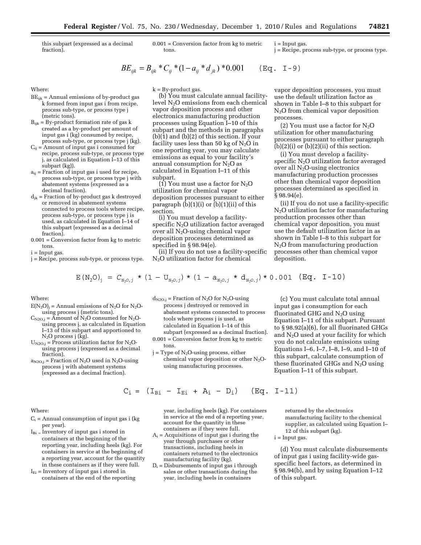this subpart (expressed as a decimal fraction).

0.001 = Conversion factor from kg to metric tons.

$$
BE_{ijk} = B_{ijk} * C_{ij} * (1 - a_{ij} * d_{jk}) * 0.001 \quad (\text{Eq. I-9})
$$

Where:

- $BE_{ijk}$  = Annual emissions of by-product gas k formed from input gas i from recipe, process sub-type, or process type j (metric tons).
- $B_{ijk}$  = By-product formation rate of gas  $k$ created as a by-product per amount of input gas i (kg) consumed by recipe, process sub-type, or process type j (kg).
- $C_{ij}$  = Amount of input gas i consumed for recipe, process sub-type, or process type j, as calculated in Equation I–13 of this subpart (kg)).
- $a_{ij}$  = Fraction of input gas i used for recipe, process sub-type, or process type j with abatement systems (expressed as a decimal fraction).
- $d_{jk}$  = Fraction of by-product gas  $k$  destroyed or removed in abatement systems connected to process tools where recipe, process sub-type, or process type j is used, as calculated in Equation I–14 of this subpart (expressed as a decimal fraction).
- 0.001 = Conversion factor from kg to metric tons.

 $i = Input$  gas.

j = Recipe, process sub-type, or process type.

 $k = Bv$ -product gas.

(b) You must calculate annual facilitylevel N2O emissions from each chemical vapor deposition process and other electronics manufacturing production processes using Equation I–10 of this subpart and the methods in paragraphs (b)(1) and (b)(2) of this section. If your facility uses less than 50 kg of  $N_2O$  in one reporting year, you may calculate emissions as equal to your facility's annual consumption for  $N_2O$  as calculated in Equation I–11 of this subpart.

(1) You must use a factor for  $N_2O$ utilization for chemical vapor deposition processes pursuant to either paragraph  $(b)(1)(i)$  or  $(b)(1)(ii)$  of this section.

(i) You must develop a facilityspecific  $N_2O$  utilization factor averaged over all  $N_2O$ -using chemical vapor deposition processes determined as specified in § 98.94(e).

(ii) If you do not use a facility-specific N2O utilization factor for chemical

vapor deposition processes, you must use the default utilization factor as shown in Table I–8 to this subpart for N<sub>2</sub>O from chemical vapor deposition processes.

j = Recipe, process sub-type, or process type.

 $i =$ Input gas.

(2) You must use a factor for  $N_2O$ utilization for other manufacturing processes pursuant to either paragraph  $(b)(2)(i)$  or  $(b)(2)(ii)$  of this section.

(i) You must develop a facilityspecific  $N_2O$  utilization factor averaged over all  $N_2O$ -using electronics manufacturing production processes other than chemical vapor deposition processes determined as specified in § 98.94(e).

(ii) If you do not use a facility-specific  $N<sub>2</sub>O$  utilization factor for manufacturing production processes other than chemical vapor deposition, you must use the default utilization factor in as shown in Table I–8 to this subpart for N2O from manufacturing production processes other than chemical vapor deposition.

$$
E(N_2O)_j = C_{N_2O,j} * (1-U_{N_2O,j}) * (1-a_{N_2O,j} * d_{N_2O,j}) * 0.001
$$
 (Eq. I-10)

Where:

- $E(N_2O)$ <sub>j</sub> = Annual emissions of N<sub>2</sub>O for N<sub>2</sub>Ousing process j (metric tons).
- $C_{N2O,j} = \bar{A}$ mount of N<sub>2</sub>O consumed for N<sub>2</sub>Ousing process j, as calculated in Equation I–13 of this subpart and apportioned to  $N<sub>2</sub>O$  process j (kg).
- $U_{N2O,j}$  = Process utilization factor for N<sub>2</sub>Ousing process j (expressed as a decimal fraction).
- $a_{N2O,j}$  = Fraction of N<sub>2</sub>O used in N<sub>2</sub>O-using process j with abatement systems (expressed as a decimal fraction).

Where:

- $C_i$  = Annual consumption of input gas i (kg per year).
- $I_{Bi}$  = Inventory of input gas i stored in containers at the beginning of the reporting year, including heels (kg). For containers in service at the beginning of a reporting year, account for the quantity in these containers as if they were full.
- $I<sub>Ei</sub>$  = Inventory of input gas i stored in containers at the end of the reporting

 $d_{N2O,j}$  = Fraction of N<sub>2</sub>O for N<sub>2</sub>O-using process j destroyed or removed in abatement systems connected to process tools where process j is used, as calculated in Equation I–14 of this subpart (expressed as a decimal fraction).

- 0.001 = Conversion factor from kg to metric tons.
- $j = Type of N<sub>2</sub>O<sub>-</sub> using process, either$ chemical vapor deposition or other  $N_2O$ using manufacturing processes.

$$
C_i = (I_{Bi} - I_{Ei} + A_i - D_i)
$$
 (Eq. I-11)

year, including heels (kg). For containers in service at the end of a reporting year, account for the quantity in these containers as if they were full.

- $A_i$  = Acquisitions of input gas i during the year through purchases or other transactions, including heels in containers returned to the electronics manufacturing facility (kg).
- $D_i$  = Disbursements of input gas i through sales or other transactions during the year, including heels in containers

(c) You must calculate total annual input gas i consumption for each fluorinated GHG and  $N_2O$  using Equation I–11 of this subpart. Pursuant to § 98.92(a)(6), for all fluorinated GHGs and N2O used at your facility for which you do not calculate emissions using Equations I–6, I–7, I–8, I–9, and I–10 of this subpart, calculate consumption of these fluorinated GHGs and  $N_2O$  using Equation I–11 of this subpart.

returned by the electronics manufacturing facility to the chemical supplier, as calculated using Equation I– 12 of this subpart (kg).

i = Input gas.

(d) You must calculate disbursements of input gas i using facility-wide gasspecific heel factors, as determined in § 98.94(b), and by using Equation I–12 of this subpart.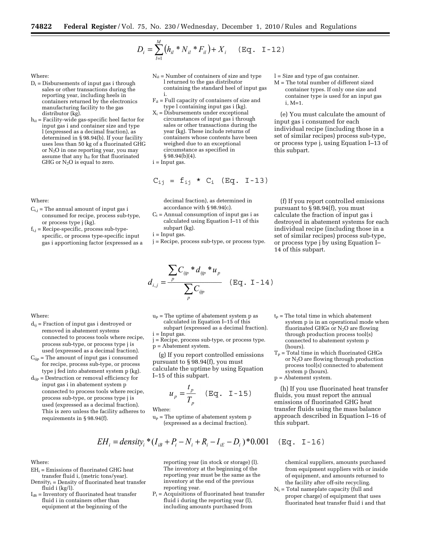$$
D_i = \sum_{l=1}^{M} (h_{il} * N_{il} * F_{il}) + X_i \quad (\text{Eq. I-12})
$$

# Where:

- $D_i$  = Disbursements of input gas i through sales or other transactions during the reporting year, including heels in containers returned by the electronics manufacturing facility to the gas distributor (kg).
- $h_{il}$  = Facility-wide gas-specific heel factor for input gas i and container size and type l (expressed as a decimal fraction), as determined in § 98.94(b). If your facility uses less than 50 kg of a fluorinated GHG or N2O in one reporting year, you may assume that any  $h_{il}$  for that fluorinated GHG or  $N_2O$  is equal to zero.

#### Where:

- $C_{i,j}$  = The annual amount of input gas i consumed for recipe, process sub-type, or process type j (kg).
- $f_{i,j}$  = Recipe-specific, process sub-typespecific, or process type-specific input gas i apportioning factor (expressed as a
- $N_{il}$  = Number of containers of size and type l returned to the gas distributor containing the standard heel of input gas i.
- $F_{il}$  = Full capacity of containers of size and type l containing input gas i (kg).
- $X_i = \overline{\text{Disburesments under exceptional}}$ circumstances of input gas i through sales or other transactions during the year (kg). These include returns of containers whose contents have been weighed due to an exceptional circumstance as specified in § 98.94(b)(4).

i = Input gas.

$$
C_{ij} = f_{ij} * C_i (Eq. I-13)
$$

decimal fraction), as determined in accordance with § 98.94(c).

- $C_i$  = Annual consumption of input gas i as calculated using Equation I–11 of this subpart (kg).
- $i =$ Input gas.
- j = Recipe, process sub-type, or process type.

$$
d_{i,j} = \frac{\sum_{p} C_{ijp} * d_{ijp} * u_p}{\sum_{p} C_{ijp}}
$$
 (Eq. I-14)

- l = Size and type of gas container.
- M = The total number of different sized container types. If only one size and container type is used for an input gas i, M=1.

(e) You must calculate the amount of input gas i consumed for each individual recipe (including those in a set of similar recipes) process sub-type, or process type j, using Equation I–13 of this subpart.

(f) If you report controlled emissions pursuant to § 98.94(f), you must calculate the fraction of input gas i destroyed in abatement systems for each individual recipe (including those in a set of similar recipes) process sub-type, or process type j by using Equation I– 14 of this subpart.

## Where:

- $d_{ij}$  = Fraction of input gas i destroyed or removed in abatement systems connected to process tools where recipe, process sub-type, or process type j is used (expressed as a decimal fraction).
- $C_{\text{tip}}$  = The amount of input gas i consumed for recipe, process sub-type, or process type j fed into abatement system p (kg).
- $\mathbf{d}_{\mathsf{ijp}} = \mathsf{D}$ estruction or removal efficiency for input gas i in abatement system p connected to process tools where recipe, process sub-type, or process type j is used (expressed as a decimal fraction). This is zero unless the facility adheres to requirements in § 98.94(f).
- $u_p$  = The uptime of abatement system p as calculated in Equation I–15 of this subpart (expressed as a decimal fraction).
- $i = Input$  gas.
- j = Recipe, process sub-type, or process type. p = Abatement system.

(g) If you report controlled emissions pursuant to § 98.94(f), you must calculate the uptime by using Equation I–15 of this subpart.

$$
u_p = \frac{t_p}{T_p} \quad (\text{Eq. I} - 15)
$$

Where:

 $u_p$  = The uptime of abatement system p (expressed as a decimal fraction).

$$
EH_i = density_i * (I_{ik} + P_i - N_i + R_i - I_{ik} - D_i) * 0.001 \quad (\text{Eq. } I -
$$

Where:

- $EH_i =$  Emissions of fluorinated GHG heat transfer fluid i, (metric tons/year).
- Density<sub>i</sub> = Density of fluorinated heat transfer fluid i (kg/l).
- $I_{iB}$  = Inventory of fluorinated heat transfer fluid i in containers other than equipment at the beginning of the

reporting year (in stock or storage) (l). The inventory at the beginning of the reporting year must be the same as the inventory at the end of the previous reporting year.

 $P_i$  = Acquisitions of fluorinated heat transfer fluid i during the reporting year (l), including amounts purchased from

through production process tool(s) connected to abatement system p (hours).  $T_p$  = Total time in which fluorinated GHGs or N2O are flowing through production process tool(s) connected to abatement

system p is in an operational mode when fluorinated GHGs or  $N_2O$  are flowing

 $t_p$  = The total time in which abatement

system p (hours). p = Abatement system.

(h) If you use fluorinated heat transfer fluids, you must report the annual emissions of fluorinated GHG heat transfer fluids using the mass balance approach described in Equation I–16 of this subpart.

chemical suppliers, amounts purchased from equipment suppliers with or inside of equipment, and amounts returned to the facility after off-site recycling.

 $N_i$  = Total nameplate capacity (full and proper charge) of equipment that uses fluorinated heat transfer fluid i and that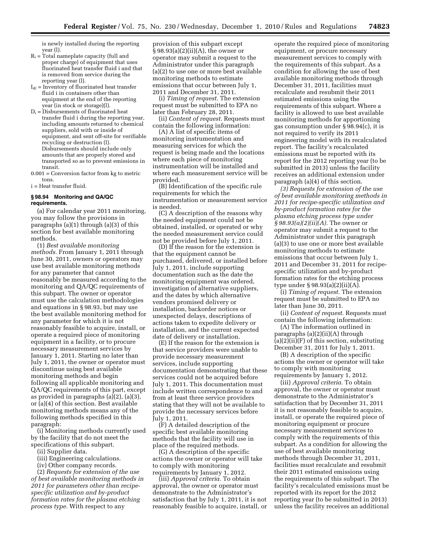is newly installed during the reporting year (l).

- $R_i$  = Total nameplate capacity (full and proper charge) of equipment that uses fluorinated heat transfer fluid i and that is removed from service during the reporting year (l).
- $I_{iE}$  = Inventory of fluorinated heat transfer fluid i in containers other than equipment at the end of the reporting year (in stock or storage)(l).
- $\mathbf{D_i}$  = Disbursements of fluorinated heat transfer fluid i during the reporting year, including amounts returned to chemical suppliers, sold with or inside of equipment, and sent off-site for verifiable recycling or destruction (l). Disbursements should include only amounts that are properly stored and transported so as to prevent emissions in transit.
- 0.001 = Conversion factor from kg to metric tons.

i = Heat transfer fluid.

# **§ 98.94 Monitoring and QA/QC requirements.**

(a) For calendar year 2011 monitoring, you may follow the provisions in paragraphs (a)(1) through (a)(3) of this section for best available monitoring methods.

(1) *Best available monitoring methods.* From January 1, 2011 through June 30, 2011, owners or operators may use best available monitoring methods for any parameter that cannot reasonably be measured according to the monitoring and QA/QC requirements of this subpart. The owner or operator must use the calculation methodologies and equations in § 98.93, but may use the best available monitoring method for any parameter for which it is not reasonably feasible to acquire, install, or operate a required piece of monitoring equipment in a facility, or to procure necessary measurement services by January 1, 2011. Starting no later than July 1, 2011, the owner or operator must discontinue using best available monitoring methods and begin following all applicable monitoring and QA/QC requirements of this part, except as provided in paragraphs (a)(2), (a)(3), or (a)(4) of this section. Best available monitoring methods means any of the following methods specified in this paragraph:

(i) Monitoring methods currently used by the facility that do not meet the specifications of this subpart.

- (ii) Supplier data.
- (iii) Engineering calculations.
- (iv) Other company records.

(2) *Requests for extension of the use of best available monitoring methods in 2011 for parameters other than recipespecific utilization and by-product formation rates for the plasma etching process type.* With respect to any

provision of this subpart except § 98.93(a)(2)(ii)(A), the owner or operator may submit a request to the Administrator under this paragraph (a)(2) to use one or more best available monitoring methods to estimate emissions that occur between July 1, 2011 and December 31, 2011.

(i) *Timing of request.* The extension request must be submitted to EPA no later than February 28, 2011.

(ii) *Content of request.* Requests must contain the following information:

(A) A list of specific items of monitoring instrumentation and measuring services for which the request is being made and the locations where each piece of monitoring instrumentation will be installed and where each measurement service will be provided.

(B) Identification of the specific rule requirements for which the instrumentation or measurement service is needed.

(C) A description of the reasons why the needed equipment could not be obtained, installed, or operated or why the needed measurement service could not be provided before July 1, 2011.

(D) If the reason for the extension is that the equipment cannot be purchased, delivered, or installed before July 1, 2011, include supporting documentation such as the date the monitoring equipment was ordered, investigation of alternative suppliers, and the dates by which alternative vendors promised delivery or installation, backorder notices or unexpected delays, descriptions of actions taken to expedite delivery or installation, and the current expected date of delivery or installation.

(E) If the reason for the extension is that service providers were unable to provide necessary measurement services, include supporting documentation demonstrating that these services could not be acquired before July 1, 2011. This documentation must include written correspondence to and from at least three service providers stating that they will not be available to provide the necessary services before July 1, 2011.

(F) A detailed description of the specific best available monitoring methods that the facility will use in place of the required methods.

(G) A description of the specific actions the owner or operator will take to comply with monitoring requirements by January 1, 2012.

(iii) *Approval criteria.* To obtain approval, the owner or operator must demonstrate to the Administrator's satisfaction that by July 1, 2011, it is not reasonably feasible to acquire, install, or

operate the required piece of monitoring equipment, or procure necessary measurement services to comply with the requirements of this subpart. As a condition for allowing the use of best available monitoring methods through December 31, 2011, facilities must recalculate and resubmit their 2011 estimated emissions using the requirements of this subpart. Where a facility is allowed to use best available monitoring methods for apportioning gas consumption under § 98.94(c), it is not required to verify its 2011 engineering model with its recalculated report. The facility's recalculated emissions must be reported with its report for the 2012 reporting year (to be submitted in 2013) unless the facility receives an additional extension under paragraph (a)(4) of this section.

*(3) Requests for extension of the use of best available monitoring methods in 2011 for recipe-specific utilization and by-product formation rates for the plasma etching process type under § 98.93(a)(2)(ii)(A).* The owner or operator may submit a request to the Administrator under this paragraph (a)(3) to use one or more best available monitoring methods to estimate emissions that occur between July 1, 2011 and December 31, 2011 for recipespecific utilization and by-product formation rates for the etching process type under § 98.93(a)(2)(ii)(A).

(i) *Timing of request.* The extension request must be submitted to EPA no later than June 30, 2011.

(ii) *Content of request.* Requests must contain the following information:

(A) The information outlined in paragraphs (a)(2)(ii)(A) through  $(a)(2)(ii)(F)$  of this section, substituting December 31, 2011 for July 1, 2011.

(B) A description of the specific actions the owner or operator will take to comply with monitoring requirements by January 1, 2012.

(iii) *Approval criteria.* To obtain approval, the owner or operator must demonstrate to the Administrator's satisfaction that by December 31, 2011 it is not reasonably feasible to acquire, install, or operate the required piece of monitoring equipment or procure necessary measurement services to comply with the requirements of this subpart. As a condition for allowing the use of best available monitoring methods through December 31, 2011, facilities must recalculate and resubmit their 2011 estimated emissions using the requirements of this subpart. The facility's recalculated emissions must be reported with its report for the 2012 reporting year (to be submitted in 2013) unless the facility receives an additional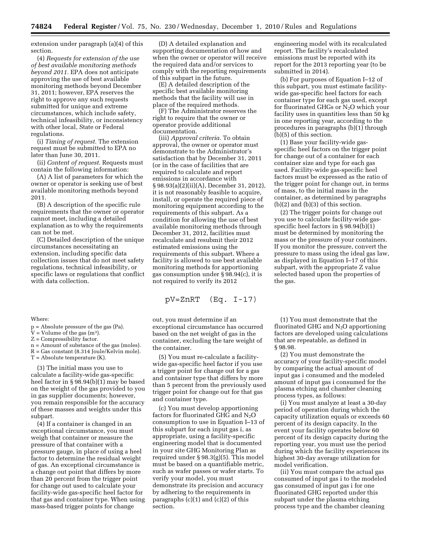extension under paragraph (a)(4) of this section.

(4) *Requests for extension of the use of best available monitoring methods beyond 2011.* EPA does not anticipate approving the use of best available monitoring methods beyond December 31, 2011; however, EPA reserves the right to approve any such requests submitted for unique and extreme circumstances, which include safety, technical infeasibility, or inconsistency with other local, State or Federal regulations.

(i) *Timing of request.* The extension request must be submitted to EPA no later than June 30, 2011.

(ii) *Content of request.* Requests must contain the following information:

(A) A list of parameters for which the owner or operator is seeking use of best available monitoring methods beyond 2011.

(B) A description of the specific rule requirements that the owner or operator cannot meet, including a detailed explanation as to why the requirements can not be met.

(C) Detailed description of the unique circumstances necessitating an extension, including specific data collection issues that do not meet safety regulations, technical infeasibility, or specific laws or regulations that conflict with data collection.

#### Where:

p = Absolute pressure of the gas (Pa).

 $V =$  Volume of the gas (m<sup>3</sup>).

- Z = Compressibility factor.
- n = Amount of substance of the gas (moles).

R = Gas constant (8.314 Joule/Kelvin mole).  $T =$  Absolute temperature  $(K)$ .

(3) The initial mass you use to calculate a facility-wide gas-specific heel factor in  $\S 98.94(b)(1)$  may be based on the weight of the gas provided to you in gas supplier documents; however, you remain responsible for the accuracy of these masses and weights under this subpart.

(4) If a container is changed in an exceptional circumstance, you must weigh that container or measure the pressure of that container with a pressure gauge, in place of using a heel factor to determine the residual weight of gas. An exceptional circumstance is a change out point that differs by more than 20 percent from the trigger point for change out used to calculate your facility-wide gas-specific heel factor for that gas and container type. When using mass-based trigger points for change

(D) A detailed explanation and supporting documentation of how and when the owner or operator will receive the required data and/or services to comply with the reporting requirements of this subpart in the future.

(E) A detailed description of the specific best available monitoring methods that the facility will use in place of the required methods.

(F) The Administrator reserves the right to require that the owner or operator provide additional documentation.

(iii) *Approval criteria.* To obtain approval, the owner or operator must demonstrate to the Administrator's satisfaction that by December 31, 2011 (or in the case of facilities that are required to calculate and report emissions in accordance with § 98.93(a)(2)(ii)(A), December 31, 2012), it is not reasonably feasible to acquire, install, or operate the required piece of monitoring equipment according to the requirements of this subpart. As a condition for allowing the use of best available monitoring methods through December 31, 2012, facilities must recalculate and resubmit their 2012 estimated emissions using the requirements of this subpart. Where a facility is allowed to use best available monitoring methods for apportioning gas consumption under § 98.94(c), it is not required to verify its 2012

$$
pV = ZnRT \quad (Eq. I-17)
$$

out, you must determine if an exceptional circumstance has occurred based on the net weight of gas in the container, excluding the tare weight of the container.

(5) You must re-calculate a facilitywide gas-specific heel factor if you use a trigger point for change out for a gas and container type that differs by more than 5 percent from the previously used trigger point for change out for that gas and container type.

(c) You must develop apportioning factors for fluorinated GHG and  $N_2O$ consumption to use in Equation I–13 of this subpart for each input gas i, as appropriate, using a facility-specific engineering model that is documented in your site GHG Monitoring Plan as required under § 98.3(g)(5). This model must be based on a quantifiable metric, such as wafer passes or wafer starts. To verify your model, you must demonstrate its precision and accuracy by adhering to the requirements in paragraphs  $(c)(1)$  and  $(c)(2)$  of this section.

engineering model with its recalculated report. The facility's recalculated emissions must be reported with its report for the 2013 reporting year (to be submitted in 2014).

(b) For purposes of Equation I–12 of this subpart, you must estimate facilitywide gas-specific heel factors for each container type for each gas used, except for fluorinated GHGs or  $N<sub>2</sub>O$  which your facility uses in quantities less than 50 kg in one reporting year, according to the procedures in paragraphs (b)(1) through (b)(5) of this section.

(1) Base your facility-wide gasspecific heel factors on the trigger point for change out of a container for each container size and type for each gas used. Facility-wide gas-specific heel factors must be expressed as the ratio of the trigger point for change out, in terms of mass, to the initial mass in the container, as determined by paragraphs (b)(2) and (b)(3) of this section.

(2) The trigger points for change out you use to calculate facility-wide gasspecific heel factors in § 98.94(b)(1) must be determined by monitoring the mass or the pressure of your containers. If you monitor the pressure, convert the pressure to mass using the ideal gas law, as displayed in Equation I–17 of this subpart, with the appropriate Z value selected based upon the properties of the gas.

(1) You must demonstrate that the fluorinated GHG and  $N_2O$  apportioning factors are developed using calculations that are repeatable, as defined in § 98.98.

(2) You must demonstrate the accuracy of your facility-specific model by comparing the actual amount of input gas i consumed and the modeled amount of input gas i consumed for the plasma etching and chamber cleaning process types, as follows:

(i) You must analyze at least a 30-day period of operation during which the capacity utilization equals or exceeds 60 percent of its design capacity. In the event your facility operates below 60 percent of its design capacity during the reporting year, you must use the period during which the facility experiences its highest 30-day average utilization for model verification.

(ii) You must compare the actual gas consumed of input gas i to the modeled gas consumed of input gas i for one fluorinated GHG reported under this subpart under the plasma etching process type and the chamber cleaning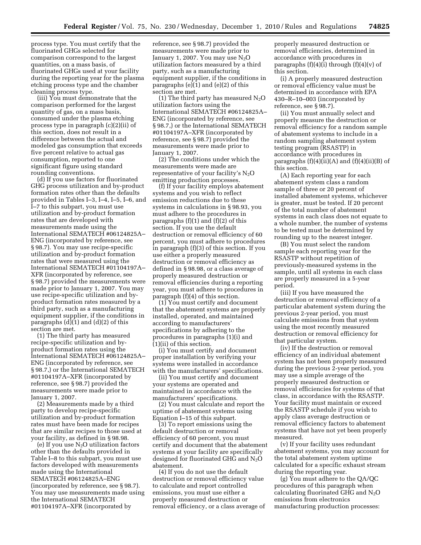process type. You must certify that the fluorinated GHGs selected for comparison correspond to the largest quantities, on a mass basis, of fluorinated GHGs used at your facility during the reporting year for the plasma etching process type and the chamber cleaning process type.

(iii) You must demonstrate that the comparison performed for the largest quantity of gas, on a mass basis, consumed under the plasma etching process type in paragraph (c)(2)(ii) of this section, does not result in a difference between the actual and modeled gas consumption that exceeds five percent relative to actual gas consumption, reported to one significant figure using standard rounding conventions.

(d) If you use factors for fluorinated GHG process utilization and by-product formation rates other than the defaults provided in Tables I–3, I–4, I–5, I–6, and I–7 to this subpart, you must use utilization and by-product formation rates that are developed with measurements made using the International SEMATECH #06124825A– ENG (incorporated by reference, see § 98.7). You may use recipe-specific utilization and by-product formation rates that were measured using the International SEMATECH #01104197A– XFR (incorporated by reference, see § 98.7) provided the measurements were made prior to January 1, 2007. You may use recipe-specific utilization and byproduct formation rates measured by a third party, such as a manufacturing equipment supplier, if the conditions in paragraphs (d)(1) and (d)(2) of this section are met.

(1) The third party has measured recipe-specific utilization and byproduct formation rates using the International SEMATECH #06124825A– ENG (incorporated by reference, see § 98.7,) or the International SEMATECH #01104197A–XFR (incorporated by reference, see § 98.7) provided the measurements were made prior to January 1, 2007.

(2) Measurements made by a third party to develop recipe-specific utilization and by-product formation rates must have been made for recipes that are similar recipes to those used at your facility, as defined in § 98.98.

(e) If you use  $N_2O$  utilization factors other than the defaults provided in Table I–8 to this subpart, you must use factors developed with measurements made using the International SEMATECH #06124825A–ENG (incorporated by reference, see § 98.7). You may use measurements made using the International SEMATECH #01104197A–XFR (incorporated by

reference, see § 98.7) provided the measurements were made prior to January 1, 2007. You may use  $N_2O$ utilization factors measured by a third party, such as a manufacturing equipment supplier, if the conditions in paragraphs (e)(1) and (e)(2) of this section are met.

(1) The third party has measured  $N_2O$ utilization factors using the International SEMATECH #06124825A– ENG (incorporated by reference, see § 98.7,) or the International SEMATECH #01104197A–XFR (incorporated by reference, see § 98.7) provided the measurements were made prior to January 1, 2007.

(2) The conditions under which the measurements were made are representative of your facility's N2O emitting production processes.

(f) If your facility employs abatement systems and you wish to reflect emission reductions due to these systems in calculations in § 98.93, you must adhere to the procedures in paragraphs (f)(1) and (f)(2) of this section. If you use the default destruction or removal efficiency of 60 percent, you must adhere to procedures in paragraph (f)(3) of this section. If you use either a properly measured destruction or removal efficiency as defined in § 98.98, or a class average of properly measured destruction or removal efficiencies during a reporting year, you must adhere to procedures in paragraph (f)(4) of this section.

(1) You must certify and document that the abatement systems are properly installed, operated, and maintained according to manufacturers' specifications by adhering to the procedures in paragraphs (1)(i) and (1)(ii) of this section.

(i) You must certify and document proper installation by verifying your systems were installed in accordance with the manufacturers' specifications.

(ii) You must certify and document your systems are operated and maintained in accordance with the manufacturers' specifications.

(2) You must calculate and report the uptime of abatement systems using Equation I–15 of this subpart.

(3) To report emissions using the default destruction or removal efficiency of 60 percent, you must certify and document that the abatement systems at your facility are specifically designed for fluorinated GHG and  $N_2O$ abatement.

(4) If you do not use the default destruction or removal efficiency value to calculate and report controlled emissions, you must use either a properly measured destruction or removal efficiency, or a class average of properly measured destruction or removal efficiencies, determined in accordance with procedures in paragraphs  $(f)(4)(i)$  through  $(f)(4)(v)$  of this section.

(i) A properly measured destruction or removal efficiency value must be determined in accordance with EPA 430–R–10–003 (incorporated by reference, see § 98.7).

(ii) You must annually select and properly measure the destruction or removal efficiency for a random sample of abatement systems to include in a random sampling abatement system testing program (RSASTP) in accordance with procedures in paragraphs  $(f)(4)(ii)(A)$  and  $(f)(4)(ii)(B)$  of this section.

(A) Each reporting year for each abatement system class a random sample of three or 20 percent of installed abatement systems, whichever is greater, must be tested. If 20 percent of the total number of abatement systems in each class does not equate to a whole number, the number of systems to be tested must be determined by rounding up to the nearest integer.

(B) You must select the random sample each reporting year for the RSASTP without repetition of previously-measured systems in the sample, until all systems in each class are properly measured in a 5-year period.

(iii) If you have measured the destruction or removal efficiency of a particular abatement system during the previous 2-year period, you must calculate emissions from that system using the most recently measured destruction or removal efficiency for that particular system.

(iv) If the destruction or removal efficiency of an individual abatement system has not been properly measured during the previous 2-year period, you may use a simple average of the properly measured destruction or removal efficiencies for systems of that class, in accordance with the RSASTP. Your facility must maintain or exceed the RSASTP schedule if you wish to apply class average destruction or removal efficiency factors to abatement systems that have not yet been properly measured.

(v) If your facility uses redundant abatement systems, you may account for the total abatement system uptime calculated for a specific exhaust stream during the reporting year.

(g) You must adhere to the QA/QC procedures of this paragraph when calculating fluorinated GHG and  $N_2O$ emissions from electronics manufacturing production processes: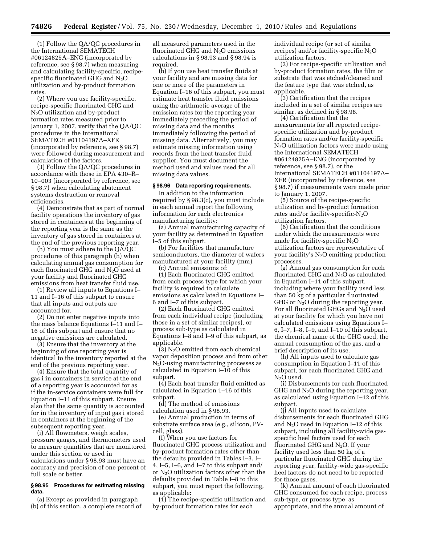(1) Follow the QA/QC procedures in the International SEMATECH #06124825A–ENG (incorporated by reference, see § 98.7) when measuring and calculating facility-specific, recipespecific fluorinated GHG and  $N_2O$ utilization and by-product formation rates.

(2) Where you use facility-specific, recipe-specific fluorinated GHG and N2O utilization and by-product formation rates measured prior to January 1, 2007, verify that the QA/QC procedures in the International SEMATECH #01104197A–XFR (incorporated by reference, see § 98.7) were followed during measurement and calculation of the factors.

(3) Follow the QA/QC procedures in accordance with those in EPA 430–R– 10–003 (incorporated by reference, see § 98.7) when calculating abatement systems destruction or removal efficiencies.

(4) Demonstrate that as part of normal facility operations the inventory of gas stored in containers at the beginning of the reporting year is the same as the inventory of gas stored in containers at the end of the previous reporting year.

(h) You must adhere to the QA/QC procedures of this paragraph (h) when calculating annual gas consumption for each fluorinated GHG and  $N_2O$  used at your facility and fluorinated GHG emissions from heat transfer fluid use.

(1) Review all inputs to Equations I– 11 and I–16 of this subpart to ensure that all inputs and outputs are accounted for.

(2) Do not enter negative inputs into the mass balance Equations I–11 and I– 16 of this subpart and ensure that no negative emissions are calculated.

(3) Ensure that the inventory at the beginning of one reporting year is identical to the inventory reported at the end of the previous reporting year.

(4) Ensure that the total quantity of gas i in containers in service at the end of a reporting year is accounted for as if the in-service containers were full for Equation I–11 of this subpart. Ensure also that the same quantity is accounted for in the inventory of input gas i stored in containers at the beginning of the subsequent reporting year.

(i) All flowmeters, weigh scales, pressure gauges, and thermometers used to measure quantities that are monitored under this section or used in calculations under § 98.93 must have an accuracy and precision of one percent of full scale or better.

## **§ 98.95 Procedures for estimating missing data.**

(a) Except as provided in paragraph (b) of this section, a complete record of

all measured parameters used in the fluorinated GHG and  $N_2O$  emissions calculations in § 98.93 and § 98.94 is required.

(b) If you use heat transfer fluids at your facility and are missing data for one or more of the parameters in Equation I–16 of this subpart, you must estimate heat transfer fluid emissions using the arithmetic average of the emission rates for the reporting year immediately preceding the period of missing data and the months immediately following the period of missing data. Alternatively, you may estimate missing information using records from the heat transfer fluid supplier. You must document the method used and values used for all missing data values.

## **§ 98.96 Data reporting requirements.**

In addition to the information required by § 98.3(c), you must include in each annual report the following information for each electronics manufacturing facility:

(a) Annual manufacturing capacity of your facility as determined in Equation I–5 of this subpart.

(b) For facilities that manufacture semiconductors, the diameter of wafers manufactured at your facility (mm). (c) Annual emissions of:

(1) Each fluorinated GHG emitted from each process type for which your facility is required to calculate emissions as calculated in Equations I– 6 and I–7 of this subpart.

(2) Each fluorinated GHG emitted from each individual recipe (including those in a set of similar recipes), or process sub-type as calculated in Equations I–8 and I–9 of this subpart, as applicable.

(3) N2O emitted from each chemical vapor deposition process and from other N2O-using manufacturing processes as calculated in Equation I–10 of this subpart.

(4) Each heat transfer fluid emitted as calculated in Equation 1–16 of this subpart.

(d) The method of emissions calculation used in § 98.93.

(e) Annual production in terms of substrate surface area (e.g., silicon, PVcell, glass).

(f) When you use factors for fluorinated GHG process utilization and by-product formation rates other than the defaults provided in Tables I–3, I– 4, I–5, I–6, and I–7 to this subpart and/ or N2O utilization factors other than the defaults provided in Table I–8 to this subpart, you must report the following, as applicable:

(1) The recipe-specific utilization and by-product formation rates for each

individual recipe (or set of similar recipes) and/or facility-specific  $N_2O$ utilization factors.

(2) For recipe-specific utilization and by-product formation rates, the film or substrate that was etched/cleaned and the feature type that was etched, as applicable.

(3) Certification that the recipes included in a set of similar recipes are similar, as defined in § 98.98.

(4) Certification that the measurements for all reported recipespecific utilization and by-product formation rates and/or facility-specific N2O utilization factors were made using the International SEMATECH #06124825A–ENG (incorporated by reference, see § 98.7), or the International SEMATECH #01104197A– XFR (incorporated by reference, see § 98.7) if measurements were made prior to January 1, 2007.

(5) Source of the recipe-specific utilization and by-product formation rates and/or facility-specific- $N_2O$ utilization factors.

(6) Certification that the conditions under which the measurements were made for facility-specific  $N_2O$ utilization factors are representative of your facility's  $N_2O$  emitting production processes.

(g) Annual gas consumption for each fluorinated GHG and  $N_2O$  as calculated in Equation I–11 of this subpart, including where your facility used less than 50 kg of a particular fluorinated GHG or  $N_2O$  during the reporting year. For all fluorinated GHGs and  $N_2O$  used at your facility for which you have not calculated emissions using Equations I– 6, I–7, I–8, I–9, and I–10 of this subpart, the chemical name of the GHG used, the annual consumption of the gas, and a brief description of its use.

(h) All inputs used to calculate gas consumption in Equation I–11 of this subpart, for each fluorinated GHG and N<sub>2</sub>O used.

(i) Disbursements for each fluorinated GHG and  $N_2O$  during the reporting year, as calculated using Equation I–12 of this subpart.

(j) All inputs used to calculate disbursements for each fluorinated GHG and  $N_2O$  used in Equation I–12 of this subpart, including all facility-wide gasspecific heel factors used for each fluorinated GHG and  $N_2O$ . If your facility used less than 50 kg of a particular fluorinated GHG during the reporting year, facility-wide gas-specific heel factors do not need to be reported for those gases.

(k) Annual amount of each fluorinated GHG consumed for each recipe, process sub-type, or process type, as appropriate, and the annual amount of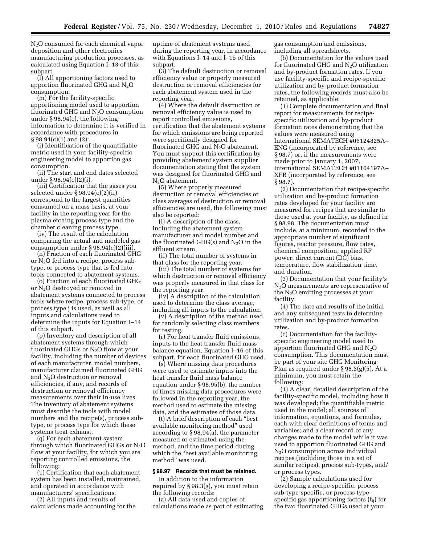N2O consumed for each chemical vapor deposition and other electronics manufacturing production processes, as calculated using Equation I–13 of this subpart.

(l) All apportioning factors used to apportion fluorinated GHG and  $N_2O$ consumption.

(m) For the facility-specific apportioning model used to apportion fluorinated GHG and  $N_2O$  consumption under § 98.94(c), the following information to determine it is verified in accordance with procedures in § 98.94(c)(1) and (2):

(i) Identification of the quantifiable metric used in your facility-specific engineering model to apportion gas consumption.

(ii) The start and end dates selected under § 98.94(c)(2)(i).

(iii) Certification that the gases you selected under § 98.94(c)(2)(ii) correspond to the largest quantities consumed on a mass basis, at your facility in the reporting year for the plasma etching process type and the chamber cleaning process type.

(iv) The result of the calculation comparing the actual and modeled gas consumption under § 98.94(c)(2)(iii).

(n) Fraction of each fluorinated GHG or N2O fed into a recipe, process subtype, or process type that is fed into tools connected to abatement systems.

(o) Fraction of each fluorinated GHG or N2O destroyed or removed in abatement systems connected to process tools where recipe, process sub-type, or process type j is used, as well as all inputs and calculations used to determine the inputs for Equation I–14 of this subpart.

(p) Inventory and description of all abatement systems through which fluorinated GHGs or  $N_2O$  flow at your facility, including the number of devices of each manufacturer, model numbers, manufacturer claimed fluorinated GHG and  $N_2O$  destruction or removal efficiencies, if any, and records of destruction or removal efficiency measurements over their in-use lives. The inventory of abatement systems must describe the tools with model numbers and the recipe(s), process subtype, or process type for which these systems treat exhaust.

(q) For each abatement system through which fluorinated GHGs or  $N_2O$ flow at your facility, for which you are reporting controlled emissions, the following:

(1) Certification that each abatement system has been installed, maintained, and operated in accordance with manufacturers' specifications.

(2) All inputs and results of calculations made accounting for the uptime of abatement systems used during the reporting year, in accordance with Equations I–14 and I–15 of this subpart.

(3) The default destruction or removal efficiency value or properly measured destruction or removal efficiencies for each abatement system used in the reporting year.

(4) Where the default destruction or removal efficiency value is used to report controlled emissions, certification that the abatement systems for which emissions are being reported were specifically designed for fluorinated GHG and  $N_2O$  abatement. You must support this certification by providing abatement system supplier documentation stating that the system was designed for fluorinated GHG and N<sub>2</sub>O abatement.

(5) Where properly measured destruction or removal efficiencies or class averages of destruction or removal efficiencies are used, the following must also be reported:

(i) A description of the class, including the abatement system manufacturer and model number and the fluorinated GHG(s) and  $N_2O$  in the effluent stream.

(ii) The total number of systems in that class for the reporting year.

(iii) The total number of systems for which destruction or removal efficiency was properly measured in that class for the reporting year.

(iv) A description of the calculation used to determine the class average, including all inputs to the calculation.

(v) A description of the method used for randomly selecting class members for testing.

(r) For heat transfer fluid emissions, inputs to the heat transfer fluid mass balance equation, Equation I–16 of this subpart, for each fluorinated GHG used.

(s) Where missing data procedures were used to estimate inputs into the heat transfer fluid mass balance equation under § 98.95(b), the number of times missing data procedures were followed in the reporting year, the method used to estimate the missing data, and the estimates of those data.

(t) A brief description of each ''best available monitoring method'' used according to § 98.94(a), the parameter measured or estimated using the method, and the time period during which the "best available monitoring method'' was used.

#### **§ 98.97 Records that must be retained.**

In addition to the information required by § 98.3(g), you must retain the following records:

(a) All data used and copies of calculations made as part of estimating gas consumption and emissions, including all spreadsheets.

(b) Documentation for the values used for fluorinated GHG and  $\mathrm{N}_2\mathrm{O}$  utilization and by-product formation rates. If you use facility-specific and recipe-specific utilization and by-product formation rates, the following records must also be retained, as applicable:

(1) Complete documentation and final report for measurements for recipespecific utilization and by-product formation rates demonstrating that the values were measured using International SEMATECH #06124825A– ENG (incorporated by reference, see § 98.7) or, if the measurements were made prior to January 1, 2007, International SEMATECH #01104197A– XFR (incorporated by reference, see § 98.7).

(2) Documentation that recipe-specific utilization and by-product formation rates developed for your facility are measured for recipes that are similar to those used at your facility, as defined in § 98.98. The documentation must include, at a minimum, recorded to the appropriate number of significant figures, reactor pressure, flow rates, chemical composition, applied RF power, direct current (DC) bias, temperature, flow stabilization time, and duration.

(3) Documentation that your facility's N2O measurements are representative of the N2O emitting processes at your facility.

(4) The date and results of the initial and any subsequent tests to determine utilization and by-product formation rates.

(c) Documentation for the facilityspecific engineering model used to apportion fluorinated GHG and  $N_2O$ consumption. This documentation must be part of your site GHG Monitoring Plan as required under § 98.3(g)(5). At a minimum, you must retain the following:

(1) A clear, detailed description of the facility-specific model, including how it was developed; the quantifiable metric used in the model; all sources of information, equations, and formulas, each with clear definitions of terms and variables; and a clear record of any changes made to the model while it was used to apportion fluorinated GHG and N2O consumption across individual recipes (including those in a set of similar recipes), process sub-types, and/ or process types.

(2) Sample calculations used for developing a recipe-specific, process sub-type-specific, or process typespecific gas apportioning factors  $(f_{ij})$  for the two fluorinated GHGs used at your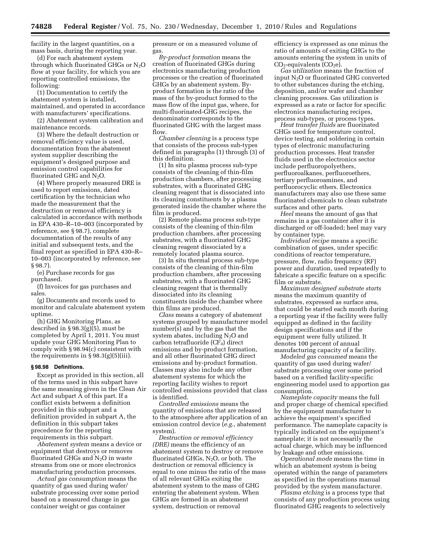facility in the largest quantities, on a mass basis, during the reporting year.

(d) For each abatement system through which fluorinated GHGs or  $N_2O$ flow at your facility, for which you are reporting controlled emissions, the following:

(1) Documentation to certify the abatement system is installed, maintained, and operated in accordance with manufacturers' specifications.

(2) Abatement system calibration and maintenance records.

(3) Where the default destruction or removal efficiency value is used, documentation from the abatement system supplier describing the equipment's designed purpose and emission control capabilities for fluorinated GHG and  $N_2O$ .

(4) Where properly measured DRE is used to report emissions, dated certification by the technician who made the measurement that the destruction or removal efficiency is calculated in accordance with methods in EPA 430–R–10–003 (incorporated by reference, see § 98.7), complete documentation of the results of any initial and subsequent tests, and the final report as specified in EPA 430–R– 10–003 (incorporated by reference, see § 98.7).

(e) Purchase records for gas purchased.

(f) Invoices for gas purchases and sales.

(g) Documents and records used to monitor and calculate abatement system uptime.

(h) GHG Monitoring Plans, as described in § 98.3(g)(5), must be completed by April 1, 2011. You must update your GHG Monitoring Plan to comply with § 98.94(c) consistent with the requirements in  $\S 98.3(g)(5)(iii)$ .

#### **§ 98.98 Definitions.**

Except as provided in this section, all of the terms used in this subpart have the same meaning given in the Clean Air Act and subpart A of this part. If a conflict exists between a definition provided in this subpart and a definition provided in subpart A, the definition in this subpart takes precedence for the reporting requirements in this subpart.

*Abatement system* means a device or equipment that destroys or removes fluorinated GHGs and  $N_2O$  in waste streams from one or more electronics manufacturing production processes.

*Actual gas consumption* means the quantity of gas used during wafer/ substrate processing over some period based on a measured change in gas container weight or gas container

pressure or on a measured volume of gas.

*By-product formation* means the creation of fluorinated GHGs during electronics manufacturing production processes or the creation of fluorinated GHGs by an abatement system. Byproduct formation is the ratio of the mass of the by-product formed to the mass flow of the input gas, where, for multi-fluorinated-GHG recipes, the denominator corresponds to the fluorinated GHG with the largest mass flow.

*Chamber cleaning* is a process type that consists of the process sub-types defined in paragraphs (1) through (3) of this definition.

(1) In situ plasma process sub-type consists of the cleaning of thin-film production chambers, after processing substrates, with a fluorinated GHG cleaning reagent that is dissociated into its cleaning constituents by a plasma generated inside the chamber where the film is produced.

(2) Remote plasma process sub-type consists of the cleaning of thin-film production chambers, after processing substrates, with a fluorinated GHG cleaning reagent dissociated by a remotely located plasma source.

(3) In situ thermal process sub-type consists of the cleaning of thin-film production chambers, after processing substrates, with a fluorinated GHG cleaning reagent that is thermally dissociated into its cleaning constituents inside the chamber where thin films are produced.

*Class* means a category of abatement systems grouped by manufacturer model number(s) and by the gas that the system abates, including  $N_2O$  and carbon tetrafluoride  $(CF_4)$  direct emissions and by-product formation, and all other fluorinated GHG direct emissions and by-product formation. Classes may also include any other abatement systems for which the reporting facility wishes to report controlled emissions provided that class is identified.

*Controlled emissions* means the quantity of emissions that are released to the atmosphere after application of an emission control device (*e.g.,* abatement system).

*Destruction or removal efficiency (DRE)* means the efficiency of an abatement system to destroy or remove fluorinated GHGs,  $N_2O$ , or both. The destruction or removal efficiency is equal to one minus the ratio of the mass of all relevant GHGs exiting the abatement system to the mass of GHG entering the abatement system. When GHGs are formed in an abatement system, destruction or removal

efficiency is expressed as one minus the ratio of amounts of exiting GHGs to the amounts entering the system in units of  $CO<sub>2</sub>$ -equivalents  $(CO<sub>2</sub>e)$ .

*Gas utilization* means the fraction of input  $N_2O$  or fluorinated GHG converted to other substances during the etching, deposition, and/or wafer and chamber cleaning processes. Gas utilization is expressed as a rate or factor for specific electronics manufacturing recipes, process sub-types, or process types.

*Heat transfer fluids* are fluorinated GHGs used for temperature control, device testing, and soldering in certain types of electronic manufacturing production processes. Heat transfer fluids used in the electronics sector include perfluoropolyethers, perfluoroalkanes, perfluoroethers, tertiary perfluoroamines, and perfluorocyclic ethers. Electronics manufacturers may also use these same fluorinated chemicals to clean substrate surfaces and other parts.

*Heel* means the amount of gas that remains in a gas container after it is discharged or off-loaded; heel may vary by container type.

*Individual recipe* means a specific combination of gases, under specific conditions of reactor temperature, pressure, flow, radio frequency (RF) power and duration, used repeatedly to fabricate a specific feature on a specific film or substrate.

*Maximum designed substrate starts*  means the maximum quantity of substrates, expressed as surface area, that could be started each month during a reporting year if the facility were fully equipped as defined in the facility design specifications and if the equipment were fully utilized. It denotes 100 percent of annual manufacturing capacity of a facility.

*Modeled gas consumed* means the quantity of gas used during wafer/ substrate processing over some period based on a verified facility-specific engineering model used to apportion gas consumption.

*Nameplate capacity* means the full and proper charge of chemical specified by the equipment manufacturer to achieve the equipment's specified performance. The nameplate capacity is typically indicated on the equipment's nameplate; it is not necessarily the actual charge, which may be influenced by leakage and other emissions.

*Operational mode* means the time in which an abatement system is being operated within the range of parameters as specified in the operations manual provided by the system manufacturer.

*Plasma etching* is a process type that consists of any production process using fluorinated GHG reagents to selectively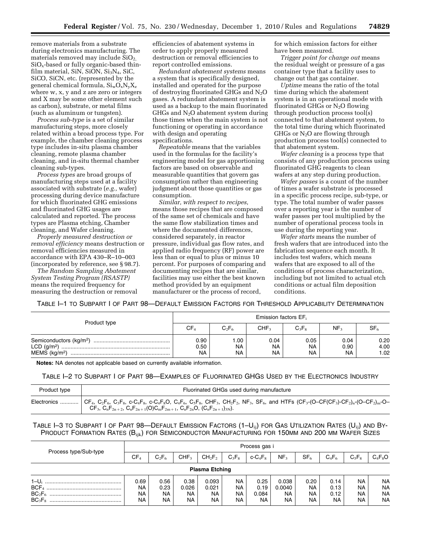remove materials from a substrate during electronics manufacturing. The materials removed may include  $SiO<sub>2</sub>$ , SiOx-based or fully organic-based thinfilm material, SiN, SiON,  $Si<sub>3</sub>N<sub>4</sub>$ , SiC, SiCO, SiCN, etc. (represented by the general chemical formula, SiwOxNyXz where w, x, y and z are zero or integers and X may be some other element such as carbon), substrate, or metal films (such as aluminum or tungsten).

*Process sub-type* is a set of similar manufacturing steps, more closely related within a broad process type. For example, the chamber cleaning process type includes in-situ plasma chamber cleaning, remote plasma chamber cleaning, and in-situ thermal chamber cleaning sub-types.

*Process types* are broad groups of manufacturing steps used at a facility associated with substrate (*e.g.,* wafer) processing during device manufacture for which fluorinated GHG emissions and fluorinated GHG usages are calculated and reported. The process types are Plasma etching, Chamber cleaning, and Wafer cleaning.

*Properly measured destruction or removal efficiency* means destruction or removal efficiencies measured in accordance with EPA 430–R–10–003 (incorporated by reference, see § 98.7).

*The Random Sampling Abatement System Testing Program (RSASTP)*  means the required frequency for measuring the destruction or removal efficiencies of abatement systems in order to apply properly measured destruction or removal efficiencies to report controlled emissions.

*Redundant abatement systems* means a system that is specifically designed, installed and operated for the purpose of destroying fluorinated GHGs and  $N_2O$ gases. A redundant abatement system is used as a backup to the main fluorinated GHGs and  $N_2O$  abatement system during those times when the main system is not functioning or operating in accordance with design and operating specifications.

*Repeatable* means that the variables used in the formulas for the facility's engineering model for gas apportioning factors are based on observable and measurable quantities that govern gas consumption rather than engineering judgment about those quantities or gas consumption.

*Similar, with respect to recipes,*  means those recipes that are composed of the same set of chemicals and have the same flow stabilization times and where the documented differences, considered separately, in reactor pressure, individual gas flow rates, and applied radio frequency (RF) power are less than or equal to plus or minus 10 percent. For purposes of comparing and documenting recipes that are similar, facilities may use either the best known method provided by an equipment manufacturer or the process of record,

for which emission factors for either have been measured.

*Trigger point for change out* means the residual weight or pressure of a gas container type that a facility uses to change out that gas container.

*Uptime* means the ratio of the total time during which the abatement system is in an operational mode with fluorinated GHGs or N2O flowing through production process tool(s) connected to that abatement system, to the total time during which fluorinated GHGs or  $N_2O$  are flowing through production process tool(s) connected to that abatement system.

*Wafer cleaning* is a process type that consists of any production process using fluorinated GHG reagents to clean wafers at any step during production.

*Wafer passes* is a count of the number of times a wafer substrate is processed in a specific process recipe, sub-type, or type. The total number of wafer passes over a reporting year is the number of wafer passes per tool multiplied by the number of operational process tools in use during the reporting year.

*Wafer starts* means the number of fresh wafers that are introduced into the fabrication sequence each month. It includes test wafers, which means wafers that are exposed to all of the conditions of process characterization, including but not limited to actual etch conditions or actual film deposition conditions.

TABLE I–1 TO SUBPART I OF PART 98—DEFAULT EMISSION FACTORS FOR THRESHOLD APPLICABILITY DETERMINATION

| Product type              | Emission factors EF;      |                 |                                |                         |                           |                      |  |  |  |  |  |
|---------------------------|---------------------------|-----------------|--------------------------------|-------------------------|---------------------------|----------------------|--|--|--|--|--|
|                           | CF <sub>4</sub>           | $C_2F_6$        | CHF <sub>3</sub>               | $C_3F_8$                | NF <sub>3</sub>           | SF <sub>6</sub>      |  |  |  |  |  |
| MEMS (kg/m <sup>2</sup> ) | 0.90<br>0.50<br><b>NA</b> | .00<br>NA<br>NA | 0.04<br><b>NA</b><br><b>NA</b> | 0.05<br><b>NA</b><br>NA | 0.04<br>0.90<br><b>NA</b> | 0.20<br>4.00<br>1.02 |  |  |  |  |  |

**Notes:** NA denotes not applicable based on currently available information.

# TABLE I–2 TO SUBPART I OF PART 98—EXAMPLES OF FLUORINATED GHGS USED BY THE ELECTRONICS INDUSTRY

| Product type | Fluorinated GHGs used during manufacture                                                                                                                                                                                                                                                                                                                                                                                                                                                                                                                                                                                             |
|--------------|--------------------------------------------------------------------------------------------------------------------------------------------------------------------------------------------------------------------------------------------------------------------------------------------------------------------------------------------------------------------------------------------------------------------------------------------------------------------------------------------------------------------------------------------------------------------------------------------------------------------------------------|
|              | Electronics    CF4, C <sub>2</sub> F <sub>6</sub> , C <sub>3</sub> F <sub>8</sub> , c-C <sub>4</sub> F <sub>8</sub> , c-C <sub>4</sub> F <sub>8</sub> O, C <sub>4</sub> F <sub>6</sub> , C <sub>5</sub> F <sub>8</sub> , CH <sub>2</sub> F <sub>2</sub> , NF <sub>3</sub> , SF <sub>6</sub> , and HTFs (CF <sub>3</sub> -(O-CF(CF <sub>3</sub> ) <sub>n</sub> -(O-CF <sub>2</sub> ) <sub>n</sub> -(O-CF <sub>2</sub> ) <sub>n</sub> -(O-CF <sub>2</sub> ) <sub>n</sub> -(O-CF <sub>2</sub> ) <sub>n</sub> -(O-CF <sub>2</sub> ) <sub>n</sub> -(O<br>$CF_3, C_nF_{2n+2}, C_nF_{2n+1}(O)C_mF_{2m+1}, C_nF_{2n}O, (C_nF_{2n+1})_{3N}).$ |

# TABLE I-3 TO SUBPART I OF PART 98—DEFAULT EMISSION FACTORS  $(1-U_{ii})$  for Gas Utilization Rates  $(U_{ii})$  and By-PRODUCT FORMATION RATES (B<sub>ijk</sub>) FOR SEMICONDUCTOR MANUFACTURING FOR 150MM AND 200 MM WAFER SIZES

|                                                    |                 | Process gas i |                  |                    |           |                |                     |                 |              |                        |                        |  |
|----------------------------------------------------|-----------------|---------------|------------------|--------------------|-----------|----------------|---------------------|-----------------|--------------|------------------------|------------------------|--|
| Process type/Sub-type                              | CF <sub>4</sub> | $C_2F_6$      | CHF <sub>3</sub> | $CH_2F_2$          | $C_3F_8$  | $c$ - $C_4F_8$ | NF <sub>3</sub>     | SF <sub>6</sub> | $C_4F_6$     | $C_5F_8$               | $C_4F_8O$              |  |
| <b>Plasma Etching</b>                              |                 |               |                  |                    |           |                |                     |                 |              |                        |                        |  |
|                                                    | 0.69            | 0.56          | 0.38             | 0.093              | <b>NA</b> | 0.25           | 0.038               | 0.20            | 0.14         | <b>NA</b>              | <b>NA</b>              |  |
| BCF <sub>4</sub><br>BC <sub>2</sub> F <sub>6</sub> | NA<br>NA        | 0.23<br>NA.   | 0.026<br>NA.     | 0.021<br><b>NA</b> | NA<br>NA  | 0.19<br>0.084  | 0.0040<br><b>NA</b> | <b>NA</b><br>NA | 0.13<br>0.12 | <b>NA</b><br><b>NA</b> | <b>NA</b><br><b>NA</b> |  |
| BC <sub>3</sub> F <sub>8</sub>                     | NA              | <b>NA</b>     | NA.              | NA                 | <b>NA</b> | <b>NA</b>      | <b>NA</b>           | NA.             | NA.          | <b>NA</b>              | <b>NA</b>              |  |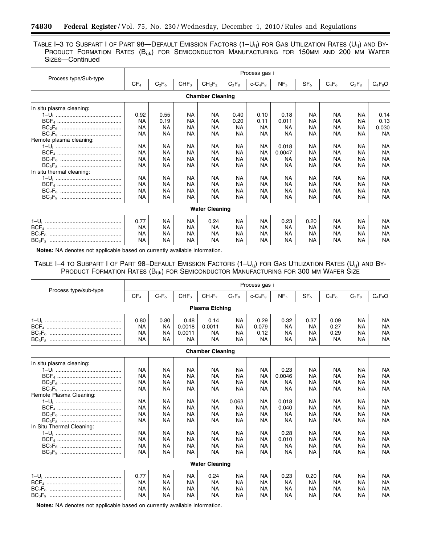TABLE I-3 TO SUBPART I OF PART 98-DEFAULT EMISSION FACTORS (1-U<sub>ij</sub>) FOR GAS UTILIZATION RATES (U<sub>ij</sub>) AND BY-PRODUCT FORMATION RATES (B<sub>ijk</sub>) FOR SEMICONDUCTOR MANUFACTURING FOR 150MM AND 200 MM WAFER SIZES—Continued

|                           |                 |           |                  |                                |           | Process gas i |                 |                 |           |           |           |
|---------------------------|-----------------|-----------|------------------|--------------------------------|-----------|---------------|-----------------|-----------------|-----------|-----------|-----------|
| Process type/Sub-type     | CF <sub>4</sub> | $C_2F_6$  | CHF <sub>3</sub> | CH <sub>2</sub> F <sub>2</sub> | $C_3F_8$  | $c - C_4F_8$  | NF <sub>3</sub> | SF <sub>6</sub> | $C_4F_6$  | $C_5F_8$  | $C_4F_8O$ |
|                           |                 |           |                  | <b>Chamber Cleaning</b>        |           |               |                 |                 |           |           |           |
| In situ plasma cleaning:  |                 |           |                  |                                |           |               |                 |                 |           |           |           |
|                           | 0.92            | 0.55      | <b>NA</b>        | <b>NA</b>                      | 0.40      | 0.10          | 0.18            | <b>NA</b>       | <b>NA</b> | <b>NA</b> | 0.14      |
|                           | NA              | 0.19      | <b>NA</b>        | NA                             | 0.20      | 0.11          | 0.011           | <b>NA</b>       | <b>NA</b> | <b>NA</b> | 0.13      |
|                           | NA              | NA        | <b>NA</b>        | NA                             | <b>NA</b> | <b>NA</b>     | <b>NA</b>       | NA              | NА        | <b>NA</b> | 0.030     |
|                           | <b>NA</b>       | NA        | NA.              | <b>NA</b>                      | NA.       | <b>NA</b>     | <b>NA</b>       | <b>NA</b>       | <b>NA</b> | <b>NA</b> | <b>NA</b> |
| Remote plasma cleaning:   |                 |           |                  |                                |           |               |                 |                 |           |           |           |
|                           | <b>NA</b>       | <b>NA</b> | <b>NA</b>        | <b>NA</b>                      | <b>NA</b> | NA.           | 0.018           | <b>NA</b>       | <b>NA</b> | <b>NA</b> | <b>NA</b> |
|                           | <b>NA</b>       | NA        | NA               | NA                             | NA        | ΝA            | 0.0047          | <b>NA</b>       | NA        | <b>NA</b> | <b>NA</b> |
|                           | NA              | <b>NA</b> | <b>NA</b>        | <b>NA</b>                      | NA.       | NA            | ΝA              | <b>NA</b>       | <b>NA</b> | <b>NA</b> | <b>NA</b> |
|                           | NA              | NA        | NA               | NA.                            | NA.       | NA            | NA              | NA.             | NA        | <b>NA</b> | <b>NA</b> |
| In situ thermal cleaning: |                 |           |                  |                                |           |               |                 |                 |           |           |           |
|                           | <b>NA</b>       | <b>NA</b> | <b>NA</b>        | <b>NA</b>                      | NA.       | NA.           | <b>NA</b>       | <b>NA</b>       | <b>NA</b> | <b>NA</b> | <b>NA</b> |
|                           | <b>NA</b>       | NА        | NA               | NА                             | NA        | NA            | NA              | NA.             | ΝA        | NА        | <b>NA</b> |
|                           | <b>NA</b>       | NA        | NA               | NA                             | NA        | NA            | NA              | ΝA              | NA        | <b>NA</b> | <b>NA</b> |
|                           | <b>NA</b>       | <b>NA</b> | <b>NA</b>        | NA                             | <b>NA</b> | <b>NA</b>     | <b>NA</b>       | NA              | <b>NA</b> | NА        | <b>NA</b> |
|                           |                 |           |                  | <b>Wafer Cleaning</b>          |           |               |                 |                 |           |           |           |
|                           | 0.77            | <b>NA</b> | <b>NA</b>        | 0.24                           | NA.       | <b>NA</b>     | 0.23            | 0.20            | <b>NA</b> | <b>NA</b> | <b>NA</b> |
|                           | <b>NA</b>       | <b>NA</b> | NA.              | <b>NA</b>                      | NA.       | <b>NA</b>     | <b>NA</b>       | <b>NA</b>       | <b>NA</b> | <b>NA</b> | <b>NA</b> |
|                           | NA              | <b>NA</b> | NA               | NA                             | NA        | <b>NA</b>     | ΝA              | NA.             | NA        | <b>NA</b> | <b>NA</b> |
|                           | NA              | NA        | NA               | NA                             | NA        | NA            | ΝA              | NA              | NA        | NA        | <b>NA</b> |

**Notes:** NA denotes not applicable based on currently available information.

Ξ

TABLE I-4 TO SUBPART I OF PART 98-DEFAULT EMISSION FACTORS (1-U<sub>ij</sub>) FOR GAS UTILIZATION RATES (U<sub>ij</sub>) AND BY-PRODUCT FORMATION RATES (B<sub>ijk</sub>) FOR SEMICONDUCTOR MANUFACTURING FOR 300 MM WAFER SIZE

|                             | Process gas i   |           |                     |                                |                        |                   |                        |                        |                   |                        |                        |  |
|-----------------------------|-----------------|-----------|---------------------|--------------------------------|------------------------|-------------------|------------------------|------------------------|-------------------|------------------------|------------------------|--|
| Process type/sub-type       | CF <sub>4</sub> | $C_2F_6$  | CHF <sub>3</sub>    | CH <sub>2</sub> F <sub>2</sub> | $C_3F_8$               | $c - C_4F_8$      | NF <sub>3</sub>        | SF <sub>6</sub>        | $C_4F_6$          | $C_5F_8$               | $C_4F_8O$              |  |
|                             |                 |           |                     | <b>Plasma Etching</b>          |                        |                   |                        |                        |                   |                        |                        |  |
|                             | 0.80            | 0.80      | 0.48                | 0.14                           | NA                     | 0.29              | 0.32                   | 0.37                   | 0.09              | <b>NA</b>              | <b>NA</b>              |  |
|                             | <b>NA</b>       | NA        | 0.0018              | 0.0011                         | <b>NA</b>              | 0.079             | <b>NA</b>              | <b>NA</b>              | 0.27              | <b>NA</b>              | <b>NA</b>              |  |
|                             | NA<br><b>NA</b> | NA<br>NA. | 0.0011<br><b>NA</b> | <b>NA</b><br><b>NA</b>         | <b>NA</b><br><b>NA</b> | 0.12<br><b>NA</b> | <b>NA</b><br><b>NA</b> | <b>NA</b><br><b>NA</b> | 0.29<br><b>NA</b> | <b>NA</b><br><b>NA</b> | <b>NA</b><br><b>NA</b> |  |
|                             |                 |           |                     | <b>Chamber Cleaning</b>        |                        |                   |                        |                        |                   |                        |                        |  |
| In situ plasma cleaning:    |                 |           |                     |                                |                        |                   |                        |                        |                   |                        |                        |  |
| <u>1–U; ………………………………………</u> | NA              | <b>NA</b> | <b>NA</b>           | <b>NA</b>                      | <b>NA</b>              | <b>NA</b>         | 0.23                   | <b>NA</b>              | <b>NA</b>         | <b>NA</b>              | <b>NA</b>              |  |
|                             | NA              | <b>NA</b> | <b>NA</b>           | <b>NA</b>                      | <b>NA</b>              | <b>NA</b>         | 0.0046                 | <b>NA</b>              | <b>NA</b>         | <b>NA</b>              | <b>NA</b>              |  |
|                             | NA              | <b>NA</b> | <b>NA</b>           | <b>NA</b>                      | <b>NA</b>              | <b>NA</b>         | <b>NA</b>              | <b>NA</b>              | <b>NA</b>         | <b>NA</b>              | <b>NA</b>              |  |
|                             | NA              | <b>NA</b> | <b>NA</b>           | NA                             | <b>NA</b>              | <b>NA</b>         | <b>NA</b>              | <b>NA</b>              | <b>NA</b>         | <b>NA</b>              | <b>NA</b>              |  |
| Remote Plasma Cleaning:     |                 |           |                     |                                |                        |                   |                        |                        |                   |                        |                        |  |
|                             | <b>NA</b>       | <b>NA</b> | <b>NA</b>           | NA                             | 0.063                  | NA                | 0.018                  | <b>NA</b>              | <b>NA</b>         | <b>NA</b>              | <b>NA</b>              |  |
|                             | NA              | NA        | <b>NA</b>           | <b>NA</b>                      | <b>NA</b>              | <b>NA</b>         | 0.040                  | <b>NA</b>              | <b>NA</b>         | <b>NA</b>              | <b>NA</b>              |  |
|                             | <b>NA</b>       | <b>NA</b> | <b>NA</b>           | <b>NA</b>                      | <b>NA</b>              | <b>NA</b>         | <b>NA</b>              | <b>NA</b>              | <b>NA</b>         | <b>NA</b>              | <b>NA</b>              |  |
|                             | <b>NA</b>       | <b>NA</b> | <b>NA</b>           | <b>NA</b>                      | <b>NA</b>              | <b>NA</b>         | <b>NA</b>              | <b>NA</b>              | <b>NA</b>         | <b>NA</b>              | <b>NA</b>              |  |
| In Situ Thermal Cleaning:   |                 |           |                     |                                |                        |                   |                        |                        |                   |                        |                        |  |
|                             | <b>NA</b>       | <b>NA</b> | <b>NA</b>           | <b>NA</b>                      | <b>NA</b>              | <b>NA</b>         | 0.28                   | <b>NA</b>              | <b>NA</b>         | <b>NA</b>              | <b>NA</b>              |  |
|                             | <b>NA</b>       | NA        | <b>NA</b>           | <b>NA</b>                      | <b>NA</b>              | <b>NA</b>         | 0.010                  | <b>NA</b>              | <b>NA</b>         | <b>NA</b>              | <b>NA</b>              |  |
|                             | NA              | <b>NA</b> | <b>NA</b>           | <b>NA</b>                      | <b>NA</b>              | <b>NA</b>         | NA                     | <b>NA</b>              | <b>NA</b>         | <b>NA</b>              | <b>NA</b>              |  |
|                             | NA              | NA        | <b>NA</b>           | <b>NA</b>                      | <b>NA</b>              | <b>NA</b>         | ΝA                     | <b>NA</b>              | <b>NA</b>         | <b>NA</b>              | <b>NA</b>              |  |
|                             |                 |           |                     | <b>Wafer Cleaning</b>          |                        |                   |                        |                        |                   |                        |                        |  |
|                             | 0.77            | NA.       | <b>NA</b>           | 0.24                           | <b>NA</b>              | <b>NA</b>         | 0.23                   | 0.20                   | <b>NA</b>         | <b>NA</b>              | <b>NA</b>              |  |
|                             | <b>NA</b>       | NA        | <b>NA</b>           | <b>NA</b>                      | <b>NA</b>              | <b>NA</b>         | <b>NA</b>              | <b>NA</b>              | <b>NA</b>         | <b>NA</b>              | <b>NA</b>              |  |
|                             | <b>NA</b>       | <b>NA</b> | <b>NA</b>           | <b>NA</b>                      | <b>NA</b>              | <b>NA</b>         | <b>NA</b>              | <b>NA</b>              | <b>NA</b>         | <b>NA</b>              | <b>NA</b>              |  |
|                             | <b>NA</b>       | <b>NA</b> | <b>NA</b>           | NA                             | <b>NA</b>              | <b>NA</b>         | <b>NA</b>              | <b>NA</b>              | <b>NA</b>         | <b>NA</b>              | <b>NA</b>              |  |

**Notes:** NA denotes not applicable based on currently available information.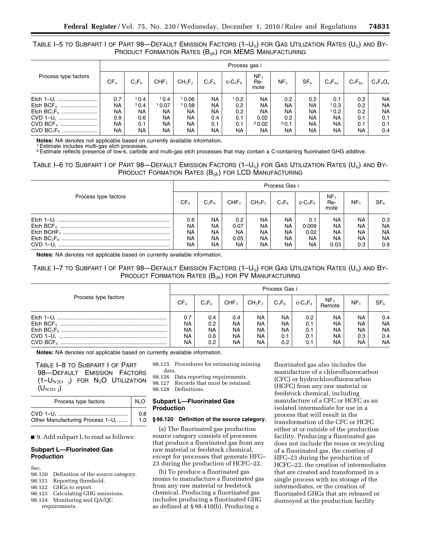# TABLE I-5 TO SUBPART I OF PART 98—DEFAULT EMISSION FACTORS  $(1-U_{ii})$  for Gas Utilization Rates  $(U_{ii})$  and By-PRODUCT FORMATION RATES (B<sub>ijk</sub>) FOR MEMS MANUFACTURING

|                        | Process gas i   |          |                  |                                |          |                |                                |                  |                 |             |                  |             |
|------------------------|-----------------|----------|------------------|--------------------------------|----------|----------------|--------------------------------|------------------|-----------------|-------------|------------------|-------------|
| Process type factors   | CF <sub>4</sub> | $C_2F_6$ | CHF <sub>3</sub> | CH <sub>2</sub> F <sub>2</sub> | $C_3F_8$ | $c$ - $C_4F_8$ | NF <sub>3</sub><br>Re-<br>mote | NF <sub>3</sub>  | SF <sub>6</sub> | $C_4F_{6a}$ | $C_5F_{8a}$      | $C_4F_8O_a$ |
| Etch $1-U_i$           | 0.7             | 10.4     | 10.4             | 10.06                          | NA.      | 10.2           | <b>NA</b>                      | 0.2              | 0.2             | 0.1         | 0.2              | <b>NA</b>   |
|                        | ΝA              | 10.4     | 10.07            | 10.08                          | NA       | 0.2            | <b>NA</b>                      | NA.              | <b>NA</b>       | 10.3        | 0.2 <sub>0</sub> | <b>NA</b>   |
|                        | NA              | NA.      | <b>NA</b>        | NA.                            | NA.      | 0.2            | <b>NA</b>                      | NA.              | <b>NA</b>       | 10.2        | 0.2              | <b>NA</b>   |
| $CVD$ 1–U <sub>i</sub> | 0.9             | 0.6      | <b>NA</b>        | NA.                            | 0.4      | 0.1            | 0.02                           | 0.2 <sub>0</sub> | NA.             | NA.         | 0.1              | 0.1         |
| CVD BCF <sub>4</sub>   | NA              | 0.1      | <b>NA</b>        | NA.                            | 0.1      | 0.1            | 20.02                          | 20.1             | NA.             | NA.         | 0.1              | 0.1         |
|                        | NA              | NA       | <b>NA</b>        | <b>NA</b>                      | NA       | <b>NA</b>      | <b>NA</b>                      | <b>NA</b>        | <b>NA</b>       | NA.         | <b>NA</b>        | 0.4         |

**Notes:** NA denotes not applicable based on currently available information. 1Estimate includes multi-gas etch processes.

<sup>2</sup>Estimate reflects presence of low-k, carbide and multi-gas etch processes that may contain a C-containing fluorinated GHG additive.

# TABLE I–6 TO SUBPART I OF PART  $98$ —DEFAULT EMISSION FACTORS  $(1-U_{ii})$  for Gas Utilization Rates  $(U_{ii})$  and By-PRODUCT FORMATION RATES (B<sub>ijk</sub>) FOR LCD MANUFACTURING

|                      | Process Gas i               |                                                 |                                 |                                                        |                                |                                                |                                |                                       |                                            |  |
|----------------------|-----------------------------|-------------------------------------------------|---------------------------------|--------------------------------------------------------|--------------------------------|------------------------------------------------|--------------------------------|---------------------------------------|--------------------------------------------|--|
| Process type factors | CF <sub>4</sub>             | $C_2F_6$                                        | CHF <sub>3</sub>                | $CH_2F_2$                                              | $C_3F_8$                       | $c$ - $C_4F_8$                                 | NF <sub>3</sub><br>Re-<br>mote | NF <sub>3</sub>                       | SF <sub>6</sub>                            |  |
| $CVD$ 1-U.           | 0.6<br>NA<br>NA<br>NA<br>NA | <b>NA</b><br>NA<br><b>NA</b><br><b>NA</b><br>NA | 0.2<br>0.07<br>NA<br>0.05<br>NA | <b>NA</b><br>NA<br><b>NA</b><br><b>NA</b><br><b>NA</b> | NA.<br>NA<br>NA.<br>NA.<br>NA. | 0.1<br>0.009<br>0.02<br><b>NA</b><br><b>NA</b> | NA<br>NA<br>NA.<br>NA.<br>0.03 | NA.<br><b>NA</b><br>NA.<br>NA.<br>0.3 | 0.3<br>NA<br><b>NA</b><br><b>NA</b><br>0.9 |  |

**Notes:** NA denotes not applicable based on currently available information.

# TABLE I-7 TO SUBPART I OF PART 98—DEFAULT EMISSION FACTORS  $(1-U_{ii})$  for Gas Utilization Rates  $(U_{ii})$  and By-PRODUCT FORMATION RATES (B<sub>ijk</sub>) FOR PV MANUFACTURING

| Process type factors |           | Process Gas i    |                  |           |           |     |                                                                                                            |                 |                 |  |  |  |
|----------------------|-----------|------------------|------------------|-----------|-----------|-----|------------------------------------------------------------------------------------------------------------|-----------------|-----------------|--|--|--|
|                      |           | $C_2F_6$         | CHF <sub>3</sub> | $CH_2F_2$ | $C_3F_8$  |     | $\begin{array}{c c} \n\end{array}$ c-C <sub>4</sub> F <sub>8</sub> $\begin{array}{c} \n\end{array}$ Remote | NF <sub>3</sub> | SF <sub>6</sub> |  |  |  |
|                      | 0.7       | 0.4              | 0.4              | <b>NA</b> | <b>NA</b> | 0.2 | <b>NA</b>                                                                                                  | <b>NA</b>       | 0.4             |  |  |  |
|                      | <b>NA</b> | 0.2 <sub>0</sub> | <b>NA</b>        | NA.       | <b>NA</b> | 0.1 | NA.                                                                                                        | <b>NA</b>       | <b>NA</b>       |  |  |  |
|                      | <b>NA</b> | NA               | <b>NA</b>        | NA.       | <b>NA</b> | 0.1 | NA.                                                                                                        | <b>NA</b>       | <b>NA</b>       |  |  |  |
|                      | <b>NA</b> | 0.6              | <b>NA</b>        | NA.       | 0.1       | 0.1 | NA.                                                                                                        | 0.3             | 0.4             |  |  |  |
|                      | <b>NA</b> | 0.2 <sub>0</sub> | <b>NA</b>        | <b>NA</b> | 0.2       | 0.1 | NA.                                                                                                        | <b>NA</b>       | <b>NA</b>       |  |  |  |

**Notes:** NA denotes not applicable based on currently available information.

TABLE I–8 TO SUBPART I OF PART 98—DEFAULT EMISSION FACTORS  $(1-U_{N2O}$   $)$  for N<sub>2</sub>O Utilization  $(U_{N2O j})$ 

| Process type factors                         |     |  |  |  |  |
|----------------------------------------------|-----|--|--|--|--|
|                                              | 0.8 |  |  |  |  |
| Other Manufacturing Process 1-U <sub>i</sub> | 1.0 |  |  |  |  |

■ 9. Add subpart L to read as follows:

# **Subpart L—Fluorinated Gas Production**

Sec.

- 98.120 Definition of the source category.
- 98.121 Reporting threshold.
- 98.122 GHGs to report.
- 98.123 Calculating GHG emissions.
- 98.124 Monitoring and QA/QC requirements.

98.125 Procedures for estimating missing data.

98.126 Data reporting requirements.

98.127 Records that must be retained.

98.128 Definitions.

# **Subpart L—Fluorinated Gas Production**

# **§ 98.120 Definition of the source category.**

(a) The fluorinated gas production source category consists of processes that produce a fluorinated gas from any raw material or feedstock chemical, except for processes that generate HFC– 23 during the production of HCFC–22.

(b) To produce a fluorinated gas means to manufacture a fluorinated gas from any raw material or feedstock chemical. Producing a fluorinated gas includes producing a fluorinated GHG as defined at § 98.410(b). Producing a

fluorinated gas also includes the manufacture of a chlorofluorocarbon (CFC) or hydrochlorofluorocarbon (HCFC) from any raw material or feedstock chemical, including manufacture of a CFC or HCFC as an isolated intermediate for use in a process that will result in the transformation of the CFC or HCFC either at or outside of the production facility. Producing a fluorinated gas does not include the reuse or recycling of a fluorinated gas, the creation of HFC–23 during the production of HCFC–22, the creation of intermediates that are created and transformed in a single process with no storage of the intermediates, or the creation of fluorinated GHGs that are released or destroyed at the production facility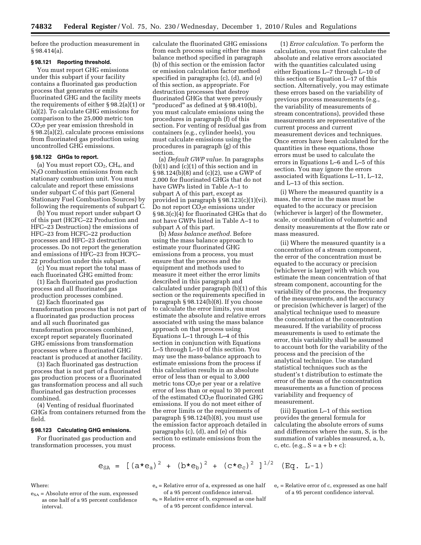before the production measurement in § 98.414(a).

# **§ 98.121 Reporting threshold.**

You must report GHG emissions under this subpart if your facility contains a fluorinated gas production process that generates or emits fluorinated GHG and the facility meets the requirements of either § 98.2(a)(1) or (a)(2). To calculate GHG emissions for comparison to the 25,000 metric ton  $CO<sub>2</sub>e$  per year emission threshold in § 98.2(a)(2), calculate process emissions from fluorinated gas production using uncontrolled GHG emissions.

#### **§ 98.122 GHGs to report.**

(a) You must report  $CO<sub>2</sub>$ ,  $CH<sub>4</sub>$ , and N<sub>2</sub>O combustion emissions from each stationary combustion unit. You must calculate and report these emissions under subpart C of this part (General Stationary Fuel Combustion Sources) by following the requirements of subpart C.

(b) You must report under subpart O of this part (HCFC–22 Production and HFC–23 Destruction) the emissions of HFC–23 from HCFC–22 production processes and HFC–23 destruction processes. Do not report the generation and emissions of HFC–23 from HCFC– 22 production under this subpart.

(c) You must report the total mass of each fluorinated GHG emitted from:

(1) Each fluorinated gas production process and all fluorinated gas

production processes combined. (2) Each fluorinated gas

transformation process that is not part of a fluorinated gas production process and all such fluorinated gas transformation processes combined, except report separately fluorinated GHG emissions from transformation processes where a fluorinated GHG reactant is produced at another facility.

(3) Each fluorinated gas destruction process that is not part of a fluorinated gas production process or a fluorinated gas transformation process and all such fluorinated gas destruction processes combined.

(4) Venting of residual fluorinated GHGs from containers returned from the field.

# **§ 98.123 Calculating GHG emissions.**

For fluorinated gas production and transformation processes, you must

calculate the fluorinated GHG emissions from each process using either the mass balance method specified in paragraph (b) of this section or the emission factor or emission calculation factor method specified in paragraphs (c), (d), and (e) of this section, as appropriate. For destruction processes that destroy fluorinated GHGs that were previously "produced" as defined at § 98.410(b), you must calculate emissions using the procedures in paragraph (f) of this section. For venting of residual gas from containers (e.g., cylinder heels), you must calculate emissions using the procedures in paragraph (g) of this section.

(a) *Default GWP value.* In paragraphs (b)(1) and (c)(1) of this section and in § 98.124(b)(8) and (c)(2), use a GWP of 2,000 for fluorinated GHGs that do not have GWPs listed in Table A–1 to subpart A of this part, except as provided in paragraph § 98.123(c)(1)(vi). Do not report  $CO<sub>2</sub>e$  emissions under § 98.3(c)(4) for fluorinated GHGs that do not have GWPs listed in Table A–1 to subpart A of this part.

(b) *Mass balance method.* Before using the mass balance approach to estimate your fluorinated GHG emissions from a process, you must ensure that the process and the equipment and methods used to measure it meet either the error limits described in this paragraph and calculated under paragraph (b)(1) of this section or the requirements specified in paragraph § 98.124(b)(8). If you choose to calculate the error limits, you must estimate the absolute and relative errors associated with using the mass balance approach on that process using Equations L–1 through L–4 of this section in conjunction with Equations L–5 through L–10 of this section. You may use the mass-balance approach to estimate emissions from the process if this calculation results in an absolute error of less than or equal to 3,000 metric tons  $CO<sub>2</sub>e$  per year or a relative error of less than or equal to 30 percent of the estimated  $CO<sub>2</sub>e$  fluorinated GHG emissions. If you do not meet either of the error limits or the requirements of paragraph § 98.124(b)(8), you must use the emission factor approach detailed in paragraphs (c), (d), and (e) of this section to estimate emissions from the process.

(1) *Error calculation.* To perform the calculation, you must first calculate the absolute and relative errors associated with the quantities calculated using either Equations L–7 through L–10 of this section or Equation L–17 of this section. Alternatively, you may estimate these errors based on the variability of previous process measurements (e.g., the variability of measurements of stream concentrations), provided these measurements are representative of the current process and current measurement devices and techniques. Once errors have been calculated for the quantities in these equations, those errors must be used to calculate the errors in Equations L–6 and L–5 of this section. You may ignore the errors associated with Equations L–11, L–12, and L–13 of this section.

(i) Where the measured quantity is a mass, the error in the mass must be equated to the accuracy or precision (whichever is larger) of the flowmeter, scale, or combination of volumetric and density measurements at the flow rate or mass measured.

(ii) Where the measured quantity is a concentration of a stream component, the error of the concentration must be equated to the accuracy or precision (whichever is larger) with which you estimate the mean concentration of that stream component, accounting for the variability of the process, the frequency of the measurements, and the accuracy or precision (whichever is larger) of the analytical technique used to measure the concentration at the concentration measured. If the variability of process measurements is used to estimate the error, this variability shall be assumed to account both for the variability of the process and the precision of the analytical technique. Use standard statistical techniques such as the student's t distribution to estimate the error of the mean of the concentration measurements as a function of process variability and frequency of measurement.

(iii) Equation L–1 of this section provides the general formula for calculating the absolute errors of sums and differences where the sum, S, is the summation of variables measured, a, b, c, etc. (e.g.,  $S = a + b + c$ ):

$$
e_{SA}
$$
 =  $[(a*e_a)^2 + (b*e_b)^2 + (c*e_c)^2]^{1/2}$  (Eq. L-1)

Where:

- $e_{SA}$  = Absolute error of the sum, expressed as one half of a 95 percent confidence interval.
- ea = Relative error of a, expressed as one half of a 95 percent confidence interval.
- $e_b$  = Relative error of b, expressed as one half of a 95 percent confidence interval.
- $e_c$  = Relative error of c, expressed as one half of a 95 percent confidence interval.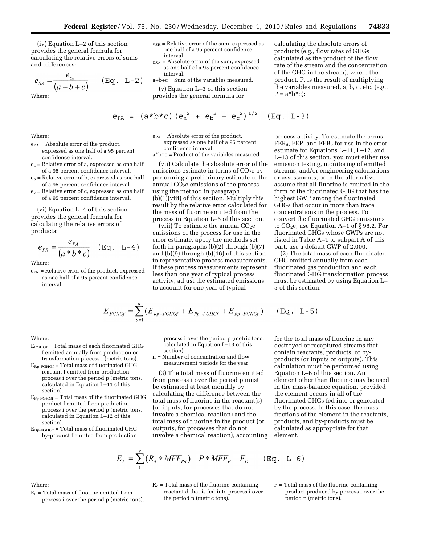(iv) Equation L–2 of this section provides the general formula for calculating the relative errors of sums and differences:

$$
e_{SR} = \frac{e_{sA}}{(a+b+c)} \qquad (\text{Eq. L-2})
$$

Where:

Where:

- $e_{PA}$  = Absolute error of the product, expressed as one half of a 95 percent confidence interval.
- ea = Relative error of a, expressed as one half of a 95 percent confidence interval.
- $e_b$  = Relative error of b, expressed as one half of a 95 percent confidence interval.
- $e_c$  = Relative error of c, expressed as one half of a 95 percent confidence interval.

(vi) Equation L–4 of this section provides the general formula for calculating the relative errors of products:

$$
e_{PR} = \frac{e_{PA}}{(a*b*c)} \quad (\text{Eq. L-4})
$$

Where:

 $e_{PR}$  = Relative error of the product, expressed as one half of a 95 percent confidence interval.

- $e_{SR}$  = Relative error of the sum, expressed as one half of a 95 percent confidence interval.
- $e<sub>SA</sub>$  = Absolute error of the sum, expressed as one half of a 95 percent confidence interval.
- a+b+c = Sum of the variables measured.
- (v) Equation L–3 of this section provides the general formula for
- $e_{PA} = (a * b * c) (e_a^2 + e_b^2 + e_c^2)^{1/2}$  $(Eq. L-3)$

 $e_{PA}$  = Absolute error of the product, expressed as one half of a 95 percent confidence interval.

a\*b\*c = Product of the variables measured.

(vii) Calculate the absolute error of the emissions estimate in terms of  $CO<sub>2</sub>e$  by performing a preliminary estimate of the annual  $CO<sub>2</sub>e$  emissions of the process using the method in paragraph (b)(1)(viii) of this section. Multiply this result by the relative error calculated for the mass of fluorine emitted from the process in Equation L–6 of this section.

(viii) To estimate the annual  $CO<sub>2</sub>e$ emissions of the process for use in the error estimate, apply the methods set forth in paragraphs (b)(2) through (b)(7) and (b)(9) through (b)(16) of this section to representative process measurements. If these process measurements represent less than one year of typical process activity, adjust the estimated emissions to account for one year of typical

$$
E_{FGHGF} = \sum_{p=1}^{n} (E_{Rp-FGHGf} + E_{pp-FGHGf} + E_{bp-FGHGf})
$$

process i over the period p (metric tons, calculated in Equation L–13 of this section).

n = Number of concentration and flow measurement periods for the year.

(3) The total mass of fluorine emitted from process i over the period p must be estimated at least monthly by calculating the difference between the total mass of fluorine in the reactant(s) (or inputs, for processes that do not involve a chemical reaction) and the total mass of fluorine in the product (or outputs, for processes that do not involve a chemical reaction), accounting calculating the absolute errors of products (e.g., flow rates of GHGs calculated as the product of the flow rate of the stream and the concentration of the GHG in the stream), where the product, P, is the result of multiplying the variables measured, a, b, c, etc. (e.g.,  $P = a * b * c$ :

process activity. To estimate the terms  $FER_d$ , FEP, and FEB<sub>k</sub> for use in the error estimate for Equations L–11, L–12, and L–13 of this section, you must either use emission testing, monitoring of emitted streams, and/or engineering calculations or assessments, or in the alternative assume that all fluorine is emitted in the form of the fluorinated GHG that has the highest GWP among the fluorinated GHGs that occur in more than trace concentrations in the process. To convert the fluorinated GHG emissions to  $CO<sub>2</sub>e$ , use Equation A–1 of § 98.2. For fluorinated GHGs whose GWPs are not listed in Table A–1 to subpart A of this part, use a default GWP of 2,000.

(2) The total mass of each fluorinated GHG emitted annually from each fluorinated gas production and each fluorinated GHG transformation process must be estimated by using Equation L– 5 of this section.

$$
(Eq. L-5)
$$

Where:

- $E_{FGHGF}$  = Total mass of each fluorinated GHG f emitted annually from production or
- transformation process i (metric tons).  $E_{\text{RP-FGHGf}}$  = Total mass of fluorinated GHG reactant f emitted from production process i over the period p (metric tons, calculated in Equation L–11 of this section).
- EPp-FGHGf = Total mass of the fluorinated GHG product f emitted from production process i over the period p (metric tons, calculated in Equation L–12 of this section).
- $E_{\text{Bp-FGHGf}}$  = Total mass of fluorinated GHG by-product f emitted from production

for the total mass of fluorine in any destroyed or recaptured streams that contain reactants, products, or byproducts (or inputs or outputs). This calculation must be performed using Equation L–6 of this section. An element other than fluorine may be used in the mass-balance equation, provided the element occurs in all of the fluorinated GHGs fed into or generated by the process. In this case, the mass fractions of the element in the reactants, products, and by-products must be calculated as appropriate for that element.

$$
E_F = \sum_{1}^{v} (R_d * MFF_{Rd}) - P * MFF_P - F_D \qquad (\text{Eq. L-6})
$$

# Where:

- $E_F$  = Total mass of fluorine emitted from process i over the period p (metric tons).
- $R_d$  = Total mass of the fluorine-containing reactant d that is fed into process i over the period p (metric tons).
- $P = Total mass of the fluorine-containing$ product produced by process i over the period p (metric tons).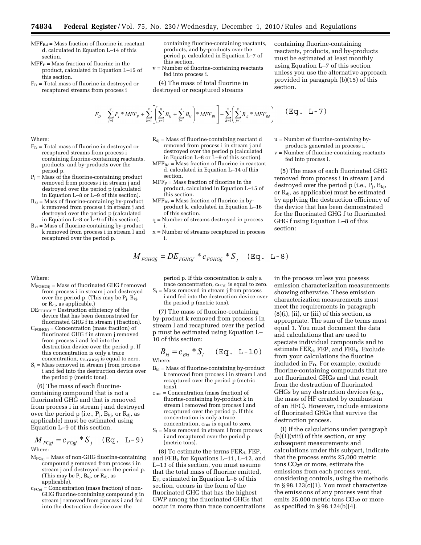- $MFF_{Rd}$  = Mass fraction of fluorine in reactant d, calculated in Equation L–14 of this section.
- $MFF_P = Mass fraction of fluorine in the$ product, calculated in Equation L–15 of this section.
- $F_D$  = Total mass of fluorine in destroyed or recaptured streams from process i

containing fluorine-containing reactants, products, and by-products over the period p, calculated in Equation L–7 of this section.

v = Number of fluorine-containing reactants fed into process i.

(4) The mass of total fluorine in destroyed or recaptured streams

containing fluorine-containing reactants, products, and by-products must be estimated at least monthly using Equation L–7 of this section unless you use the alternative approach provided in paragraph (b)(15) of this section.

$$
F_{D} = \sum_{j=1}^{q} P_{j} * MFF_{P} + \sum_{k=1}^{u} \left[ \left( \sum_{j=1}^{q} B_{kj} + \sum_{l=1}^{x} B_{kl} \right) * MFF_{Bk} \right] + \sum_{d=1}^{v} \left( \sum_{j=1}^{q} R_{dj} * MFF_{Rd} \right) \qquad (\text{Eq. L-7})
$$

# Where:

- $F_D$  = Total mass of fluorine in destroyed or recaptured streams from process i containing fluorine-containing reactants, products, and by-products over the period p.
- $P_j$  = Mass of the fluorine-containing product removed from process i in stream j and destroyed over the period p (calculated in Equation L–8 or L–9 of this section).
- $B_{kj}$  = Mass of fluorine-containing by-product k removed from process i in stream j and destroyed over the period p (calculated in Equation L–8 or L–9 of this section).
- $B_{kl}$  = Mass of fluorine-containing by-product k removed from process i in stream l and recaptured over the period p.

#### Where:

- MFGHGfj = Mass of fluorinated GHG f removed from process i in stream j and destroyed over the period p. (This may be  $P_i$ ,  $B_{ki}$ , or  $R_{\rm dj}$  as applicable.)
- $DE_{FGHGF} =$  Destruction efficiency of the device that has been demonstrated for fluorinated GHG f in stream j (fraction).
- $C_{\text{FGHGfj}}$  = Concentration (mass fraction) of fluorinated GHG f in stream j removed from process i and fed into the destruction device over the period p. If this concentration is only a trace concentration,  $c_{\text{F-GHGfj}}$  is equal to zero.
- $S_i$  = Mass removed in stream j from process i and fed into the destruction device over the period p (metric tons).

(6) The mass of each fluorinecontaining compound that is not a fluorinated GHG and that is removed from process i in stream j and destroyed over the period p (i.e.,  $P_i$ ,  $B_{ki}$ , or  $R_{di}$ , as applicable) must be estimated using Equation L–9 of this section.

$$
M_{FCgj} = c_{FCgj} * S_j \quad (\text{Eq. L-9})
$$

Where:

- $M<sub>FCgj</sub>$  = Mass of non-GHG fluorine-containing compound g removed from process i in stream j and destroyed over the period p. (This may be  $P_j$ ,  $B_{kj}$ , or  $R_{dj}$ , as applicable).
- $c_{FCgi} = \overline{C}$  concentration (mass fraction) of non-GHG fluorine-containing compound g in stream j removed from process i and fed into the destruction device over the
- $R_{dj}$  = Mass of fluorine-containing reactant d removed from process i in stream j and destroyed over the period p (calculated in Equation L–8 or L–9 of this section).
- $MFF_{Rd}$  = Mass fraction of fluorine in reactant d, calculated in Equation L–14 of this section.
- $\rm{MFF_{P}}$  = Mass fraction of fluorine in the product, calculated in Equation L–15 of this section.
- $MFF_{Bk}$  = Mass fraction of fluorine in byproduct k, calculated in Equation L–16 of this section.
- q = Number of streams destroyed in process i.
- x = Number of streams recaptured in process i.

$$
M_{FGHGjj} = DE_{FGHGj} * c_{FGHGj} * S_j \quad (\text{Eq. L-8})
$$

period p. If this concentration is only a trace concentration,  $c_{FCgj}$  is equal to zero.

 $S_i$  = Mass removed in stream j from process i and fed into the destruction device over the period p (metric tons).

(7) The mass of fluorine-containing by-product k removed from process i in stream l and recaptured over the period p must be estimated using Equation L– 10 of this section:

$$
B_{kl} = c_{Bkl} * S_l \quad (\text{Eq. L-10})
$$
  
Where:

- $B_{kl}$  = Mass of fluorine-containing by-product k removed from process i in stream l and recaptured over the period p (metric tons).
- $c_{Bkl}$  = Concentration (mass fraction) of fluorine-containing by-product k in stream l removed from process i and recaptured over the period p. If this concentration is only a trace concentration,  $c_{Bkl}$  is equal to zero.
- $S_1$  = Mass removed in stream l from process i and recaptured over the period p (metric tons).

 $(8)$  To estimate the terms FER<sub>d</sub>, FEP, and  $FEB_k$  for Equations L-11, L-12, and L–13 of this section, you must assume that the total mass of fluorine emitted,  $E_F$ , estimated in Equation L–6 of this section, occurs in the form of the fluorinated GHG that has the highest GWP among the fluorinated GHGs that occur in more than trace concentrations u = Number of fluorine-containing byproducts generated in process i.

v = Number of fluorine-containing reactants fed into process i.

(5) The mass of each fluorinated GHG removed from process i in stream j and destroyed over the period p (i.e.,  $P_j$ ,  $B_{kj}$ , or  $R_{dj}$ , as applicable) must be estimated by applying the destruction efficiency of the device that has been demonstrated for the fluorinated GHG f to fluorinated GHG f using Equation L–8 of this section:

in the process unless you possess emission characterization measurements showing otherwise. These emission characterization measurements must meet the requirements in paragraph  $(8)(i)$ ,  $(ii)$ , or  $(iii)$  of this section, as appropriate. The sum of the terms must equal 1. You must document the data and calculations that are used to speciate individual compounds and to estimate  $FER_d$ , FEP, and  $FEB_k$ . Exclude from your calculations the fluorine included in FD. For example, exclude fluorine-containing compounds that are not fluorinated GHGs and that result from the destruction of fluorinated GHGs by any destruction devices (e.g., the mass of HF created by combustion of an HFC). However, include emissions of fluorinated GHGs that survive the destruction process.

(i) If the calculations under paragraph  $(b)(1)(viii)$  of this section, or any subsequent measurements and calculations under this subpart, indicate that the process emits 25,000 metric tons  $CO<sub>2</sub>e$  or more, estimate the emissions from each process vent, considering controls, using the methods in § 98.123(c)(1). You must characterize the emissions of any process vent that emits 25,000 metric tons  $CO<sub>2</sub>e$  or more as specified in § 98.124(b)(4).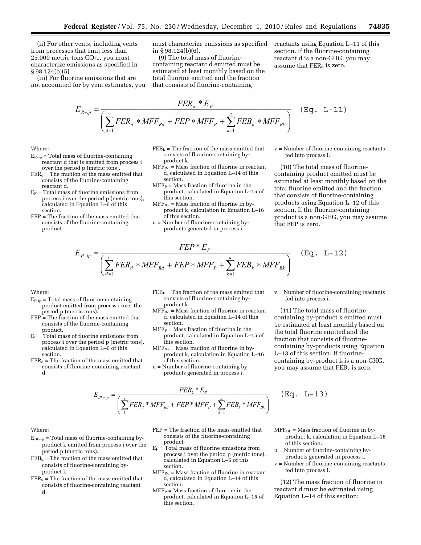(ii) For other vents, including vents from processes that emit less than 25,000 metric tons  $CO<sub>2</sub>e$ , you must characterize emissions as specified in § 98.124(b)(5).

(iii) For fluorine emissions that are not accounted for by vent estimates, you must characterize emissions as specified in § 98.124(b)(6).

(9) The total mass of fluorinecontaining reactant d emitted must be estimated at least monthly based on the total fluorine emitted and the fraction that consists of fluorine-containing

reactants using Equation L–11 of this section. If the fluorine-containing reactant d is a non-GHG, you may assume that  $FER<sub>d</sub>$  is zero.

$$
E_{R-ip} = \frac{FER_d * E_F}{\left(\sum_{d=1}^{v} FER_d * MFF_{Rd} + FEP * MFF_P + \sum_{k=1}^{u} FEB_k * MFF_{Bk}\right)} \quad (\text{Eq. L-11})
$$

Where:

- $E_{\text{R-ip}}$  = Total mass of fluorine-containing reactant d that is emitted from process i
- over the period p (metric tons).  $FER<sub>d</sub>$  = The fraction of the mass emitted that consists of the fluorine-containing reactant d.
- $E_F$  = Total mass of fluorine emissions from process i over the period p (metric tons), calculated in Equation L–6 of this section.
- FEP = The fraction of the mass emitted that consists of the fluorine-containing product.
- $FEB_k$  = The fraction of the mass emitted that consists of fluorine-containing byproduct k.
- $MFF<sub>Rd</sub>$  = Mass fraction of fluorine in reactant d, calculated in Equation L–14 of this section.
- $MFF_P = Mass$  fraction of fluorine in the product, calculated in Equation L–15 of this section.
- $MFF_{Bk}$  = Mass fraction of fluorine in byproduct k, calculation in Equation L–16 of this section.
- u = Number of fluorine-containing byproducts generated in process i.

 $E_{P-ip} = \frac{FEP * E_F}{\left(\sum_{d=1}^{v} FER_d * MFF_{Rd} + FEP * MFF_P + \sum_{k=1}^{u} FEB_k * MFF_{Bk}\right)}$ 

v = Number of fluorine-containing reactants fed into process i.

(10) The total mass of fluorinecontaining product emitted must be estimated at least monthly based on the total fluorine emitted and the fraction that consists of fluorine-containing products using Equation L–12 of this section. If the fluorine-containing product is a non-GHG, you may assume that FEP is zero.

$$
\quad \text{Where:} \quad
$$

- $E_{P-ip}$  = Total mass of fluorine-containing product emitted from process i over the period p (metric tons).
- FEP = The fraction of the mass emitted that consists of the fluorine-containing product.
- $E_F = T$ otal mass of fluorine emissions from process i over the period p (metric tons), calculated in Equation L–6 of this section.
- $FER_d = The fraction of the mass emitted that$ consists of fluorine-containing reactant d.
- $\text{FEB}_k$  = The fraction of the mass emitted that consists of fluorine-containing byproduct k.
- $MFF<sub>Rd</sub>$  = Mass fraction of fluorine in reactant d, calculated in Equation L–14 of this section.
- $MFF_P = Mass$  fraction of fluorine in the product, calculated in Equation L–15 of this section.
- $MFF_{Bk}$  = Mass fraction of fluorine in byproduct k, calculation in Equation L–16 of this section.
- u = Number of fluorine-containing byproducts generated in process i.

v = Number of fluorine-containing reactants fed into process i.

 $(Eq. L-12)$ 

(11) The total mass of fluorinecontaining by-product k emitted must be estimated at least monthly based on the total fluorine emitted and the fraction that consists of fluorinecontaining by-products using Equation L–13 of this section. If fluorinecontaining by-product k is a non-GHG, you may assume that  $FEB_k$  is zero.

$$
E_{Bk-ip} = \frac{FEB_k * E_F}{\left(\sum_{1}^{v} FER_d * MFF_{Rd} + FEP * MFF_P + \sum_{k=1}^{u} FEB_k * MFF_{Bk}\right)}
$$

 $(Eq. L-13)$ 

#### Where:

- $E_{Bk-ip}$  = Total mass of fluorine-containing byproduct k emitted from process i over the period p (metric tons).
- $\rm{FEB}_k$  = The fraction of the mass emitted that consists of fluorine-containing byproduct k.
- $FER_d$  = The fraction of the mass emitted that consists of fluorine-containing reactant d.
- FEP = The fraction of the mass emitted that consists of the fluorine-containing product.
- $E_F$  = Total mass of fluorine emissions from process i over the period p (metric tons), calculated in Equation L–6 of this section.
- $MFF_{Rd}$  = Mass fraction of fluorine in reactant d, calculated in Equation L–14 of this section.
- $MFF_P = Mass fraction of fluorine in the$ product, calculated in Equation L–15 of this section.
- $MFF_{Bk}$  = Mass fraction of fluorine in byproduct k, calculation in Equation L–16 of this section.
- u = Number of fluorine-containing byproducts generated in process i.
- $v =$  Number of fluorine-containing reactants fed into process i.

(12) The mass fraction of fluorine in reactant d must be estimated using Equation L–14 of this section: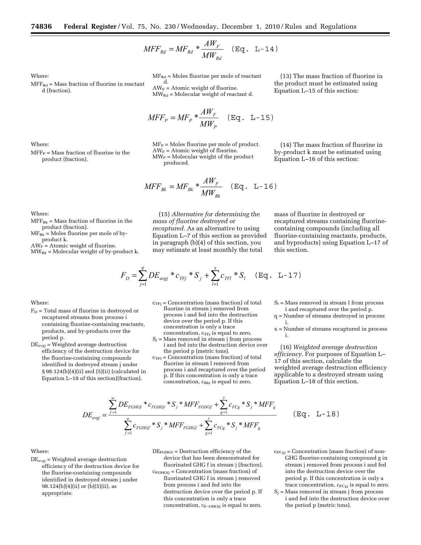$$
MFF_{Rd} = MF_{Rd} * \frac{AW_F}{MW_{Rd}} \quad (\text{Eq. L-14})
$$

Where:

 $MFF_{Rd}$  = Mass fraction of fluorine in reactant d (fraction).

Where:

 $MFF_P = Mass fraction of fluorine in the$ product (fraction).

 $MF_{Rd}$  = Moles fluorine per mole of reactant d.

 $AW_F =$  Atomic weight of fluorine.  $MW_{Rd}$  = Molecular weight of reactant d.

$$
MFF_p = MF_p * \frac{AW_F}{MW_p} \quad (\text{Eq. L-15})
$$

 $MF_P =$  Moles fluorine per mole of product.  $AW_F =$  Atomic weight of fluorine.  $MW<sub>P</sub> = Molecular weight of the product$ produced.

(13) The mass fraction of fluorine in the product must be estimated using Equation L–15 of this section:

(14) The mass fraction of fluorine in by-product k must be estimated using Equation L–16 of this section:

$$
MFF_{Bk} = MF_{Bk} * \frac{AW_F}{MW_{Bk}} \quad (\text{Eq. L-16})
$$

Where:  $MFF_{Bk}$  = Mass fraction of fluorine in the

product (fraction).  $MF_{Bk}$  = Moles fluorine per mole of byproduct k.

 $AW_F =$  Atomic weight of fluorine.

 $MW_{Bk}$  = Molecular weight of by-product k.

(15) *Alternative for determining the mass of fluorine destroyed or recaptured.* As an alternative to using Equation L–7 of this section as provided in paragraph (b)(4) of this section, you may estimate at least monthly the total

mass of fluorine in destroyed or recaptured streams containing fluorinecontaining compounds (including all fluorine-containing reactants, products, and byproducts) using Equation L–17 of this section.

$$
F_D = \sum_{j=1}^{q} DE_{avgj} * c_{TFj} * S_j + \sum_{l=1}^{x} c_{TFl} * S_l \quad (\text{Eq. L-17})
$$

Where:

- $F_D$  = Total mass of fluorine in destroyed or recaptured streams from process i containing fluorine-containing reactants, products, and by-products over the period p.
- $DE_{avgj}$  = Weighted average destruction efficiency of the destruction device for the fluorine-containing compounds identified in destroyed stream j under § 98.124(b)(4)(ii) and (5)(ii) (calculated in Equation L–18 of this section)(fraction).

 $c_{TFj}$  = Concentration (mass fraction) of total fluorine in stream j removed from process i and fed into the destruction device over the period p. If this concentration is only a trace concentration,  $c_{TFj}$  is equal to zero.

- $S_i$  = Mass removed in stream j from process i and fed into the destruction device over the period p (metric tons).
- $c_{\text{TFI}}$  = Concentration (mass fraction) of total fluorine in stream l removed from process i and recaptured over the period p. If this concentration is only a trace  $concentration, c_{Bkl}$  is equal to zero.
- $S_1$  = Mass removed in stream l from process i and recaptured over the period p.
- q = Number of streams destroyed in process i.
- x = Number of streams recaptured in process i.

(16) *Weighted average destruction efficiency.* For purposes of Equation L– 17 of this section, calculate the weighted average destruction efficiency applicable to a destroyed stream using Equation L–18 of this section.

$$
DE_{avgj} = \frac{\sum_{f=1}^{w} DE_{FGHGf} * c_{FGHGf} * S_j * MFF_{FGHGf} + \sum_{g=1}^{y} c_{FCg} * S_j * MFF_g}{\sum_{f=1}^{w} c_{FGHGf} * S_j * MFF_{FGHGf} + \sum_{g=1}^{y} c_{FCg} * S_j * MFF_g}
$$

 $(Eq. L-18)$ 

# Where:

 $DE_{avgj}$  = Weighted average destruction efficiency of the destruction device for the fluorine-containing compounds identified in destroyed stream j under 98.124(b)(4)(ii) or (b)(5)(ii), as appropriate.

DEFGHGf = Destruction efficiency of the device that has been demonstrated for fluorinated GHG f in stream j (fraction).  $c_{\text{FGHGF}}$  = Concentration (mass fraction) of fluorinated GHG f in stream j removed from process i and fed into the destruction device over the period p. If this concentration is only a trace concentration,  $c_{\text{F-GHGfj}}$  is equal to zero.

- $c_{FCgj} =$  Concentration (mass fraction) of non-GHG fluorine-containing compound g in stream j removed from process i and fed into the destruction device over the period p. If this concentration is only a trace concentration,  $c_{FCgj}$  is equal to zero.
- $S_i$  = Mass removed in stream j from process i and fed into the destruction device over the period p (metric tons).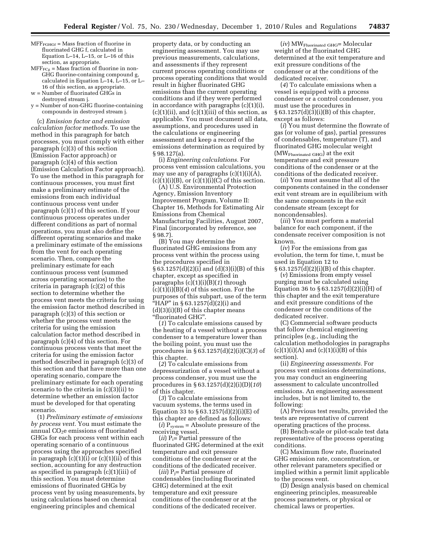- $MFF<sub>FGHGF</sub> = Mass fraction of fluorine in$ fluorinated GHG f, calculated in Equation L–14, L–15, or L–16 of this section, as appropriate.
- $MFF<sub>FCg</sub> = Mass fraction of fluorine in non-$ GHG fluorine-containing compound g, calculated in Equation L–14, L–15, or L– 16 of this section, as appropriate.
- w = Number of fluorinated GHGs in destroyed stream j.
- $y =$  Number of non-GHG fluorine-containing compounds in destroyed stream j.

(c) *Emission factor and emission calculation factor methods.* To use the method in this paragraph for batch processes, you must comply with either paragraph (c)(3) of this section (Emission Factor approach) or paragraph (c)(4) of this section (Emission Calculation Factor approach). To use the method in this paragraph for continuous processes, you must first make a preliminary estimate of the emissions from each individual continuous process vent under paragraph (c)(1) of this section. If your continuous process operates under different conditions as part of normal operations, you must also define the different operating scenarios and make a preliminary estimate of the emissions from the vent for each operating scenario. Then, compare the preliminary estimate for each continuous process vent (summed across operating scenarios) to the criteria in paragraph (c)(2) of this section to determine whether the process vent meets the criteria for using the emission factor method described in paragraph (c)(3) of this section or whether the process vent meets the criteria for using the emission calculation factor method described in paragraph (c)(4) of this section. For continuous process vents that meet the criteria for using the emission factor method described in paragraph (c)(3) of this section and that have more than one operating scenario, compare the preliminary estimate for each operating scenario to the criteria in (c)(3)(ii) to determine whether an emission factor must be developed for that operating scenario.

(1) *Preliminary estimate of emissions by process vent.* You must estimate the annual  $CO<sub>2</sub>e$  emissions of fluorinated GHGs for each process vent within each operating scenario of a continuous process using the approaches specified in paragraph  $(c)(1)(i)$  or  $(c)(1)(ii)$  of this section, accounting for any destruction as specified in paragraph (c)(1)(iii) of this section. You must determine emissions of fluorinated GHGs by process vent by using measurements, by using calculations based on chemical engineering principles and chemical

property data, or by conducting an engineering assessment. You may use previous measurements, calculations, and assessments if they represent current process operating conditions or process operating conditions that would result in higher fluorinated GHG emissions than the current operating conditions and if they were performed in accordance with paragraphs (c)(1)(i),  $(c)(1)(ii)$ , and  $(c)(1)(iii)$  of this section, as applicable. You must document all data, assumptions, and procedures used in the calculations or engineering assessment and keep a record of the emissions determination as required by § 98.127(a).

(i) *Engineering calculations.* For process vent emission calculations, you may use any of paragraphs  $(c)(1)(i)(A)$ ,  $(c)(1)(i)(B)$ , or  $(c)(1)(i)(C)$  of this section.

(A) U.S. Environmental Protection Agency, Emission Inventory Improvement Program, Volume II: Chapter 16, Methods for Estimating Air Emissions from Chemical Manufacturing Facilities, August 2007, Final (incorporated by reference, see § 98.7).

(B) You may determine the fluorinated GHG emissions from any process vent within the process using the procedures specified in § 63.1257(d)(2)(i) and (d)(3)(i)(B) of this chapter, except as specified in paragraphs (c)(1)(i)(B)(*1*) through (c)(1)(i)(B)(*4*) of this section. For the purposes of this subpart, use of the term "HAP" in § 63.1257(d)(2)(i) and  $(d)(3)(i)(B)$  of this chapter means ''fluorinated GHG''.

(*1*) To calculate emissions caused by the heating of a vessel without a process condenser to a temperature lower than the boiling point, you must use the procedures in § 63.1257(d)(2)(i)(C)(*3*) of this chapter.

(*2*) To calculate emissions from depressurization of a vessel without a process condenser, you must use the procedures in § 63.1257(d)(2)(i)(D)(*10*) of this chapter.

(*3*) To calculate emissions from vacuum systems, the terms used in Equation 33 to  $\S 63.1257(d)(2)(i)(E)$  of this chapter are defined as follows:

 $(i)$   $P_{system} =$  Absolute pressure of the receiving vessel.

 $(ii)$   $P_i$ = Partial pressure of the fluorinated GHG determined at the exit temperature and exit pressure conditions of the condenser or at the conditions of the dedicated receiver.

(*iii*) Pj= Partial pressure of condensables (including fluorinated GHG) determined at the exit temperature and exit pressure conditions of the condenser or at the conditions of the dedicated receiver.

(*iv*) MWFluorinated GHG= Molecular weight of the fluorinated GHG determined at the exit temperature and exit pressure conditions of the condenser or at the conditions of the dedicated receiver.

(*4*) To calculate emissions when a vessel is equipped with a process condenser or a control condenser, you must use the procedures in  $§ 63.1257(d)(3)(i)(B)$  of this chapter, except as follows:

(*i*) You must determine the flowrate of gas (or volume of gas), partial pressures of condensables, temperature (T), and fluorinated GHG molecular weight (MWFluorinated GHG) at the exit temperature and exit pressure conditions of the condenser or at the conditions of the dedicated receiver.

(*ii*) You must assume that all of the components contained in the condenser exit vent stream are in equilibrium with the same components in the exit condensate stream (except for noncondensables).

(*iii*) You must perform a material balance for each component, if the condensate receiver composition is not known.

(*iv*) For the emissions from gas evolution, the term for time, t, must be used in Equation 12 to § 63.1257(d)(2)(i)(B) of this chapter.

(*v*) Emissions from empty vessel purging must be calculated using Equation 36 to  $\S 63.1257(d)(2)(i)(H)$  of this chapter and the exit temperature and exit pressure conditions of the condenser or the conditions of the dedicated receiver.

(C) Commercial software products that follow chemical engineering principles (e.g., including the calculation methodologies in paragraphs  $(c)(1)(i)(A)$  and  $(c)(1)(i)(B)$  of this section).

(ii) *Engineering assessments.* For process vent emissions determinations, you may conduct an engineering assessment to calculate uncontrolled emissions. An engineering assessment includes, but is not limited to, the following:

(A) Previous test results, provided the tests are representative of current operating practices of the process.

(B) Bench-scale or pilot-scale test data representative of the process operating conditions.

(C) Maximum flow rate, fluorinated GHG emission rate, concentration, or other relevant parameters specified or implied within a permit limit applicable to the process vent.

(D) Design analysis based on chemical engineering principles, measureable process parameters, or physical or chemical laws or properties.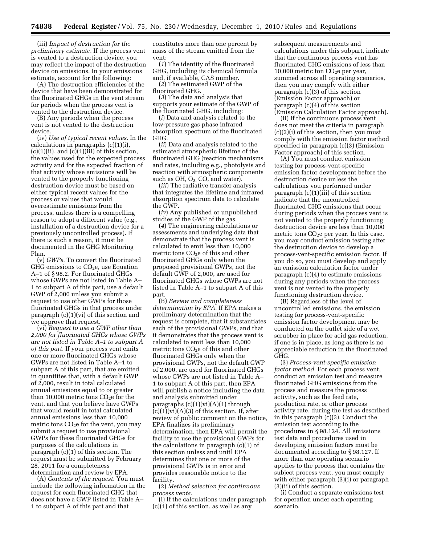(iii) *Impact of destruction for the preliminary estimate.* If the process vent is vented to a destruction device, you may reflect the impact of the destruction device on emissions. In your emissions estimate, account for the following:

(A) The destruction efficiencies of the device that have been demonstrated for the fluorinated GHGs in the vent stream for periods when the process vent is vented to the destruction device.

(B) Any periods when the process vent is not vented to the destruction device.

(iv) *Use of typical recent values.* In the calculations in paragraphs (c)(1)(i),  $(c)(1)(ii)$ , and  $(c)(1)(iii)$  of this section, the values used for the expected process activity and for the expected fraction of that activity whose emissions will be vented to the properly functioning destruction device must be based on either typical recent values for the process or values that would overestimate emissions from the process, unless there is a compelling reason to adopt a different value (e.g., installation of a destruction device for a previously uncontrolled process). If there is such a reason, it must be documented in the GHG Monitoring Plan.

(v) *GWPs.* To convert the fluorinated GHG emissions to  $CO<sub>2</sub>e$ , use Equation A–1 of § 98.2. For fluorinated GHGs whose GWPs are not listed in Table A– 1 to subpart A of this part, use a default GWP of 2,000 unless you submit a request to use other GWPs for those fluorinated GHGs in that process under paragraph (c)(1)(vi) of this section and we approve that request.

(vi) *Request to use a GWP other than 2,000 for fluorinated GHGs whose GWPs are not listed in Table A–1 to subpart A of this part.* If your process vent emits one or more fluorinated GHGs whose GWPs are not listed in Table A–1 to subpart A of this part, that are emitted in quantities that, with a default GWP of 2,000, result in total calculated annual emissions equal to or greater than 10,000 metric tons  $CO<sub>2</sub>e$  for the vent, and that you believe have GWPs that would result in total calculated annual emissions less than 10,000 metric tons  $CO<sub>2</sub>e$  for the vent, you may submit a request to use provisional GWPs for these fluorinated GHGs for purposes of the calculations in paragraph (c)(1) of this section. The request must be submitted by February 28, 2011 for a completeness determination and review by EPA.

(A) *Contents of the request.* You must include the following information in the request for each fluorinated GHG that does not have a GWP listed in Table A– 1 to subpart A of this part and that

constitutes more than one percent by mass of the stream emitted from the vent:

(*1*) The identity of the fluorinated GHG, including its chemical formula and, if available, CAS number.

(*2*) The estimated GWP of the fluorinated GHG.

(*3*) The data and analysis that supports your estimate of the GWP of the fluorinated GHG, including:

(*i*) Data and analysis related to the low-pressure gas phase infrared absorption spectrum of the fluorinated GHG.

(*ii*) Data and analysis related to the estimated atmospheric lifetime of the fluorinated GHG (reaction mechanisms and rates, including e.g., photolysis and reaction with atmospheric components such as OH,  $O_3$ , CO, and water).

(*iii*) The radiative transfer analysis that integrates the lifetime and infrared absorption spectrum data to calculate the GWP.

(*iv*) Any published or unpublished studies of the GWP of the gas.

(*4*) The engineering calculations or assessments and underlying data that demonstrate that the process vent is calculated to emit less than 10,000 metric tons CO<sub>2</sub>e of this and other fluorinated GHGs only when the proposed provisional GWPs, not the default GWP of 2,000, are used for fluorinated GHGs whose GWPs are not listed in Table A–1 to subpart A of this part.

(B) *Review and completeness determination by EPA.* If EPA makes a preliminary determination that the request is complete, that it substantiates each of the provisional GWPs, and that it demonstrates that the process vent is calculated to emit less than 10,000 metric tons  $CO<sub>2</sub>e$  of this and other fluorinated GHGs only when the provisional GWPs, not the default GWP of 2,000, are used for fluorinated GHGs whose GWPs are not listed in Table A– 1 to subpart A of this part, then EPA will publish a notice including the data and analysis submitted under paragraphs  $(c)(1)(vi)(A)(1)$  through  $(c)(1)(vi)(A)(3)$  of this section. If, after review of public comment on the notice, EPA finalizes its preliminary determination, then EPA will permit the facility to use the provisional GWPs for the calculations in paragraph (c)(1) of this section unless and until EPA determines that one or more of the provisional GWPs is in error and provides reasonable notice to the facility.

(2) *Method selection for continuous process vents.* 

(i) If the calculations under paragraph (c)(1) of this section, as well as any

subsequent measurements and calculations under this subpart, indicate that the continuous process vent has fluorinated GHG emissions of less than 10,000 metric ton  $CO<sub>2</sub>e$  per year, summed across all operating scenarios, then you may comply with either paragraph (c)(3) of this section (Emission Factor approach) or paragraph (c)(4) of this section (Emission Calculation Factor approach).

(ii) If the continuous process vent does not meet the criteria in paragraph (c)(2)(i) of this section, then you must comply with the emission factor method specified in paragraph (c)(3) (Emission Factor approach) of this section.

(A) You must conduct emission testing for process-vent-specific emission factor development before the destruction device unless the calculations you performed under paragraph (c)(1)(iii) of this section indicate that the uncontrolled fluorinated GHG emissions that occur during periods when the process vent is not vented to the properly functioning destruction device are less than 10,000 metric tons  $CO<sub>2</sub>e$  per year. In this case, you may conduct emission testing after the destruction device to develop a process-vent-specific emission factor. If you do so, you must develop and apply an emission calculation factor under paragraph (c)(4) to estimate emissions during any periods when the process vent is not vented to the properly functioning destruction device.

(B) Regardless of the level of uncontrolled emissions, the emission testing for process-vent-specific emission factor development may be conducted on the outlet side of a wet scrubber in place for acid gas reduction, if one is in place, as long as there is no appreciable reduction in the fluorinated GHG.

(3) *Process-vent-specific emission factor method.* For each process vent, conduct an emission test and measure fluorinated GHG emissions from the process and measure the process activity, such as the feed rate, production rate, or other process activity rate, during the test as described in this paragraph (c)(3). Conduct the emission test according to the procedures in § 98.124. All emissions test data and procedures used in developing emission factors must be documented according to § 98.127. If more than one operating scenario applies to the process that contains the subject process vent, you must comply with either paragraph  $(3)(i)$  or paragraph (3)(ii) of this section.

(i) Conduct a separate emissions test for operation under each operating scenario.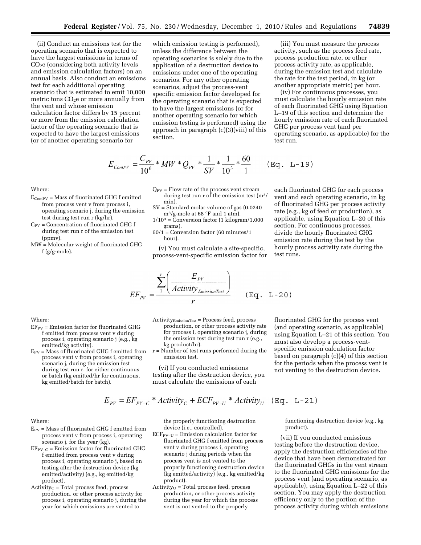(ii) Conduct an emissions test for the operating scenario that is expected to have the largest emissions in terms of CO2e (considering both activity levels and emission calculation factors) on an annual basis. Also conduct an emissions test for each additional operating scenario that is estimated to emit 10,000 metric tons  $CO<sub>2</sub>e$  or more annually from the vent and whose emission calculation factor differs by 15 percent or more from the emission calculation factor of the operating scenario that is expected to have the largest emissions (or of another operating scenario for

which emission testing is performed), unless the difference between the operating scenarios is solely due to the application of a destruction device to emissions under one of the operating scenarios. For any other operating scenarios, adjust the process-vent specific emission factor developed for the operating scenario that is expected to have the largest emissions (or for another operating scenario for which emission testing is performed) using the approach in paragraph (c)(3)(viii) of this section.

$$
E_{\text{ConIPV}} = \frac{C_{\text{PV}}}{10^6} * MW * Q_{\text{PV}} * \frac{1}{SV} * \frac{1}{10^3} * \frac{60}{1} \qquad (\text{Eq. L-19})
$$

Where:

- EContPV = Mass of fluorinated GHG f emitted from process vent v from process i, operating scenario j, during the emission test during test run r (kg/hr).
- $C_{PV}$  = Concentration of fluorinated GHG f during test run r of the emission test (ppmv).
- MW = Molecular weight of fluorinated GHG f (g/g-mole).
- $\mathbf{Q}_{\text{PV}} = \text{Flow}$  rate of the process vent stream during test run r of the emission test (m3/ min).
- SV = Standard molar volume of gas (0.0240 m3/g-mole at 68 °F and 1 atm).
- $1/10^3$  = Conversion factor (1 kilogram/1,000 grams).
- 60/1 = Conversion factor (60 minutes/1 hour).

(v) You must calculate a site-specific, process-vent-specific emission factor for

each fluorinated GHG for each process vent and each operating scenario, in kg of fluorinated GHG per process activity rate (e.g., kg of feed or production), as applicable, using Equation L–20 of this section. For continuous processes, divide the hourly fluorinated GHG emission rate during the test by the hourly process activity rate during the test runs.

(iii) You must measure the process activity, such as the process feed rate, process production rate, or other process activity rate, as applicable, during the emission test and calculate the rate for the test period, in kg (or another appropriate metric) per hour. (iv) For continuous processes, you must calculate the hourly emission rate of each fluorinated GHG using Equation L–19 of this section and determine the hourly emission rate of each fluorinated

GHG per process vent (and per

test run.

operating scenario, as applicable) for the

$$
EF_{PV} = \frac{\sum_{1}^{r} \left( \frac{E_{PV}}{Activity_{EmissionTest}} \right)}{r}
$$
 (Eq. L-20)

Where:

- $EF_{PV}$  = Emission factor for fluorinated GHG f emitted from process vent v during process i, operating scenario j (e.g., kg emitted/kg activity).
- $E_{PV}$  = Mass of fluorinated GHG f emitted from process vent v from process i, operating scenario j, during the emission test during test run r, for either continuous or batch (kg emitted/hr for continuous, kg emitted/batch for batch).
- $Activity_{EmissionTest} = Process feed, process$ production, or other process activity rate for process i, operating scenario j, during the emission test during test run r (e.g., kg product/hr).
- r = Number of test runs performed during the emission test.

(vi) If you conducted emissions testing after the destruction device, you must calculate the emissions of each

fluorinated GHG for the process vent (and operating scenario, as applicable) using Equation L–21 of this section. You must also develop a process-ventspecific emission calculation factor based on paragraph (c)(4) of this section for the periods when the process vent is not venting to the destruction device.

$$
E_{pV} = EF_{pV-C} * Activity_C + ECF_{pV-U} * Activity_U
$$
 (Eq. L-21)

Where:

- $E_{PV}$  = Mass of fluorinated GHG f emitted from process vent v from process i, operating scenario j, for the year (kg).
- $EF_{PV-C}$  = Emission factor for fluorinated GHG f emitted from process vent v during process i, operating scenario j, based on testing after the destruction device (kg emitted/activity) (e.g., kg emitted/kg product).
- $Activity_C = Total process feed, process$ production, or other process activity for process i, operating scenario j, during the year for which emissions are vented to

the properly functioning destruction device (i.e., controlled).

- $ECF_{PV-U}$  = Emission calculation factor for fluorinated GHG f emitted from process vent v during process i, operating scenario j during periods when the process vent is not vented to the properly functioning destruction device (kg emitted/activity) (e.g., kg emitted/kg product).
- $Activity_U = Total process feed, process$ production, or other process activity during the year for which the process vent is not vented to the properly

functioning destruction device (e.g., kg product).

(vii) If you conducted emissions testing before the destruction device, apply the destruction efficiencies of the device that have been demonstrated for the fluorinated GHGs in the vent stream to the fluorinated GHG emissions for the process vent (and operating scenario, as applicable), using Equation L–22 of this section. You may apply the destruction efficiency only to the portion of the process activity during which emissions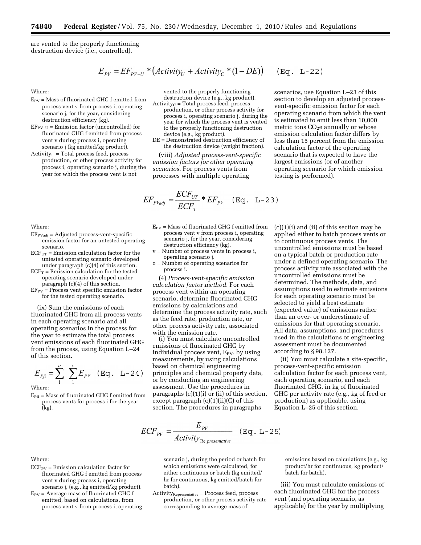are vented to the properly functioning destruction device (i.e., controlled).

$$
E_{PV} = EF_{PV-U} * (Activity_U + Activity_C * (1 - DE))
$$
 (Eq. L-22)

Where:

- $E_{PV}$  = Mass of fluorinated GHG f emitted from process vent v from process i, operating scenario j, for the year, considering destruction efficiency (kg).
- $EF_{PV-U}$  = Emission factor (uncontrolled) for fluorinated GHG f emitted from process vent v during process i, operating scenario j (kg emitted/kg product).
- $Activity_U = Total process feed, process$ production, or other process activity for process i, operating scenario j, during the year for which the process vent is not

vented to the properly functioning destruction device (e.g., kg product).

- $Activity_C = Total process feed, process$ production, or other process activity for process i, operating scenario j, during the year for which the process vent is vented to the properly functioning destruction
- device (e.g., kg product). DE = Demonstrated destruction efficiency of the destruction device (weight fraction).

(viii) *Adjusted process-vent-specific emission factors for other operating scenarios.* For process vents from processes with multiple operating

$$
EF_{\text{PVadj}} = \frac{ECF_{UT}}{ECF_T} * EF_{\text{PV}} \quad (\text{Eq. L-23})
$$

 $E_{PV}$  = Mass of fluorinated GHG f emitted from process vent v from process i, operating scenario j, for the year, considering destruction efficiency (kg). v = Number of process vents in process i,

(4) *Process-vent-specific emission calculation factor method.* For each process vent within an operating scenario, determine fluorinated GHG emissions by calculations and

determine the process activity rate, such as the feed rate, production rate, or other process activity rate, associated

(i) You must calculate uncontrolled emissions of fluorinated GHG by individual process vent,  $E_{PV}$ , by using measurements, by using calculations based on chemical engineering principles and chemical property data, or by conducting an engineering assessment. Use the procedures in paragraphs (c)(1)(i) or (ii) of this section, except paragraph  $(c)(1)(ii)(C)$  of this section. The procedures in paragraphs

operating scenario j. o = Number of operating scenarios for

with the emission rate.

process i.

Where:

- $EF_{PVadi} = Adjusted process-vent-specific$ emission factor for an untested operating scenario.
- $ECF<sub>UT</sub>$  = Emission calculation factor for the untested operating scenario developed under paragraph (c)(4) of this section.
- $ECF_T$  = Emission calculation for the tested operating scenario developed under paragraph (c)(4) of this section.
- $EF_{PV}$  = Process vent specific emission factor for the tested operating scenario.

(ix) Sum the emissions of each fluorinated GHG from all process vents in each operating scenario and all operating scenarios in the process for the year to estimate the total process vent emissions of each fluorinated GHG from the process, using Equation L–24 of this section.

$$
E_{Pf} = \sum_{1}^{o} \sum_{1}^{v} E_{PV} \quad (\text{Eq. L-24})
$$

Where:

 $E_{\text{Pfi}}$  = Mass of fluorinated GHG f emitted from process vents for process i for the year (kg).

 $ECF_{PV}$  = Emission calculation factor for fluorinated GHG f emitted from process vent v during process i, operating scenario j, (e.g., kg emitted/kg product).  $E_{PV}$  = Average mass of fluorinated GHG f emitted, based on calculations, from process vent v from process i, operating

$$
ECF_{pV} = \frac{E_{pV}}{Activity_{\text{Re} \text{ }presentative}} \quad (\text{Eq. L-25})
$$

scenario j, during the period or batch for which emissions were calculated, for either continuous or batch (kg emitted/ hr for continuous, kg emitted/batch for batch).

Activity<sub>Representative</sub> = Process feed, process production, or other process activity rate corresponding to average mass of

emissions based on calculations (e.g., kg product/hr for continuous, kg product/ batch for batch).

(iii) You must calculate emissions of each fluorinated GHG for the process vent (and operating scenario, as applicable) for the year by multiplying

scenarios, use Equation L–23 of this section to develop an adjusted processvent-specific emission factor for each operating scenario from which the vent is estimated to emit less than 10,000 metric tons  $CO<sub>2</sub>e$  annually or whose emission calculation factor differs by less than 15 percent from the emission calculation factor of the operating scenario that is expected to have the

testing is performed).

largest emissions (or of another operating scenario for which emission

 $(c)(1)(i)$  and  $(ii)$  of this section may be applied either to batch process vents or to continuous process vents. The uncontrolled emissions must be based on a typical batch or production rate under a defined operating scenario. The process activity rate associated with the uncontrolled emissions must be determined. The methods, data, and assumptions used to estimate emissions for each operating scenario must be selected to yield a best estimate (expected value) of emissions rather than an over- or underestimate of emissions for that operating scenario. All data, assumptions, and procedures used in the calculations or engineering assessment must be documented according to § 98.127.

(ii) You must calculate a site-specific, process-vent-specific emission calculation factor for each process vent, each operating scenario, and each fluorinated GHG, in kg of fluorinated GHG per activity rate (e.g., kg of feed or production) as applicable, using Equation L–25 of this section.

Where: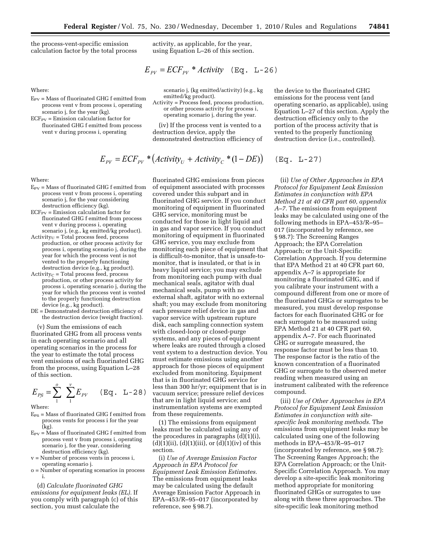the process-vent-specific emission calculation factor by the total process activity, as applicable, for the year, using Equation L–26 of this section.

$$
E_{pV} = ECF_{pV} * Activity \quad (\text{Eq. L-26})
$$

Where:

 $E_{PV}$  = Mass of fluorinated GHG f emitted from process vent v from process i, operating scenario j, for the year (kg).

 $ECF_{PV}$  = Emission calculation factor for fluorinated GHG f emitted from process vent v during process i, operating

scenario j, (kg emitted/activity) (e.g., kg emitted/kg product).

Activity = Process feed, process production, or other process activity for process i, operating scenario j, during the year.

(iv) If the process vent is vented to a destruction device, apply the demonstrated destruction efficiency of

$$
E_{\mu\nu} = ECF_{\mu\nu} * (Activity_{U} + Activity_{C} * (1 - DE))
$$

Where:

- $E_{PV}$  = Mass of fluorinated GHG f emitted from process vent v from process i, operating scenario j, for the year considering destruction efficiency (kg).
- $ECF_{PV}$  = Emission calculation factor for fluorinated GHG f emitted from process vent v during process i, operating scenario j, (e.g., kg emitted/kg product).
- $Activity_U = Total process feed, process$ production, or other process activity for process i, operating scenario j, during the year for which the process vent is not vented to the properly functioning destruction device (e.g., kg product).
- $Activity_C = Total process feed, process$ production, or other process activity for process i, operating scenario j, during the year for which the process vent is vented to the properly functioning destruction device (e.g., kg product).
- DE = Demonstrated destruction efficiency of the destruction device (weight fraction).

(v) Sum the emissions of each fluorinated GHG from all process vents in each operating scenario and all operating scenarios in the process for the year to estimate the total process vent emissions of each fluorinated GHG from the process, using Equation L–28 of this section.

$$
E_{Pf} = \sum_{1}^{o} \sum_{1}^{v} E_{PV} \quad (\text{Eq. L-28})
$$

Where:

- $E_{\text{Pfi}}$  = Mass of fluorinated GHG f emitted from process vents for process i for the year  $\overline{(\text{kg})}$ .
- $E_{PV}$  = Mass of fluorinated GHG f emitted from process vent v from process i, operating scenario j, for the year, considering destruction efficiency (kg).
- v = Number of process vents in process i, operating scenario j.
- o = Number of operating scenarios in process i.

(d) *Calculate fluorinated GHG emissions for equipment leaks (EL).* If you comply with paragraph (c) of this section, you must calculate the

fluorinated GHG emissions from pieces of equipment associated with processes covered under this subpart and in fluorinated GHG service. If you conduct monitoring of equipment in fluorinated GHG service, monitoring must be conducted for those in light liquid and in gas and vapor service. If you conduct monitoring of equipment in fluorinated GHG service, you may exclude from monitoring each piece of equipment that is difficult-to-monitor, that is unsafe-tomonitor, that is insulated, or that is in heavy liquid service; you may exclude from monitoring each pump with dual mechanical seals, agitator with dual mechanical seals, pump with no external shaft, agitator with no external shaft; you may exclude from monitoring each pressure relief device in gas and vapor service with upstream rupture disk, each sampling connection system with closed-loop or closed-purge systems, and any pieces of equipment where leaks are routed through a closed vent system to a destruction device. You must estimate emissions using another approach for those pieces of equipment excluded from monitoring. Equipment that is in fluorinated GHG service for less than 300 hr/yr; equipment that is in vacuum service; pressure relief devices that are in light liquid service; and instrumentation systems are exempted from these requirements.

(1) The emissions from equipment leaks must be calculated using any of the procedures in paragraphs (d)(1)(i),  $(d)(1)(ii)$ ,  $(d)(1)(iii)$ , or  $(d)(1)(iv)$  of this section.

(i) *Use of Average Emission Factor Approach in EPA Protocol for Equipment Leak Emission Estimates.*  The emissions from equipment leaks may be calculated using the default Average Emission Factor Approach in EPA–453/R–95–017 (incorporated by reference, see § 98.7).

the device to the fluorinated GHG emissions for the process vent (and operating scenario, as applicable), using Equation L–27 of this section. Apply the destruction efficiency only to the portion of the process activity that is vented to the properly functioning destruction device (i.e., controlled).

 $(Eq. L-27)$ 

(ii) *Use of Other Approaches in EPA Protocol for Equipment Leak Emission Estimates in conjunction with EPA Method 21 at 40 CFR part 60, appendix A–7.* The emissions from equipment leaks may be calculated using one of the following methods in EPA–453/R–95– 017 (incorporated by reference, see § 98.7): The Screening Ranges Approach; the EPA Correlation Approach; or the Unit-Specific Correlation Approach. If you determine that EPA Method 21 at 40 CFR part 60, appendix A–7 is appropriate for monitoring a fluorinated GHG, and if you calibrate your instrument with a compound different from one or more of the fluorinated GHGs or surrogates to be measured, you must develop response factors for each fluorinated GHG or for each surrogate to be measured using EPA Method 21 at 40 CFR part 60, appendix A–7. For each fluorinated GHG or surrogate measured, the response factor must be less than 10. The response factor is the ratio of the known concentration of a fluorinated GHG or surrogate to the observed meter reading when measured using an instrument calibrated with the reference compound.

(iii) *Use of Other Approaches in EPA Protocol for Equipment Leak Emission Estimates in conjunction with sitespecific leak monitoring methods.* The emissions from equipment leaks may be calculated using one of the following methods in EPA–453/R–95–017 (incorporated by reference, see § 98.7): The Screening Ranges Approach; the EPA Correlation Approach; or the Unit-Specific Correlation Approach. You may develop a site-specific leak monitoring method appropriate for monitoring fluorinated GHGs or surrogates to use along with these three approaches. The site-specific leak monitoring method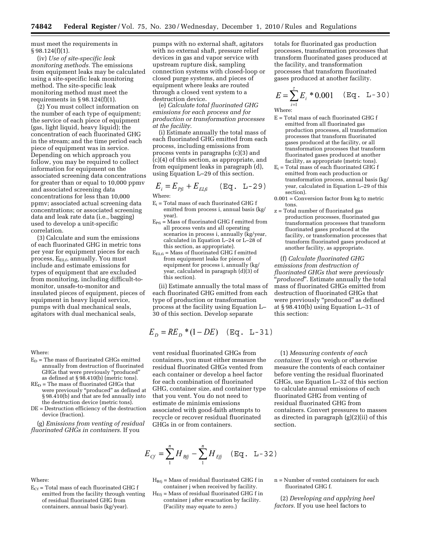must meet the requirements in  $§ 98.124(f)(1).$ 

(iv) *Use of site-specific leak monitoring methods.* The emissions from equipment leaks may be calculated using a site-specific leak monitoring method. The site-specific leak monitoring method must meet the requirements in  $\S 98.124(f)(1)$ .

(2) You must collect information on the number of each type of equipment; the service of each piece of equipment (gas, light liquid, heavy liquid); the concentration of each fluorinated GHG in the stream; and the time period each piece of equipment was in service. Depending on which approach you follow, you may be required to collect information for equipment on the associated screening data concentrations for greater than or equal to 10,000 ppmv and associated screening data concentrations for less than 10,000 ppmv; associated actual screening data concentrations; or associated screening data and leak rate data (i.e., bagging) used to develop a unit-specific correlation.

(3) Calculate and sum the emissions of each fluorinated GHG in metric tons per year for equipment pieces for each process, E<sub>ELf</sub>, annually. You must include and estimate emissions for types of equipment that are excluded from monitoring, including difficult-tomonitor, unsafe-to-monitor and insulated pieces of equipment, pieces of equipment in heavy liquid service, pumps with dual mechanical seals, agitators with dual mechanical seals,

Where:

- $E_D$  = The mass of fluorinated GHGs emitted annually from destruction of fluorinated GHGs that were previously ''produced'' as defined at  $\S$  98.410(b) (metric tons).
- $RE<sub>D</sub>$  = The mass of fluorinated GHGs that were previously "produced" as defined at § 98.410(b) and that are fed annually into the destruction device (metric tons).
- DE = Destruction efficiency of the destruction device (fraction).

(g) *Emissions from venting of residual fluorinated GHGs in containers.* If you

pumps with no external shaft, agitators with no external shaft, pressure relief devices in gas and vapor service with upstream rupture disk, sampling connection systems with closed-loop or closed purge systems, and pieces of equipment where leaks are routed through a closed vent system to a destruction device.

(e) *Calculate total fluorinated GHG emissions for each process and for production or transformation processes at the facility.* 

(i) Estimate annually the total mass of each fluorinated GHG emitted from each process, including emissions from process vents in paragraphs (c)(3) and (c)(4) of this section, as appropriate, and from equipment leaks in paragraph (d), using Equation L–29 of this section.

$$
E_i = E_{Pf_i} + E_{ELfi} \quad (\text{Eq. L-29})
$$

Where:

- $E_i$  = Total mass of each fluorinated GHG f emitted from process i, annual basis (kg/ year).
- $E_{\text{Pfi}} =$  Mass of fluorinated GHG f emitted from all process vents and all operating scenarios in process i, annually (kg/year, calculated in Equation L–24 or L–28 of this section, as appropriate).
- $E_{ELE}$  = Mass of fluorinated GHG f emitted from equipment leaks for pieces of equipment for process i, annually (kg/ year, calculated in paragraph (d)(3) of this section).

(ii) Estimate annually the total mass of each fluorinated GHG emitted from each type of production or transformation process at the facility using Equation L– 30 of this section. Develop separate

$$
E_D = RE_D * (1 - DE)
$$
 (Eq. L-31)

vent residual fluorinated GHGs from containers, you must either measure the residual fluorinated GHGs vented from each container or develop a heel factor for each combination of fluorinated GHG, container size, and container type that you vent. You do not need to estimate de minimis emissions associated with good-faith attempts to recycle or recover residual fluorinated GHGs in or from containers.

totals for fluorinated gas production processes, transformation processes that transform fluorinated gases produced at the facility, and transformation processes that transform fluorinated gases produced at another facility.

$$
E = \sum_{i=1}^{n} E_i * 0.001 \quad (\text{Eq. L-30})
$$

Where:

- E = Total mass of each fluorinated GHG f emitted from all fluorinated gas production processes, all transformation processes that transform fluorinated gases produced at the facility, or all transformation processes that transform fluorinated gases produced at another facility, as appropriate (metric tons).
- $E_i$  = Total mass of each fluorinated GHG f emitted from each production or transformation process, annual basis (kg/ year, calculated in Equation L–29 of this section).
- 0.001 = Conversion factor from kg to metric tons.
- z = Total number of fluorinated gas production processes, fluorinated gas transformation processes that transform fluorinated gases produced at the facility, or transformation processes that transform fluorinated gases produced at another facility, as appropriate.

(f) *Calculate fluorinated GHG emissions from destruction of fluorinated GHGs that were previously*  'produced". Estimate annually the total mass of fluorinated GHGs emitted from destruction of fluorinated GHGs that were previously "produced" as defined at § 98.410(b) using Equation L–31 of this section:

(1) *Measuring contents of each container.* If you weigh or otherwise measure the contents of each container before venting the residual fluorinated GHGs, use Equation L–32 of this section to calculate annual emissions of each fluorinated GHG from venting of residual fluorinated GHG from containers. Convert pressures to masses as directed in paragraph (g)(2)(ii) of this section.

$$
E_{Cf} = \sum_{1}^{n} H_{Bf} - \sum_{1}^{n} H_{Ef} \quad (\text{Eq. L-32})
$$

Where:

 $E_{Cf}$  = Total mass of each fluorinated GHG f emitted from the facility through venting of residual fluorinated GHG from containers, annual basis (kg/year).

 $H<sub>Bfi</sub>$  = Mass of residual fluorinated GHG f in container j when received by facility.

- $H<sub>Eff</sub>$  = Mass of residual fluorinated GHG f in container j after evacuation by facility. (Facility may equate to zero.)
- n = Number of vented containers for each fluorinated GHG f.

(2) *Developing and applying heel factors.* If you use heel factors to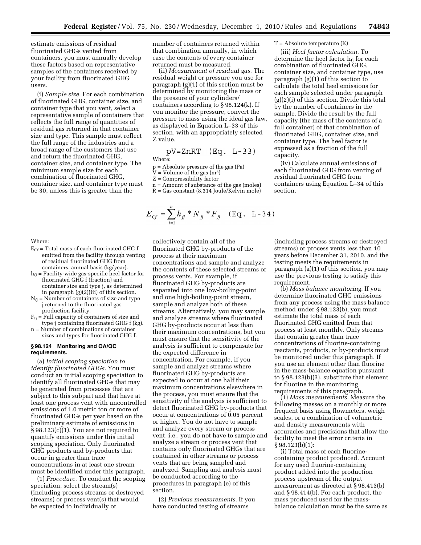estimate emissions of residual fluorinated GHGs vented from containers, you must annually develop these factors based on representative samples of the containers received by your facility from fluorinated GHG users.

(i) *Sample size.* For each combination of fluorinated GHG, container size, and container type that you vent, select a representative sample of containers that reflects the full range of quantities of residual gas returned in that container size and type. This sample must reflect the full range of the industries and a broad range of the customers that use and return the fluorinated GHG, container size, and container type. The minimum sample size for each combination of fluorinated GHG, container size, and container type must be 30, unless this is greater than the

number of containers returned within that combination annually, in which case the contents of every container returned must be measured.

(ii) *Measurement of residual gas.* The residual weight or pressure you use for paragraph (g)(1) of this section must be determined by monitoring the mass or the pressure of your cylinders/ containers according to § 98.124(k). If you monitor the pressure, convert the pressure to mass using the ideal gas law, as displayed in Equation L–33 of this section, with an appropriately selected Z value.

$$
pV = ZnRT \quad (Eq. L-33)
$$

Where:

- p = Absolute pressure of the gas (Pa)
- $V =$  Volume of the gas (m<sup>3</sup>)
- Z = Compressibility factor
- n = Amount of substance of the gas (moles) R = Gas constant (8.314 Joule/Kelvin mole)
- 

$$
E_{Cf} = \sum_{j=1}^{n} h_{jj} * N_{jj} * F_{jj} \quad (\text{Eq. L-34})
$$

Where:

- $E_{Cf}$  = Total mass of each fluorinated GHG f emitted from the facility through venting of residual fluorinated GHG from containers, annual basis (kg/year).
- $h_{fj}$  = Facility-wide gas-specific heel factor for fluorinated GHG f (fraction) and container size and type j, as determined in paragraph (g)(2)(iii) of this section.
- $N_{fj}$  = Number of containers of size and type j returned to the fluorinated gas production facility.
- $F_{fj}$  = Full capacity of containers of size and type j containing fluorinated GHG f (kg).
- n = Number of combinations of container sizes and types for fluorinated GHG f.

## **§ 98.124 Monitoring and QA/QC requirements.**

(a) *Initial scoping speciation to identify fluorinated GHGs.* You must conduct an initial scoping speciation to identify all fluorinated GHGs that may be generated from processes that are subject to this subpart and that have at least one process vent with uncontrolled emissions of 1.0 metric ton or more of fluorinated GHGs per year based on the preliminary estimate of emissions in § 98.123(c)(1). You are not required to quantify emissions under this initial scoping speciation. Only fluorinated GHG products and by-products that occur in greater than trace concentrations in at least one stream must be identified under this paragraph.

(1) *Procedure.* To conduct the scoping speciation, select the stream(s) (including process streams or destroyed streams) or process vent(s) that would be expected to individually or

collectively contain all of the fluorinated GHG by-products of the process at their maximum concentrations and sample and analyze the contents of these selected streams or process vents. For example, if fluorinated GHG by-products are separated into one low-boiling-point and one high-boiling-point stream, sample and analyze both of these streams. Alternatively, you may sample and analyze streams where fluorinated GHG by-products occur at less than their maximum concentrations, but you must ensure that the sensitivity of the analysis is sufficient to compensate for the expected difference in concentration. For example, if you sample and analyze streams where fluorinated GHG by-products are expected to occur at one half their maximum concentrations elsewhere in the process, you must ensure that the sensitivity of the analysis is sufficient to detect fluorinated GHG by-products that occur at concentrations of 0.05 percent or higher. You do not have to sample and analyze every stream or process vent, i.e., you do not have to sample and analyze a stream or process vent that contains only fluorinated GHGs that are contained in other streams or process vents that are being sampled and analyzed. Sampling and analysis must be conducted according to the procedures in paragraph (e) of this section.

(2) *Previous measurements.* If you have conducted testing of streams

# $T =$  Absolute temperature  $(K)$

(iii) *Heel factor calculation.* To determine the heel factor  $h_{fi}$  for each combination of fluorinated GHG, container size, and container type, use paragraph (g)(1) of this section to calculate the total heel emissions for each sample selected under paragraph (g)(2)(i) of this section. Divide this total by the number of containers in the sample. Divide the result by the full capacity (the mass of the contents of a full container) of that combination of fluorinated GHG, container size, and container type. The heel factor is expressed as a fraction of the full capacity.

(iv) Calculate annual emissions of each fluorinated GHG from venting of residual fluorinated GHG from containers using Equation L–34 of this section.

(including process streams or destroyed streams) or process vents less than 10 years before December 31, 2010, and the testing meets the requirements in paragraph (a)(1) of this section, you may use the previous testing to satisfy this requirement.

(b) *Mass balance monitoring.* If you determine fluorinated GHG emissions from any process using the mass balance method under § 98.123(b), you must estimate the total mass of each fluorinated GHG emitted from that process at least monthly. Only streams that contain greater than trace concentrations of fluorine-containing reactants, products, or by-products must be monitored under this paragraph. If you use an element other than fluorine in the mass-balance equation pursuant to § 98.123(b)(3), substitute that element for fluorine in the monitoring requirements of this paragraph.

(1) *Mass measurements.* Measure the following masses on a monthly or more frequent basis using flowmeters, weigh scales, or a combination of volumetric and density measurements with accuracies and precisions that allow the facility to meet the error criteria in § 98.123(b)(1):

(i) Total mass of each fluorinecontaining product produced. Account for any used fluorine-containing product added into the production process upstream of the output measurement as directed at § 98.413(b) and § 98.414(b). For each product, the mass produced used for the massbalance calculation must be the same as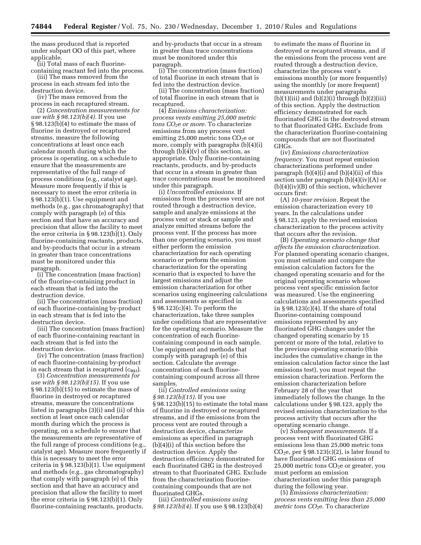the mass produced that is reported under subpart OO of this part, where applicable.

(ii) Total mass of each fluorinecontaining reactant fed into the process.

(iii) The mass removed from the process in each stream fed into the

destruction device. (iv) The mass removed from the

process in each recaptured stream. (2) *Concentration measurements for* 

*use with § 98.123(b)(4).* If you use § 98.123(b)(4) to estimate the mass of fluorine in destroyed or recaptured streams, measure the following concentrations at least once each calendar month during which the process is operating, on a schedule to ensure that the measurements are representative of the full range of process conditions (e.g., catalyst age). Measure more frequently if this is necessary to meet the error criteria in § 98.123(b)(1). Use equipment and methods (e.g., gas chromatography) that comply with paragraph (e) of this section and that have an accuracy and precision that allow the facility to meet the error criteria in § 98.123(b)(1). Only fluorine-containing reactants, products, and by-products that occur in a stream in greater than trace concentrations must be monitored under this paragraph.

(i) The concentration (mass fraction) of the fluorine-containing product in each stream that is fed into the destruction device.

(ii) The concentration (mass fraction) of each fluorine-containing by-product in each stream that is fed into the destruction device.

(iii) The concentration (mass fraction) of each fluorine-containing reactant in each stream that is fed into the destruction device.

(iv) The concentration (mass fraction) of each fluorine-containing by-product in each stream that is recaptured  $(c_{Bkl})$ .

(3) *Concentration measurements for use with § 98.123(b)(15).* If you use § 98.123(b)(15) to estimate the mass of fluorine in destroyed or recaptured streams, measure the concentrations listed in paragraphs (3)(i) and (ii) of this section at least once each calendar month during which the process is operating, on a schedule to ensure that the measurements are representative of the full range of process conditions (e.g., catalyst age). Measure more frequently if this is necessary to meet the error criteria in § 98.123(b)(1). Use equipment and methods (e.g., gas chromatography) that comply with paragraph (e) of this section and that have an accuracy and precision that allow the facility to meet the error criteria in § 98.123(b)(1). Only fluorine-containing reactants, products,

and by-products that occur in a stream in greater than trace concentrations must be monitored under this paragraph.

(i) The concentration (mass fraction) of total fluorine in each stream that is fed into the destruction device.

(ii) The concentration (mass fraction) of total fluorine in each stream that is recaptured.

(4) *Emissions characterization: process vents emitting 25,000 metric tons CO2e or more.* To characterize emissions from any process vent emitting  $25,000$  metric tons  $CO<sub>2</sub>e$  or more, comply with paragraphs (b)(4)(i) through  $(b)(4)(v)$  of this section, as appropriate. Only fluorine-containing reactants, products, and by-products that occur in a stream in greater than trace concentrations must be monitored under this paragraph.

(i) *Uncontrolled emissions.* If emissions from the process vent are not routed through a destruction device, sample and analyze emissions at the process vent or stack or sample and analyze emitted streams before the process vent. If the process has more than one operating scenario, you must either perform the emission characterization for each operating scenario or perform the emission characterization for the operating scenario that is expected to have the largest emissions and adjust the emission characterization for other scenarios using engineering calculations and assessments as specified in § 98.123(c)(4). To perform the characterization, take three samples under conditions that are representative for the operating scenario. Measure the concentration of each fluorinecontaining compound in each sample. Use equipment and methods that comply with paragraph (e) of this section. Calculate the average concentration of each fluorinecontaining compound across all three samples.

(ii) *Controlled emissions using § 98.123(b)(15).* If you use § 98.123(b)(15) to estimate the total mass of fluorine in destroyed or recaptured streams, and if the emissions from the process vent are routed through a destruction device, characterize emissions as specified in paragraph (b)(4)(i) of this section before the destruction device. Apply the destruction efficiency demonstrated for each fluorinated GHG in the destroyed stream to that fluorinated GHG. Exclude from the characterization fluorinecontaining compounds that are not fluorinated GHGs.

(iii) *Controlled emissions using § 98.123(b)(4).* If you use § 98.123(b)(4) to estimate the mass of fluorine in destroyed or recaptured streams, and if the emissions from the process vent are routed through a destruction device, characterize the process vent's emissions monthly (or more frequently) using the monthly (or more frequent) measurements under paragraphs  $(b)(1)(iii)$  and  $(b)(2)(i)$  through  $(b)(2)(iii)$ of this section. Apply the destruction efficiency demonstrated for each fluorinated GHG in the destroyed stream to that fluorinated GHG. Exclude from the characterization fluorine-containing compounds that are not fluorinated GHGs.

(iv) *Emissions characterization frequency.* You must repeat emission characterizations performed under paragraph  $(b)(4)(i)$  and  $(b)(4)(ii)$  of this section under paragraph (b)(4)(iv)(A) or (b)(4)(iv)(B) of this section, whichever occurs first:

(A) *10-year revision.* Repeat the emission characterization every 10 years. In the calculations under § 98.123, apply the revised emission characterization to the process activity that occurs after the revision.

(B) *Operating scenario change that affects the emission characterization.*  For planned operating scenario changes, you must estimate and compare the emission calculation factors for the changed operating scenario and for the original operating scenario whose process vent specific emission factor was measured. Use the engineering calculations and assessments specified in  $\S 98.123(c)(4)$ . If the share of total fluorine-containing compound emissions represented by any fluorinated GHG changes under the changed operating scenario by 15 percent or more of the total, relative to the previous operating scenario (this includes the cumulative change in the emission calculation factor since the last emissions test), you must repeat the emission characterization. Perform the emission characterization before February 28 of the year that immediately follows the change. In the calculations under § 98.123, apply the revised emission characterization to the process activity that occurs after the operating scenario change.

(v) *Subsequent measurements.* If a process vent with fluorinated GHG emissions less than 25,000 metric tons  $CO<sub>2</sub>e$ , per § 98.123(c)(2), is later found to have fluorinated GHG emissions of  $25,000$  metric tons  $CO<sub>2</sub>e$  or greater, you must perform an emission characterization under this paragraph during the following year.

(5) *Emissions characterization: process vents emitting less than 25,000 metric tons CO*2e. To characterize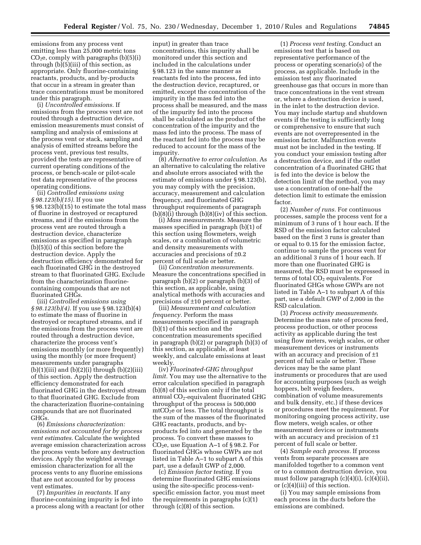emissions from any process vent emitting less than 25,000 metric tons  $CO<sub>2</sub>e$ , comply with paragraphs (b)(5)(i) through (b)(5)(iii) of this section, as appropriate. Only fluorine-containing reactants, products, and by-products that occur in a stream in greater than trace concentrations must be monitored under this paragraph.

(i) *Uncontrolled emissions.* If emissions from the process vent are not routed through a destruction device, emission measurements must consist of sampling and analysis of emissions at the process vent or stack, sampling and analysis of emitted streams before the process vent, previous test results, provided the tests are representative of current operating conditions of the process, or bench-scale or pilot-scale test data representative of the process operating conditions.

(ii) *Controlled emissions using § 98.123(b)(15).* If you use § 98.123(b)(15) to estimate the total mass of fluorine in destroyed or recaptured streams, and if the emissions from the process vent are routed through a destruction device, characterize emissions as specified in paragraph (b)(5)(i) of this section before the destruction device. Apply the destruction efficiency demonstrated for each fluorinated GHG in the destroyed stream to that fluorinated GHG. Exclude from the characterization fluorinecontaining compounds that are not fluorinated GHGs.

(iii) *Controlled emissions using § 98.123(b)(4).* If you use § 98.123(b)(4) to estimate the mass of fluorine in destroyed or recaptured streams, and if the emissions from the process vent are routed through a destruction device, characterize the process vent's emissions monthly (or more frequently) using the monthly (or more frequent) measurements under paragraphs  $(b)(1)(iii)$  and  $(b)(2)(i)$  through  $(b)(2)(iii)$ of this section. Apply the destruction efficiency demonstrated for each fluorinated GHG in the destroyed stream to that fluorinated GHG. Exclude from the characterization fluorine-containing compounds that are not fluorinated GHGs.

(6) *Emissions characterization: emissions not accounted for by process vent estimates.* Calculate the weighted average emission characterization across the process vents before any destruction devices. Apply the weighted average emission characterization for all the process vents to any fluorine emissions that are not accounted for by process vent estimates.

(7) *Impurities in reactants.* If any fluorine-containing impurity is fed into a process along with a reactant (or other input) in greater than trace concentrations, this impurity shall be monitored under this section and included in the calculations under § 98.123 in the same manner as reactants fed into the process, fed into the destruction device, recaptured, or emitted, except the concentration of the impurity in the mass fed into the process shall be measured, and the mass of the impurity fed into the process shall be calculated as the product of the concentration of the impurity and the mass fed into the process. The mass of the reactant fed into the process may be reduced to account for the mass of the impurity.

(8) *Alternative to error calculation.* As an alternative to calculating the relative and absolute errors associated with the estimate of emissions under § 98.123(b), you may comply with the precision, accuracy, measurement and calculation frequency, and fluorinated GHG throughput requirements of paragraph  $(b)(8)(i)$  through  $(b)(8)(iv)$  of this section.

(i) *Mass measurements.* Measure the masses specified in paragraph (b)(1) of this section using flowmeters, weigh scales, or a combination of volumetric and density measurements with accuracies and precisions of ±0.2 percent of full scale or better.

(ii) *Concentration measurements.*  Measure the concentrations specified in paragraph (b)(2) or paragraph (b)(3) of this section, as applicable, using analytical methods with accuracies and precisions of ±10 percent or better.

(iii) *Measurement and calculation frequency.* Perform the mass measurements specified in paragraph (b)(1) of this section and the concentration measurements specified in paragraph (b)(2) or paragraph (b)(3) of this section, as applicable, at least weekly, and calculate emissions at least weekly.

(iv) *Fluorinated-GHG throughput limit.* You may use the alternative to the error calculation specified in paragraph (b)(8) of this section only if the total annual CO<sub>2</sub>-equivalent fluorinated GHG throughput of the process is 500,000  $\text{mtCO}_2$ e or less. The total throughput is the sum of the masses of the fluorinated GHG reactants, products, and byproducts fed into and generated by the process. To convert these masses to CO<sub>2</sub>e, use Equation A–1 of §98.2. For fluorinated GHGs whose GWPs are not listed in Table A–1 to subpart A of this part, use a default GWP of 2,000.

(c) *Emission factor testing.* If you determine fluorinated GHG emissions using the site-specific process-ventspecific emission factor, you must meet the requirements in paragraphs (c)(1) through (c)(8) of this section.

(1) *Process vent testing.* Conduct an emissions test that is based on representative performance of the process or operating scenario(s) of the process, as applicable. Include in the emission test any fluorinated greenhouse gas that occurs in more than trace concentrations in the vent stream or, where a destruction device is used, in the inlet to the destruction device. You may include startup and shutdown events if the testing is sufficiently long or comprehensive to ensure that such events are not overrepresented in the emission factor. Malfunction events must not be included in the testing. If you conduct your emission testing after a destruction device, and if the outlet concentration of a fluorinated GHG that is fed into the device is below the detection limit of the method, you may use a concentration of one-half the detection limit to estimate the emission factor.

(2) *Number of runs.* For continuous processes, sample the process vent for a minimum of 3 runs of 1 hour each. If the RSD of the emission factor calculated based on the first 3 runs is greater than or equal to 0.15 for the emission factor, continue to sample the process vent for an additional 3 runs of 1 hour each. If more than one fluorinated GHG is measured, the RSD must be expressed in terms of total  $CO<sub>2</sub>$  equivalents. For fluorinated GHGs whose GWPs are not listed in Table A–1 to subpart A of this part, use a default GWP of 2,000 in the RSD calculation.

(3) *Process activity measurements.*  Determine the mass rate of process feed, process production, or other process activity as applicable during the test using flow meters, weigh scales, or other measurement devices or instruments with an accuracy and precision of  $\pm 1$ percent of full scale or better. These devices may be the same plant instruments or procedures that are used for accounting purposes (such as weigh hoppers, belt weigh feeders, combination of volume measurements and bulk density, etc.) if these devices or procedures meet the requirement. For monitoring ongoing process activity, use flow meters, weigh scales, or other measurement devices or instruments with an accuracy and precision of  $\pm 1$ percent of full scale or better.

(4) *Sample each process.* If process vents from separate processes are manifolded together to a common vent or to a common destruction device, you must follow paragraph (c)(4)(i), (c)(4)(ii), or (c)(4)(iii) of this section.

(i) You may sample emissions from each process in the ducts before the emissions are combined.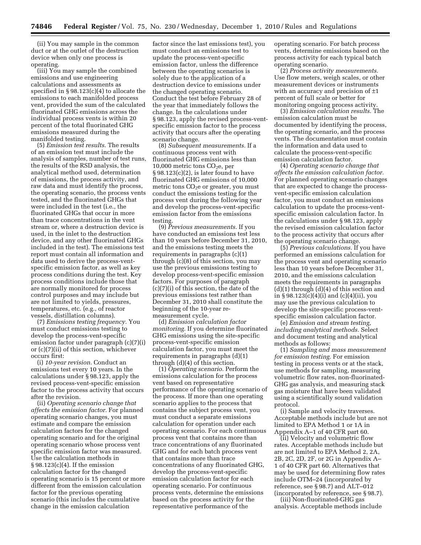(ii) You may sample in the common duct or at the outlet of the destruction device when only one process is operating.

(iii) You may sample the combined emissions and use engineering calculations and assessments as specified in § 98.123(c)(4) to allocate the emissions to each manifolded process vent, provided the sum of the calculated fluorinated GHG emissions across the individual process vents is within 20 percent of the total fluorinated GHG emissions measured during the manifolded testing.

(5) *Emission test results.* The results of an emission test must include the analysis of samples, number of test runs, the results of the RSD analysis, the analytical method used, determination of emissions, the process activity, and raw data and must identify the process, the operating scenario, the process vents tested, and the fluorinated GHGs that were included in the test (i.e., the fluorinated GHGs that occur in more than trace concentrations in the vent stream or, where a destruction device is used, in the inlet to the destruction device, and any other fluorinated GHGs included in the test). The emissions test report must contain all information and data used to derive the process-ventspecific emission factor, as well as key process conditions during the test. Key process conditions include those that are normally monitored for process control purposes and may include but are not limited to yields, pressures, temperatures, etc. (e.g., of reactor vessels, distillation columns).

(7) *Emissions testing frequency.* You must conduct emissions testing to develop the process-vent-specific emission factor under paragraph (c)(7)(i) or (c)(7)(ii) of this section, whichever occurs first:

(i) *10-year revision.* Conduct an emissions test every 10 years. In the calculations under § 98.123, apply the revised process-vent-specific emission factor to the process activity that occurs after the revision.

(ii) *Operating scenario change that affects the emission factor.* For planned operating scenario changes, you must estimate and compare the emission calculation factors for the changed operating scenario and for the original operating scenario whose process vent specific emission factor was measured. Use the calculation methods in  $§ 98.123(c)(4)$ . If the emission calculation factor for the changed operating scenario is 15 percent or more different from the emission calculation factor for the previous operating scenario (this includes the cumulative change in the emission calculation

factor since the last emissions test), you must conduct an emissions test to update the process-vent-specific emission factor, unless the difference between the operating scenarios is solely due to the application of a destruction device to emissions under the changed operating scenario. Conduct the test before February 28 of the year that immediately follows the change. In the calculations under § 98.123, apply the revised process-ventspecific emission factor to the process activity that occurs after the operating scenario change.

(8) *Subsequent measurements.* If a continuous process vent with fluorinated GHG emissions less than 10,000 metric tons  $CO<sub>2</sub>e$ , per  $§ 98.123(c)(2)$ , is later found to have fluorinated GHG emissions of 10,000 metric tons  $CO<sub>2</sub>e$  or greater, you must conduct the emissions testing for the process vent during the following year and develop the process-vent-specific emission factor from the emissions testing.

(9) *Previous measurements.* If you have conducted an emissions test less than 10 years before December 31, 2010, and the emissions testing meets the requirements in paragraphs (c)(1) through (c)(8) of this section, you may use the previous emissions testing to develop process-vent-specific emission factors. For purposes of paragraph (c)(7)(i) of this section, the date of the previous emissions test rather than December 31, 2010 shall constitute the beginning of the 10-year remeasurement cycle.

(d) *Emission calculation factor monitoring.* If you determine fluorinated GHG emissions using the site-specific process-vent-specific emission calculation factor, you must meet the requirements in paragraphs (d)(1) through (d)(4) of this section.

(1) *Operating scenario.* Perform the emissions calculation for the process vent based on representative performance of the operating scenario of the process. If more than one operating scenario applies to the process that contains the subject process vent, you must conduct a separate emissions calculation for operation under each operating scenario. For each continuous process vent that contains more than trace concentrations of any fluorinated GHG and for each batch process vent that contains more than trace concentrations of any fluorinated GHG, develop the process-vent-specific emission calculation factor for each operating scenario. For continuous process vents, determine the emissions based on the process activity for the representative performance of the

operating scenario. For batch process vents, determine emissions based on the process activity for each typical batch operating scenario.

(2) *Process activity measurements.*  Use flow meters, weigh scales, or other measurement devices or instruments with an accuracy and precision of  $\pm 1$ percent of full scale or better for monitoring ongoing process activity.

(3) *Emission calculation results.* The emission calculation must be documented by identifying the process, the operating scenario, and the process vents. The documentation must contain the information and data used to calculate the process-vent-specific emission calculation factor.

(4) *Operating scenario change that affects the emission calculation factor.*  For planned operating scenario changes that are expected to change the processvent-specific emission calculation factor, you must conduct an emissions calculation to update the process-ventspecific emission calculation factor. In the calculations under § 98.123, apply the revised emission calculation factor to the process activity that occurs after the operating scenario change.

(5) *Previous calculations.* If you have performed an emissions calculation for the process vent and operating scenario less than 10 years before December 31, 2010, and the emissions calculation meets the requirements in paragraphs  $(d)(1)$  through  $(d)(4)$  of this section and in § 98.123(c)(4)(i) and (c)(4)(ii), you may use the previous calculation to develop the site-specific process-ventspecific emission calculation factor.

(e) *Emission and stream testing, including analytical methods.* Select and document testing and analytical methods as follows:

(1) *Sampling and mass measurement for emission testing.* For emission testing in process vents or at the stack, use methods for sampling, measuring volumetric flow rates, non-fluorinated-GHG gas analysis, and measuring stack gas moisture that have been validated using a scientifically sound validation protocol.

(i) Sample and velocity traverses. Acceptable methods include but are not limited to EPA Method 1 or 1A in Appendix A–1 of 40 CFR part 60.

(ii) Velocity and volumetric flow rates. Acceptable methods include but are not limited to EPA Method 2, 2A, 2B, 2C, 2D, 2F, or 2G in Appendix A– 1 of 40 CFR part 60. Alternatives that may be used for determining flow rates include OTM–24 (incorporated by reference, see § 98.7) and ALT–012 (incorporated by reference, see § 98.7).

(iii) Non-fluorinated-GHG gas analysis. Acceptable methods include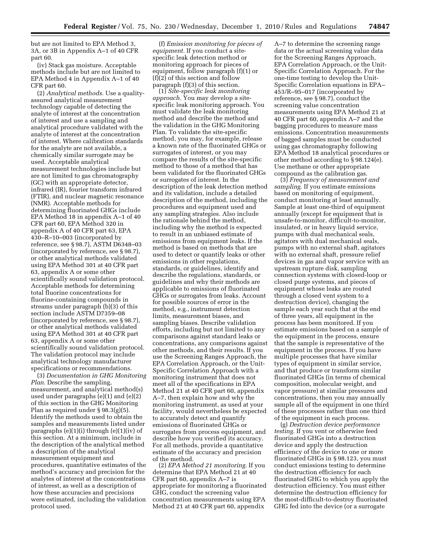but are not limited to EPA Method 3, 3A, or 3B in Appendix A–1 of 40 CFR part 60.

(iv) Stack gas moisture. Acceptable methods include but are not limited to EPA Method 4 in Appendix A–1 of 40 CFR part 60.

(2) *Analytical methods.* Use a qualityassured analytical measurement technology capable of detecting the analyte of interest at the concentration of interest and use a sampling and analytical procedure validated with the analyte of interest at the concentration of interest. Where calibration standards for the analyte are not available, a chemically similar surrogate may be used. Acceptable analytical measurement technologies include but are not limited to gas chromatography (GC) with an appropriate detector, infrared (IR), fourier transform infrared (FTIR), and nuclear magnetic resonance (NMR). Acceptable methods for determining fluorinated GHGs include EPA Method 18 in appendix A–1 of 40 CFR part 60, EPA Method 320 in appendix A of 40 CFR part 63, EPA 430–R–10–003 (incorporated by reference, see § 98.7), ASTM D6348–03 (incorporated by reference, see § 98.7), or other analytical methods validated using EPA Method 301 at 40 CFR part 63, appendix A or some other scientifically sound validation protocol. Acceptable methods for determining total fluorine concentrations for fluorine-containing compounds in streams under paragraph (b)(3) of this section include ASTM D7359–08 (incorporated by reference, see § 98.7), or other analytical methods validated using EPA Method 301 at 40 CFR part 63, appendix A or some other scientifically sound validation protocol. The validation protocol may include analytical technology manufacturer specifications or recommendations.

(3) *Documentation in GHG Monitoring Plan.* Describe the sampling, measurement, and analytical method(s) used under paragraphs (e)(1) and (e)(2) of this section in the GHG Monitoring Plan as required under § 98.3(g)(5). Identify the methods used to obtain the samples and measurements listed under paragraphs (e)(1)(i) through (e)(1)(iv) of this section. At a minimum, include in the description of the analytical method a description of the analytical measurement equipment and procedures, quantitative estimates of the method's accuracy and precision for the analytes of interest at the concentrations of interest, as well as a description of how these accuracies and precisions were estimated, including the validation protocol used.

(f) *Emission monitoring for pieces of equipment.* If you conduct a sitespecific leak detection method or monitoring approach for pieces of equipment, follow paragraph (f)(1) or (f)(2) of this section and follow paragraph (f)(3) of this section.

(1) *Site-specific leak monitoring approach.* You may develop a sitespecific leak monitoring approach. You must validate the leak monitoring method and describe the method and the validation in the GHG Monitoring Plan. To validate the site-specific method, you may, for example, release a known rate of the fluorinated GHGs or surrogates of interest, or you may compare the results of the site-specific method to those of a method that has been validated for the fluorinated GHGs or surrogates of interest. In the description of the leak detection method and its validation, include a detailed description of the method, including the procedures and equipment used and any sampling strategies. Also include the rationale behind the method, including why the method is expected to result in an unbiased estimate of emissions from equipment leaks. If the method is based on methods that are used to detect or quantify leaks or other emissions in other regulations, standards, or guidelines, identify and describe the regulations, standards, or guidelines and why their methods are applicable to emissions of fluorinated GHGs or surrogates from leaks. Account for possible sources of error in the method, e.g., instrument detection limits, measurement biases, and sampling biases. Describe validation efforts, including but not limited to any comparisons against standard leaks or concentrations, any comparisons against other methods, and their results. If you use the Screening Ranges Approach, the EPA Correlation Approach, or the Unit-Specific Correlation Approach with a monitoring instrument that does not meet all of the specifications in EPA Method 21 at 40 CFR part 60, appendix A–7, then explain how and why the monitoring instrument, as used at your facility, would nevertheless be expected to accurately detect and quantify emissions of fluorinated GHGs or surrogates from process equipment, and describe how you verified its accuracy. For all methods, provide a quantitative estimate of the accuracy and precision of the method.

(2) *EPA Method 21 monitoring.* If you determine that EPA Method 21 at 40 CFR part 60, appendix A–7 is appropriate for monitoring a fluorinated GHG, conduct the screening value concentration measurements using EPA Method 21 at 40 CFR part 60, appendix

A–7 to determine the screening range data or the actual screening value data for the Screening Ranges Approach, EPA Correlation Approach, or the Unit-Specific Correlation Approach. For the one-time testing to develop the Unit-Specific Correlation equations in EPA– 453/R–95–017 (incorporated by reference, see § 98.7), conduct the screening value concentration measurements using EPA Method 21 at 40 CFR part 60, appendix A–7 and the bagging procedures to measure mass emissions. Concentration measurements of bagged samples must be conducted using gas chromatography following EPA Method 18 analytical procedures or other method according to § 98.124(e). Use methane or other appropriate compound as the calibration gas.

(3) *Frequency of measurement and sampling.* If you estimate emissions based on monitoring of equipment, conduct monitoring at least annually. Sample at least one-third of equipment annually (except for equipment that is unsafe-to-monitor, difficult-to-monitor, insulated, or in heavy liquid service, pumps with dual mechanical seals, agitators with dual mechanical seals, pumps with no external shaft, agitators with no external shaft, pressure relief devices in gas and vapor service with an upstream rupture disk, sampling connection systems with closed-loop or closed purge systems, and pieces of equipment whose leaks are routed through a closed vent system to a destruction device), changing the sample each year such that at the end of three years, all equipment in the process has been monitored. If you estimate emissions based on a sample of the equipment in the process, ensure that the sample is representative of the equipment in the process. If you have multiple processes that have similar types of equipment in similar service, and that produce or transform similar fluorinated GHGs (in terms of chemical composition, molecular weight, and vapor pressure) at similar pressures and concentrations, then you may annually sample all of the equipment in one third of these processes rather than one third of the equipment in each process.

(g) *Destruction device performance testing.* If you vent or otherwise feed fluorinated GHGs into a destruction device and apply the destruction efficiency of the device to one or more fluorinated GHGs in § 98.123, you must conduct emissions testing to determine the destruction efficiency for each fluorinated GHG to which you apply the destruction efficiency. You must either determine the destruction efficiency for the most-difficult-to-destroy fluorinated GHG fed into the device (or a surrogate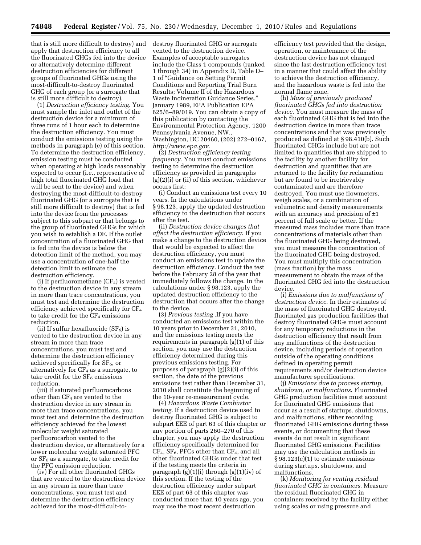that is still more difficult to destroy) and apply that destruction efficiency to all the fluorinated GHGs fed into the device or alternatively determine different destruction efficiencies for different groups of fluorinated GHGs using the most-difficult-to-destroy fluorinated GHG of each group (or a surrogate that is still more difficult to destroy).

(1) *Destruction efficiency testing.* You must sample the inlet and outlet of the destruction device for a minimum of three runs of 1 hour each to determine the destruction efficiency. You must conduct the emissions testing using the methods in paragraph (e) of this section. To determine the destruction efficiency, emission testing must be conducted when operating at high loads reasonably expected to occur (i.e., representative of high total fluorinated GHG load that will be sent to the device) and when destroying the most-difficult-to-destroy fluorinated GHG (or a surrogate that is still more difficult to destroy) that is fed into the device from the processes subject to this subpart or that belongs to the group of fluorinated GHGs for which you wish to establish a DE. If the outlet concentration of a fluorinated GHG that is fed into the device is below the detection limit of the method, you may use a concentration of one-half the detection limit to estimate the destruction efficiency.

(i) If perfluoromethane  $(CF_4)$  is vented to the destruction device in any stream in more than trace concentrations, you must test and determine the destruction efficiency achieved specifically for CF4 to take credit for the  $CF_4$  emissions reduction.

(ii) If sulfur hexafluoride  $(SF_6)$  is vented to the destruction device in any stream in more than trace concentrations, you must test and determine the destruction efficiency achieved specifically for  $SF<sub>6</sub>$ , or alternatively for  $CF_4$  as a surrogate, to take credit for the  $SF<sub>6</sub>$  emissions reduction.

(iii) If saturated perfluorocarbons other than  $CF_4$  are vented to the destruction device in any stream in more than trace concentrations, you must test and determine the destruction efficiency achieved for the lowest molecular weight saturated perfluorocarbon vented to the destruction device, or alternatively for a lower molecular weight saturated PFC or  $SF<sub>6</sub>$  as a surrogate, to take credit for the PFC emission reduction.

(iv) For all other fluorinated GHGs that are vented to the destruction device in any stream in more than trace concentrations, you must test and determine the destruction efficiency achieved for the most-difficult-todestroy fluorinated GHG or surrogate vented to the destruction device. Examples of acceptable surrogates include the Class 1 compounds (ranked 1 through 34) in Appendix D, Table D– 1 of ''Guidance on Setting Permit Conditions and Reporting Trial Burn Results; Volume II of the Hazardous Waste Incineration Guidance Series,'' January 1989, EPA Publication EPA 625/6–89/019. You can obtain a copy of this publication by contacting the Environmental Protection Agency, 1200 Pennsylvania Avenue, NW., Washington, DC 20460, (202) 272–0167, *http://www.epa.gov.* 

(2) *Destruction efficiency testing frequency*. You must conduct emissions testing to determine the destruction efficiency as provided in paragraphs  $(g)(2)(i)$  or (ii) of this section, whichever occurs first:

(i) Conduct an emissions test every 10 years. In the calculations under § 98.123, apply the updated destruction efficiency to the destruction that occurs after the test.

(ii) *Destruction device changes that affect the destruction efficiency*. If you make a change to the destruction device that would be expected to affect the destruction efficiency, you must conduct an emissions test to update the destruction efficiency. Conduct the test before the February 28 of the year that immediately follows the change. In the calculations under § 98.123, apply the updated destruction efficiency to the destruction that occurs after the change to the device.

(3) *Previous testing* .If you have conducted an emissions test within the 10 years prior to December 31, 2010, and the emissions testing meets the requirements in paragraph (g)(1) of this section, you may use the destruction efficiency determined during this previous emissions testing. For purposes of paragraph (g)(2)(i) of this section, the date of the previous emissions test rather than December 31, 2010 shall constitute the beginning of the 10-year re-measurement cycle.

(4) *Hazardous Waste Combustor testing*. If a destruction device used to destroy fluorinated GHG is subject to subpart EEE of part 63 of this chapter or any portion of parts 260–270 of this chapter, you may apply the destruction efficiency specifically determined for  $CF_4$ ,  $SF_6$ , PFCs other than  $CF_4$ , and all other fluorinated GHGs under that test if the testing meets the criteria in paragraph  $(g)(1)(i)$  through  $(g)(1)(iv)$  of this section. If the testing of the destruction efficiency under subpart EEE of part 63 of this chapter was conducted more than 10 years ago, you may use the most recent destruction

efficiency test provided that the design, operation, or maintenance of the destruction device has not changed since the last destruction efficiency test in a manner that could affect the ability to achieve the destruction efficiency, and the hazardous waste is fed into the normal flame zone.

(h) *Mass of previously produced fluorinated GHGs fed into destruction device*. You must measure the mass of each fluorinated GHG that is fed into the destruction device in more than trace concentrations and that was previously produced as defined at § 98.410(b). Such fluorinated GHGs include but are not limited to quantities that are shipped to the facility by another facility for destruction and quantities that are returned to the facility for reclamation but are found to be irretrievably contaminated and are therefore destroyed. You must use flowmeters, weigh scales, or a combination of volumetric and density measurements with an accuracy and precision of  $\pm 1$ percent of full scale or better. If the measured mass includes more than trace concentrations of materials other than the fluorinated GHG being destroyed, you must measure the concentration of the fluorinated GHG being destroyed. You must multiply this concentration (mass fraction) by the mass measurement to obtain the mass of the fluorinated GHG fed into the destruction device.

(i) *Emissions due to malfunctions of destruction device*. In their estimates of the mass of fluorinated GHG destroyed, fluorinated gas production facilities that destroy fluorinated GHGs must account for any temporary reductions in the destruction efficiency that result from any malfunctions of the destruction device, including periods of operation outside of the operating conditions defined in operating permit requirements and/or destruction device manufacturer specifications.

(j) *Emissions due to process startup, shutdown, or malfunctions*. Fluorinated GHG production facilities must account for fluorinated GHG emissions that occur as a result of startups, shutdowns, and malfunctions, either recording fluorinated GHG emissions during these events, or documenting that these events do not result in significant fluorinated GHG emissions. Facilities may use the calculation methods in § 98.123(c)(1) to estimate emissions during startups, shutdowns, and malfunctions.

(k) *Monitoring for venting residual fluorinated GHG in containers*. Measure the residual fluorinated GHG in containers received by the facility either using scales or using pressure and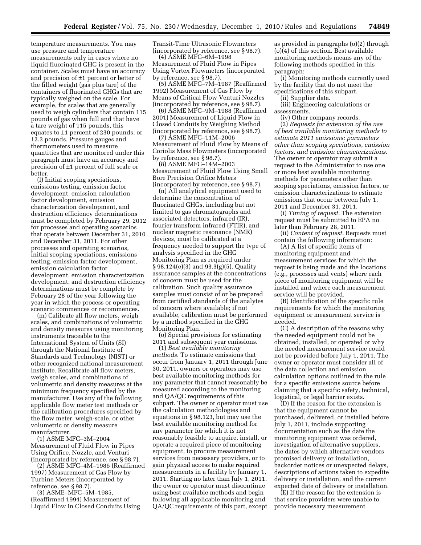temperature measurements. You may use pressure and temperature measurements only in cases where no liquid fluorinated GHG is present in the container. Scales must have an accuracy and precision of ±1 percent or better of the filled weight (gas plus tare) of the containers of fluorinated GHGs that are typically weighed on the scale. For example, for scales that are generally used to weigh cylinders that contain 115 pounds of gas when full and that have a tare weight of 115 pounds, this equates to ±1 percent of 230 pounds, or ±2.3 pounds. Pressure gauges and thermometers used to measure quantities that are monitored under this paragraph must have an accuracy and precision of ±1 percent of full scale or better.

(l) Initial scoping speciations, emissions testing, emission factor development, emission calculation factor development, emission characterization development, and destruction efficiency determinations must be completed by February 29, 2012 for processes and operating scenarios that operate between December 31, 2010 and December 31, 2011. For other processes and operating scenarios, initial scoping speciations, emissions testing, emission factor development, emission calculation factor development, emission characterization development, and destruction efficiency determinations must be complete by February 28 of the year following the year in which the process or operating scenario commences or recommences.

(m) Calibrate all flow meters, weigh scales, and combinations of volumetric and density measures using monitoring instruments traceable to the International System of Units (SI) through the National Institute of Standards and Technology (NIST) or other recognized national measurement institute. Recalibrate all flow meters, weigh scales, and combinations of volumetric and density measures at the minimum frequency specified by the manufacturer. Use any of the following applicable flow meter test methods or the calibration procedures specified by the flow meter, weigh-scale, or other volumetric or density measure manufacturer.

(1) ASME MFC–3M–2004 Measurement of Fluid Flow in Pipes Using Orifice, Nozzle, and Venturi (incorporated by reference, see § 98.7).

(2) ASME MFC–4M–1986 (Reaffirmed 1997) Measurement of Gas Flow by Turbine Meters (incorporated by reference, see § 98.7).

(3) ASME–MFC–5M–1985, (Reaffirmed 1994) Measurement of Liquid Flow in Closed Conduits Using Transit-Time Ultrasonic Flowmeters (incorporated by reference, see § 98.7).

(4) ASME MFC–6M–1998 Measurement of Fluid Flow in Pipes Using Vortex Flowmeters (incorporated by reference, see § 98.7).

(5) ASME MFC–7M–1987 (Reaffirmed 1992) Measurement of Gas Flow by Means of Critical Flow Venturi Nozzles (incorporated by reference, see § 98.7).

(6) ASME MFC–9M–1988 (Reaffirmed 2001) Measurement of Liquid Flow in Closed Conduits by Weighing Method (incorporated by reference, see § 98.7).

(7) ASME MFC–11M–2006 Measurement of Fluid Flow by Means of Coriolis Mass Flowmeters (incorporated by reference, see § 98.7).

(8) ASME MFC–14M–2003 Measurement of Fluid Flow Using Small Bore Precision Orifice Meters (incorporated by reference, see § 98.7).

(n) All analytical equipment used to determine the concentration of fluorinated GHGs, including but not limited to gas chromatographs and associated detectors, infrared (IR), fourier transform infrared (FTIR), and nuclear magnetic resonance (NMR) devices, must be calibrated at a frequency needed to support the type of analysis specified in the GHG Monitoring Plan as required under § 98.124(e)(3) and 93.3(g)(5). Quality assurance samples at the concentrations of concern must be used for the calibration. Such quality assurance samples must consist of or be prepared from certified standards of the analytes of concern where available; if not available, calibration must be performed by a method specified in the GHG Monitoring Plan.

(o) Special provisions for estimating 2011 and subsequent year emissions.

(1) *Best available monitoring methods.* To estimate emissions that occur from January 1, 2011 through June 30, 2011, owners or operators may use best available monitoring methods for any parameter that cannot reasonably be measured according to the monitoring and QA/QC requirements of this subpart. The owner or operator must use the calculation methodologies and equations in § 98.123, but may use the best available monitoring method for any parameter for which it is not reasonably feasible to acquire, install, or operate a required piece of monitoring equipment, to procure measurement services from necessary providers, or to gain physical access to make required measurements in a facility by January 1, 2011. Starting no later than July 1, 2011, the owner or operator must discontinue using best available methods and begin following all applicable monitoring and QA/QC requirements of this part, except as provided in paragraphs (o)(2) through (o)(4) of this section. Best available monitoring methods means any of the following methods specified in this paragraph:

(i) Monitoring methods currently used by the facility that do not meet the specifications of this subpart.

(ii) Supplier data.

(iii) Engineering calculations or assessments.

(iv) Other company records. (2) *Requests for extension of the use of best available monitoring methods to estimate 2011 emissions: parameters other than scoping speciations, emission factors, and emission characterizations.*  The owner or operator may submit a request to the Administrator to use one or more best available monitoring methods for parameters other than scoping speciations, emission factors, or emission characterizations to estimate emissions that occur between July 1, 2011 and December 31, 2011.

(i) *Timing of request.* The extension request must be submitted to EPA no later than February 28, 2011.

(ii) *Content of request.* Requests must contain the following information:

(A) A list of specific items of monitoring equipment and measurement services for which the request is being made and the locations (e.g., processes and vents) where each piece of monitoring equipment will be installed and where each measurement service will be provided.

(B) Identification of the specific rule requirements for which the monitoring equipment or measurement service is needed.

(C) A description of the reasons why the needed equipment could not be obtained, installed, or operated or why the needed measurement service could not be provided before July 1, 2011. The owner or operator must consider all of the data collection and emission calculation options outlined in the rule for a specific emissions source before claiming that a specific safety, technical, logistical, or legal barrier exists.

(D) If the reason for the extension is that the equipment cannot be purchased, delivered, or installed before July 1, 2011, include supporting documentation such as the date the monitoring equipment was ordered, investigation of alternative suppliers, the dates by which alternative vendors promised delivery or installation, backorder notices or unexpected delays, descriptions of actions taken to expedite delivery or installation, and the current expected date of delivery or installation.

(E) If the reason for the extension is that service providers were unable to provide necessary measurement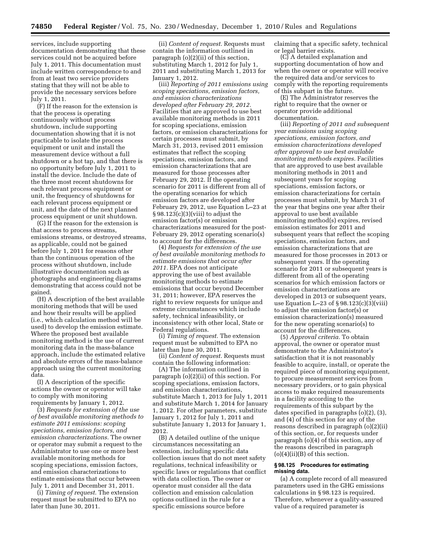services, include supporting documentation demonstrating that these services could not be acquired before July 1, 2011. This documentation must include written correspondence to and from at least two service providers stating that they will not be able to provide the necessary services before July 1, 2011.

(F) If the reason for the extension is that the process is operating continuously without process shutdown, include supporting documentation showing that it is not practicable to isolate the process equipment or unit and install the measurement device without a full shutdown or a hot tap, and that there is no opportunity before July 1, 2011 to install the device. Include the date of the three most recent shutdowns for each relevant process equipment or unit, the frequency of shutdowns for each relevant process equipment or unit, and the date of the next planned process equipment or unit shutdown.

(G) If the reason for the extension is that access to process streams, emissions streams, or destroyed streams, as applicable, could not be gained before July 1, 2011 for reasons other than the continuous operation of the process without shutdown, include illustrative documentation such as photographs and engineering diagrams demonstrating that access could not be gained.

(H) A description of the best available monitoring methods that will be used and how their results will be applied (i.e., which calculation method will be used) to develop the emission estimate. Where the proposed best available monitoring method is the use of current monitoring data in the mass-balance approach, include the estimated relative and absolute errors of the mass-balance approach using the current monitoring data.

(I) A description of the specific actions the owner or operator will take to comply with monitoring requirements by January 1, 2012.

(3) *Requests for extension of the use of best available monitoring methods to estimate 2011 emissions: scoping speciations, emission factors, and emission characterizations.* The owner or operator may submit a request to the Administrator to use one or more best available monitoring methods for scoping speciations, emission factors, and emission characterizations to estimate emissions that occur between July 1, 2011 and December 31, 2011.

(i) *Timing of request.* The extension request must be submitted to EPA no later than June 30, 2011.

(ii) *Content of request.* Requests must contain the information outlined in paragraph (o)(2)(ii) of this section, substituting March 1, 2012 for July 1, 2011 and substituting March 1, 2013 for January 1, 2012.

(iii) *Reporting of 2011 emissions using scoping speciations, emission factors, and emission characterizations developed after February 29, 2012.*  Facilities that are approved to use best available monitoring methods in 2011 for scoping speciations, emission factors, or emission characterizations for certain processes must submit, by March 31, 2013, revised 2011 emission estimates that reflect the scoping speciations, emission factors, and emission characterizations that are measured for those processes after February 29, 2012. If the operating scenario for 2011 is different from all of the operating scenarios for which emission factors are developed after February 29, 2012, use Equation L–23 at  $\S 98.123(c)(3)(viii)$  to adjust the emission factor(s) or emission characterizations measured for the post-February 29, 2012 operating scenario(s) to account for the differences.

(4) *Requests for extension of the use of best available monitoring methods to estimate emissions that occur after 2011.* EPA does not anticipate approving the use of best available monitoring methods to estimate emissions that occur beyond December 31, 2011; however, EPA reserves the right to review requests for unique and extreme circumstances which include safety, technical infeasibility, or inconsistency with other local, State or Federal regulations.

(i) *Timing of request.* The extension request must be submitted to EPA no later than June 30, 2011.

(ii) *Content of request.* Requests must contain the following information:

(A) The information outlined in paragraph (o)(2)(ii) of this section. For scoping speciations, emission factors, and emission characterizations, substitute March 1, 2013 for July 1, 2011 and substitute March 1, 2014 for January 1, 2012. For other parameters, substitute January 1, 2012 for July 1, 2011 and substitute January 1, 2013 for January 1, 2012.

(B) A detailed outline of the unique circumstances necessitating an extension, including specific data collection issues that do not meet safety regulations, technical infeasibility or specific laws or regulations that conflict with data collection. The owner or operator must consider all the data collection and emission calculation options outlined in the rule for a specific emissions source before

claiming that a specific safety, technical or legal barrier exists.

(C) A detailed explanation and supporting documentation of how and when the owner or operator will receive the required data and/or services to comply with the reporting requirements of this subpart in the future.

(E) The Administrator reserves the right to require that the owner or operator provide additional documentation.

(iii) *Reporting of 2011 and subsequent year emissions using scoping speciations, emission factors, and emission characterizations developed after approval to use best available monitoring methods expires.* Facilities that are approved to use best available monitoring methods in 2011 and subsequent years for scoping speciations, emission factors, or emission characterizations for certain processes must submit, by March 31 of the year that begins one year after their approval to use best available monitoring method(s) expires, revised emission estimates for 2011 and subsequent years that reflect the scoping speciations, emission factors, and emission characterizations that are measured for those processes in 2013 or subsequent years. If the operating scenario for 2011 or subsequent years is different from all of the operating scenarios for which emission factors or emission characterizations are developed in 2013 or subsequent years, use Equation L–23 of § 98.123(c)(3)(viii) to adjust the emission factor(s) or emission characterization(s) measured for the new operating scenario(s) to account for the differences.

(5) *Approval criteria.* To obtain approval, the owner or operator must demonstrate to the Administrator's satisfaction that it is not reasonably feasible to acquire, install, or operate the required piece of monitoring equipment, to procure measurement services from necessary providers, or to gain physical access to make required measurements in a facility according to the requirements of this subpart by the dates specified in paragraphs (o)(2), (3), and (4) of this section for any of the reasons described in paragraph (o)(2)(ii) of this section, or, for requests under paragraph (o)(4) of this section, any of the reasons described in paragraph  $(o)(4)(ii)(B)$  of this section.

### **§ 98.125 Procedures for estimating missing data.**

(a) A complete record of all measured parameters used in the GHG emissions calculations in § 98.123 is required. Therefore, whenever a quality-assured value of a required parameter is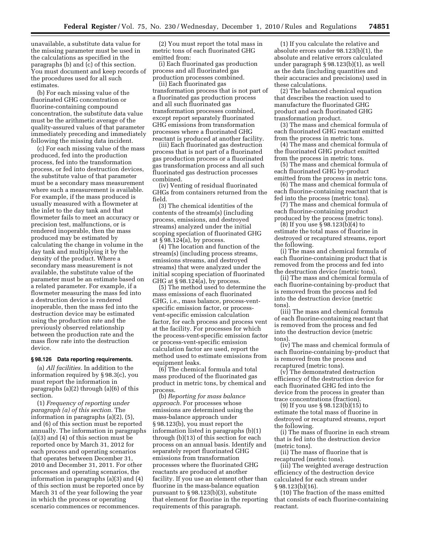unavailable, a substitute data value for the missing parameter must be used in the calculations as specified in the paragraphs (b) and (c) of this section. You must document and keep records of the procedures used for all such estimates.

(b) For each missing value of the fluorinated GHG concentration or fluorine-containing compound concentration, the substitute data value must be the arithmetic average of the quality-assured values of that parameter immediately preceding and immediately following the missing data incident.

(c) For each missing value of the mass produced, fed into the production process, fed into the transformation process, or fed into destruction devices, the substitute value of that parameter must be a secondary mass measurement where such a measurement is available. For example, if the mass produced is usually measured with a flowmeter at the inlet to the day tank and that flowmeter fails to meet an accuracy or precision test, malfunctions, or is rendered inoperable, then the mass produced may be estimated by calculating the change in volume in the day tank and multiplying it by the density of the product. Where a secondary mass measurement is not available, the substitute value of the parameter must be an estimate based on a related parameter. For example, if a flowmeter measuring the mass fed into a destruction device is rendered inoperable, then the mass fed into the destruction device may be estimated using the production rate and the previously observed relationship between the production rate and the mass flow rate into the destruction device.

## **§ 98.126 Data reporting requirements.**

(a) *All facilities.* In addition to the information required by § 98.3(c), you must report the information in paragraphs (a)(2) through (a)(6) of this section.

(1) *Frequency of reporting under paragraph (a) of this section.* The information in paragraphs (a)(2), (5), and (6) of this section must be reported annually. The information in paragraphs (a)(3) and (4) of this section must be reported once by March 31, 2012 for each process and operating scenarios that operates between December 31, 2010 and December 31, 2011. For other processes and operating scenarios, the information in paragraphs (a)(3) and (4) of this section must be reported once by March 31 of the year following the year in which the process or operating scenario commences or recommences.

(2) You must report the total mass in metric tons of each fluorinated GHG emitted from:

(i) Each fluorinated gas production process and all fluorinated gas production processes combined.

(ii) Each fluorinated gas transformation process that is not part of a fluorinated gas production process and all such fluorinated gas transformation processes combined, except report separately fluorinated GHG emissions from transformation processes where a fluorinated GHG reactant is produced at another facility.

(iii) Each fluorinated gas destruction process that is not part of a fluorinated gas production process or a fluorinated gas transformation process and all such fluorinated gas destruction processes combined.

(iv) Venting of residual fluorinated GHGs from containers returned from the field.

(3) The chemical identities of the contents of the stream(s) (including process, emissions, and destroyed streams) analyzed under the initial scoping speciation of fluorinated GHG at § 98.124(a), by process.

(4) The location and function of the stream(s) (including process streams, emissions streams, and destroyed streams) that were analyzed under the initial scoping speciation of fluorinated GHG at  $\S 98.124(a)$ , by process.

(5) The method used to determine the mass emissions of each fluorinated GHG, i.e., mass balance, process-ventspecific emission factor, or processvent-specific emission calculation factor, for each process and process vent at the facility. For processes for which the process-vent-specific emission factor or process-vent-specific emission calculation factor are used, report the method used to estimate emissions from equipment leaks.

(6) The chemical formula and total mass produced of the fluorinated gas product in metric tons, by chemical and process.

(b) *Reporting for mass balance approach.* For processes whose emissions are determined using the mass-balance approach under § 98.123(b), you must report the information listed in paragraphs (b)(1) through (b)(13) of this section for each process on an annual basis. Identify and separately report fluorinated GHG emissions from transformation processes where the fluorinated GHG reactants are produced at another facility. If you use an element other than fluorine in the mass-balance equation pursuant to § 98.123(b)(3), substitute that element for fluorine in the reporting requirements of this paragraph.

(1) If you calculate the relative and absolute errors under 98.123(b)(1), the absolute and relative errors calculated under paragraph § 98.123(b)(1), as well as the data (including quantities and their accuracies and precisions) used in these calculations.

(2) The balanced chemical equation that describes the reaction used to manufacture the fluorinated GHG product and each fluorinated GHG transformation product.

(3) The mass and chemical formula of each fluorinated GHG reactant emitted from the process in metric tons.

(4) The mass and chemical formula of the fluorinated GHG product emitted from the process in metric tons.

(5) The mass and chemical formula of each fluorinated GHG by-product emitted from the process in metric tons.

(6) The mass and chemical formula of each fluorine-containing reactant that is fed into the process (metric tons).

(7) The mass and chemical formula of each fluorine-containing product produced by the process (metric tons).

(8) If you use § 98.123(b)(4) to estimate the total mass of fluorine in destroyed or recaptured streams, report the following.

(i) The mass and chemical formula of each fluorine-containing product that is removed from the process and fed into the destruction device (metric tons).

(ii) The mass and chemical formula of each fluorine-containing by-product that is removed from the process and fed into the destruction device (metric tons).

(iii) The mass and chemical formula of each fluorine-containing reactant that is removed from the process and fed into the destruction device (metric tons).

(iv) The mass and chemical formula of each fluorine-containing by-product that is removed from the process and recaptured (metric tons).

(v) The demonstrated destruction efficiency of the destruction device for each fluorinated GHG fed into the device from the process in greater than trace concentrations (fraction).

(9) If you use § 98.123(b)(15) to estimate the total mass of fluorine in destroyed or recaptured streams, report the following.

(i) The mass of fluorine in each stream that is fed into the destruction device (metric tons).

(ii) The mass of fluorine that is recaptured (metric tons).

(iii) The weighted average destruction efficiency of the destruction device calculated for each stream under § 98.123(b)(16).

(10) The fraction of the mass emitted that consists of each fluorine-containing reactant.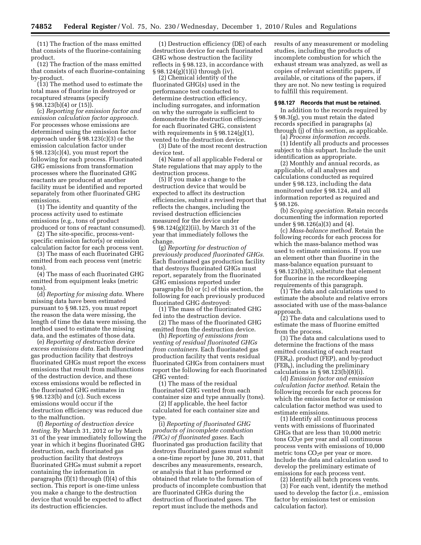(11) The fraction of the mass emitted that consists of the fluorine-containing product.

(12) The fraction of the mass emitted that consists of each fluorine-containing by-product.

(13) The method used to estimate the total mass of fluorine in destroyed or recaptured streams (specify § 98.123(b)(4) or (15)).

(c) *Reporting for emission factor and emission calculation factor approach.*  For processes whose emissions are determined using the emission factor approach under § 98.123(c)(3) or the emission calculation factor under § 98.123(c)(4), you must report the following for each process. Fluorinated GHG emissions from transformation processes where the fluorinated GHG reactants are produced at another facility must be identified and reported separately from other fluorinated GHG emissions.

(1) The identity and quantity of the process activity used to estimate emissions (e.g., tons of product produced or tons of reactant consumed).

(2) The site-specific, process-ventspecific emission factor(s) or emission calculation factor for each process vent.

(3) The mass of each fluorinated GHG emitted from each process vent (metric tons).

(4) The mass of each fluorinated GHG emitted from equipment leaks (metric tons).

(d) *Reporting for missing data.* Where missing data have been estimated pursuant to § 98.125, you must report the reason the data were missing, the length of time the data were missing, the method used to estimate the missing data, and the estimates of those data.

(e) *Reporting of destruction device excess emissions data.* Each fluorinated gas production facility that destroys fluorinated GHGs must report the excess emissions that result from malfunctions of the destruction device, and these excess emissions would be reflected in the fluorinated GHG estimates in § 98.123(b) and (c). Such excess emissions would occur if the destruction efficiency was reduced due to the malfunction.

(f) *Reporting of destruction device testing.* By March 31, 2012 or by March 31 of the year immediately following the year in which it begins fluorinated GHG destruction, each fluorinated gas production facility that destroys fluorinated GHGs must submit a report containing the information in paragraphs  $(f)(1)$  through  $(f)(4)$  of this section. This report is one-time unless you make a change to the destruction device that would be expected to affect its destruction efficiencies.

(1) Destruction efficiency (DE) of each destruction device for each fluorinated GHG whose destruction the facility reflects in § 98.123, in accordance with § 98.124(g)(1)(i) through (iv).

(2) Chemical identity of the fluorinated GHG(s) used in the performance test conducted to determine destruction efficiency, including surrogates, and information on why the surrogate is sufficient to demonstrate the destruction efficiency for each fluorinated GHG, consistent with requirements in  $\S 98.124(g)(1)$ , vented to the destruction device.

(3) Date of the most recent destruction device test.

(4) Name of all applicable Federal or State regulations that may apply to the destruction process.

(5) If you make a change to the destruction device that would be expected to affect its destruction efficiencies, submit a revised report that reflects the changes, including the revised destruction efficiencies measured for the device under § 98.124(g)(2)(ii), by March 31 of the year that immediately follows the change.

(g) *Reporting for destruction of previously produced fluorinated GHGs.*  Each fluorinated gas production facility that destroys fluorinated GHGs must report, separately from the fluorinated GHG emissions reported under paragraphs (b) or (c) of this section, the following for each previously produced fluorinated GHG destroyed:

(1) The mass of the fluorinated GHG fed into the destruction device.

(2) The mass of the fluorinated GHG emitted from the destruction device.

(h) *Reporting of emissions from venting of residual fluorinated GHGs from containers.* Each fluorinated gas production facility that vents residual fluorinated GHGs from containers must report the following for each fluorinated GHG vented:

(1) The mass of the residual fluorinated GHG vented from each container size and type annually (tons).

(2) If applicable, the heel factor calculated for each container size and type.

(i) *Reporting of fluorinated GHG products of incomplete combustion (PICs) of fluorinated gases.* Each fluorinated gas production facility that destroys fluorinated gases must submit a one-time report by June 30, 2011, that describes any measurements, research, or analysis that it has performed or obtained that relate to the formation of products of incomplete combustion that are fluorinated GHGs during the destruction of fluorinated gases. The report must include the methods and

results of any measurement or modeling studies, including the products of incomplete combustion for which the exhaust stream was analyzed, as well as copies of relevant scientific papers, if available, or citations of the papers, if they are not. No new testing is required to fulfill this requirement.

#### **§ 98.127 Records that must be retained.**

In addition to the records required by § 98.3(g), you must retain the dated records specified in paragraphs (a) through (j) of this section, as applicable.

(a) *Process information records.* 

(1) Identify all products and processes subject to this subpart. Include the unit identification as appropriate.

(2) Monthly and annual records, as applicable, of all analyses and calculations conducted as required under § 98.123, including the data monitored under § 98.124, and all information reported as required and § 98.126.

(b) *Scoping speciation.* Retain records documenting the information reported under § 98.126(a)(3) and (4).

(c) *Mass-balance method.* Retain the following records for each process for which the mass-balance method was used to estimate emissions. If you use an element other than fluorine in the mass-balance equation pursuant to § 98.123(b)(3), substitute that element for fluorine in the recordkeeping requirements of this paragraph.

(1) The data and calculations used to estimate the absolute and relative errors associated with use of the mass-balance approach.

(2) The data and calculations used to estimate the mass of fluorine emitted from the process.

(3) The data and calculations used to determine the fractions of the mass emitted consisting of each reactant  $(FER_d)$ , product (FEP), and by-product  $(FEB_k)$ , including the preliminary calculations in  $\S 98.123(b)(8)(i)$ .

(d) *Emission factor and emission calculation factor method.* Retain the following records for each process for which the emission factor or emission calculation factor method was used to estimate emissions.

(1) Identify all continuous process vents with emissions of fluorinated GHGs that are less than 10,000 metric tons  $CO<sub>2</sub>e$  per year and all continuous process vents with emissions of 10,000 metric tons CO<sub>2</sub>e per year or more. Include the data and calculation used to develop the preliminary estimate of emissions for each process vent.

(2) Identify all batch process vents.

(3) For each vent, identify the method used to develop the factor (i.e., emission factor by emissions test or emission calculation factor).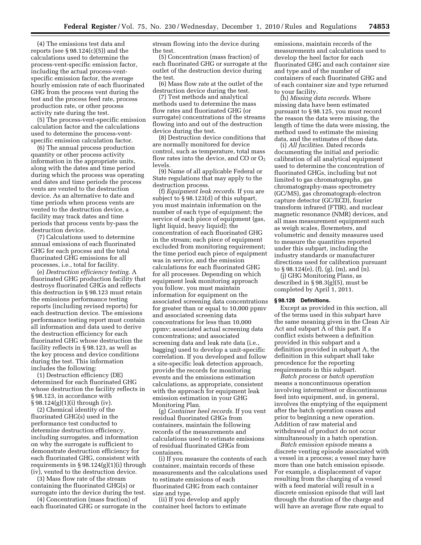(4) The emissions test data and reports (see § 98.124(c)(5)) and the calculations used to determine the process-vent-specific emission factor, including the actual process-ventspecific emission factor, the average hourly emission rate of each fluorinated GHG from the process vent during the test and the process feed rate, process production rate, or other process activity rate during the test.

(5) The process-vent-specific emission calculation factor and the calculations used to determine the process-ventspecific emission calculation factor.

(6) The annual process production quantity or other process activity information in the appropriate units, along with the dates and time period during which the process was operating and dates and time periods the process vents are vented to the destruction device. As an alternative to date and time periods when process vents are vented to the destruction device, a facility may track dates and time periods that process vents by-pass the destruction device.

(7) Calculations used to determine annual emissions of each fluorinated GHG for each process and the total fluorinated GHG emissions for all processes, i.e., total for facility.

(e) *Destruction efficiency testing.* A fluorinated GHG production facility that destroys fluorinated GHGs and reflects this destruction in § 98.123 must retain the emissions performance testing reports (including revised reports) for each destruction device. The emissions performance testing report must contain all information and data used to derive the destruction efficiency for each fluorinated GHG whose destruction the facility reflects in § 98.123, as well as the key process and device conditions during the test. This information includes the following:

(1) Destruction efficiency (DE) determined for each fluorinated GHG whose destruction the facility reflects in § 98.123, in accordance with § 98.124(g)(1)(i) through (iv).

(2) Chemical identity of the fluorinated GHG(s) used in the performance test conducted to determine destruction efficiency, including surrogates, and information on why the surrogate is sufficient to demonstrate destruction efficiency for each fluorinated GHG, consistent with requirements in § 98.124(g)(1)(i) through (iv), vented to the destruction device.

(3) Mass flow rate of the stream containing the fluorinated GHG(s) or surrogate into the device during the test.

(4) Concentration (mass fraction) of each fluorinated GHG or surrogate in the stream flowing into the device during the test.

(5) Concentration (mass fraction) of each fluorinated GHG or surrogate at the outlet of the destruction device during the test.

(6) Mass flow rate at the outlet of the destruction device during the test.

(7) Test methods and analytical methods used to determine the mass flow rates and fluorinated GHG (or surrogate) concentrations of the streams flowing into and out of the destruction device during the test.

(8) Destruction device conditions that are normally monitored for device control, such as temperature, total mass flow rates into the device, and CO or  $O_2$ levels.

(9) Name of all applicable Federal or State regulations that may apply to the destruction process.

(f) *Equipment leak records.* If you are subject to § 98.123(d) of this subpart, you must maintain information on the number of each type of equipment; the service of each piece of equipment (gas, light liquid, heavy liquid); the concentration of each fluorinated GHG in the stream; each piece of equipment excluded from monitoring requirement; the time period each piece of equipment was in service, and the emission calculations for each fluorinated GHG for all processes. Depending on which equipment leak monitoring approach you follow, you must maintain information for equipment on the associated screening data concentrations for greater than or equal to 10,000 ppmv and associated screening data concentrations for less than 10,000 ppmv; associated actual screening data concentrations; and associated screening data and leak rate data (i.e., bagging) used to develop a unit-specific correlation. If you developed and follow a site-specific leak detection approach, provide the records for monitoring events and the emissions estimation calculations, as appropriate, consistent with the approach for equipment leak emission estimation in your GHG Monitoring Plan.

(g) *Container heel records.* If you vent residual fluorinated GHGs from containers, maintain the following records of the measurements and calculations used to estimate emissions of residual fluorinated GHGs from containers.

(i) If you measure the contents of each container, maintain records of these measurements and the calculations used to estimate emissions of each fluorinated GHG from each container size and type.

(ii) If you develop and apply container heel factors to estimate

emissions, maintain records of the measurements and calculations used to develop the heel factor for each fluorinated GHG and each container size and type and of the number of containers of each fluorinated GHG and of each container size and type returned to your facility.

(h) *Missing data records.* Where missing data have been estimated pursuant to § 98.125, you must record the reason the data were missing, the length of time the data were missing, the method used to estimate the missing data, and the estimates of those data.

(i) *All facilities.* Dated records documenting the initial and periodic calibration of all analytical equipment used to determine the concentration of fluorinated GHGs, including but not limited to gas chromatographs, gas chromatography-mass spectrometry (GC/MS), gas chromatograph-electron capture detector (GC/ECD), fourier transform infrared (FTIR), and nuclear magnetic resonance (NMR) devices, and all mass measurement equipment such as weigh scales, flowmeters, and volumetric and density measures used to measure the quantities reported under this subpart, including the industry standards or manufacturer directions used for calibration pursuant to § 98.124(e), (f), (g), (m), and (n).

(j) GHG Monitoring Plans, as described in § 98.3(g)(5), must be completed by April 1, 2011.

## **§ 98.128 Definitions.**

Except as provided in this section, all of the terms used in this subpart have the same meaning given in the Clean Air Act and subpart A of this part. If a conflict exists between a definition provided in this subpart and a definition provided in subpart A, the definition in this subpart shall take precedence for the reporting requirements in this subpart.

*Batch process* or *batch operation*  means a noncontinuous operation involving intermittent or discontinuous feed into equipment, and, in general, involves the emptying of the equipment after the batch operation ceases and prior to beginning a new operation. Addition of raw material and withdrawal of product do not occur simultaneously in a batch operation.

*Batch emission episode* means a discrete venting episode associated with a vessel in a process; a vessel may have more than one batch emission episode. For example, a displacement of vapor resulting from the charging of a vessel with a feed material will result in a discrete emission episode that will last through the duration of the charge and will have an average flow rate equal to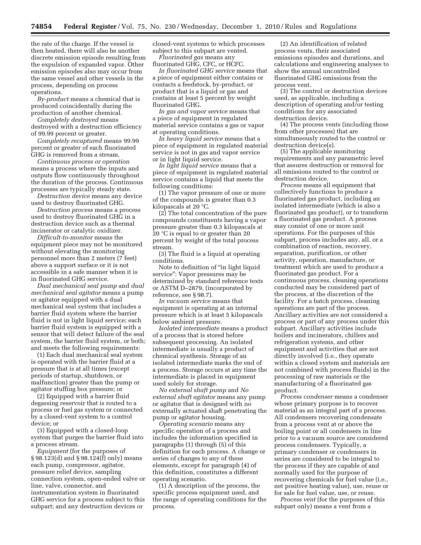the rate of the charge. If the vessel is then heated, there will also be another discrete emission episode resulting from the expulsion of expanded vapor. Other emission episodes also may occur from the same vessel and other vessels in the process, depending on process operations.

*By-product* means a chemical that is produced coincidentally during the production of another chemical.

*Completely destroyed* means destroyed with a destruction efficiency of 99.99 percent or greater.

*Completely recaptured* means 99.99 percent or greater of each fluorinated GHG is removed from a stream.

*Continuous process or operation*  means a process where the inputs and outputs flow continuously throughout the duration of the process. Continuous processes are typically steady state.

*Destruction device* means any device used to destroy fluorinated GHG.

*Destruction process* means a process used to destroy fluorinated GHG in a destruction device such as a thermal incinerator or catalytic oxidizer.

*Difficult-to-monitor* means the equipment piece may not be monitored without elevating the monitoring personnel more than 2 meters (7 feet) above a support surface or it is not accessible in a safe manner when it is in fluorinated GHG service.

*Dual mechanical seal pump* and *dual mechanical seal agitator* means a pump or agitator equipped with a dual mechanical seal system that includes a barrier fluid system where the barrier fluid is not in light liquid service; each barrier fluid system is equipped with a sensor that will detect failure of the seal system, the barrier fluid system, or both; and meets the following requirements:

(1) Each dual mechanical seal system is operated with the barrier fluid at a pressure that is at all times (except periods of startup, shutdown, or malfunction) greater than the pump or agitator stuffing box pressure; or

(2) Equipped with a barrier fluid degassing reservoir that is routed to a process or fuel gas system or connected by a closed-vent system to a control device; or

(3) Equipped with a closed-loop system that purges the barrier fluid into a process stream.

*Equipment* (for the purposes of § 98.123(d) and § 98.124(f) only) means each pump, compressor, agitator, pressure relief device, sampling connection system, open-ended valve or line, valve, connector, and instrumentation system in fluorinated GHG service for a process subject to this subpart; and any destruction devices or

closed-vent systems to which processes subject to this subpart are vented. *Fluorinated gas* means any

fluorinated GHG, CFC, or HCFC.

*In fluorinated GHG service* means that a piece of equipment either contains or contacts a feedstock, by-product, or product that is a liquid or gas and contains at least 5 percent by weight fluorinated GHG.

*In gas and vapor service* means that a piece of equipment in regulated material service contains a gas or vapor at operating conditions.

*In heavy liquid service* means that a piece of equipment in regulated material service is not in gas and vapor service or in light liquid service.

*In light liquid service* means that a piece of equipment in regulated material service contains a liquid that meets the following conditions:

(1) The vapor pressure of one or more of the compounds is greater than 0.3 kilopascals at 20 °C.

(2) The total concentration of the pure compounds constituents having a vapor pressure greater than 0.3 kilopascals at 20 °C is equal to or greater than 20 percent by weight of the total process stream.

(3) The fluid is a liquid at operating conditions.

Note to definition of ''in light liquid service'': Vapor pressures may be determined by standard reference texts or ASTM D–2879, (incorporated by reference, see § 98.7).

*In vacuum service* means that equipment is operating at an internal pressure which is at least 5 kilopascals below ambient pressure.

*Isolated intermediate* means a product of a process that is stored before subsequent processing. An isolated intermediate is usually a product of chemical synthesis. Storage of an isolated intermediate marks the end of a process. Storage occurs at any time the intermediate is placed in equipment used solely for storage.

*No external shaft pump* and *No external shaft agitator* means any pump or agitator that is designed with no externally actuated shaft penetrating the pump or agitator housing.

*Operating scenario* means any specific operation of a process and includes the information specified in paragraphs (1) through (5) of this definition for each process. A change or series of changes to any of these elements, except for paragraph (4) of this definition, constitutes a different operating scenario.

(1) A description of the process, the specific process equipment used, and the range of operating conditions for the process.

(2) An identification of related process vents, their associated emissions episodes and durations, and calculations and engineering analyses to show the annual uncontrolled fluorinated GHG emissions from the process vent.

(3) The control or destruction devices used, as applicable, including a description of operating and/or testing conditions for any associated destruction device.

(4) The process vents (including those from other processes) that are simultaneously routed to the control or destruction device(s).

(5) The applicable monitoring requirements and any parametric level that assures destruction or removal for all emissions routed to the control or destruction device.

*Process* means all equipment that collectively functions to produce a fluorinated gas product, including an isolated intermediate (which is also a fluorinated gas product), or to transform a fluorinated gas product. A process may consist of one or more unit operations. For the purposes of this subpart, process includes any, all, or a combination of reaction, recovery, separation, purification, or other activity, operation, manufacture, or treatment which are used to produce a fluorinated gas product. For a continuous process, cleaning operations conducted may be considered part of the process, at the discretion of the facility. For a batch process, cleaning operations are part of the process. Ancillary activities are not considered a process or part of any process under this subpart. Ancillary activities include boilers and incinerators, chillers and refrigeration systems, and other equipment and activities that are not directly involved (i.e., they operate within a closed system and materials are not combined with process fluids) in the processing of raw materials or the manufacturing of a fluorinated gas product.

*Process condenser* means a condenser whose primary purpose is to recover material as an integral part of a process. All condensers recovering condensate from a process vent at or above the boiling point or all condensers in line prior to a vacuum source are considered process condensers. Typically, a primary condenser or condensers in series are considered to be integral to the process if they are capable of and normally used for the purpose of recovering chemicals for fuel value (i.e., net positive heating value), use, reuse or for sale for fuel value, use, or reuse.

*Process vent* (for the purposes of this subpart only) means a vent from a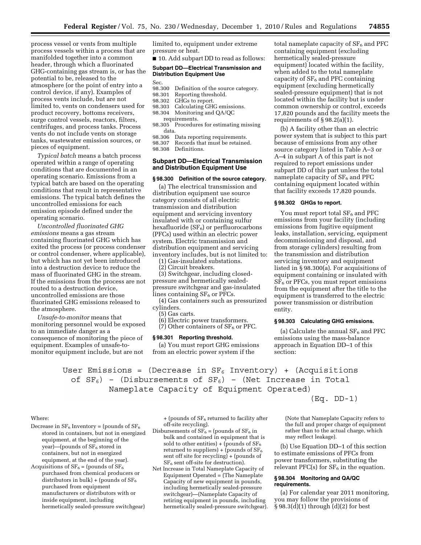process vessel or vents from multiple process vessels within a process that are manifolded together into a common header, through which a fluorinated GHG-containing gas stream is, or has the potential to be, released to the atmosphere (or the point of entry into a control device, if any). Examples of process vents include, but are not limited to, vents on condensers used for product recovery, bottoms receivers, surge control vessels, reactors, filters, centrifuges, and process tanks. Process vents do not include vents on storage tanks, wastewater emission sources, or pieces of equipment.

*Typical batch* means a batch process operated within a range of operating conditions that are documented in an operating scenario. Emissions from a typical batch are based on the operating conditions that result in representative emissions. The typical batch defines the uncontrolled emissions for each emission episode defined under the operating scenario.

*Uncontrolled fluorinated GHG emissions* means a gas stream containing fluorinated GHG which has exited the process (or process condenser or control condenser, where applicable), but which has not yet been introduced into a destruction device to reduce the mass of fluorinated GHG in the stream. If the emissions from the process are not routed to a destruction device, uncontrolled emissions are those fluorinated GHG emissions released to the atmosphere.

*Unsafe-to-monitor* means that monitoring personnel would be exposed to an immediate danger as a consequence of monitoring the piece of equipment. Examples of unsafe-tomonitor equipment include, but are not

limited to, equipment under extreme pressure or heat.

■ 10. Add subpart DD to read as follows:

# **Subpart DD—Electrical Transmission and Distribution Equipment Use**

Sec.

- 98.300 Definition of the source category.<br>98.301 Reporting threshold.
- Reporting threshold.
- 98.302 GHGs to report.<br>98.303 Calculating GH
- 98.303 Calculating GHG emissions.<br>98.304 Monitoring and QA/QC Monitoring and QA/QC
	- requirements.
- 98.305 Procedures for estimating missing data.
- 98.306 Data reporting requirements.<br>98.307 Records that must be retained

Records that must be retained.

98.308 Definitions.

# **Subpart DD—Electrical Transmission and Distribution Equipment Use**

# **§ 98.300 Definition of the source category.**

(a) The electrical transmission and distribution equipment use source category consists of all electric transmission and distribution equipment and servicing inventory insulated with or containing sulfur hexafluoride  $(SF_6)$  or perfluorocarbons (PFCs) used within an electric power system. Electric transmission and distribution equipment and servicing inventory includes, but is not limited to:

(1) Gas-insulated substations.

(2) Circuit breakers.

(3) Switchgear, including closedpressure and hermetically sealedpressure switchgear and gas-insulated lines containing  $SF<sub>6</sub>$  or PFCs.

(4) Gas containers such as pressurized cylinders.

(5) Gas carts.

(6) Electric power transformers.

(7) Other containers of  $SF<sub>6</sub>$  or PFC.

#### **§ 98.301 Reporting threshold.**

(a) You must report GHG emissions from an electric power system if the

total nameplate capacity of  $SF<sub>6</sub>$  and PFC containing equipment (excluding hermetically sealed-pressure equipment) located within the facility, when added to the total nameplate capacity of  $SF<sub>6</sub>$  and PFC containing equipment (excluding hermetically sealed-pressure equipment) that is not located within the facility but is under common ownership or control, exceeds 17,820 pounds and the facility meets the requirements of § 98.2(a)(1).

(b) A facility other than an electric power system that is subject to this part because of emissions from any other source category listed in Table A–3 or A–4 in subpart A of this part is not required to report emissions under subpart DD of this part unless the total nameplate capacity of  $SF<sub>6</sub>$  and PFC containing equipment located within that facility exceeds 17,820 pounds.

### **§ 98.302 GHGs to report.**

You must report total SF<sub>6</sub> and PFC emissions from your facility (including emissions from fugitive equipment leaks, installation, servicing, equipment decommissioning and disposal, and from storage cylinders) resulting from the transmission and distribution servicing inventory and equipment listed in § 98.300(a). For acquisitions of equipment containing or insulated with  $SF<sub>6</sub>$  or PFCs, you must report emissions from the equipment after the title to the equipment is transferred to the electric power transmission or distribution entity.

### **§ 98.303 Calculating GHG emissions.**

(a) Calculate the annual  $SF<sub>6</sub>$  and PFC emissions using the mass-balance approach in Equation DD–1 of this section:

User Emissions = (Decrease in  $SF_6$  Inventory) + (Acquisitions of  $SF_6$ ) - (Disbursements of  $SF_6$ ) - (Net Increase in Total Nameplate Capacity of Equipment Operated)

 $(Eq. DD-1)$ 

#### Where:

Decrease in  $SF_6$  Inventory = (pounds of  $SF_6$ stored in containers, but not in energized equipment, at the beginning of the year)—(pounds of SF<sub>6</sub> stored in containers, but not in energized equipment, at the end of the year).

Acquisitions of  $SF_6 =$  (pounds of  $SF_6$ purchased from chemical producers or distributors in bulk) + (pounds of  $SF_6$ purchased from equipment manufacturers or distributors with or inside equipment, including hermetically sealed-pressure switchgear)  $+$  (pounds of  $SF<sub>6</sub>$  returned to facility after off-site recycling).

- Disbursements of  $SF_6 =$  (pounds of  $SF_6$  in bulk and contained in equipment that is sold to other entities) + (pounds of  $SF_6$ returned to suppliers) + (pounds of  $SF<sub>6</sub>$ sent off site for recycling) + (pounds of SF6 sent off-site for destruction).
- Net Increase in Total Nameplate Capacity of Equipment Operated = (The Nameplate Capacity of new equipment in pounds, including hermetically sealed-pressure switchgear)—(Nameplate Capacity of retiring equipment in pounds, including hermetically sealed-pressure switchgear).

(Note that Nameplate Capacity refers to the full and proper charge of equipment rather than to the actual charge, which may reflect leakage).

(b) Use Equation DD–1 of this section to estimate emissions of PFCs from power transformers, substituting the relevant PFC(s) for  $SF_6$  in the equation.

### **§ 98.304 Monitoring and QA/QC requirements.**

(a) For calendar year 2011 monitoring, you may follow the provisions of § 98.3(d)(1) through (d)(2) for best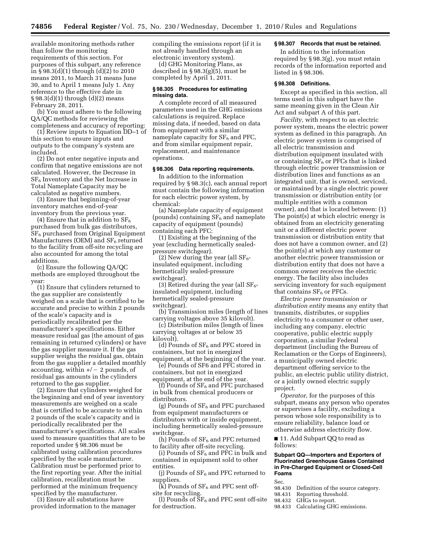available monitoring methods rather than follow the monitoring requirements of this section. For purposes of this subpart, any reference in  $\S$  98.3(d)(1) through (d)(2) to 2010 means 2011, to March 31 means June 30, and to April 1 means July 1. Any reference to the effective date in § 98.3(d)(1) through (d)(2) means February 28, 2011.

(b) You must adhere to the following QA/QC methods for reviewing the completeness and accuracy of reporting:

(1) Review inputs to Equation DD–1 of this section to ensure inputs and outputs to the company's system are included.

(2) Do not enter negative inputs and confirm that negative emissions are not calculated. However, the Decrease in  $SF<sub>6</sub>$  Inventory and the Net Increase in Total Nameplate Capacity may be calculated as negative numbers.

(3) Ensure that beginning-of-year inventory matches end-of-year inventory from the previous year.

(4) Ensure that in addition to  $SF_6$ purchased from bulk gas distributors, SF6 purchased from Original Equipment Manufacturers (OEM) and  $SF<sub>6</sub>$  returned to the facility from off-site recycling are also accounted for among the total additions.

(c) Ensure the following QA/QC methods are employed throughout the year:

(1) Ensure that cylinders returned to the gas supplier are consistently weighed on a scale that is certified to be accurate and precise to within 2 pounds of the scale's capacity and is periodically recalibrated per the manufacturer's specifications. Either measure residual gas (the amount of gas remaining in returned cylinders) or have the gas supplier measure it. If the gas supplier weighs the residual gas, obtain from the gas supplier a detailed monthly accounting, within  $+/- 2$  pounds, of residual gas amounts in the cylinders returned to the gas supplier.

(2) Ensure that cylinders weighed for the beginning and end of year inventory measurements are weighed on a scale that is certified to be accurate to within 2 pounds of the scale's capacity and is periodically recalibrated per the manufacturer's specifications. All scales used to measure quantities that are to be reported under § 98.306 must be calibrated using calibration procedures specified by the scale manufacturer. Calibration must be performed prior to the first reporting year. After the initial calibration, recalibration must be performed at the minimum frequency specified by the manufacturer.

(3) Ensure all substations have provided information to the manager compiling the emissions report (if it is not already handled through an electronic inventory system).

(d) GHG Monitoring Plans, as described in § 98.3(g)(5), must be completed by April 1, 2011.

## **§ 98.305 Procedures for estimating missing data.**

A complete record of all measured parameters used in the GHG emissions calculations is required. Replace missing data, if needed, based on data from equipment with a similar nameplate capacity for  $SF<sub>6</sub>$  and PFC, and from similar equipment repair, replacement, and maintenance operations.

# **§ 98.306 Data reporting requirements.**

In addition to the information required by § 98.3(c), each annual report must contain the following information for each electric power system, by chemical:

(a) Nameplate capacity of equipment (pounds) containing  $SF_6$  and nameplate capacity of equipment (pounds) containing each PFC:

(1) Existing at the beginning of the year (excluding hermetically sealedpressure switchgear).

(2) New during the year (all  $SF<sub>6</sub>$ insulated equipment, including hermetically sealed-pressure switchgear).

(3) Retired during the year (all  $SF_6$ insulated equipment, including hermetically sealed-pressure switchgear).

(b) Transmission miles (length of lines carrying voltages above 35 kilovolt).

(c) Distribution miles (length of lines carrying voltages at or below 35 kilovolt).

(d) Pounds of  $SF<sub>6</sub>$  and PFC stored in containers, but not in energized equipment, at the beginning of the year.

(e) Pounds of SF6 and PFC stored in containers, but not in energized equipment, at the end of the year.

(f) Pounds of  $SF_6$  and PFC purchased in bulk from chemical producers or distributors.

(g) Pounds of  $SF<sub>6</sub>$  and PFC purchased from equipment manufacturers or distributors with or inside equipment, including hermetically sealed-pressure switchgear.

(h) Pounds of  $SF_6$  and PFC returned to facility after off-site recycling.

(i) Pounds of  $\rm SF_6$  and PFC in bulk and contained in equipment sold to other entities.

(j) Pounds of  $SF_6$  and PFC returned to suppliers.

 $(k)$  Pounds of SF<sub>6</sub> and PFC sent offsite for recycling.

(l) Pounds of  $SF<sub>6</sub>$  and PFC sent off-site for destruction.

## **§ 98.307 Records that must be retained.**

In addition to the information required by § 98.3(g), you must retain records of the information reported and listed in § 98.306.

# **§ 98.308 Definitions.**

Except as specified in this section, all terms used in this subpart have the same meaning given in the Clean Air Act and subpart A of this part.

*Facility,* with respect to an electric power system, means the electric power system as defined in this paragraph. An electric power system is comprised of all electric transmission and distribution equipment insulated with or containing  $SF<sub>6</sub>$  or PFCs that is linked through electric power transmission or distribution lines and functions as an integrated unit, that is owned, serviced, or maintained by a single electric power transmission or distribution entity (or multiple entities with a common owner), and that is located between: (1) The point(s) at which electric energy is obtained from an electricity generating unit or a different electric power transmission or distribution entity that does not have a common owner, and (2) the point(s) at which any customer or another electric power transmission or distribution entity that does not have a common owner receives the electric energy. The facility also includes servicing inventory for such equipment that contains  $SF<sub>6</sub>$  or PFCs.

*Electric power transmission or distribution entity* means any entity that transmits, distributes, or supplies electricity to a consumer or other user, including any company, electric cooperative, public electric supply corporation, a similar Federal department (including the Bureau of Reclamation or the Corps of Engineers), a municipally owned electric department offering service to the public, an electric public utility district, or a jointly owned electric supply project.

*Operator,* for the purposes of this subpart, means any person who operates or supervises a facility, excluding a person whose sole responsibility is to ensure reliability, balance load or otherwise address electricity flow.

■ 11. Add Subpart QQ to read as follows:

### **Subpart QQ—Importers and Exporters of Fluorinated Greenhouse Gases Contained in Pre-Charged Equipment or Closed-Cell Foams**

Sec.

98.430 Definition of the source category.<br>98.431 Reporting threshold.

Reporting threshold.

- 98.432 GHGs to report.
- 98.433 Calculating GHG emissions.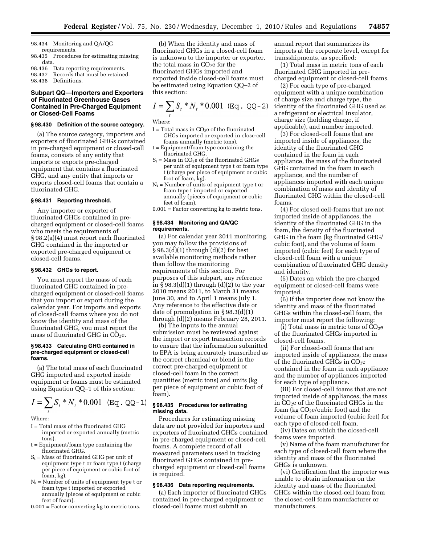98.434 Monitoring and QA/QC requirements.

- 98.435 Procedures for estimating missing data.
- 98.436 Data reporting requirements.<br>98.437 Records that must be retained
- Records that must be retained.
- 98.438 Definitions.

# **Subpart QQ—Importers and Exporters of Fluorinated Greenhouse Gases Contained in Pre-Charged Equipment or Closed-Cell Foams**

#### **§ 98.430 Definition of the source category.**

(a) The source category, importers and exporters of fluorinated GHGs contained in pre-charged equipment or closed-cell foams, consists of any entity that imports or exports pre-charged equipment that contains a fluorinated GHG, and any entity that imports or exports closed-cell foams that contain a fluorinated GHG.

# **§ 98.431 Reporting threshold.**

Any importer or exporter of fluorinated GHGs contained in precharged equipment or closed-cell foams who meets the requirements of § 98.2(a)(4) must report each fluorinated GHG contained in the imported or exported pre-charged equipment or closed-cell foams.

#### **§ 98.432 GHGs to report.**

You must report the mass of each fluorinated GHG contained in precharged equipment or closed-cell foams that you import or export during the calendar year. For imports and exports of closed-cell foams where you do not know the identity and mass of the fluorinated GHG, you must report the mass of fluorinated GHG in  $CO<sub>2</sub>e$ .

### **§ 98.433 Calculating GHG contained in pre-charged equipment or closed-cell foams.**

(a) The total mass of each fluorinated GHG imported and exported inside equipment or foams must be estimated using Equation QQ–1 of this section:

$$
I = \sum_{t} S_{t} * N_{t} * 0.001 \quad (\text{Eq. QQ-1})
$$

Where:

- I = Total mass of the fluorinated GHG imported or exported annually (metric tons).
- t = Equipment/foam type containing the fluorinated GHG.
- $S_t$  = Mass of fluorinated GHG per unit of equipment type t or foam type t (charge per piece of equipment or cubic foot of foam, kg).
- $N_t$  = Number of units of equipment type t or foam type t imported or exported annually (pieces of equipment or cubic feet of foam).
- 0.001 = Factor converting kg to metric tons.

(b) When the identity and mass of fluorinated GHGs in a closed-cell foam is unknown to the importer or exporter, the total mass in  $CO<sub>2</sub>e$  for the fluorinated GHGs imported and exported inside closed-cell foams must be estimated using Equation QQ–2 of this section:

$$
I = \sum_{t} S_{t} * N_{t} * 0.001 \text{ (Eq. QQ-2)}
$$

Where:

- $I = Total mass in CO<sub>2</sub>e of the fluorinated$ GHGs imported or exported in close-cell foams annually (metric tons).
- t = Equipment/foam type containing the fluorinated GHG.
- $S_t$  = Mass in CO<sub>2</sub>e of the fluorinated GHGs per unit of equipment type t or foam type t (charge per piece of equipment or cubic foot of foam, kg).
- $N_t$  = Number of units of equipment type t or foam type t imported or exported annually (pieces of equipment or cubic feet of foam).
- 0.001 = Factor converting kg to metric tons.

# **§ 98.434 Monitoring and QA/QC requirements.**

(a) For calendar year 2011 monitoring, you may follow the provisions of § 98.3(d)(1) through (d)(2) for best available monitoring methods rather than follow the monitoring requirements of this section. For purposes of this subpart, any reference in  $\S 98.3(d)(1)$  through  $(d)(2)$  to the year 2010 means 2011, to March 31 means June 30, and to April 1 means July 1. Any reference to the effective date or date of promulgation in § 98.3(d)(1) through (d)(2) means February 28, 2011.

(b) The inputs to the annual submission must be reviewed against the import or export transaction records to ensure that the information submitted to EPA is being accurately transcribed as the correct chemical or blend in the correct pre-charged equipment or closed-cell foam in the correct quantities (metric tons) and units (kg per piece of equipment or cubic foot of foam).

# **§ 98.435 Procedures for estimating missing data.**

Procedures for estimating missing data are not provided for importers and exporters of fluorinated GHGs contained in pre-charged equipment or closed-cell foams. A complete record of all measured parameters used in tracking fluorinated GHGs contained in precharged equipment or closed-cell foams is required.

### **§ 98.436 Data reporting requirements.**

(a) Each importer of fluorinated GHGs contained in pre-charged equipment or closed-cell foams must submit an

annual report that summarizes its imports at the corporate level, except for transshipments, as specified:

(1) Total mass in metric tons of each fluorinated GHG imported in precharged equipment or closed-cell foams.

(2) For each type of pre-charged equipment with a unique combination of charge size and charge type, the identity of the fluorinated GHG used as a refrigerant or electrical insulator, charge size (holding charge, if applicable), and number imported.

(3) For closed-cell foams that are imported inside of appliances, the identity of the fluorinated GHG contained in the foam in each appliance, the mass of the fluorinated GHG contained in the foam in each appliance, and the number of appliances imported with each unique combination of mass and identity of fluorinated GHG within the closed-cell foams.

(4) For closed cell-foams that are not imported inside of appliances, the identity of the fluorinated GHG in the foam, the density of the fluorinated GHG in the foam (kg fluorinated GHG/ cubic foot), and the volume of foam imported (cubic feet) for each type of closed-cell foam with a unique combination of fluorinated GHG density and identity.

(5) Dates on which the pre-charged equipment or closed-cell foams were imported.

(6) If the importer does not know the identity and mass of the fluorinated GHGs within the closed-cell foam, the importer must report the following:

(i) Total mass in metric tons of  $CO<sub>2</sub>e$ of the fluorinated GHGs imported in closed-cell foams.

(ii) For closed-cell foams that are imported inside of appliances, the mass of the fluorinated GHGs in  $CO<sub>2</sub>e$ contained in the foam in each appliance and the number of appliances imported for each type of appliance.

(iii) For closed-cell foams that are not imported inside of appliances, the mass in  $CO<sub>2</sub>e$  of the fluorinated GHGs in the foam (kg  $CO<sub>2</sub>e/cubic$  foot) and the volume of foam imported (cubic feet) for each type of closed-cell foam.

(iv) Dates on which the closed-cell foams were imported.

(v) Name of the foam manufacturer for each type of closed-cell foam where the identity and mass of the fluorinated GHGs is unknown.

(vi) Certification that the importer was unable to obtain information on the identity and mass of the fluorinated GHGs within the closed-cell foam from the closed-cell foam manufacturer or manufacturers.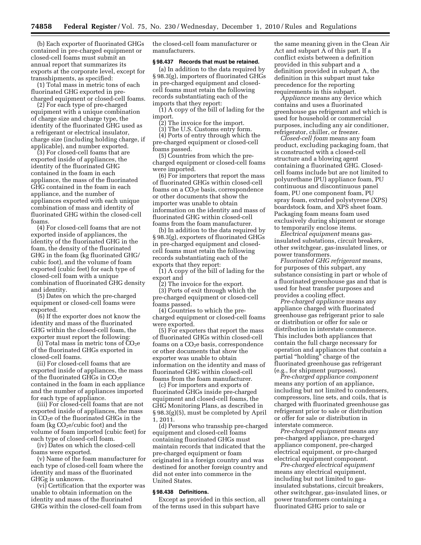(b) Each exporter of fluorinated GHGs contained in pre-charged equipment or closed-cell foams must submit an annual report that summarizes its exports at the corporate level, except for transshipments, as specified:

(1) Total mass in metric tons of each fluorinated GHG exported in precharged equipment or closed-cell foams.

(2) For each type of pre-charged equipment with a unique combination of charge size and charge type, the identity of the fluorinated GHG used as a refrigerant or electrical insulator, charge size (including holding charge, if applicable), and number exported.

(3) For closed-cell foams that are exported inside of appliances, the identity of the fluorinated GHG contained in the foam in each appliance, the mass of the fluorinated GHG contained in the foam in each appliance, and the number of appliances exported with each unique combination of mass and identity of fluorinated GHG within the closed-cell foams.

(4) For closed-cell foams that are not exported inside of appliances, the identity of the fluorinated GHG in the foam, the density of the fluorinated GHG in the foam (kg fluorinated GHG/ cubic foot), and the volume of foam exported (cubic feet) for each type of closed-cell foam with a unique combination of fluorinated GHG density and identity.

(5) Dates on which the pre-charged equipment or closed-cell foams were exported.

(6) If the exporter does not know the identity and mass of the fluorinated GHG within the closed-cell foam, the exporter must report the following:

(i) Total mass in metric tons of  $CO<sub>2</sub>e$ of the fluorinated GHGs exported in closed-cell foams.

(ii) For closed-cell foams that are exported inside of appliances, the mass of the fluorinated GHGs in  $CO<sub>2</sub>e$ contained in the foam in each appliance and the number of appliances imported for each type of appliance.

(iii) For closed-cell foams that are not exported inside of appliances, the mass in CO2e of the fluorinated GHGs in the foam (kg  $CO<sub>2</sub>e/cubic$  foot) and the volume of foam imported (cubic feet) for each type of closed-cell foam.

(iv) Dates on which the closed-cell foams were exported.

(v) Name of the foam manufacturer for each type of closed-cell foam where the identity and mass of the fluorinated GHGg is unknown.

(vi) Certification that the exporter was unable to obtain information on the identity and mass of the fluorinated GHGs within the closed-cell foam from

the closed-cell foam manufacturer or manufacturers.

# **§ 98.437 Records that must be retained.**

(a) In addition to the data required by § 98.3(g), importers of fluorinated GHGs in pre-charged equipment and closedcell foams must retain the following records substantiating each of the imports that they report:

(1) A copy of the bill of lading for the import.

(2) The invoice for the import.

(3) The U.S. Customs entry form. (4) Ports of entry through which the pre-charged equipment or closed-cell

foams passed. (5) Countries from which the precharged equipment or closed-cell foams were imported.

(6) For importers that report the mass of fluorinated GHGs within closed-cell foams on a  $CO<sub>2</sub>e$  basis, correspondence or other documents that show the importer was unable to obtain information on the identity and mass of fluorinated GHG within closed-cell foams from the foam manufacturer.

(b) In addition to the data required by § 98.3(g), exporters of fluorinated GHGs in pre-charged equipment and closedcell foams must retain the following records substantiating each of the exports that they report:

(1) A copy of the bill of lading for the export and

(2) The invoice for the export. (3) Ports of exit through which the pre-charged equipment or closed-cell foams passed.

(4) Countries to which the precharged equipment or closed-cell foams were exported.

(5) For exporters that report the mass of fluorinated GHGs within closed-cell foams on a  $CO<sub>2</sub>e$  basis, correspondence or other documents that show the exporter was unable to obtain information on the identity and mass of fluorinated GHG within closed-cell foams from the foam manufacturer.

(c) For importers and exports of fluorinated GHGs inside pre-charged equipment and closed-cell foams, the GHG Monitoring Plans, as described in § 98.3(g)(5), must be completed by April 1, 2011.

(d) Persons who transship pre-charged equipment and closed-cell foams containing fluorinated GHGs must maintain records that indicated that the pre-charged equipment or foam originated in a foreign country and was destined for another foreign country and did not enter into commerce in the United States.

### **§ 98.438 Definitions.**

Except as provided in this section, all of the terms used in this subpart have

the same meaning given in the Clean Air Act and subpart A of this part. If a conflict exists between a definition provided in this subpart and a definition provided in subpart A, the definition in this subpart must take precedence for the reporting requirements in this subpart.

*Appliance* means any device which contains and uses a fluorinated greenhouse gas refrigerant and which is used for household or commercial purposes, including any air conditioner, refrigerator, chiller, or freezer.

*Closed-cell foam* means any foam product, excluding packaging foam, that is constructed with a closed-cell structure and a blowing agent containing a fluorinated GHG. Closedcell foams include but are not limited to polyurethane (PU) appliance foam, PU continuous and discontinuous panel foam, PU one component foam, PU spray foam, extruded polystyrene (XPS) boardstock foam, and XPS sheet foam. Packaging foam means foam used exclusively during shipment or storage to temporarily enclose items.

*Electrical equipment* means gasinsulated substations, circuit breakers, other switchgear, gas-insulated lines, or power transformers.

*Fluorinated GHG refrigerant* means, for purposes of this subpart, any substance consisting in part or whole of a fluorinated greenhouse gas and that is used for heat transfer purposes and provides a cooling effect.

*Pre-charged appliance* means any appliance charged with fluorinated greenhouse gas refrigerant prior to sale or distribution or offer for sale or distribution in interstate commerce. This includes both appliances that contain the full charge necessary for operation and appliances that contain a partial "holding" charge of the fluorinated greenhouse gas refrigerant (e.g., for shipment purposes).

*Pre-charged appliance component*  means any portion of an appliance, including but not limited to condensers, compressors, line sets, and coils, that is charged with fluorinated greenhouse gas refrigerant prior to sale or distribution or offer for sale or distribution in interstate commerce.

*Pre-charged equipment* means any pre-charged appliance, pre-charged appliance component, pre-charged electrical equipment, or pre-charged electrical equipment component.

*Pre-charged electrical equipment*  means any electrical equipment, including but not limited to gasinsulated substations, circuit breakers, other switchgear, gas-insulated lines, or power transformers containing a fluorinated GHG prior to sale or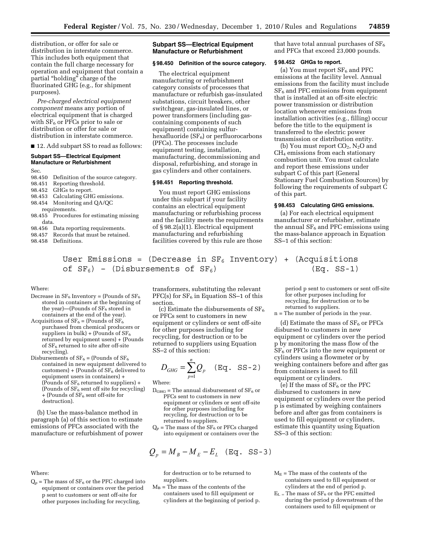distribution, or offer for sale or distribution in interstate commerce. This includes both equipment that contain the full charge necessary for operation and equipment that contain a partial "holding" charge of the fluorinated GHG (e.g., for shipment purposes).

*Pre-charged electrical equipment component* means any portion of electrical equipment that is charged with  $SF<sub>6</sub>$  or PFCs prior to sale or distribution or offer for sale or distribution in interstate commerce.

■ 12. Add subpart SS to read as follows:

## **Subpart SS—Electrical Equipment Manufacture or Refurbishment**

Sec.

- 98.450 Definition of the source category.
- 98.451 Reporting threshold.
- 98.452 GHGs to report.
- 98.453 Calculating GHG emissions.
- 98.454 Monitoring and QA/QC
- requirements.
- 98.455 Procedures for estimating missing data.
- 98.456 Data reporting requirements.<br>98.457 Records that must be retained
- Records that must be retained.
- 98.458 Definitions.

# **Subpart SS—Electrical Equipment Manufacture or Refurbishment**

### **§ 98.450 Definition of the source category.**

The electrical equipment manufacturing or refurbishment category consists of processes that manufacture or refurbish gas-insulated substations, circuit breakers, other switchgear, gas-insulated lines, or power transformers (including gascontaining components of such equipment) containing sulfurhexafluoride  $(SF_6)$  or perfluorocarbons (PFCs). The processes include equipment testing, installation, manufacturing, decommissioning and disposal, refurbishing, and storage in gas cylinders and other containers.

# **§ 98.451 Reporting threshold.**

You must report GHG emissions under this subpart if your facility contains an electrical equipment manufacturing or refurbishing process and the facility meets the requirements of § 98.2(a)(1). Electrical equipment manufacturing and refurbishing facilities covered by this rule are those

that have total annual purchases of  $SF_6$ and PFCs that exceed 23,000 pounds.

# **§ 98.452 GHGs to report.**

(a) You must report  $SF<sub>6</sub>$  and PFC emissions at the facility level. Annual emissions from the facility must include  $SF<sub>6</sub>$  and PFC emissions from equipment that is installed at an off-site electric power transmission or distribution location whenever emissions from installation activities (e.g., filling) occur before the title to the equipment is transferred to the electric power transmission or distribution entity.

(b) You must report  $CO_2$ , N<sub>2</sub>O and CH4 emissions from each stationary combustion unit. You must calculate and report these emissions under subpart C of this part (General Stationary Fuel Combustion Sources) by following the requirements of subpart C of this part.

# **§ 98.453 Calculating GHG emissions.**

(a) For each electrical equipment manufacturer or refurbisher, estimate the annual  $SF<sub>6</sub>$  and PFC emissions using the mass-balance approach in Equation SS–1 of this section:

User Emissions = (Decrease in  $SF_6$  Inventory) + (Acquisitions of  $SF_6$ ) - (Disbursements of  $SF_6$ )  $(Eq. SS-1)$ 

Where:

- Decrease in  $SF_6$  Inventory = (Pounds of  $SF_6$ stored in containers at the beginning of the year)—(Pounds of  $SF<sub>6</sub>$  stored in containers at the end of the year).
- Acquisitions of  $SF_6 =$  (Pounds of  $SF_6$ purchased from chemical producers or suppliers in bulk) + (Pounds of  $SF_6$ returned by equipment users) + (Pounds of  $SF<sub>6</sub>$  returned to site after off-site recycling).
- Disbursements of  $SF_6 =$  (Pounds of  $SF_6$ contained in new equipment delivered to customers) + (Pounds of  $SF<sub>6</sub>$  delivered to equipment users in containers) + (Pounds of  $SF_6$  returned to suppliers) + (Pounds of  $SF_6$  sent off site for recycling)  $+$  (Pounds of SF<sub>6</sub> sent off-site for destruction).

(b) Use the mass-balance method in paragraph (a) of this section to estimate emissions of PFCs associated with the manufacture or refurbishment of power

Where:

 $Q_p$  = The mass of  $SF_6$  or the PFC charged into equipment or containers over the period p sent to customers or sent off-site for other purposes including for recycling,

transformers, substituting the relevant  $PFC(s)$  for  $SF<sub>6</sub>$  in Equation SS-1 of this section.

(c) Estimate the disbursements of  $SF<sub>6</sub>$ or PFCs sent to customers in new equipment or cylinders or sent off-site for other purposes including for recycling, for destruction or to be returned to suppliers using Equation SS–2 of this section:

$$
D_{GHG} = \sum_{p=1}^{n} Q_p \quad (\text{Eq. SS-2})
$$

Where:

- $D_{\text{GHG}}$  = The annual disbursement of SF<sub>6</sub> or PFCs sent to customers in new equipment or cylinders or sent off-site for other purposes including for recycling, for destruction or to be returned to suppliers.
- $Q_p$  = The mass of the SF<sub>6</sub> or PFCs charged into equipment or containers over the

$$
Q_p = M_B - M_E - E_L \quad (\text{Eq. SS-3})
$$

for destruction or to be returned to suppliers.

 $M_B$  = The mass of the contents of the containers used to fill equipment or cylinders at the beginning of period p. period p sent to customers or sent off-site for other purposes including for recycling, for destruction or to be returned to suppliers.

n = The number of periods in the year.

(d) Estimate the mass of  $SF<sub>6</sub>$  or PFCs disbursed to customers in new equipment or cylinders over the period p by monitoring the mass flow of the  $SF<sub>6</sub>$  or PFCs into the new equipment or cylinders using a flowmeter or by weighing containers before and after gas from containers is used to fill equipment or cylinders.

(e) If the mass of  $SF<sub>6</sub>$  or the PFC disbursed to customers in new equipment or cylinders over the period p is estimated by weighing containers before and after gas from containers is used to fill equipment or cylinders, estimate this quantity using Equation SS–3 of this section:

- $M<sub>E</sub>$  = The mass of the contents of the containers used to fill equipment or cylinders at the end of period p.
- $E_L$  = The mass of SF<sub>6</sub> or the PFC emitted during the period p downstream of the containers used to fill equipment or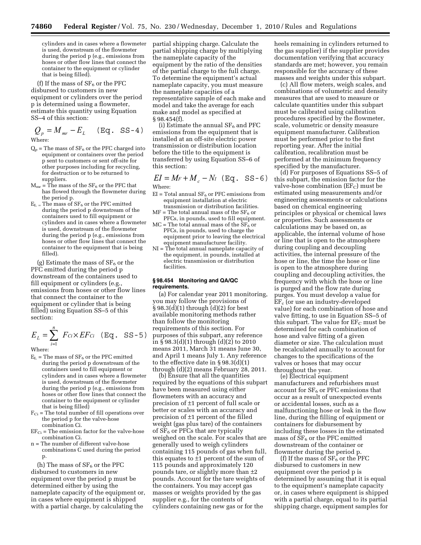cylinders and in cases where a flowmeter is used, downstream of the flowmeter during the period p (e.g., emissions from hoses or other flow lines that connect the container to the equipment or cylinder that is being filled).

(f) If the mass of  $SF_6$  or the PFC disbursed to customers in new equipment or cylinders over the period p is determined using a flowmeter, estimate this quantity using Equation SS–4 of this section:

$$
Q_p = M_{mr} - E_L \quad (\text{Eq. SS-4})
$$

Where:

- $Q_p$  = The mass of  $SF_6$  or the PFC charged into equipment or containers over the period p sent to customers or sent off-site for other purposes including for recycling, for destruction or to be returned to suppliers.
- $M_{\text{mr}} = \overline{T}$ he mass of the SF<sub>6</sub> or the PFC that has flowed through the flowmeter during the period p.
- $E_L$  = The mass of SF<sub>6</sub> or the PFC emitted during the period p downstream of the containers used to fill equipment or cylinders and in cases where a flowmeter is used, downstream of the flowmeter during the period p (e.g., emissions from hoses or other flow lines that connect the container to the equipment that is being filled).

(g) Estimate the mass of  $SF<sub>6</sub>$  or the PFC emitted during the period p downstream of the containers used to fill equipment or cylinders (e.g., emissions from hoses or other flow lines that connect the container to the equipment or cylinder that is being filled) using Equation SS–5 of this section:

$$
E_L = \sum_{i=1}^{n} F_{Ci} \times EF_{Ci} \quad (\text{Eq. SS-5})
$$

Where:

- $E_L$  = The mass of  $SF_6$  or the PFC emitted during the period p downstream of the containers used to fill equipment or cylinders and in cases where a flowmeter is used, downstream of the flowmeter during the period p (e.g., emissions from hoses or other flow lines that connect the container to the equipment or cylinder that is being filled)
- $F_{Ci}$  = The total number of fill operations over the period p for the valve-hose combination Ci.
- $EF_{Ci}$  = The emission factor for the valve-hose combination Ci.
- n = The number of different valve-hose combinations C used during the period p.

(h) The mass of  $SF<sub>6</sub>$  or the PFC disbursed to customers in new equipment over the period p must be determined either by using the nameplate capacity of the equipment or, in cases where equipment is shipped with a partial charge, by calculating the

partial shipping charge. Calculate the partial shipping charge by multiplying the nameplate capacity of the equipment by the ratio of the densities of the partial charge to the full charge. To determine the equipment's actual nameplate capacity, you must measure the nameplate capacities of a representative sample of each make and model and take the average for each make and model as specified at § 98.454(f).

(i) Estimate the annual  $SF<sub>6</sub>$  and PFC emissions from the equipment that is installed at an off-site electric power transmission or distribution location before the title to the equipment is transferred by using Equation SS–6 of this section:

 $EI = M_F + M_c - N_I$  (Eq. SS-6) Where:

- $EI$  = Total annual  $SF<sub>6</sub>$  or PFC emissions from equipment installation at electric transmission or distribution facilities.
- $MF = The total annual mass of the SF<sub>6</sub> or$ PFCs, in pounds, used to fill equipment.
- $MC =$  The total annual mass of the  $SF<sub>6</sub>$  or PFCs, in pounds, used to charge the equipment prior to leaving the electrical equipment manufacturer facility.
- NI = The total annual nameplate capacity of the equipment, in pounds, installed at electric transmission or distribution facilities.

## **§ 98.454 Monitoring and QA/QC requirements.**

(a) For calendar year 2011 monitoring, you may follow the provisions of § 98.3(d)(1) through (d)(2) for best available monitoring methods rather than follow the monitoring requirements of this section. For purposes of this subpart, any reference in § 98.3(d)(1) through (d)(2) to 2010 means 2011, March 31 means June 30, and April 1 means July 1. Any reference to the effective date in § 98.3(d)(1) through (d)(2) means February 28, 2011.

(b) Ensure that all the quantities required by the equations of this subpart have been measured using either flowmeters with an accuracy and precision of ±1 percent of full scale or better or scales with an accuracy and precision of ±1 percent of the filled weight (gas plus tare) of the containers of  $SF<sub>6</sub>$  or PFCs that are typically weighed on the scale. For scales that are generally used to weigh cylinders containing 115 pounds of gas when full, this equates to  $\pm 1$  percent of the sum of 115 pounds and approximately 120 pounds tare, or slightly more than  $\pm 2$ pounds. Account for the tare weights of the containers. You may accept gas masses or weights provided by the gas supplier e.g., for the contents of cylinders containing new gas or for the

heels remaining in cylinders returned to the gas supplier) if the supplier provides documentation verifying that accuracy standards are met; however, you remain responsible for the accuracy of these masses and weights under this subpart.

(c) All flow meters, weigh scales, and combinations of volumetric and density measures that are used to measure or calculate quantities under this subpart must be calibrated using calibration procedures specified by the flowmeter, scale, volumetric or density measure equipment manufacturer. Calibration must be performed prior to the first reporting year. After the initial calibration, recalibration must be performed at the minimum frequency specified by the manufacturer.

(d) For purposes of Equations SS–5 of this subpart, the emission factor for the valve-hose combination  $(EF_C)$  must be estimated using measurements and/or engineering assessments or calculations based on chemical engineering principles or physical or chemical laws or properties. Such assessments or calculations may be based on, as applicable, the internal volume of hose or line that is open to the atmosphere during coupling and decoupling activities, the internal pressure of the hose or line, the time the hose or line is open to the atmosphere during coupling and decoupling activities, the frequency with which the hose or line is purged and the flow rate during purges. You must develop a value for EFc (or use an industry-developed value) for each combination of hose and valve fitting, to use in Equation SS–5 of this subpart. The value for  $EF_C$  must be determined for each combination of hose and valve fitting of a given diameter or size. The calculation must be recalculated annually to account for changes to the specifications of the valves or hoses that may occur throughout the year.

(e) Electrical equipment manufacturers and refurbishers must account for  $SF<sub>6</sub>$  or PFC emissions that occur as a result of unexpected events or accidental losses, such as a malfunctioning hose or leak in the flow line, during the filling of equipment or containers for disbursement by including these losses in the estimated mass of  $SF<sub>6</sub>$  or the PFC emitted downstream of the container or flowmeter during the period p.

(f) If the mass of  $SF<sub>6</sub>$  or the PFC disbursed to customers in new equipment over the period p is determined by assuming that it is equal to the equipment's nameplate capacity or, in cases where equipment is shipped with a partial charge, equal to its partial shipping charge, equipment samples for